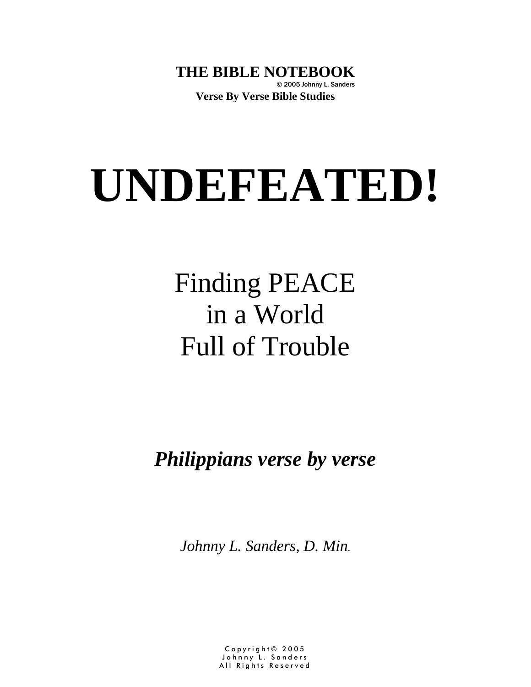**THE BIBLE NOTEBOOK** © 2005 Johnny L. Sanders **Verse By Verse Bible Studies**

# **UNDEFEATED!**

# Finding PEACE in a World Full of Trouble

*Philippians verse by verse*

*Johnny L. Sanders, D. Min.* 

Copyright© 2005 Johnny L. Sanders All Rights Reserved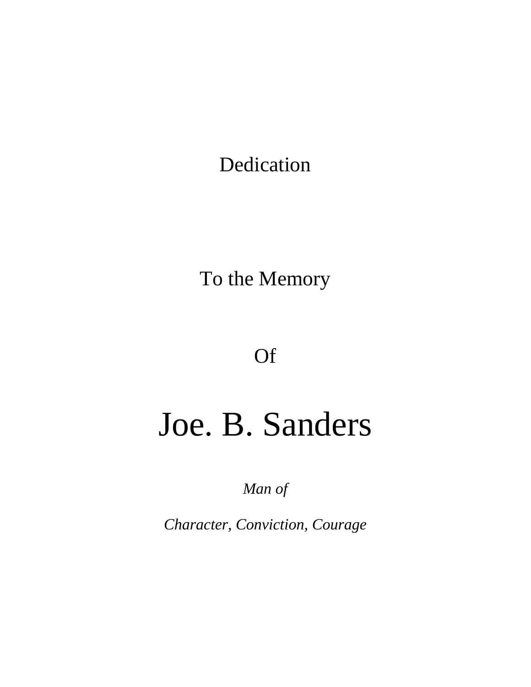Dedication

To the Memory

Of

# Joe. B. Sanders

*Man of* 

*Character, Conviction, Courage*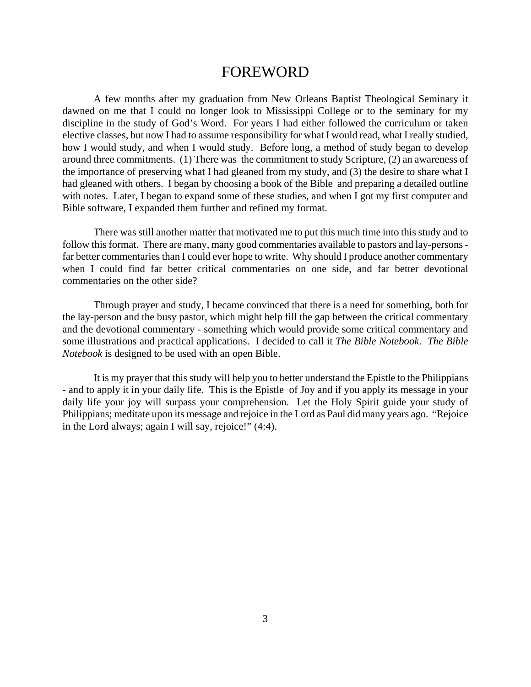#### FOREWORD

A few months after my graduation from New Orleans Baptist Theological Seminary it dawned on me that I could no longer look to Mississippi College or to the seminary for my discipline in the study of God's Word. For years I had either followed the curriculum or taken elective classes, but now I had to assume responsibility for what I would read, what I really studied, how I would study, and when I would study. Before long, a method of study began to develop around three commitments. (1) There was the commitment to study Scripture, (2) an awareness of the importance of preserving what I had gleaned from my study, and (3) the desire to share what I had gleaned with others. I began by choosing a book of the Bible and preparing a detailed outline with notes. Later, I began to expand some of these studies, and when I got my first computer and Bible software, I expanded them further and refined my format.

There was still another matter that motivated me to put this much time into this study and to follow this format. There are many, many good commentaries available to pastors and lay-persons far better commentaries than I could ever hope to write. Why should I produce another commentary when I could find far better critical commentaries on one side, and far better devotional commentaries on the other side?

Through prayer and study, I became convinced that there is a need for something, both for the lay-person and the busy pastor, which might help fill the gap between the critical commentary and the devotional commentary - something which would provide some critical commentary and some illustrations and practical applications. I decided to call it *The Bible Notebook*. *The Bible Notebook* is designed to be used with an open Bible.

It is my prayer that this study will help you to better understand the Epistle to the Philippians - and to apply it in your daily life. This is the Epistle of Joy and if you apply its message in your daily life your joy will surpass your comprehension. Let the Holy Spirit guide your study of Philippians; meditate upon its message and rejoice in the Lord as Paul did many years ago. "Rejoice in the Lord always; again I will say, rejoice!" (4:4).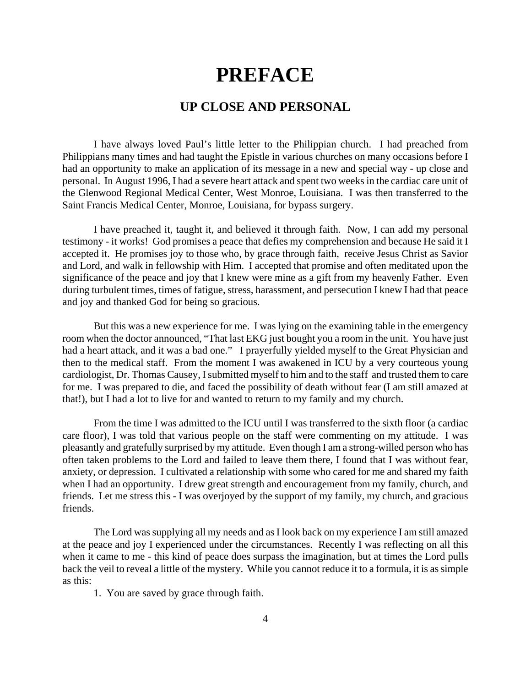## **PREFACE**

#### **UP CLOSE AND PERSONAL**

I have always loved Paul's little letter to the Philippian church. I had preached from Philippians many times and had taught the Epistle in various churches on many occasions before I had an opportunity to make an application of its message in a new and special way - up close and personal. In August 1996, I had a severe heart attack and spent two weeks in the cardiac care unit of the Glenwood Regional Medical Center, West Monroe, Louisiana. I was then transferred to the Saint Francis Medical Center, Monroe, Louisiana, for bypass surgery.

I have preached it, taught it, and believed it through faith. Now, I can add my personal testimony - it works! God promises a peace that defies my comprehension and because He said it I accepted it. He promises joy to those who, by grace through faith, receive Jesus Christ as Savior and Lord, and walk in fellowship with Him. I accepted that promise and often meditated upon the significance of the peace and joy that I knew were mine as a gift from my heavenly Father. Even during turbulent times, times of fatigue, stress, harassment, and persecution I knew I had that peace and joy and thanked God for being so gracious.

But this was a new experience for me. I was lying on the examining table in the emergency room when the doctor announced, "That last EKG just bought you a room in the unit. You have just had a heart attack, and it was a bad one." I prayerfully yielded myself to the Great Physician and then to the medical staff. From the moment I was awakened in ICU by a very courteous young cardiologist, Dr. Thomas Causey, I submitted myself to him and to the staff and trusted them to care for me. I was prepared to die, and faced the possibility of death without fear (I am still amazed at that!), but I had a lot to live for and wanted to return to my family and my church.

From the time I was admitted to the ICU until I was transferred to the sixth floor (a cardiac care floor), I was told that various people on the staff were commenting on my attitude. I was pleasantly and gratefully surprised by my attitude. Even though I am a strong-willed person who has often taken problems to the Lord and failed to leave them there, I found that I was without fear, anxiety, or depression. I cultivated a relationship with some who cared for me and shared my faith when I had an opportunity. I drew great strength and encouragement from my family, church, and friends. Let me stress this - I was overjoyed by the support of my family, my church, and gracious friends.

The Lord was supplying all my needs and as I look back on my experience I am still amazed at the peace and joy I experienced under the circumstances. Recently I was reflecting on all this when it came to me - this kind of peace does surpass the imagination, but at times the Lord pulls back the veil to reveal a little of the mystery. While you cannot reduce it to a formula, it is as simple as this:

1. You are saved by grace through faith.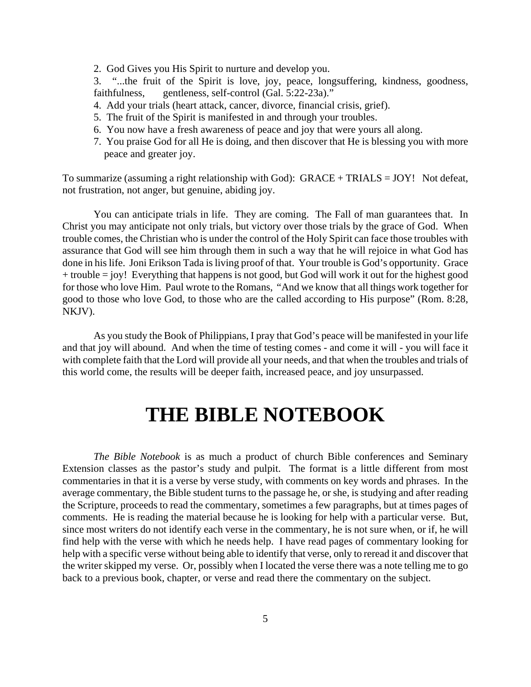2. God Gives you His Spirit to nurture and develop you.

3. "...the fruit of the Spirit is love, joy, peace, longsuffering, kindness, goodness, faithfulness, gentleness, self-control (Gal. 5:22-23a)."

- 4. Add your trials (heart attack, cancer, divorce, financial crisis, grief).
- 5. The fruit of the Spirit is manifested in and through your troubles.
- 6. You now have a fresh awareness of peace and joy that were yours all along.
- 7. You praise God for all He is doing, and then discover that He is blessing you with more peace and greater joy.

To summarize (assuming a right relationship with God): GRACE + TRIALS = JOY! Not defeat, not frustration, not anger, but genuine, abiding joy.

You can anticipate trials in life. They are coming. The Fall of man guarantees that. In Christ you may anticipate not only trials, but victory over those trials by the grace of God. When trouble comes, the Christian who is under the control of the Holy Spirit can face those troubles with assurance that God will see him through them in such a way that he will rejoice in what God has done in his life. Joni Erikson Tada is living proof of that. Your trouble is God's opportunity. Grace  $+$  trouble  $=$  joy! Everything that happens is not good, but God will work it out for the highest good for those who love Him. Paul wrote to the Romans, "And we know that all things work together for good to those who love God, to those who are the called according to His purpose" (Rom. 8:28, NKJV).

As you study the Book of Philippians, I pray that God's peace will be manifested in your life and that joy will abound. And when the time of testing comes - and come it will - you will face it with complete faith that the Lord will provide all your needs, and that when the troubles and trials of this world come, the results will be deeper faith, increased peace, and joy unsurpassed.

# **THE BIBLE NOTEBOOK**

*The Bible Notebook* is as much a product of church Bible conferences and Seminary Extension classes as the pastor's study and pulpit. The format is a little different from most commentaries in that it is a verse by verse study, with comments on key words and phrases. In the average commentary, the Bible student turns to the passage he, or she, is studying and after reading the Scripture, proceeds to read the commentary, sometimes a few paragraphs, but at times pages of comments. He is reading the material because he is looking for help with a particular verse. But, since most writers do not identify each verse in the commentary, he is not sure when, or if, he will find help with the verse with which he needs help. I have read pages of commentary looking for help with a specific verse without being able to identify that verse, only to reread it and discover that the writer skipped my verse. Or, possibly when I located the verse there was a note telling me to go back to a previous book, chapter, or verse and read there the commentary on the subject.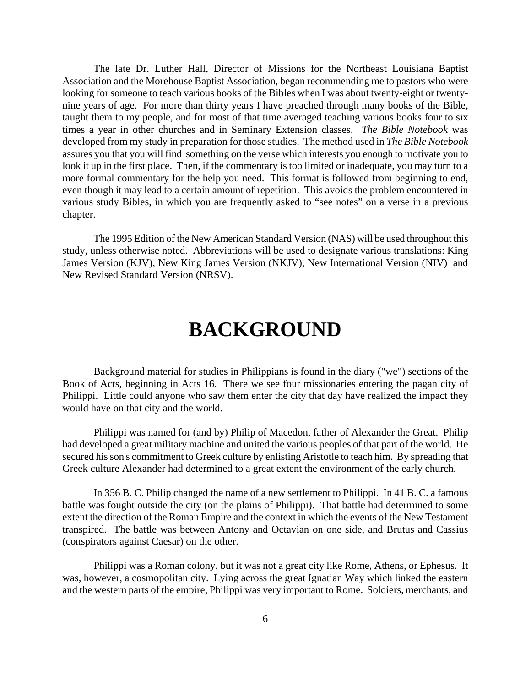The late Dr. Luther Hall, Director of Missions for the Northeast Louisiana Baptist Association and the Morehouse Baptist Association, began recommending me to pastors who were looking for someone to teach various books of the Bibles when I was about twenty-eight or twentynine years of age. For more than thirty years I have preached through many books of the Bible, taught them to my people, and for most of that time averaged teaching various books four to six times a year in other churches and in Seminary Extension classes. *The Bible Notebook* was developed from my study in preparation for those studies. The method used in *The Bible Notebook* assures you that you will find something on the verse which interests you enough to motivate you to look it up in the first place. Then, if the commentary is too limited or inadequate, you may turn to a more formal commentary for the help you need. This format is followed from beginning to end, even though it may lead to a certain amount of repetition. This avoids the problem encountered in various study Bibles, in which you are frequently asked to "see notes" on a verse in a previous chapter.

The 1995 Edition of the New American Standard Version (NAS) will be used throughout this study, unless otherwise noted. Abbreviations will be used to designate various translations: King James Version (KJV), New King James Version (NKJV), New International Version (NIV) and New Revised Standard Version (NRSV).

# **BACKGROUND**

Background material for studies in Philippians is found in the diary ("we") sections of the Book of Acts, beginning in Acts 16. There we see four missionaries entering the pagan city of Philippi. Little could anyone who saw them enter the city that day have realized the impact they would have on that city and the world.

Philippi was named for (and by) Philip of Macedon, father of Alexander the Great. Philip had developed a great military machine and united the various peoples of that part of the world. He secured his son's commitment to Greek culture by enlisting Aristotle to teach him. By spreading that Greek culture Alexander had determined to a great extent the environment of the early church.

In 356 B. C. Philip changed the name of a new settlement to Philippi. In 41 B. C. a famous battle was fought outside the city (on the plains of Philippi). That battle had determined to some extent the direction of the Roman Empire and the context in which the events of the New Testament transpired. The battle was between Antony and Octavian on one side, and Brutus and Cassius (conspirators against Caesar) on the other.

Philippi was a Roman colony, but it was not a great city like Rome, Athens, or Ephesus. It was, however, a cosmopolitan city. Lying across the great Ignatian Way which linked the eastern and the western parts of the empire, Philippi was very important to Rome. Soldiers, merchants, and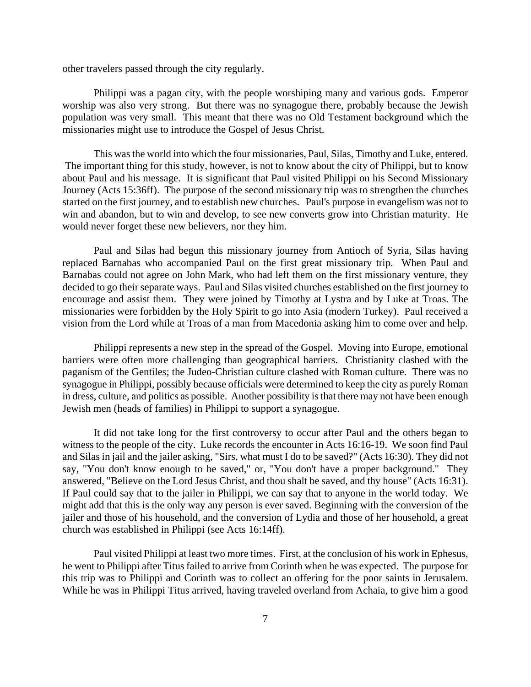other travelers passed through the city regularly.

Philippi was a pagan city, with the people worshiping many and various gods. Emperor worship was also very strong. But there was no synagogue there, probably because the Jewish population was very small. This meant that there was no Old Testament background which the missionaries might use to introduce the Gospel of Jesus Christ.

This was the world into which the four missionaries, Paul, Silas, Timothy and Luke, entered. The important thing for this study, however, is not to know about the city of Philippi, but to know about Paul and his message. It is significant that Paul visited Philippi on his Second Missionary Journey (Acts 15:36ff). The purpose of the second missionary trip was to strengthen the churches started on the first journey, and to establish new churches. Paul's purpose in evangelism was not to win and abandon, but to win and develop, to see new converts grow into Christian maturity. He would never forget these new believers, nor they him.

Paul and Silas had begun this missionary journey from Antioch of Syria, Silas having replaced Barnabas who accompanied Paul on the first great missionary trip. When Paul and Barnabas could not agree on John Mark, who had left them on the first missionary venture, they decided to go their separate ways. Paul and Silas visited churches established on the first journey to encourage and assist them. They were joined by Timothy at Lystra and by Luke at Troas. The missionaries were forbidden by the Holy Spirit to go into Asia (modern Turkey). Paul received a vision from the Lord while at Troas of a man from Macedonia asking him to come over and help.

Philippi represents a new step in the spread of the Gospel. Moving into Europe, emotional barriers were often more challenging than geographical barriers. Christianity clashed with the paganism of the Gentiles; the Judeo-Christian culture clashed with Roman culture. There was no synagogue in Philippi, possibly because officials were determined to keep the city as purely Roman in dress, culture, and politics as possible. Another possibility is that there may not have been enough Jewish men (heads of families) in Philippi to support a synagogue.

It did not take long for the first controversy to occur after Paul and the others began to witness to the people of the city. Luke records the encounter in Acts 16:16-19. We soon find Paul and Silas in jail and the jailer asking, "Sirs, what must I do to be saved?" (Acts 16:30). They did not say, "You don't know enough to be saved," or, "You don't have a proper background." They answered, "Believe on the Lord Jesus Christ, and thou shalt be saved, and thy house" (Acts 16:31). If Paul could say that to the jailer in Philippi, we can say that to anyone in the world today. We might add that this is the only way any person is ever saved. Beginning with the conversion of the jailer and those of his household, and the conversion of Lydia and those of her household, a great church was established in Philippi (see Acts 16:14ff).

Paul visited Philippi at least two more times. First, at the conclusion of his work in Ephesus, he went to Philippi after Titus failed to arrive from Corinth when he was expected. The purpose for this trip was to Philippi and Corinth was to collect an offering for the poor saints in Jerusalem. While he was in Philippi Titus arrived, having traveled overland from Achaia, to give him a good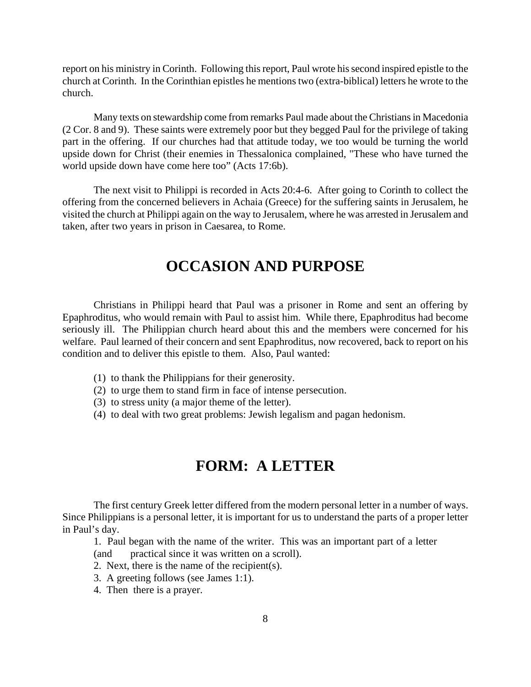report on his ministry in Corinth. Following this report, Paul wrote his second inspired epistle to the church at Corinth. In the Corinthian epistles he mentions two (extra-biblical) letters he wrote to the church.

Many texts on stewardship come from remarks Paul made about the Christians in Macedonia (2 Cor. 8 and 9). These saints were extremely poor but they begged Paul for the privilege of taking part in the offering. If our churches had that attitude today, we too would be turning the world upside down for Christ (their enemies in Thessalonica complained, "These who have turned the world upside down have come here too" (Acts 17:6b).

The next visit to Philippi is recorded in Acts 20:4-6. After going to Corinth to collect the offering from the concerned believers in Achaia (Greece) for the suffering saints in Jerusalem, he visited the church at Philippi again on the way to Jerusalem, where he was arrested in Jerusalem and taken, after two years in prison in Caesarea, to Rome.

### **OCCASION AND PURPOSE**

Christians in Philippi heard that Paul was a prisoner in Rome and sent an offering by Epaphroditus, who would remain with Paul to assist him. While there, Epaphroditus had become seriously ill. The Philippian church heard about this and the members were concerned for his welfare. Paul learned of their concern and sent Epaphroditus, now recovered, back to report on his condition and to deliver this epistle to them. Also, Paul wanted:

- (1) to thank the Philippians for their generosity.
- (2) to urge them to stand firm in face of intense persecution.
- (3) to stress unity (a major theme of the letter).
- (4) to deal with two great problems: Jewish legalism and pagan hedonism.

### **FORM: A LETTER**

The first century Greek letter differed from the modern personal letter in a number of ways. Since Philippians is a personal letter, it is important for us to understand the parts of a proper letter in Paul's day.

 1. Paul began with the name of the writer. This was an important part of a letter (and practical since it was written on a scroll).

- 2. Next, there is the name of the recipient(s).
- 3. A greeting follows (see James 1:1).
- 4. Then there is a prayer.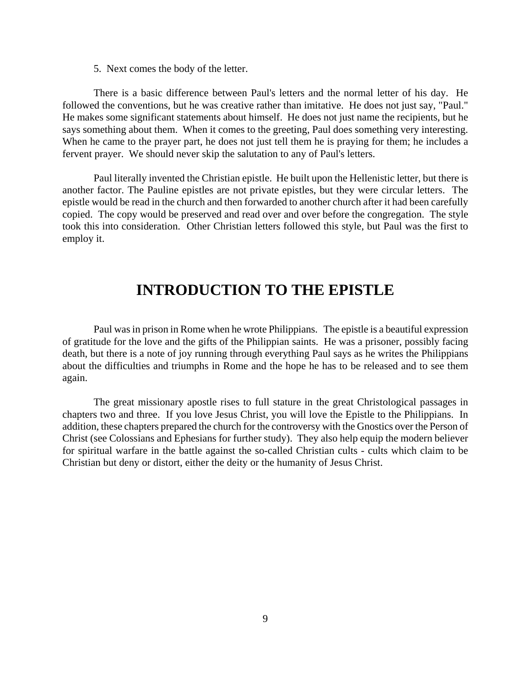5. Next comes the body of the letter.

There is a basic difference between Paul's letters and the normal letter of his day. He followed the conventions, but he was creative rather than imitative. He does not just say, "Paul." He makes some significant statements about himself. He does not just name the recipients, but he says something about them. When it comes to the greeting, Paul does something very interesting. When he came to the prayer part, he does not just tell them he is praying for them; he includes a fervent prayer. We should never skip the salutation to any of Paul's letters.

Paul literally invented the Christian epistle. He built upon the Hellenistic letter, but there is another factor. The Pauline epistles are not private epistles, but they were circular letters. The epistle would be read in the church and then forwarded to another church after it had been carefully copied. The copy would be preserved and read over and over before the congregation. The style took this into consideration. Other Christian letters followed this style, but Paul was the first to employ it.

#### **INTRODUCTION TO THE EPISTLE**

Paul was in prison in Rome when he wrote Philippians. The epistle is a beautiful expression of gratitude for the love and the gifts of the Philippian saints. He was a prisoner, possibly facing death, but there is a note of joy running through everything Paul says as he writes the Philippians about the difficulties and triumphs in Rome and the hope he has to be released and to see them again.

The great missionary apostle rises to full stature in the great Christological passages in chapters two and three. If you love Jesus Christ, you will love the Epistle to the Philippians. In addition, these chapters prepared the church for the controversy with the Gnostics over the Person of Christ (see Colossians and Ephesians for further study). They also help equip the modern believer for spiritual warfare in the battle against the so-called Christian cults - cults which claim to be Christian but deny or distort, either the deity or the humanity of Jesus Christ.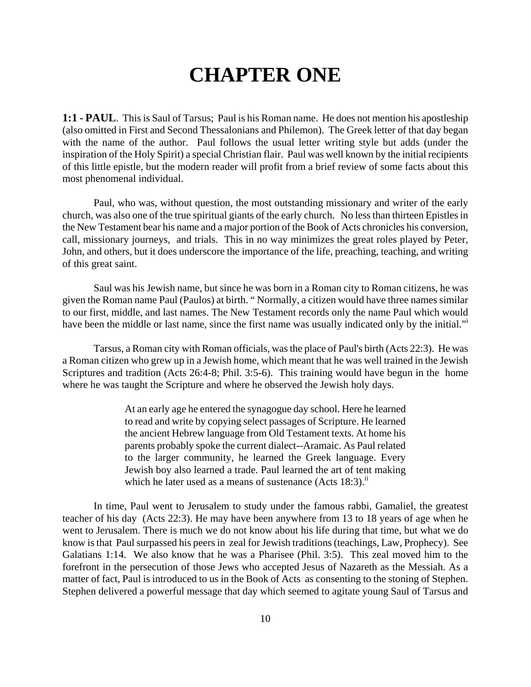# **CHAPTER ONE**

**1:1 - PAUL**. This is Saul of Tarsus; Paul is his Roman name. He does not mention his apostleship (also omitted in First and Second Thessalonians and Philemon). The Greek letter of that day began with the name of the author. Paul follows the usual letter writing style but adds (under the inspiration of the Holy Spirit) a special Christian flair. Paul was well known by the initial recipients of this little epistle, but the modern reader will profit from a brief review of some facts about this most phenomenal individual.

Paul, who was, without question, the most outstanding missionary and writer of the early church, was also one of the true spiritual giants of the early church. No less than thirteen Epistles in the New Testament bear his name and a major portion of the Book of Acts chronicles his conversion, call, missionary journeys, and trials. This in no way minimizes the great roles played by Peter, John, and others, but it does underscore the importance of the life, preaching, teaching, and writing of this great saint.

Saul was his Jewish name, but since he was born in a Roman city to Roman citizens, he was given the Roman name Paul (Paulos) at birth. " Normally, a citizen would have three names similar to our first, middle, and last names. The New Testament records only the name Paul which would have been the middle or last name, since the first name was usually indicated only by the initial."

Tarsus, a Roman city with Roman officials, was the place of Paul's birth (Acts 22:3). He was a Roman citizen who grew up in a Jewish home, which meant that he was well trained in the Jewish Scriptures and tradition (Acts 26:4-8; Phil. 3:5-6). This training would have begun in the home where he was taught the Scripture and where he observed the Jewish holy days.

> At an early age he entered the synagogue day school. Here he learned to read and write by copying select passages of Scripture. He learned the ancient Hebrew language from Old Testament texts. At home his parents probably spoke the current dialect--Aramaic. As Paul related to the larger community, he learned the Greek language. Every Jewish boy also learned a trade. Paul learned the art of tent making which he later used as a means of sustenance  $(Acts 18:3)$ .<sup>ii</sup>

In time, Paul went to Jerusalem to study under the famous rabbi, Gamaliel, the greatest teacher of his day (Acts 22:3). He may have been anywhere from 13 to 18 years of age when he went to Jerusalem. There is much we do not know about his life during that time, but what we do know is that Paul surpassed his peers in zeal for Jewish traditions (teachings, Law, Prophecy). See Galatians 1:14. We also know that he was a Pharisee (Phil. 3:5). This zeal moved him to the forefront in the persecution of those Jews who accepted Jesus of Nazareth as the Messiah. As a matter of fact, Paul is introduced to us in the Book of Acts as consenting to the stoning of Stephen. Stephen delivered a powerful message that day which seemed to agitate young Saul of Tarsus and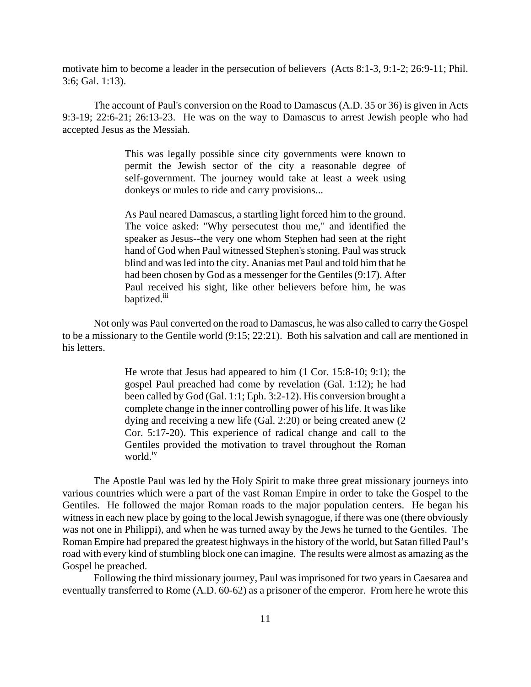motivate him to become a leader in the persecution of believers (Acts 8:1-3, 9:1-2; 26:9-11; Phil. 3:6; Gal. 1:13).

The account of Paul's conversion on the Road to Damascus (A.D. 35 or 36) is given in Acts 9:3-19; 22:6-21; 26:13-23. He was on the way to Damascus to arrest Jewish people who had accepted Jesus as the Messiah.

> This was legally possible since city governments were known to permit the Jewish sector of the city a reasonable degree of self-government. The journey would take at least a week using donkeys or mules to ride and carry provisions...

> As Paul neared Damascus, a startling light forced him to the ground. The voice asked: "Why persecutest thou me," and identified the speaker as Jesus--the very one whom Stephen had seen at the right hand of God when Paul witnessed Stephen's stoning. Paul was struck blind and was led into the city. Ananias met Paul and told him that he had been chosen by God as a messenger for the Gentiles (9:17). After Paul received his sight, like other believers before him, he was baptized.<sup>iii</sup>

Not only was Paul converted on the road to Damascus, he was also called to carry the Gospel to be a missionary to the Gentile world (9:15; 22:21). Both his salvation and call are mentioned in his letters.

> He wrote that Jesus had appeared to him (1 Cor. 15:8-10; 9:1); the gospel Paul preached had come by revelation (Gal. 1:12); he had been called by God (Gal. 1:1; Eph. 3:2-12). His conversion brought a complete change in the inner controlling power of his life. It was like dying and receiving a new life (Gal. 2:20) or being created anew (2 Cor. 5:17-20). This experience of radical change and call to the Gentiles provided the motivation to travel throughout the Roman world.<sup>iv</sup>

The Apostle Paul was led by the Holy Spirit to make three great missionary journeys into various countries which were a part of the vast Roman Empire in order to take the Gospel to the Gentiles. He followed the major Roman roads to the major population centers. He began his witness in each new place by going to the local Jewish synagogue, if there was one (there obviously was not one in Philippi), and when he was turned away by the Jews he turned to the Gentiles. The Roman Empire had prepared the greatest highways in the history of the world, but Satan filled Paul's road with every kind of stumbling block one can imagine. The results were almost as amazing as the Gospel he preached.

Following the third missionary journey, Paul was imprisoned for two years in Caesarea and eventually transferred to Rome (A.D. 60-62) as a prisoner of the emperor. From here he wrote this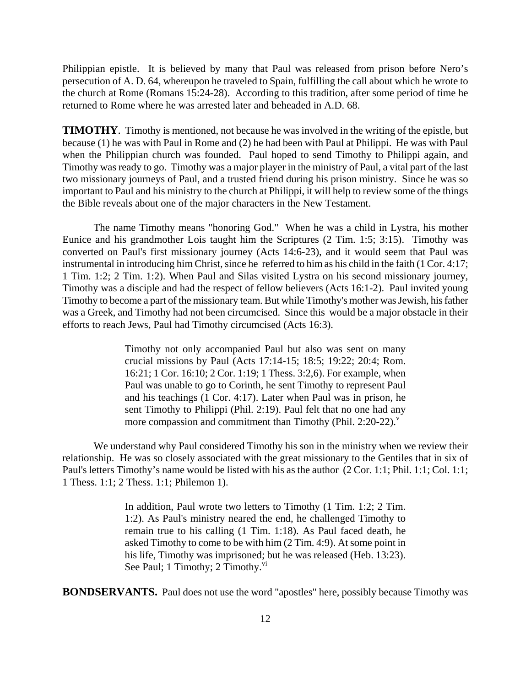Philippian epistle. It is believed by many that Paul was released from prison before Nero's persecution of A. D. 64, whereupon he traveled to Spain, fulfilling the call about which he wrote to the church at Rome (Romans 15:24-28). According to this tradition, after some period of time he returned to Rome where he was arrested later and beheaded in A.D. 68.

**TIMOTHY**. Timothy is mentioned, not because he was involved in the writing of the epistle, but because (1) he was with Paul in Rome and (2) he had been with Paul at Philippi. He was with Paul when the Philippian church was founded. Paul hoped to send Timothy to Philippi again, and Timothy was ready to go. Timothy was a major player in the ministry of Paul, a vital part of the last two missionary journeys of Paul, and a trusted friend during his prison ministry. Since he was so important to Paul and his ministry to the church at Philippi, it will help to review some of the things the Bible reveals about one of the major characters in the New Testament.

The name Timothy means "honoring God." When he was a child in Lystra, his mother Eunice and his grandmother Lois taught him the Scriptures (2 Tim. 1:5; 3:15). Timothy was converted on Paul's first missionary journey (Acts 14:6-23), and it would seem that Paul was instrumental in introducing him Christ, since he referred to him as his child in the faith (1 Cor. 4:17; 1 Tim. 1:2; 2 Tim. 1:2). When Paul and Silas visited Lystra on his second missionary journey, Timothy was a disciple and had the respect of fellow believers (Acts 16:1-2). Paul invited young Timothy to become a part of the missionary team. But while Timothy's mother was Jewish, his father was a Greek, and Timothy had not been circumcised. Since this would be a major obstacle in their efforts to reach Jews, Paul had Timothy circumcised (Acts 16:3).

> Timothy not only accompanied Paul but also was sent on many crucial missions by Paul (Acts 17:14-15; 18:5; 19:22; 20:4; Rom. 16:21; 1 Cor. 16:10; 2 Cor. 1:19; 1 Thess. 3:2,6). For example, when Paul was unable to go to Corinth, he sent Timothy to represent Paul and his teachings (1 Cor. 4:17). Later when Paul was in prison, he sent Timothy to Philippi (Phil. 2:19). Paul felt that no one had any more compassion and commitment than Timothy (Phil.  $2:20-22$ ).

We understand why Paul considered Timothy his son in the ministry when we review their relationship. He was so closely associated with the great missionary to the Gentiles that in six of Paul's letters Timothy's name would be listed with his as the author (2 Cor. 1:1; Phil. 1:1; Col. 1:1; 1 Thess. 1:1; 2 Thess. 1:1; Philemon 1).

> In addition, Paul wrote two letters to Timothy (1 Tim. 1:2; 2 Tim. 1:2). As Paul's ministry neared the end, he challenged Timothy to remain true to his calling (1 Tim. 1:18). As Paul faced death, he asked Timothy to come to be with him (2 Tim. 4:9). At some point in his life, Timothy was imprisoned; but he was released (Heb. 13:23). See Paul; 1 Timothy; 2 Timothy. $\frac{vi}{i}$

**BONDSERVANTS.** Paul does not use the word "apostles" here, possibly because Timothy was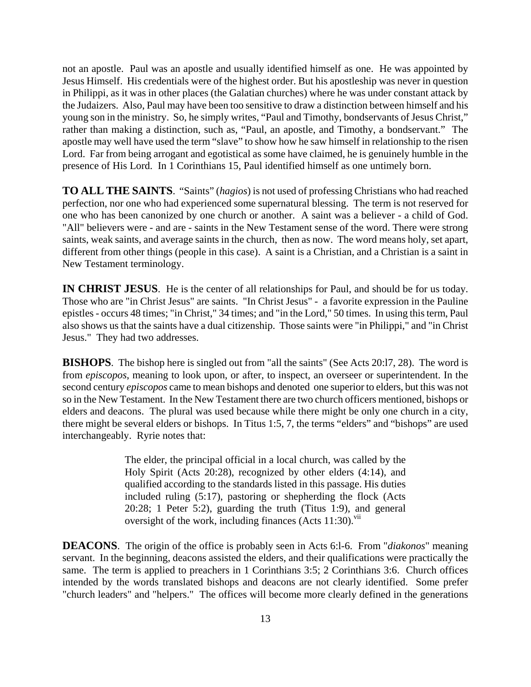not an apostle. Paul was an apostle and usually identified himself as one. He was appointed by Jesus Himself. His credentials were of the highest order. But his apostleship was never in question in Philippi, as it was in other places (the Galatian churches) where he was under constant attack by the Judaizers. Also, Paul may have been too sensitive to draw a distinction between himself and his young son in the ministry. So, he simply writes, "Paul and Timothy, bondservants of Jesus Christ," rather than making a distinction, such as, "Paul, an apostle, and Timothy, a bondservant." The apostle may well have used the term "slave" to show how he saw himself in relationship to the risen Lord. Far from being arrogant and egotistical as some have claimed, he is genuinely humble in the presence of His Lord. In 1 Corinthians 15, Paul identified himself as one untimely born.

**TO ALL THE SAINTS**. "Saints" (*hagios*) is not used of professing Christians who had reached perfection, nor one who had experienced some supernatural blessing. The term is not reserved for one who has been canonized by one church or another. A saint was a believer - a child of God. "All" believers were - and are - saints in the New Testament sense of the word. There were strong saints, weak saints, and average saints in the church, then as now. The word means holy, set apart, different from other things (people in this case). A saint is a Christian, and a Christian is a saint in New Testament terminology.

**IN CHRIST JESUS**. He is the center of all relationships for Paul, and should be for us today. Those who are "in Christ Jesus" are saints. "In Christ Jesus" - a favorite expression in the Pauline epistles - occurs 48 times; "in Christ," 34 times; and "in the Lord," 50 times. In using this term, Paul also shows us that the saints have a dual citizenship. Those saints were "in Philippi," and "in Christ Jesus." They had two addresses.

**BISHOPS**. The bishop here is singled out from "all the saints" (See Acts 20:l7, 28). The word is from *episcopos*, meaning to look upon, or after, to inspect, an overseer or superintendent. In the second century *episcopos* came to mean bishops and denoted one superior to elders, but this was not so in the New Testament. In the New Testament there are two church officers mentioned, bishops or elders and deacons. The plural was used because while there might be only one church in a city, there might be several elders or bishops. In Titus 1:5, 7, the terms "elders" and "bishops" are used interchangeably. Ryrie notes that:

> The elder, the principal official in a local church, was called by the Holy Spirit (Acts 20:28), recognized by other elders (4:14), and qualified according to the standards listed in this passage. His duties included ruling (5:17), pastoring or shepherding the flock (Acts 20:28; 1 Peter 5:2), guarding the truth (Titus 1:9), and general oversight of the work, including finances (Acts  $11:30$ ).<sup>vii</sup>

**DEACONS**. The origin of the office is probably seen in Acts 6:l-6. From "*diakonos*" meaning servant. In the beginning, deacons assisted the elders, and their qualifications were practically the same. The term is applied to preachers in 1 Corinthians 3:5; 2 Corinthians 3:6. Church offices intended by the words translated bishops and deacons are not clearly identified. Some prefer "church leaders" and "helpers." The offices will become more clearly defined in the generations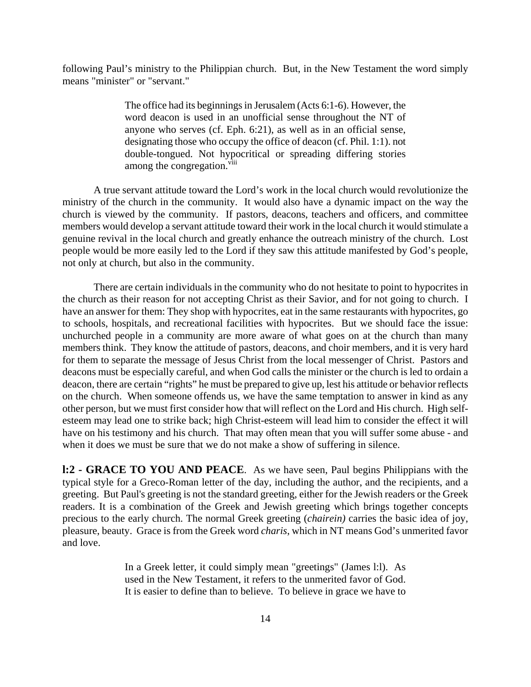following Paul's ministry to the Philippian church. But, in the New Testament the word simply means "minister" or "servant."

> The office had its beginnings in Jerusalem (Acts 6:1-6). However, the word deacon is used in an unofficial sense throughout the NT of anyone who serves (cf. Eph. 6:21), as well as in an official sense, designating those who occupy the office of deacon (cf. Phil. 1:1). not double-tongued. Not hypocritical or spreading differing stories among the congregation.<sup>viii</sup>

A true servant attitude toward the Lord's work in the local church would revolutionize the ministry of the church in the community. It would also have a dynamic impact on the way the church is viewed by the community. If pastors, deacons, teachers and officers, and committee members would develop a servant attitude toward their work in the local church it would stimulate a genuine revival in the local church and greatly enhance the outreach ministry of the church. Lost people would be more easily led to the Lord if they saw this attitude manifested by God's people, not only at church, but also in the community.

There are certain individuals in the community who do not hesitate to point to hypocrites in the church as their reason for not accepting Christ as their Savior, and for not going to church. I have an answer for them: They shop with hypocrites, eat in the same restaurants with hypocrites, go to schools, hospitals, and recreational facilities with hypocrites. But we should face the issue: unchurched people in a community are more aware of what goes on at the church than many members think. They know the attitude of pastors, deacons, and choir members, and it is very hard for them to separate the message of Jesus Christ from the local messenger of Christ. Pastors and deacons must be especially careful, and when God calls the minister or the church is led to ordain a deacon, there are certain "rights" he must be prepared to give up, lest his attitude or behavior reflects on the church. When someone offends us, we have the same temptation to answer in kind as any other person, but we must first consider how that will reflect on the Lord and His church. High selfesteem may lead one to strike back; high Christ-esteem will lead him to consider the effect it will have on his testimony and his church. That may often mean that you will suffer some abuse - and when it does we must be sure that we do not make a show of suffering in silence.

**l:2 - GRACE TO YOU AND PEACE**. As we have seen, Paul begins Philippians with the typical style for a Greco-Roman letter of the day, including the author, and the recipients, and a greeting. But Paul's greeting is not the standard greeting, either for the Jewish readers or the Greek readers. It is a combination of the Greek and Jewish greeting which brings together concepts precious to the early church. The normal Greek greeting (*chairein)* carries the basic idea of joy, pleasure, beauty. Grace is from the Greek word *charis*, which in NT means God's unmerited favor and love.

> In a Greek letter, it could simply mean "greetings" (James l:l). As used in the New Testament, it refers to the unmerited favor of God. It is easier to define than to believe. To believe in grace we have to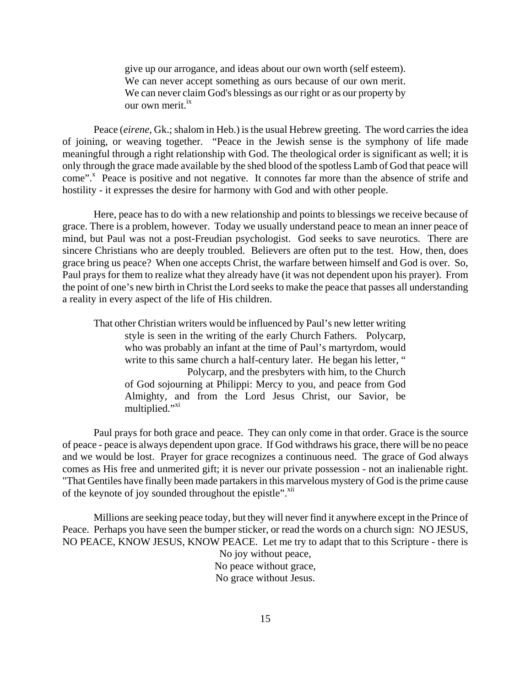give up our arrogance, and ideas about our own worth (self esteem). We can never accept something as ours because of our own merit. We can never claim God's blessings as our right or as our property by our own merit.<sup>ix</sup>

Peace (*eirene,* Gk.; shalom in Heb.) is the usual Hebrew greeting. The word carries the idea of joining, or weaving together. "Peace in the Jewish sense is the symphony of life made meaningful through a right relationship with God. The theological order is significant as well; it is only through the grace made available by the shed blood of the spotless Lamb of God that peace will come".<sup>x</sup> Peace is positive and not negative. It connotes far more than the absence of strife and hostility - it expresses the desire for harmony with God and with other people.

Here, peace has to do with a new relationship and points to blessings we receive because of grace. There is a problem, however. Today we usually understand peace to mean an inner peace of mind, but Paul was not a post-Freudian psychologist. God seeks to save neurotics. There are sincere Christians who are deeply troubled. Believers are often put to the test. How, then, does grace bring us peace? When one accepts Christ, the warfare between himself and God is over. So, Paul prays for them to realize what they already have (it was not dependent upon his prayer). From the point of one's new birth in Christ the Lord seeks to make the peace that passes all understanding a reality in every aspect of the life of His children.

That other Christian writers would be influenced by Paul's new letter writing style is seen in the writing of the early Church Fathers. Polycarp, who was probably an infant at the time of Paul's martyrdom, would write to this same church a half-century later. He began his letter, " Polycarp, and the presbyters with him, to the Church of God sojourning at Philippi: Mercy to you, and peace from God Almighty, and from the Lord Jesus Christ, our Savior, be multiplied."<sup>xi</sup>

Paul prays for both grace and peace. They can only come in that order. Grace is the source of peace - peace is always dependent upon grace. If God withdraws his grace, there will be no peace and we would be lost. Prayer for grace recognizes a continuous need. The grace of God always comes as His free and unmerited gift; it is never our private possession - not an inalienable right. "That Gentiles have finally been made partakers in this marvelous mystery of God is the prime cause of the keynote of joy sounded throughout the epistle".<sup>xii</sup>

Millions are seeking peace today, but they will never find it anywhere except in the Prince of Peace. Perhaps you have seen the bumper sticker, or read the words on a church sign: NO JESUS, NO PEACE, KNOW JESUS, KNOW PEACE. Let me try to adapt that to this Scripture - there is No joy without peace, No peace without grace,

No grace without Jesus.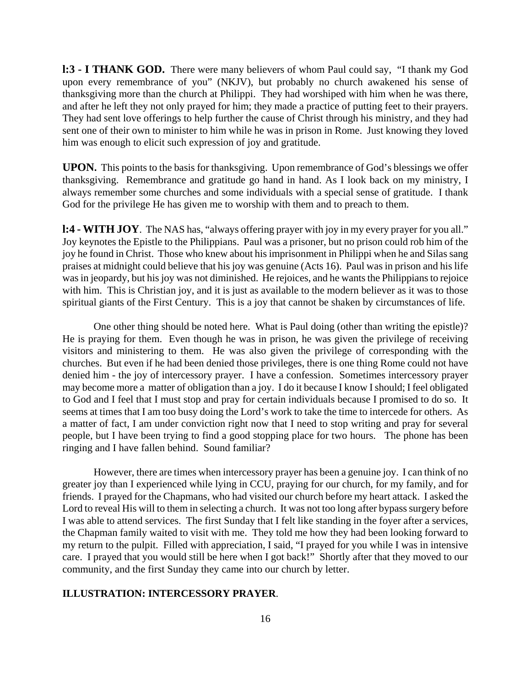**l:3 - I THANK GOD.** There were many believers of whom Paul could say, "I thank my God upon every remembrance of you" (NKJV), but probably no church awakened his sense of thanksgiving more than the church at Philippi. They had worshiped with him when he was there, and after he left they not only prayed for him; they made a practice of putting feet to their prayers. They had sent love offerings to help further the cause of Christ through his ministry, and they had sent one of their own to minister to him while he was in prison in Rome. Just knowing they loved him was enough to elicit such expression of joy and gratitude.

**UPON.** This points to the basis for thanksgiving. Upon remembrance of God's blessings we offer thanksgiving. Remembrance and gratitude go hand in hand. As I look back on my ministry, I always remember some churches and some individuals with a special sense of gratitude. I thank God for the privilege He has given me to worship with them and to preach to them.

**l:4 - WITH JOY**. The NAS has, "always offering prayer with joy in my every prayer for you all." Joy keynotes the Epistle to the Philippians. Paul was a prisoner, but no prison could rob him of the joy he found in Christ. Those who knew about his imprisonment in Philippi when he and Silas sang praises at midnight could believe that his joy was genuine (Acts 16). Paul was in prison and his life was in jeopardy, but his joy was not diminished. He rejoices, and he wants the Philippians to rejoice with him. This is Christian joy, and it is just as available to the modern believer as it was to those spiritual giants of the First Century. This is a joy that cannot be shaken by circumstances of life.

One other thing should be noted here. What is Paul doing (other than writing the epistle)? He is praying for them. Even though he was in prison, he was given the privilege of receiving visitors and ministering to them. He was also given the privilege of corresponding with the churches. But even if he had been denied those privileges, there is one thing Rome could not have denied him - the joy of intercessory prayer. I have a confession. Sometimes intercessory prayer may become more a matter of obligation than a joy. I do it because I know I should; I feel obligated to God and I feel that I must stop and pray for certain individuals because I promised to do so. It seems at times that I am too busy doing the Lord's work to take the time to intercede for others. As a matter of fact, I am under conviction right now that I need to stop writing and pray for several people, but I have been trying to find a good stopping place for two hours. The phone has been ringing and I have fallen behind. Sound familiar?

However, there are times when intercessory prayer has been a genuine joy. I can think of no greater joy than I experienced while lying in CCU, praying for our church, for my family, and for friends. I prayed for the Chapmans, who had visited our church before my heart attack. I asked the Lord to reveal His will to them in selecting a church. It was not too long after bypass surgery before I was able to attend services. The first Sunday that I felt like standing in the foyer after a services, the Chapman family waited to visit with me. They told me how they had been looking forward to my return to the pulpit. Filled with appreciation, I said, "I prayed for you while I was in intensive care. I prayed that you would still be here when I got back!" Shortly after that they moved to our community, and the first Sunday they came into our church by letter.

#### **ILLUSTRATION: INTERCESSORY PRAYER**.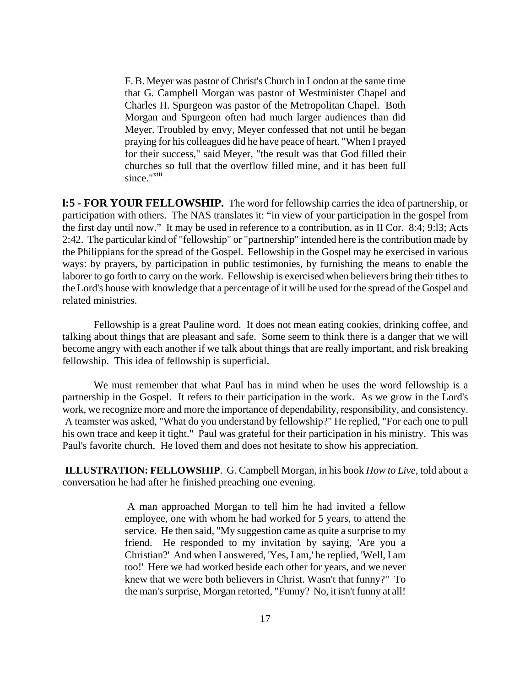F. B. Meyer was pastor of Christ's Church in London at the same time that G. Campbell Morgan was pastor of Westminister Chapel and Charles H. Spurgeon was pastor of the Metropolitan Chapel. Both Morgan and Spurgeon often had much larger audiences than did Meyer. Troubled by envy, Meyer confessed that not until he began praying for his colleagues did he have peace of heart. "When I prayed for their success," said Meyer, "the result was that God filled their churches so full that the overflow filled mine, and it has been full since."<sup>xiii</sup>

**l:5 - FOR YOUR FELLOWSHIP.** The word for fellowship carries the idea of partnership, or participation with others. The NAS translates it: "in view of your participation in the gospel from the first day until now." It may be used in reference to a contribution, as in II Cor. 8:4; 9:l3; Acts 2:42. The particular kind of "fellowship" or "partnership" intended here is the contribution made by the Philippians for the spread of the Gospel. Fellowship in the Gospel may be exercised in various ways: by prayers, by participation in public testimonies, by furnishing the means to enable the laborer to go forth to carry on the work. Fellowship is exercised when believers bring their tithes to the Lord's house with knowledge that a percentage of it will be used for the spread of the Gospel and related ministries.

Fellowship is a great Pauline word. It does not mean eating cookies, drinking coffee, and talking about things that are pleasant and safe. Some seem to think there is a danger that we will become angry with each another if we talk about things that are really important, and risk breaking fellowship. This idea of fellowship is superficial.

We must remember that what Paul has in mind when he uses the word fellowship is a partnership in the Gospel. It refers to their participation in the work. As we grow in the Lord's work, we recognize more and more the importance of dependability, responsibility, and consistency. A teamster was asked, "What do you understand by fellowship?" He replied, "For each one to pull his own trace and keep it tight." Paul was grateful for their participation in his ministry. This was Paul's favorite church. He loved them and does not hesitate to show his appreciation.

**ILLUSTRATION: FELLOWSHIP**. G. Campbell Morgan, in his book *How to Live*, told about a conversation he had after he finished preaching one evening.

> A man approached Morgan to tell him he had invited a fellow employee, one with whom he had worked for 5 years, to attend the service. He then said, "My suggestion came as quite a surprise to my friend. He responded to my invitation by saying, 'Are you a Christian?' And when I answered, 'Yes, I am,' he replied, 'Well, I am too!' Here we had worked beside each other for years, and we never knew that we were both believers in Christ. Wasn't that funny?" To the man's surprise, Morgan retorted, "Funny? No, it isn't funny at all!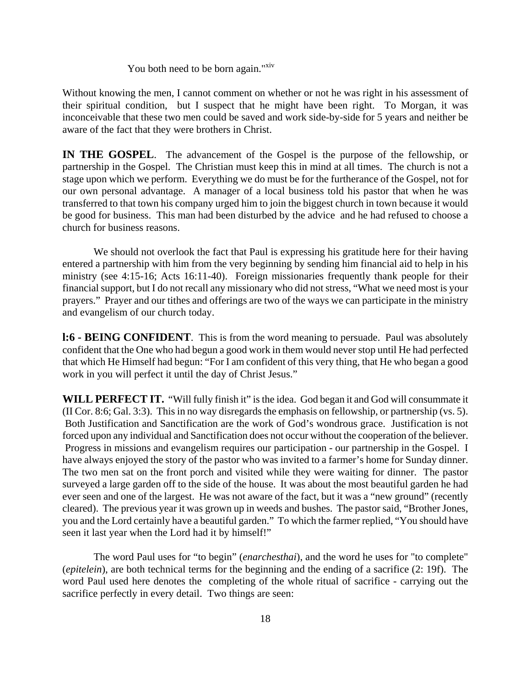You both need to be born again."<sup>xiv</sup>

Without knowing the men, I cannot comment on whether or not he was right in his assessment of their spiritual condition, but I suspect that he might have been right. To Morgan, it was inconceivable that these two men could be saved and work side-by-side for 5 years and neither be aware of the fact that they were brothers in Christ.

**IN THE GOSPEL**. The advancement of the Gospel is the purpose of the fellowship, or partnership in the Gospel. The Christian must keep this in mind at all times. The church is not a stage upon which we perform. Everything we do must be for the furtherance of the Gospel, not for our own personal advantage. A manager of a local business told his pastor that when he was transferred to that town his company urged him to join the biggest church in town because it would be good for business. This man had been disturbed by the advice and he had refused to choose a church for business reasons.

We should not overlook the fact that Paul is expressing his gratitude here for their having entered a partnership with him from the very beginning by sending him financial aid to help in his ministry (see 4:15-16; Acts 16:11-40). Foreign missionaries frequently thank people for their financial support, but I do not recall any missionary who did not stress, "What we need most is your prayers." Prayer and our tithes and offerings are two of the ways we can participate in the ministry and evangelism of our church today.

**l:6 - BEING CONFIDENT**. This is from the word meaning to persuade. Paul was absolutely confident that the One who had begun a good work in them would never stop until He had perfected that which He Himself had begun: "For I am confident of this very thing, that He who began a good work in you will perfect it until the day of Christ Jesus."

**WILL PERFECT IT.** "Will fully finish it" is the idea. God began it and God will consummate it (II Cor. 8:6; Gal. 3:3). This in no way disregards the emphasis on fellowship, or partnership (vs. 5). Both Justification and Sanctification are the work of God's wondrous grace. Justification is not forced upon any individual and Sanctification does not occur without the cooperation of the believer. Progress in missions and evangelism requires our participation - our partnership in the Gospel. I have always enjoyed the story of the pastor who was invited to a farmer's home for Sunday dinner. The two men sat on the front porch and visited while they were waiting for dinner. The pastor surveyed a large garden off to the side of the house. It was about the most beautiful garden he had ever seen and one of the largest. He was not aware of the fact, but it was a "new ground" (recently cleared). The previous year it was grown up in weeds and bushes. The pastor said, "Brother Jones, you and the Lord certainly have a beautiful garden." To which the farmer replied, "You should have seen it last year when the Lord had it by himself!"

The word Paul uses for "to begin" (*enarchesthai*), and the word he uses for "to complete" (*epitelein*), are both technical terms for the beginning and the ending of a sacrifice (2: 19f). The word Paul used here denotes the completing of the whole ritual of sacrifice - carrying out the sacrifice perfectly in every detail. Two things are seen: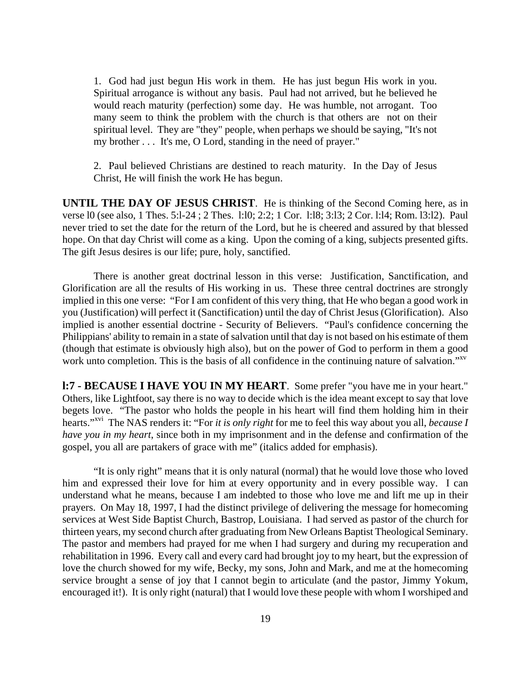1. God had just begun His work in them. He has just begun His work in you. Spiritual arrogance is without any basis. Paul had not arrived, but he believed he would reach maturity (perfection) some day. He was humble, not arrogant. Too many seem to think the problem with the church is that others are not on their spiritual level. They are "they" people, when perhaps we should be saying, "It's not my brother . . . It's me, O Lord, standing in the need of prayer."

2. Paul believed Christians are destined to reach maturity. In the Day of Jesus Christ, He will finish the work He has begun.

**UNTIL THE DAY OF JESUS CHRIST**. He is thinking of the Second Coming here, as in verse l0 (see also, 1 Thes. 5:l-24 ; 2 Thes. l:l0; 2:2; 1 Cor. l:l8; 3:l3; 2 Cor. l:l4; Rom. l3:l2). Paul never tried to set the date for the return of the Lord, but he is cheered and assured by that blessed hope. On that day Christ will come as a king. Upon the coming of a king, subjects presented gifts. The gift Jesus desires is our life; pure, holy, sanctified.

There is another great doctrinal lesson in this verse: Justification, Sanctification, and Glorification are all the results of His working in us. These three central doctrines are strongly implied in this one verse: "For I am confident of this very thing, that He who began a good work in you (Justification) will perfect it (Sanctification) until the day of Christ Jesus (Glorification). Also implied is another essential doctrine - Security of Believers. "Paul's confidence concerning the Philippians' ability to remain in a state of salvation until that day is not based on his estimate of them (though that estimate is obviously high also), but on the power of God to perform in them a good work unto completion. This is the basis of all confidence in the continuing nature of salvation."<sup>xv</sup>

**l:7 - BECAUSE I HAVE YOU IN MY HEART**. Some prefer "you have me in your heart." Others, like Lightfoot, say there is no way to decide which is the idea meant except to say that love begets love. "The pastor who holds the people in his heart will find them holding him in their hearts."xvi The NAS renders it: "For *it is only right* for me to feel this way about you all, *because I have you in my heart*, since both in my imprisonment and in the defense and confirmation of the gospel, you all are partakers of grace with me" (italics added for emphasis).

"It is only right" means that it is only natural (normal) that he would love those who loved him and expressed their love for him at every opportunity and in every possible way. I can understand what he means, because I am indebted to those who love me and lift me up in their prayers. On May 18, 1997, I had the distinct privilege of delivering the message for homecoming services at West Side Baptist Church, Bastrop, Louisiana. I had served as pastor of the church for thirteen years, my second church after graduating from New Orleans Baptist Theological Seminary. The pastor and members had prayed for me when I had surgery and during my recuperation and rehabilitation in 1996. Every call and every card had brought joy to my heart, but the expression of love the church showed for my wife, Becky, my sons, John and Mark, and me at the homecoming service brought a sense of joy that I cannot begin to articulate (and the pastor, Jimmy Yokum, encouraged it!). It is only right (natural) that I would love these people with whom I worshiped and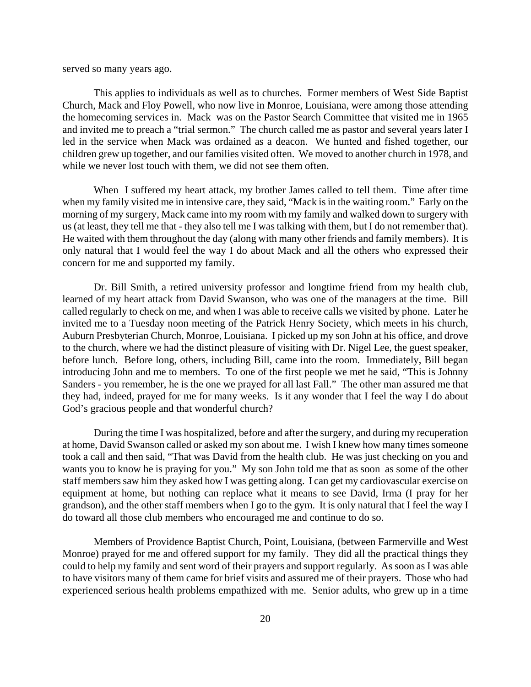served so many years ago.

This applies to individuals as well as to churches. Former members of West Side Baptist Church, Mack and Floy Powell, who now live in Monroe, Louisiana, were among those attending the homecoming services in. Mack was on the Pastor Search Committee that visited me in 1965 and invited me to preach a "trial sermon." The church called me as pastor and several years later I led in the service when Mack was ordained as a deacon. We hunted and fished together, our children grew up together, and our families visited often. We moved to another church in 1978, and while we never lost touch with them, we did not see them often.

When I suffered my heart attack, my brother James called to tell them. Time after time when my family visited me in intensive care, they said, "Mack is in the waiting room." Early on the morning of my surgery, Mack came into my room with my family and walked down to surgery with us (at least, they tell me that - they also tell me I was talking with them, but I do not remember that). He waited with them throughout the day (along with many other friends and family members). It is only natural that I would feel the way I do about Mack and all the others who expressed their concern for me and supported my family.

Dr. Bill Smith, a retired university professor and longtime friend from my health club, learned of my heart attack from David Swanson, who was one of the managers at the time. Bill called regularly to check on me, and when I was able to receive calls we visited by phone. Later he invited me to a Tuesday noon meeting of the Patrick Henry Society, which meets in his church, Auburn Presbyterian Church, Monroe, Louisiana. I picked up my son John at his office, and drove to the church, where we had the distinct pleasure of visiting with Dr. Nigel Lee, the guest speaker, before lunch. Before long, others, including Bill, came into the room. Immediately, Bill began introducing John and me to members. To one of the first people we met he said, "This is Johnny Sanders - you remember, he is the one we prayed for all last Fall." The other man assured me that they had, indeed, prayed for me for many weeks. Is it any wonder that I feel the way I do about God's gracious people and that wonderful church?

During the time I was hospitalized, before and after the surgery, and during my recuperation at home, David Swanson called or asked my son about me. I wish I knew how many times someone took a call and then said, "That was David from the health club. He was just checking on you and wants you to know he is praying for you." My son John told me that as soon as some of the other staff members saw him they asked how I was getting along. I can get my cardiovascular exercise on equipment at home, but nothing can replace what it means to see David, Irma (I pray for her grandson), and the other staff members when I go to the gym. It is only natural that I feel the way I do toward all those club members who encouraged me and continue to do so.

Members of Providence Baptist Church, Point, Louisiana, (between Farmerville and West Monroe) prayed for me and offered support for my family. They did all the practical things they could to help my family and sent word of their prayers and support regularly. As soon as I was able to have visitors many of them came for brief visits and assured me of their prayers. Those who had experienced serious health problems empathized with me. Senior adults, who grew up in a time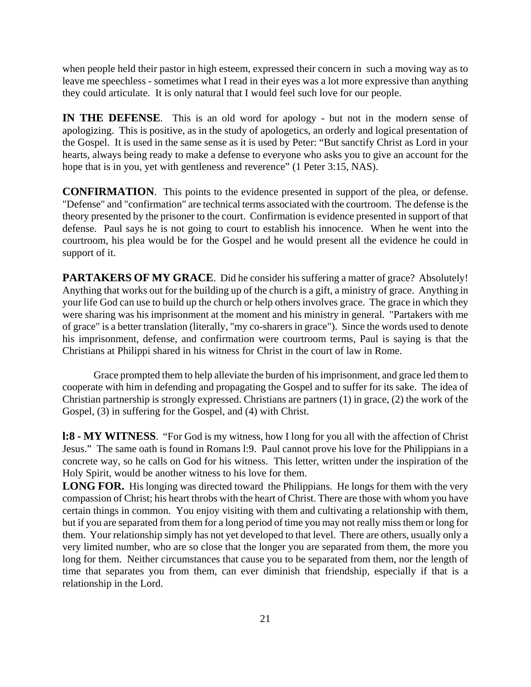when people held their pastor in high esteem, expressed their concern in such a moving way as to leave me speechless - sometimes what I read in their eyes was a lot more expressive than anything they could articulate. It is only natural that I would feel such love for our people.

**IN THE DEFENSE**. This is an old word for apology - but not in the modern sense of apologizing. This is positive, as in the study of apologetics, an orderly and logical presentation of the Gospel. It is used in the same sense as it is used by Peter: "But sanctify Christ as Lord in your hearts, always being ready to make a defense to everyone who asks you to give an account for the hope that is in you, yet with gentleness and reverence" (1 Peter 3:15, NAS).

**CONFIRMATION**. This points to the evidence presented in support of the plea, or defense. "Defense" and "confirmation" are technical terms associated with the courtroom. The defense is the theory presented by the prisoner to the court. Confirmation is evidence presented in support of that defense. Paul says he is not going to court to establish his innocence. When he went into the courtroom, his plea would be for the Gospel and he would present all the evidence he could in support of it.

**PARTAKERS OF MY GRACE.** Did he consider his suffering a matter of grace? Absolutely! Anything that works out for the building up of the church is a gift, a ministry of grace. Anything in your life God can use to build up the church or help others involves grace. The grace in which they were sharing was his imprisonment at the moment and his ministry in general. "Partakers with me of grace" is a better translation (literally, "my co-sharers in grace"). Since the words used to denote his imprisonment, defense, and confirmation were courtroom terms, Paul is saying is that the Christians at Philippi shared in his witness for Christ in the court of law in Rome.

Grace prompted them to help alleviate the burden of his imprisonment, and grace led them to cooperate with him in defending and propagating the Gospel and to suffer for its sake. The idea of Christian partnership is strongly expressed. Christians are partners (1) in grace, (2) the work of the Gospel, (3) in suffering for the Gospel, and (4) with Christ.

**l:8 - MY WITNESS**. "For God is my witness, how I long for you all with the affection of Christ Jesus." The same oath is found in Romans l:9. Paul cannot prove his love for the Philippians in a concrete way, so he calls on God for his witness. This letter, written under the inspiration of the Holy Spirit, would be another witness to his love for them.

LONG FOR. His longing was directed toward the Philippians. He longs for them with the very compassion of Christ; his heart throbs with the heart of Christ. There are those with whom you have certain things in common. You enjoy visiting with them and cultivating a relationship with them, but if you are separated from them for a long period of time you may not really miss them or long for them. Your relationship simply has not yet developed to that level. There are others, usually only a very limited number, who are so close that the longer you are separated from them, the more you long for them. Neither circumstances that cause you to be separated from them, nor the length of time that separates you from them, can ever diminish that friendship, especially if that is a relationship in the Lord.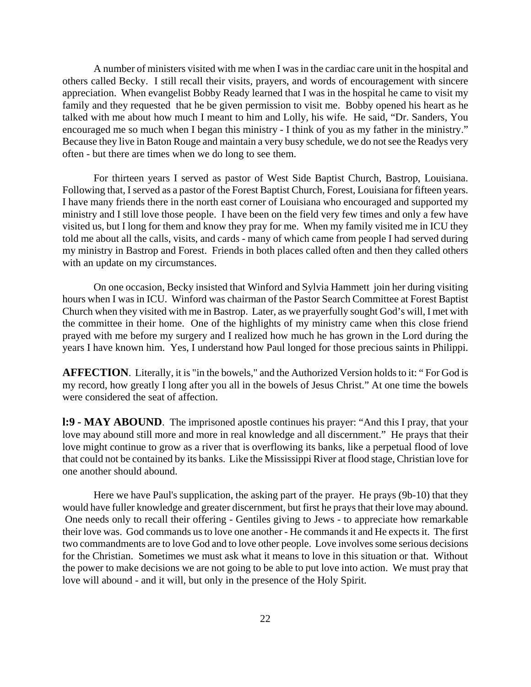A number of ministers visited with me when I was in the cardiac care unit in the hospital and others called Becky. I still recall their visits, prayers, and words of encouragement with sincere appreciation. When evangelist Bobby Ready learned that I was in the hospital he came to visit my family and they requested that he be given permission to visit me. Bobby opened his heart as he talked with me about how much I meant to him and Lolly, his wife. He said, "Dr. Sanders, You encouraged me so much when I began this ministry - I think of you as my father in the ministry." Because they live in Baton Rouge and maintain a very busy schedule, we do not see the Readys very often - but there are times when we do long to see them.

For thirteen years I served as pastor of West Side Baptist Church, Bastrop, Louisiana. Following that, I served as a pastor of the Forest Baptist Church, Forest, Louisiana for fifteen years. I have many friends there in the north east corner of Louisiana who encouraged and supported my ministry and I still love those people. I have been on the field very few times and only a few have visited us, but I long for them and know they pray for me. When my family visited me in ICU they told me about all the calls, visits, and cards - many of which came from people I had served during my ministry in Bastrop and Forest. Friends in both places called often and then they called others with an update on my circumstances.

On one occasion, Becky insisted that Winford and Sylvia Hammett join her during visiting hours when I was in ICU. Winford was chairman of the Pastor Search Committee at Forest Baptist Church when they visited with me in Bastrop. Later, as we prayerfully sought God's will, I met with the committee in their home. One of the highlights of my ministry came when this close friend prayed with me before my surgery and I realized how much he has grown in the Lord during the years I have known him. Yes, I understand how Paul longed for those precious saints in Philippi.

**AFFECTION**. Literally, it is "in the bowels," and the Authorized Version holds to it: " For God is my record, how greatly I long after you all in the bowels of Jesus Christ." At one time the bowels were considered the seat of affection.

**l:9 - MAY ABOUND**. The imprisoned apostle continues his prayer: "And this I pray, that your love may abound still more and more in real knowledge and all discernment." He prays that their love might continue to grow as a river that is overflowing its banks, like a perpetual flood of love that could not be contained by its banks. Like the Mississippi River at flood stage, Christian love for one another should abound.

Here we have Paul's supplication, the asking part of the prayer. He prays (9b-10) that they would have fuller knowledge and greater discernment, but first he prays that their love may abound. One needs only to recall their offering - Gentiles giving to Jews - to appreciate how remarkable their love was. God commands us to love one another - He commands it and He expects it. The first two commandments are to love God and to love other people. Love involves some serious decisions for the Christian. Sometimes we must ask what it means to love in this situation or that. Without the power to make decisions we are not going to be able to put love into action. We must pray that love will abound - and it will, but only in the presence of the Holy Spirit.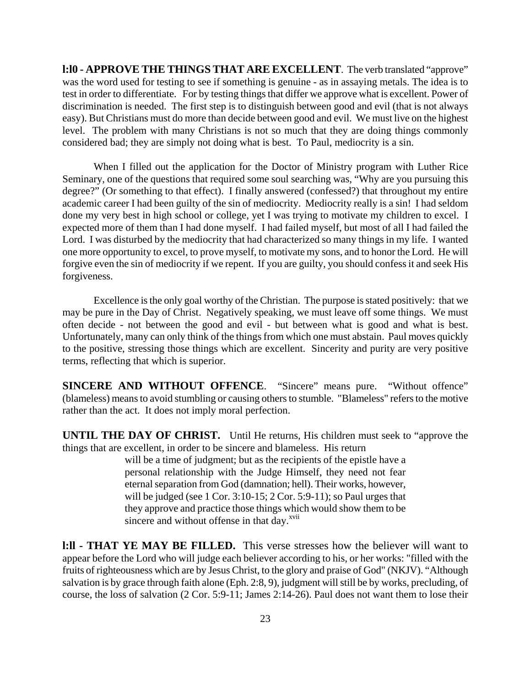**l:l0 - APPROVE THE THINGS THAT ARE EXCELLENT**. The verb translated "approve" was the word used for testing to see if something is genuine - as in assaying metals. The idea is to test in order to differentiate. For by testing things that differ we approve what is excellent. Power of discrimination is needed. The first step is to distinguish between good and evil (that is not always easy). But Christians must do more than decide between good and evil. We must live on the highest level. The problem with many Christians is not so much that they are doing things commonly considered bad; they are simply not doing what is best. To Paul, mediocrity is a sin.

When I filled out the application for the Doctor of Ministry program with Luther Rice Seminary, one of the questions that required some soul searching was, "Why are you pursuing this degree?" (Or something to that effect). I finally answered (confessed?) that throughout my entire academic career I had been guilty of the sin of mediocrity. Mediocrity really is a sin! I had seldom done my very best in high school or college, yet I was trying to motivate my children to excel. I expected more of them than I had done myself. I had failed myself, but most of all I had failed the Lord. I was disturbed by the mediocrity that had characterized so many things in my life. I wanted one more opportunity to excel, to prove myself, to motivate my sons, and to honor the Lord. He will forgive even the sin of mediocrity if we repent. If you are guilty, you should confess it and seek His forgiveness.

Excellence is the only goal worthy of the Christian. The purpose is stated positively: that we may be pure in the Day of Christ. Negatively speaking, we must leave off some things. We must often decide - not between the good and evil - but between what is good and what is best. Unfortunately, many can only think of the things from which one must abstain. Paul moves quickly to the positive, stressing those things which are excellent. Sincerity and purity are very positive terms, reflecting that which is superior.

**SINCERE AND WITHOUT OFFENCE.** "Sincere" means pure. "Without offence" (blameless) means to avoid stumbling or causing others to stumble. "Blameless" refers to the motive rather than the act. It does not imply moral perfection.

**UNTIL THE DAY OF CHRIST.** Until He returns, His children must seek to "approve the things that are excellent, in order to be sincere and blameless. His return

> will be a time of judgment; but as the recipients of the epistle have a personal relationship with the Judge Himself, they need not fear eternal separation from God (damnation; hell). Their works, however, will be judged (see 1 Cor. 3:10-15; 2 Cor. 5:9-11); so Paul urges that they approve and practice those things which would show them to be sincere and without offense in that day. $\frac{xy}{x}$

**l:ll - THAT YE MAY BE FILLED.** This verse stresses how the believer will want to appear before the Lord who will judge each believer according to his, or her works: "filled with the fruits of righteousness which are by Jesus Christ, to the glory and praise of God" (NKJV). "Although salvation is by grace through faith alone (Eph. 2:8, 9), judgment will still be by works, precluding, of course, the loss of salvation (2 Cor. 5:9-11; James 2:14-26). Paul does not want them to lose their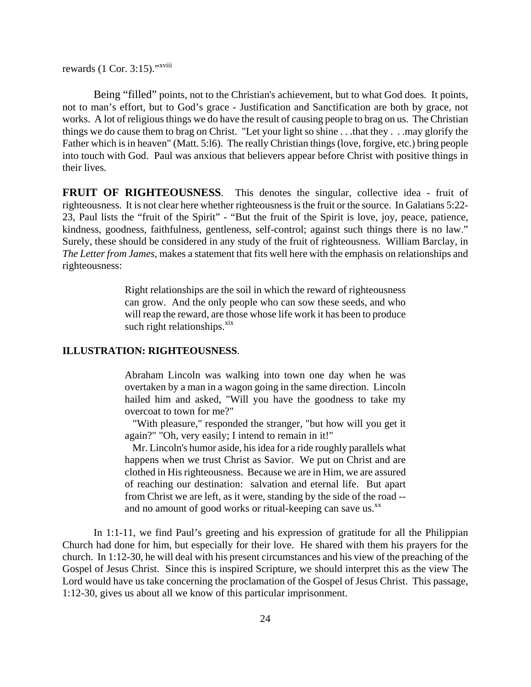rewards (1 Cor. 3:15)."<sup>xviii</sup>

Being "filled" points, not to the Christian's achievement, but to what God does. It points, not to man's effort, but to God's grace - Justification and Sanctification are both by grace, not works. A lot of religious things we do have the result of causing people to brag on us. The Christian things we do cause them to brag on Christ. "Let your light so shine . . .that they . . .may glorify the Father which is in heaven" (Matt. 5:l6). The really Christian things (love, forgive, etc.) bring people into touch with God. Paul was anxious that believers appear before Christ with positive things in their lives.

**FRUIT OF RIGHTEOUSNESS**. This denotes the singular, collective idea - fruit of righteousness. It is not clear here whether righteousness is the fruit or the source. In Galatians 5:22- 23, Paul lists the "fruit of the Spirit" - "But the fruit of the Spirit is love, joy, peace, patience, kindness, goodness, faithfulness, gentleness, self-control; against such things there is no law." Surely, these should be considered in any study of the fruit of righteousness. William Barclay, in *The Letter from James*, makes a statement that fits well here with the emphasis on relationships and righteousness:

> Right relationships are the soil in which the reward of righteousness can grow. And the only people who can sow these seeds, and who will reap the reward, are those whose life work it has been to produce such right relationships. $\frac{xx}{x}$

#### **ILLUSTRATION: RIGHTEOUSNESS**.

Abraham Lincoln was walking into town one day when he was overtaken by a man in a wagon going in the same direction. Lincoln hailed him and asked, "Will you have the goodness to take my overcoat to town for me?"

 "With pleasure," responded the stranger, "but how will you get it again?" "Oh, very easily; I intend to remain in it!"

 Mr. Lincoln's humor aside, his idea for a ride roughly parallels what happens when we trust Christ as Savior. We put on Christ and are clothed in His righteousness. Because we are in Him, we are assured of reaching our destination: salvation and eternal life. But apart from Christ we are left, as it were, standing by the side of the road - and no amount of good works or ritual-keeping can save us. $^{xx}$ 

In 1:1-11, we find Paul's greeting and his expression of gratitude for all the Philippian Church had done for him, but especially for their love. He shared with them his prayers for the church. In 1:12-30, he will deal with his present circumstances and his view of the preaching of the Gospel of Jesus Christ. Since this is inspired Scripture, we should interpret this as the view The Lord would have us take concerning the proclamation of the Gospel of Jesus Christ. This passage, 1:12-30, gives us about all we know of this particular imprisonment.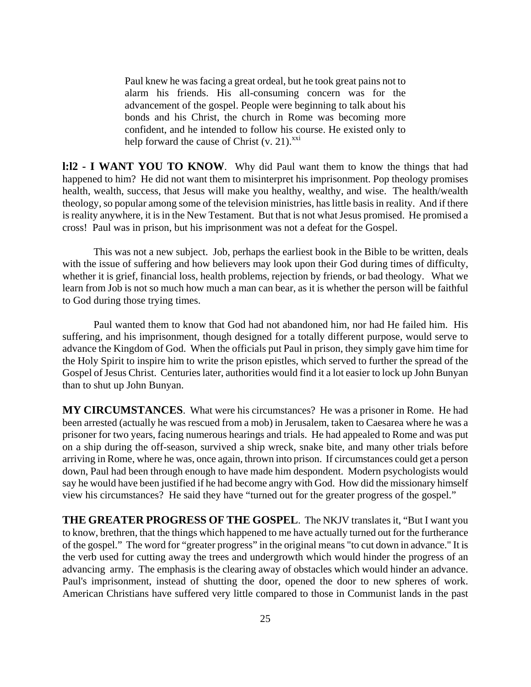Paul knew he was facing a great ordeal, but he took great pains not to alarm his friends. His all-consuming concern was for the advancement of the gospel. People were beginning to talk about his bonds and his Christ, the church in Rome was becoming more confident, and he intended to follow his course. He existed only to help forward the cause of Christ  $(v, 21)$ <sup>xxi</sup>

**l:l2 - I WANT YOU TO KNOW**. Why did Paul want them to know the things that had happened to him? He did not want them to misinterpret his imprisonment. Pop theology promises health, wealth, success, that Jesus will make you healthy, wealthy, and wise. The health/wealth theology, so popular among some of the television ministries, has little basis in reality. And if there is reality anywhere, it is in the New Testament. But that is not what Jesus promised. He promised a cross! Paul was in prison, but his imprisonment was not a defeat for the Gospel.

This was not a new subject. Job, perhaps the earliest book in the Bible to be written, deals with the issue of suffering and how believers may look upon their God during times of difficulty, whether it is grief, financial loss, health problems, rejection by friends, or bad theology. What we learn from Job is not so much how much a man can bear, as it is whether the person will be faithful to God during those trying times.

Paul wanted them to know that God had not abandoned him, nor had He failed him. His suffering, and his imprisonment, though designed for a totally different purpose, would serve to advance the Kingdom of God. When the officials put Paul in prison, they simply gave him time for the Holy Spirit to inspire him to write the prison epistles, which served to further the spread of the Gospel of Jesus Christ. Centuries later, authorities would find it a lot easier to lock up John Bunyan than to shut up John Bunyan.

**MY CIRCUMSTANCES**. What were his circumstances? He was a prisoner in Rome. He had been arrested (actually he was rescued from a mob) in Jerusalem, taken to Caesarea where he was a prisoner for two years, facing numerous hearings and trials. He had appealed to Rome and was put on a ship during the off-season, survived a ship wreck, snake bite, and many other trials before arriving in Rome, where he was, once again, thrown into prison. If circumstances could get a person down, Paul had been through enough to have made him despondent. Modern psychologists would say he would have been justified if he had become angry with God. How did the missionary himself view his circumstances? He said they have "turned out for the greater progress of the gospel."

**THE GREATER PROGRESS OF THE GOSPEL**. The NKJV translates it, "But I want you to know, brethren, that the things which happened to me have actually turned out for the furtherance of the gospel." The word for "greater progress" in the original means "to cut down in advance." It is the verb used for cutting away the trees and undergrowth which would hinder the progress of an advancing army. The emphasis is the clearing away of obstacles which would hinder an advance. Paul's imprisonment, instead of shutting the door, opened the door to new spheres of work. American Christians have suffered very little compared to those in Communist lands in the past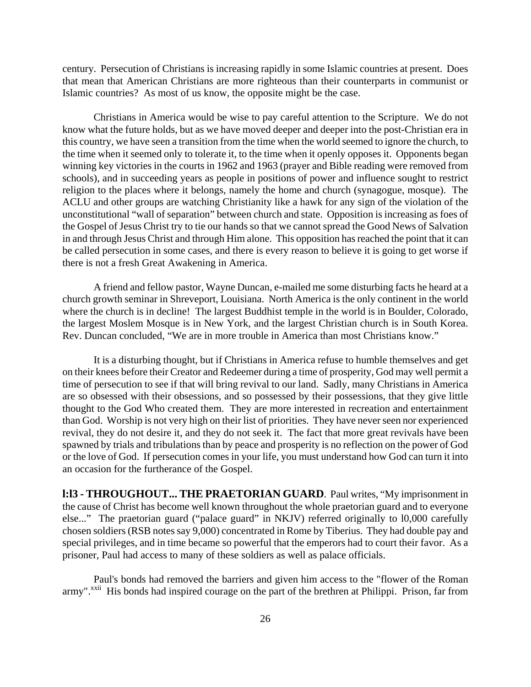century. Persecution of Christians is increasing rapidly in some Islamic countries at present. Does that mean that American Christians are more righteous than their counterparts in communist or Islamic countries? As most of us know, the opposite might be the case.

Christians in America would be wise to pay careful attention to the Scripture. We do not know what the future holds, but as we have moved deeper and deeper into the post-Christian era in this country, we have seen a transition from the time when the world seemed to ignore the church, to the time when it seemed only to tolerate it, to the time when it openly opposes it. Opponents began winning key victories in the courts in 1962 and 1963 (prayer and Bible reading were removed from schools), and in succeeding years as people in positions of power and influence sought to restrict religion to the places where it belongs, namely the home and church (synagogue, mosque). The ACLU and other groups are watching Christianity like a hawk for any sign of the violation of the unconstitutional "wall of separation" between church and state. Opposition is increasing as foes of the Gospel of Jesus Christ try to tie our hands so that we cannot spread the Good News of Salvation in and through Jesus Christ and through Him alone. This opposition has reached the point that it can be called persecution in some cases, and there is every reason to believe it is going to get worse if there is not a fresh Great Awakening in America.

A friend and fellow pastor, Wayne Duncan, e-mailed me some disturbing facts he heard at a church growth seminar in Shreveport, Louisiana. North America is the only continent in the world where the church is in decline! The largest Buddhist temple in the world is in Boulder, Colorado, the largest Moslem Mosque is in New York, and the largest Christian church is in South Korea. Rev. Duncan concluded, "We are in more trouble in America than most Christians know."

It is a disturbing thought, but if Christians in America refuse to humble themselves and get on their knees before their Creator and Redeemer during a time of prosperity, God may well permit a time of persecution to see if that will bring revival to our land. Sadly, many Christians in America are so obsessed with their obsessions, and so possessed by their possessions, that they give little thought to the God Who created them. They are more interested in recreation and entertainment than God. Worship is not very high on their list of priorities. They have never seen nor experienced revival, they do not desire it, and they do not seek it. The fact that more great revivals have been spawned by trials and tribulations than by peace and prosperity is no reflection on the power of God or the love of God. If persecution comes in your life, you must understand how God can turn it into an occasion for the furtherance of the Gospel.

**l:l3 - THROUGHOUT... THE PRAETORIAN GUARD**. Paul writes, "My imprisonment in the cause of Christ has become well known throughout the whole praetorian guard and to everyone else..." The praetorian guard ("palace guard" in NKJV) referred originally to l0,000 carefully chosen soldiers (RSB notes say 9,000) concentrated in Rome by Tiberius. They had double pay and special privileges, and in time became so powerful that the emperors had to court their favor. As a prisoner, Paul had access to many of these soldiers as well as palace officials.

Paul's bonds had removed the barriers and given him access to the "flower of the Roman army".<sup>xxii</sup> His bonds had inspired courage on the part of the brethren at Philippi. Prison, far from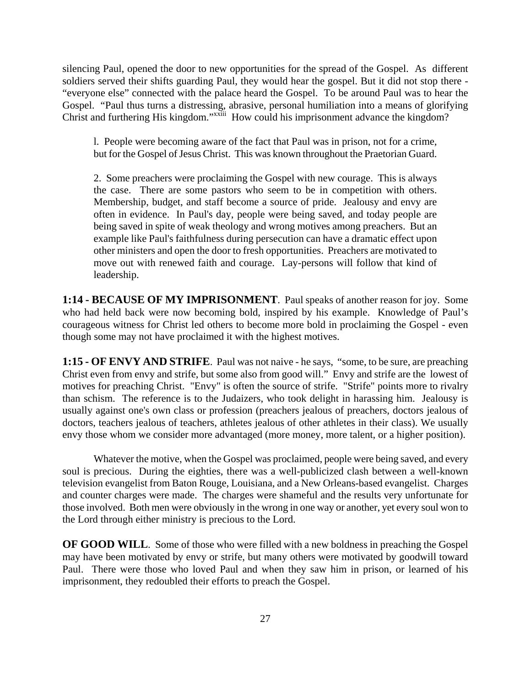silencing Paul, opened the door to new opportunities for the spread of the Gospel. As different soldiers served their shifts guarding Paul, they would hear the gospel. But it did not stop there - "everyone else" connected with the palace heard the Gospel. To be around Paul was to hear the Gospel. "Paul thus turns a distressing, abrasive, personal humiliation into a means of glorifying Christ and furthering His kingdom."<sup>xxiii</sup> How could his imprisonment advance the kingdom?

l. People were becoming aware of the fact that Paul was in prison, not for a crime, but for the Gospel of Jesus Christ. This was known throughout the Praetorian Guard.

2. Some preachers were proclaiming the Gospel with new courage. This is always the case. There are some pastors who seem to be in competition with others. Membership, budget, and staff become a source of pride. Jealousy and envy are often in evidence. In Paul's day, people were being saved, and today people are being saved in spite of weak theology and wrong motives among preachers. But an example like Paul's faithfulness during persecution can have a dramatic effect upon other ministers and open the door to fresh opportunities. Preachers are motivated to move out with renewed faith and courage. Lay-persons will follow that kind of leadership.

**1:14 - BECAUSE OF MY IMPRISONMENT**. Paul speaks of another reason for joy. Some who had held back were now becoming bold, inspired by his example. Knowledge of Paul's courageous witness for Christ led others to become more bold in proclaiming the Gospel - even though some may not have proclaimed it with the highest motives.

**1:15 - OF ENVY AND STRIFE**. Paul was not naive - he says, "some, to be sure, are preaching Christ even from envy and strife, but some also from good will." Envy and strife are the lowest of motives for preaching Christ. "Envy" is often the source of strife. "Strife" points more to rivalry than schism. The reference is to the Judaizers, who took delight in harassing him. Jealousy is usually against one's own class or profession (preachers jealous of preachers, doctors jealous of doctors, teachers jealous of teachers, athletes jealous of other athletes in their class). We usually envy those whom we consider more advantaged (more money, more talent, or a higher position).

Whatever the motive, when the Gospel was proclaimed, people were being saved, and every soul is precious. During the eighties, there was a well-publicized clash between a well-known television evangelist from Baton Rouge, Louisiana, and a New Orleans-based evangelist. Charges and counter charges were made. The charges were shameful and the results very unfortunate for those involved. Both men were obviously in the wrong in one way or another, yet every soul won to the Lord through either ministry is precious to the Lord.

**OF GOOD WILL**. Some of those who were filled with a new boldness in preaching the Gospel may have been motivated by envy or strife, but many others were motivated by goodwill toward Paul. There were those who loved Paul and when they saw him in prison, or learned of his imprisonment, they redoubled their efforts to preach the Gospel.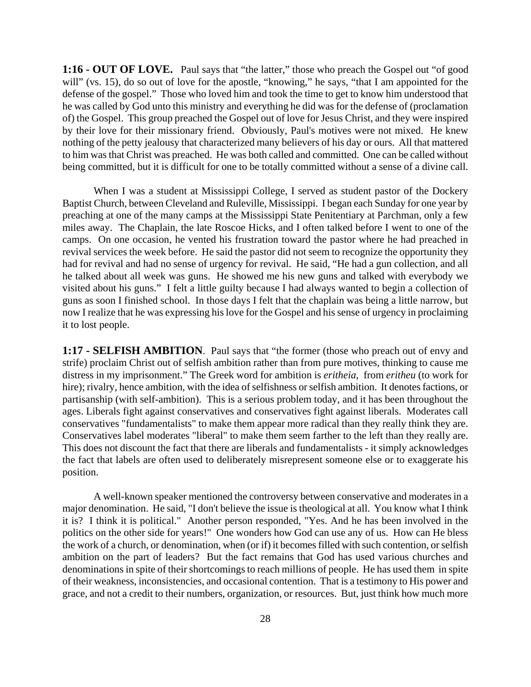**1:16 - OUT OF LOVE.** Paul says that "the latter," those who preach the Gospel out "of good will" (vs. 15), do so out of love for the apostle, "knowing," he says, "that I am appointed for the defense of the gospel." Those who loved him and took the time to get to know him understood that he was called by God unto this ministry and everything he did was for the defense of (proclamation of) the Gospel. This group preached the Gospel out of love for Jesus Christ, and they were inspired by their love for their missionary friend. Obviously, Paul's motives were not mixed. He knew nothing of the petty jealousy that characterized many believers of his day or ours. All that mattered to him was that Christ was preached. He was both called and committed. One can be called without being committed, but it is difficult for one to be totally committed without a sense of a divine call.

When I was a student at Mississippi College, I served as student pastor of the Dockery Baptist Church, between Cleveland and Ruleville, Mississippi. I began each Sunday for one year by preaching at one of the many camps at the Mississippi State Penitentiary at Parchman, only a few miles away. The Chaplain, the late Roscoe Hicks, and I often talked before I went to one of the camps. On one occasion, he vented his frustration toward the pastor where he had preached in revival services the week before. He said the pastor did not seem to recognize the opportunity they had for revival and had no sense of urgency for revival. He said, "He had a gun collection, and all he talked about all week was guns. He showed me his new guns and talked with everybody we visited about his guns." I felt a little guilty because I had always wanted to begin a collection of guns as soon I finished school. In those days I felt that the chaplain was being a little narrow, but now I realize that he was expressing his love for the Gospel and his sense of urgency in proclaiming it to lost people.

**1:17 - SELFISH AMBITION**. Paul says that "the former (those who preach out of envy and strife) proclaim Christ out of selfish ambition rather than from pure motives, thinking to cause me distress in my imprisonment." The Greek word for ambition is *eritheia*, from *eritheu* (to work for hire); rivalry, hence ambition, with the idea of selfishness or selfish ambition. It denotes factions, or partisanship (with self-ambition). This is a serious problem today, and it has been throughout the ages. Liberals fight against conservatives and conservatives fight against liberals. Moderates call conservatives "fundamentalists" to make them appear more radical than they really think they are. Conservatives label moderates "liberal" to make them seem farther to the left than they really are. This does not discount the fact that there are liberals and fundamentalists - it simply acknowledges the fact that labels are often used to deliberately misrepresent someone else or to exaggerate his position.

A well-known speaker mentioned the controversy between conservative and moderates in a major denomination. He said, "I don't believe the issue is theological at all. You know what I think it is? I think it is political." Another person responded, "Yes. And he has been involved in the politics on the other side for years!" One wonders how God can use any of us. How can He bless the work of a church, or denomination, when (or if) it becomes filled with such contention, or selfish ambition on the part of leaders? But the fact remains that God has used various churches and denominations in spite of their shortcomings to reach millions of people. He has used them in spite of their weakness, inconsistencies, and occasional contention. That is a testimony to His power and grace, and not a credit to their numbers, organization, or resources. But, just think how much more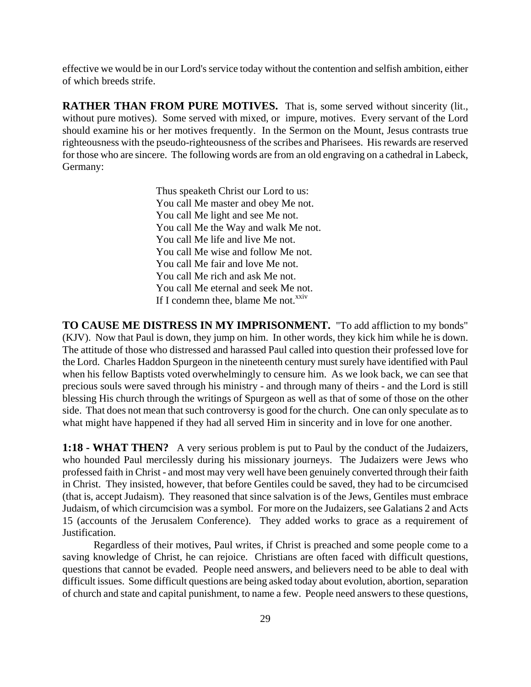effective we would be in our Lord's service today without the contention and selfish ambition, either of which breeds strife.

**RATHER THAN FROM PURE MOTIVES.** That is, some served without sincerity (lit., without pure motives). Some served with mixed, or impure, motives. Every servant of the Lord should examine his or her motives frequently. In the Sermon on the Mount, Jesus contrasts true righteousness with the pseudo-righteousness of the scribes and Pharisees. His rewards are reserved for those who are sincere. The following words are from an old engraving on a cathedral in Labeck, Germany:

> Thus speaketh Christ our Lord to us: You call Me master and obey Me not. You call Me light and see Me not. You call Me the Way and walk Me not. You call Me life and live Me not. You call Me wise and follow Me not. You call Me fair and love Me not. You call Me rich and ask Me not. You call Me eternal and seek Me not. If I condemn thee, blame Me not. $^{xxiv}$

**TO CAUSE ME DISTRESS IN MY IMPRISONMENT.** "To add affliction to my bonds" (KJV). Now that Paul is down, they jump on him. In other words, they kick him while he is down. The attitude of those who distressed and harassed Paul called into question their professed love for the Lord. Charles Haddon Spurgeon in the nineteenth century must surely have identified with Paul when his fellow Baptists voted overwhelmingly to censure him. As we look back, we can see that precious souls were saved through his ministry - and through many of theirs - and the Lord is still blessing His church through the writings of Spurgeon as well as that of some of those on the other side. That does not mean that such controversy is good for the church. One can only speculate as to what might have happened if they had all served Him in sincerity and in love for one another.

**1:18 - WHAT THEN?** A very serious problem is put to Paul by the conduct of the Judaizers, who hounded Paul mercilessly during his missionary journeys. The Judaizers were Jews who professed faith in Christ - and most may very well have been genuinely converted through their faith in Christ. They insisted, however, that before Gentiles could be saved, they had to be circumcised (that is, accept Judaism). They reasoned that since salvation is of the Jews, Gentiles must embrace Judaism, of which circumcision was a symbol. For more on the Judaizers, see Galatians 2 and Acts 15 (accounts of the Jerusalem Conference). They added works to grace as a requirement of Justification.

Regardless of their motives, Paul writes, if Christ is preached and some people come to a saving knowledge of Christ, he can rejoice. Christians are often faced with difficult questions, questions that cannot be evaded. People need answers, and believers need to be able to deal with difficult issues. Some difficult questions are being asked today about evolution, abortion, separation of church and state and capital punishment, to name a few. People need answers to these questions,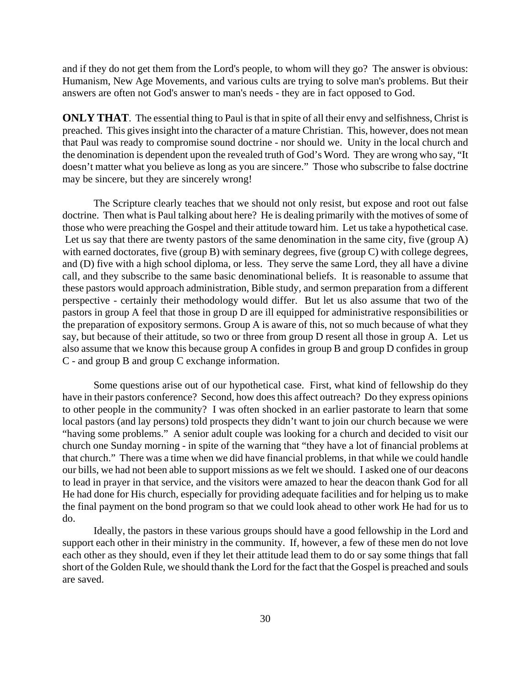and if they do not get them from the Lord's people, to whom will they go? The answer is obvious: Humanism, New Age Movements, and various cults are trying to solve man's problems. But their answers are often not God's answer to man's needs - they are in fact opposed to God.

**ONLY THAT**. The essential thing to Paul is that in spite of all their envy and selfishness, Christ is preached. This gives insight into the character of a mature Christian. This, however, does not mean that Paul was ready to compromise sound doctrine - nor should we. Unity in the local church and the denomination is dependent upon the revealed truth of God's Word. They are wrong who say, "It doesn't matter what you believe as long as you are sincere." Those who subscribe to false doctrine may be sincere, but they are sincerely wrong!

The Scripture clearly teaches that we should not only resist, but expose and root out false doctrine. Then what is Paul talking about here? He is dealing primarily with the motives of some of those who were preaching the Gospel and their attitude toward him. Let us take a hypothetical case. Let us say that there are twenty pastors of the same denomination in the same city, five (group A) with earned doctorates, five (group B) with seminary degrees, five (group C) with college degrees, and (D) five with a high school diploma, or less. They serve the same Lord, they all have a divine call, and they subscribe to the same basic denominational beliefs. It is reasonable to assume that these pastors would approach administration, Bible study, and sermon preparation from a different perspective - certainly their methodology would differ. But let us also assume that two of the pastors in group A feel that those in group D are ill equipped for administrative responsibilities or the preparation of expository sermons. Group A is aware of this, not so much because of what they say, but because of their attitude, so two or three from group D resent all those in group A. Let us also assume that we know this because group A confides in group B and group D confides in group C - and group B and group C exchange information.

Some questions arise out of our hypothetical case. First, what kind of fellowship do they have in their pastors conference? Second, how does this affect outreach? Do they express opinions to other people in the community? I was often shocked in an earlier pastorate to learn that some local pastors (and lay persons) told prospects they didn't want to join our church because we were "having some problems." A senior adult couple was looking for a church and decided to visit our church one Sunday morning - in spite of the warning that "they have a lot of financial problems at that church." There was a time when we did have financial problems, in that while we could handle our bills, we had not been able to support missions as we felt we should. I asked one of our deacons to lead in prayer in that service, and the visitors were amazed to hear the deacon thank God for all He had done for His church, especially for providing adequate facilities and for helping us to make the final payment on the bond program so that we could look ahead to other work He had for us to do.

Ideally, the pastors in these various groups should have a good fellowship in the Lord and support each other in their ministry in the community. If, however, a few of these men do not love each other as they should, even if they let their attitude lead them to do or say some things that fall short of the Golden Rule, we should thank the Lord for the fact that the Gospel is preached and souls are saved.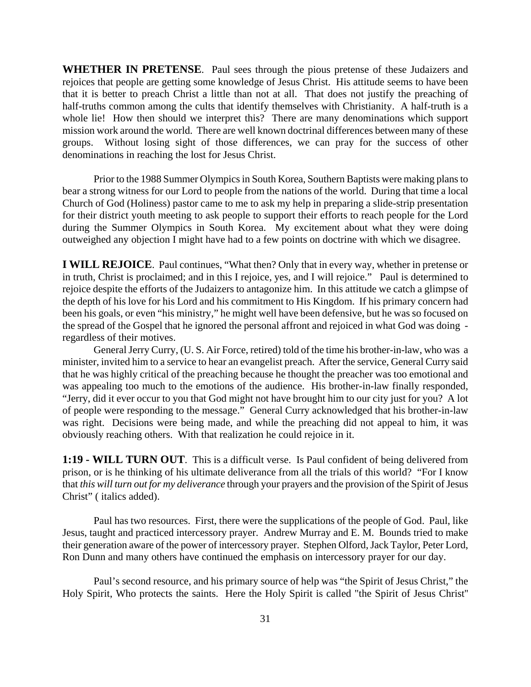**WHETHER IN PRETENSE**. Paul sees through the pious pretense of these Judaizers and rejoices that people are getting some knowledge of Jesus Christ. His attitude seems to have been that it is better to preach Christ a little than not at all. That does not justify the preaching of half-truths common among the cults that identify themselves with Christianity. A half-truth is a whole lie! How then should we interpret this? There are many denominations which support mission work around the world. There are well known doctrinal differences between many of these groups. Without losing sight of those differences, we can pray for the success of other denominations in reaching the lost for Jesus Christ.

Prior to the 1988 Summer Olympics in South Korea, Southern Baptists were making plans to bear a strong witness for our Lord to people from the nations of the world. During that time a local Church of God (Holiness) pastor came to me to ask my help in preparing a slide-strip presentation for their district youth meeting to ask people to support their efforts to reach people for the Lord during the Summer Olympics in South Korea. My excitement about what they were doing outweighed any objection I might have had to a few points on doctrine with which we disagree.

**I WILL REJOICE**. Paul continues, "What then? Only that in every way, whether in pretense or in truth, Christ is proclaimed; and in this I rejoice, yes, and I will rejoice." Paul is determined to rejoice despite the efforts of the Judaizers to antagonize him. In this attitude we catch a glimpse of the depth of his love for his Lord and his commitment to His Kingdom. If his primary concern had been his goals, or even "his ministry," he might well have been defensive, but he was so focused on the spread of the Gospel that he ignored the personal affront and rejoiced in what God was doing regardless of their motives.

General Jerry Curry, (U. S. Air Force, retired) told of the time his brother-in-law, who was a minister, invited him to a service to hear an evangelist preach. After the service, General Curry said that he was highly critical of the preaching because he thought the preacher was too emotional and was appealing too much to the emotions of the audience. His brother-in-law finally responded, "Jerry, did it ever occur to you that God might not have brought him to our city just for you? A lot of people were responding to the message." General Curry acknowledged that his brother-in-law was right. Decisions were being made, and while the preaching did not appeal to him, it was obviously reaching others. With that realization he could rejoice in it.

**1:19 - WILL TURN OUT**. This is a difficult verse. Is Paul confident of being delivered from prison, or is he thinking of his ultimate deliverance from all the trials of this world? "For I know that *this will turn out for my deliverance* through your prayers and the provision of the Spirit of Jesus Christ" ( italics added).

Paul has two resources. First, there were the supplications of the people of God. Paul, like Jesus, taught and practiced intercessory prayer. Andrew Murray and E. M. Bounds tried to make their generation aware of the power of intercessory prayer. Stephen Olford, Jack Taylor, Peter Lord, Ron Dunn and many others have continued the emphasis on intercessory prayer for our day.

Paul's second resource, and his primary source of help was "the Spirit of Jesus Christ," the Holy Spirit, Who protects the saints. Here the Holy Spirit is called "the Spirit of Jesus Christ''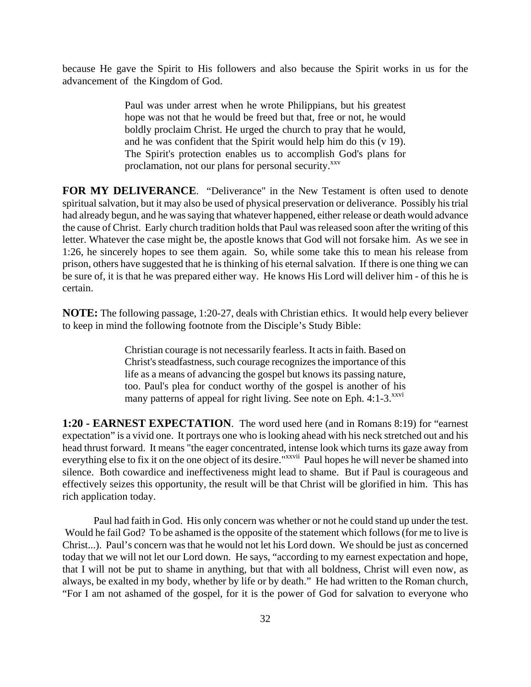because He gave the Spirit to His followers and also because the Spirit works in us for the advancement of the Kingdom of God.

> Paul was under arrest when he wrote Philippians, but his greatest hope was not that he would be freed but that, free or not, he would boldly proclaim Christ. He urged the church to pray that he would, and he was confident that the Spirit would help him do this (v 19). The Spirit's protection enables us to accomplish God's plans for proclamation, not our plans for personal security.<sup>xxv</sup>

**FOR MY DELIVERANCE.** "Deliverance" in the New Testament is often used to denote spiritual salvation, but it may also be used of physical preservation or deliverance. Possibly his trial had already begun, and he was saying that whatever happened, either release or death would advance the cause of Christ. Early church tradition holds that Paul was released soon after the writing of this letter. Whatever the case might be, the apostle knows that God will not forsake him. As we see in 1:26, he sincerely hopes to see them again. So, while some take this to mean his release from prison, others have suggested that he is thinking of his eternal salvation. If there is one thing we can be sure of, it is that he was prepared either way. He knows His Lord will deliver him - of this he is certain.

**NOTE:** The following passage, 1:20-27, deals with Christian ethics. It would help every believer to keep in mind the following footnote from the Disciple's Study Bible:

> Christian courage is not necessarily fearless. It acts in faith. Based on Christ's steadfastness, such courage recognizes the importance of this life as a means of advancing the gospel but knows its passing nature, too. Paul's plea for conduct worthy of the gospel is another of his many patterns of appeal for right living. See note on Eph.  $4:1-3$ .<sup>xxvi</sup>

**1:20 - EARNEST EXPECTATION**. The word used here (and in Romans 8:19) for "earnest expectation" is a vivid one. It portrays one who is looking ahead with his neck stretched out and his head thrust forward. It means "the eager concentrated, intense look which turns its gaze away from everything else to fix it on the one object of its desire."<sup>xxvii</sup> Paul hopes he will never be shamed into silence. Both cowardice and ineffectiveness might lead to shame. But if Paul is courageous and effectively seizes this opportunity, the result will be that Christ will be glorified in him. This has rich application today.

Paul had faith in God. His only concern was whether or not he could stand up under the test. Would he fail God? To be ashamed is the opposite of the statement which follows (for me to live is Christ...). Paul's concern was that he would not let his Lord down. We should be just as concerned today that we will not let our Lord down. He says, "according to my earnest expectation and hope, that I will not be put to shame in anything, but that with all boldness, Christ will even now, as always, be exalted in my body, whether by life or by death." He had written to the Roman church, "For I am not ashamed of the gospel, for it is the power of God for salvation to everyone who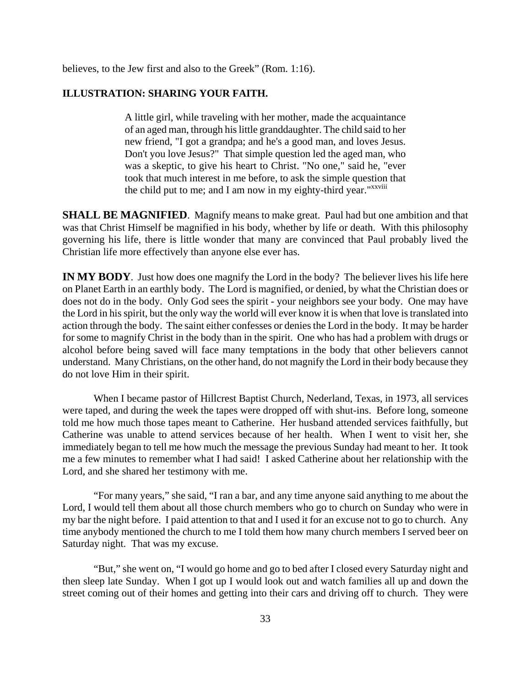believes, to the Jew first and also to the Greek" (Rom. 1:16).

#### **ILLUSTRATION: SHARING YOUR FAITH.**

A little girl, while traveling with her mother, made the acquaintance of an aged man, through his little granddaughter. The child said to her new friend, "I got a grandpa; and he's a good man, and loves Jesus. Don't you love Jesus?" That simple question led the aged man, who was a skeptic, to give his heart to Christ. "No one," said he, "ever took that much interest in me before, to ask the simple question that the child put to me; and I am now in my eighty-third year."<sup>xxviii</sup>

**SHALL BE MAGNIFIED.** Magnify means to make great. Paul had but one ambition and that was that Christ Himself be magnified in his body, whether by life or death. With this philosophy governing his life, there is little wonder that many are convinced that Paul probably lived the Christian life more effectively than anyone else ever has.

**IN MY BODY**. Just how does one magnify the Lord in the body? The believer lives his life here on Planet Earth in an earthly body. The Lord is magnified, or denied, by what the Christian does or does not do in the body. Only God sees the spirit - your neighbors see your body. One may have the Lord in his spirit, but the only way the world will ever know it is when that love is translated into action through the body. The saint either confesses or denies the Lord in the body. It may be harder for some to magnify Christ in the body than in the spirit. One who has had a problem with drugs or alcohol before being saved will face many temptations in the body that other believers cannot understand. Many Christians, on the other hand, do not magnify the Lord in their body because they do not love Him in their spirit.

When I became pastor of Hillcrest Baptist Church, Nederland, Texas, in 1973, all services were taped, and during the week the tapes were dropped off with shut-ins. Before long, someone told me how much those tapes meant to Catherine. Her husband attended services faithfully, but Catherine was unable to attend services because of her health. When I went to visit her, she immediately began to tell me how much the message the previous Sunday had meant to her. It took me a few minutes to remember what I had said! I asked Catherine about her relationship with the Lord, and she shared her testimony with me.

"For many years," she said, "I ran a bar, and any time anyone said anything to me about the Lord, I would tell them about all those church members who go to church on Sunday who were in my bar the night before. I paid attention to that and I used it for an excuse not to go to church. Any time anybody mentioned the church to me I told them how many church members I served beer on Saturday night. That was my excuse.

"But," she went on, "I would go home and go to bed after I closed every Saturday night and then sleep late Sunday. When I got up I would look out and watch families all up and down the street coming out of their homes and getting into their cars and driving off to church. They were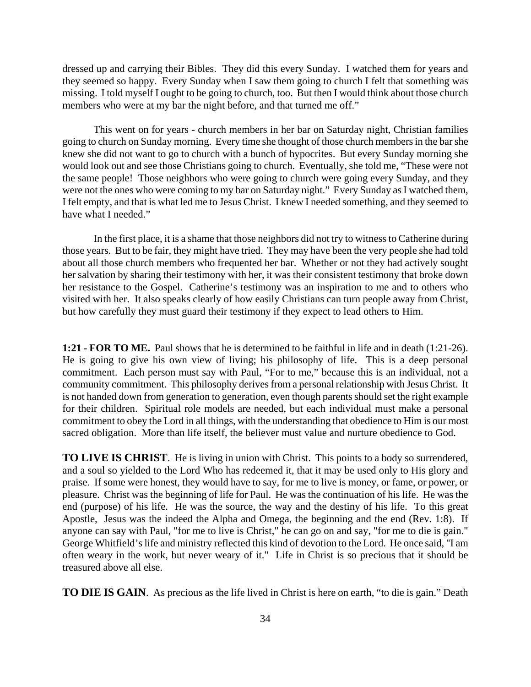dressed up and carrying their Bibles. They did this every Sunday. I watched them for years and they seemed so happy. Every Sunday when I saw them going to church I felt that something was missing. I told myself I ought to be going to church, too. But then I would think about those church members who were at my bar the night before, and that turned me off."

This went on for years - church members in her bar on Saturday night, Christian families going to church on Sunday morning. Every time she thought of those church members in the bar she knew she did not want to go to church with a bunch of hypocrites. But every Sunday morning she would look out and see those Christians going to church. Eventually, she told me, "These were not the same people! Those neighbors who were going to church were going every Sunday, and they were not the ones who were coming to my bar on Saturday night." Every Sunday as I watched them, I felt empty, and that is what led me to Jesus Christ. I knew I needed something, and they seemed to have what I needed."

In the first place, it is a shame that those neighbors did not try to witness to Catherine during those years. But to be fair, they might have tried. They may have been the very people she had told about all those church members who frequented her bar. Whether or not they had actively sought her salvation by sharing their testimony with her, it was their consistent testimony that broke down her resistance to the Gospel. Catherine's testimony was an inspiration to me and to others who visited with her. It also speaks clearly of how easily Christians can turn people away from Christ, but how carefully they must guard their testimony if they expect to lead others to Him.

**1:21 - FOR TO ME.** Paul shows that he is determined to be faithful in life and in death (1:21-26). He is going to give his own view of living; his philosophy of life. This is a deep personal commitment. Each person must say with Paul, "For to me," because this is an individual, not a community commitment. This philosophy derives from a personal relationship with Jesus Christ. It is not handed down from generation to generation, even though parents should set the right example for their children. Spiritual role models are needed, but each individual must make a personal commitment to obey the Lord in all things, with the understanding that obedience to Him is our most sacred obligation. More than life itself, the believer must value and nurture obedience to God.

**TO LIVE IS CHRIST**. He is living in union with Christ. This points to a body so surrendered, and a soul so yielded to the Lord Who has redeemed it, that it may be used only to His glory and praise. If some were honest, they would have to say, for me to live is money, or fame, or power, or pleasure. Christ was the beginning of life for Paul. He was the continuation of his life. He was the end (purpose) of his life. He was the source, the way and the destiny of his life. To this great Apostle, Jesus was the indeed the Alpha and Omega, the beginning and the end (Rev. 1:8). If anyone can say with Paul, "for me to live is Christ," he can go on and say, "for me to die is gain." George Whitfield's life and ministry reflected this kind of devotion to the Lord. He once said, "I am often weary in the work, but never weary of it." Life in Christ is so precious that it should be treasured above all else.

**TO DIE IS GAIN**. As precious as the life lived in Christ is here on earth, "to die is gain." Death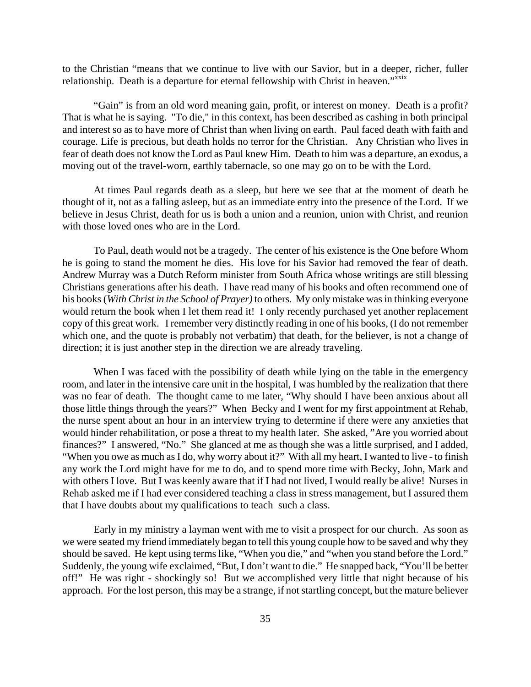to the Christian "means that we continue to live with our Savior, but in a deeper, richer, fuller relationship. Death is a departure for eternal fellowship with Christ in heaven."xxix

"Gain" is from an old word meaning gain, profit, or interest on money. Death is a profit? That is what he is saying. "To die," in this context, has been described as cashing in both principal and interest so as to have more of Christ than when living on earth. Paul faced death with faith and courage. Life is precious, but death holds no terror for the Christian. Any Christian who lives in fear of death does not know the Lord as Paul knew Him. Death to him was a departure, an exodus, a moving out of the travel-worn, earthly tabernacle, so one may go on to be with the Lord.

At times Paul regards death as a sleep, but here we see that at the moment of death he thought of it, not as a falling asleep, but as an immediate entry into the presence of the Lord. If we believe in Jesus Christ, death for us is both a union and a reunion, union with Christ, and reunion with those loved ones who are in the Lord.

To Paul, death would not be a tragedy. The center of his existence is the One before Whom he is going to stand the moment he dies. His love for his Savior had removed the fear of death. Andrew Murray was a Dutch Reform minister from South Africa whose writings are still blessing Christians generations after his death. I have read many of his books and often recommend one of his books (*With Christ in the School of Prayer)* to others*.* My only mistake was in thinking everyone would return the book when I let them read it! I only recently purchased yet another replacement copy of this great work. I remember very distinctly reading in one of his books, (I do not remember which one, and the quote is probably not verbatim) that death, for the believer, is not a change of direction; it is just another step in the direction we are already traveling.

When I was faced with the possibility of death while lying on the table in the emergency room, and later in the intensive care unit in the hospital, I was humbled by the realization that there was no fear of death. The thought came to me later, "Why should I have been anxious about all those little things through the years?" When Becky and I went for my first appointment at Rehab, the nurse spent about an hour in an interview trying to determine if there were any anxieties that would hinder rehabilitation, or pose a threat to my health later. She asked, "Are you worried about finances?" I answered, "No." She glanced at me as though she was a little surprised, and I added, "When you owe as much as I do, why worry about it?" With all my heart, I wanted to live - to finish any work the Lord might have for me to do, and to spend more time with Becky, John, Mark and with others I love. But I was keenly aware that if I had not lived, I would really be alive! Nurses in Rehab asked me if I had ever considered teaching a class in stress management, but I assured them that I have doubts about my qualifications to teach such a class.

Early in my ministry a layman went with me to visit a prospect for our church. As soon as we were seated my friend immediately began to tell this young couple how to be saved and why they should be saved. He kept using terms like, "When you die," and "when you stand before the Lord." Suddenly, the young wife exclaimed, "But, I don't want to die." He snapped back, "You'll be better off!" He was right - shockingly so! But we accomplished very little that night because of his approach. For the lost person, this may be a strange, if not startling concept, but the mature believer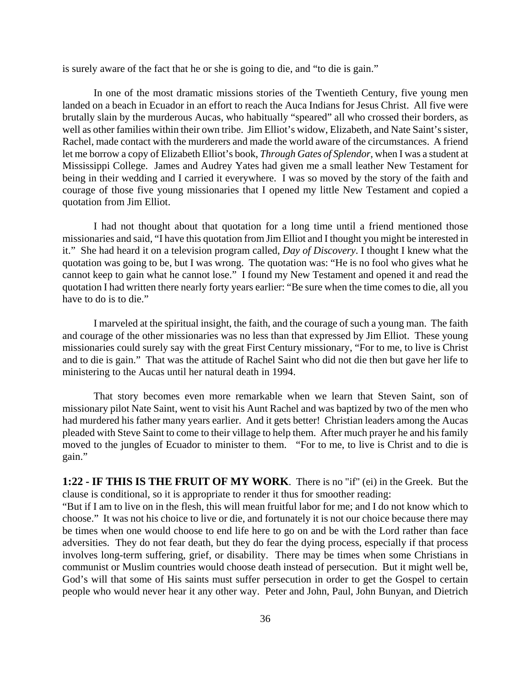is surely aware of the fact that he or she is going to die, and "to die is gain."

In one of the most dramatic missions stories of the Twentieth Century, five young men landed on a beach in Ecuador in an effort to reach the Auca Indians for Jesus Christ. All five were brutally slain by the murderous Aucas, who habitually "speared" all who crossed their borders, as well as other families within their own tribe. Jim Elliot's widow, Elizabeth, and Nate Saint's sister, Rachel, made contact with the murderers and made the world aware of the circumstances. A friend let me borrow a copy of Elizabeth Elliot's book, *Through Gates of Splendor*, when I was a student at Mississippi College. James and Audrey Yates had given me a small leather New Testament for being in their wedding and I carried it everywhere. I was so moved by the story of the faith and courage of those five young missionaries that I opened my little New Testament and copied a quotation from Jim Elliot.

I had not thought about that quotation for a long time until a friend mentioned those missionaries and said, "I have this quotation from Jim Elliot and I thought you might be interested in it." She had heard it on a television program called, *Day of Discovery*. I thought I knew what the quotation was going to be, but I was wrong. The quotation was: "He is no fool who gives what he cannot keep to gain what he cannot lose." I found my New Testament and opened it and read the quotation I had written there nearly forty years earlier: "Be sure when the time comes to die, all you have to do is to die."

I marveled at the spiritual insight, the faith, and the courage of such a young man. The faith and courage of the other missionaries was no less than that expressed by Jim Elliot. These young missionaries could surely say with the great First Century missionary, "For to me, to live is Christ and to die is gain." That was the attitude of Rachel Saint who did not die then but gave her life to ministering to the Aucas until her natural death in 1994.

That story becomes even more remarkable when we learn that Steven Saint, son of missionary pilot Nate Saint, went to visit his Aunt Rachel and was baptized by two of the men who had murdered his father many years earlier. And it gets better! Christian leaders among the Aucas pleaded with Steve Saint to come to their village to help them. After much prayer he and his family moved to the jungles of Ecuador to minister to them. "For to me, to live is Christ and to die is gain."

**1:22 - IF THIS IS THE FRUIT OF MY WORK**. There is no "if" (ei) in the Greek. But the clause is conditional, so it is appropriate to render it thus for smoother reading:

"But if I am to live on in the flesh, this will mean fruitful labor for me; and I do not know which to choose." It was not his choice to live or die, and fortunately it is not our choice because there may be times when one would choose to end life here to go on and be with the Lord rather than face adversities. They do not fear death, but they do fear the dying process, especially if that process involves long-term suffering, grief, or disability. There may be times when some Christians in communist or Muslim countries would choose death instead of persecution. But it might well be, God's will that some of His saints must suffer persecution in order to get the Gospel to certain people who would never hear it any other way. Peter and John, Paul, John Bunyan, and Dietrich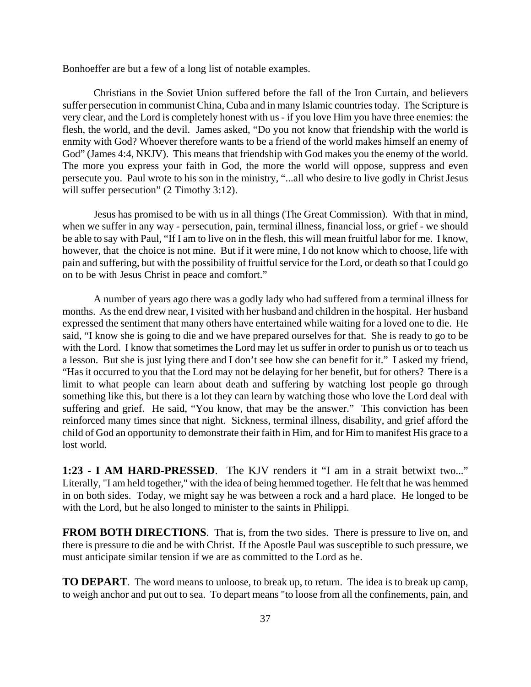Bonhoeffer are but a few of a long list of notable examples.

Christians in the Soviet Union suffered before the fall of the Iron Curtain, and believers suffer persecution in communist China, Cuba and in many Islamic countries today. The Scripture is very clear, and the Lord is completely honest with us - if you love Him you have three enemies: the flesh, the world, and the devil. James asked, "Do you not know that friendship with the world is enmity with God? Whoever therefore wants to be a friend of the world makes himself an enemy of God" (James 4:4, NKJV). This means that friendship with God makes you the enemy of the world. The more you express your faith in God, the more the world will oppose, suppress and even persecute you. Paul wrote to his son in the ministry, "...all who desire to live godly in Christ Jesus will suffer persecution" (2 Timothy 3:12).

Jesus has promised to be with us in all things (The Great Commission). With that in mind, when we suffer in any way - persecution, pain, terminal illness, financial loss, or grief - we should be able to say with Paul, "If I am to live on in the flesh, this will mean fruitful labor for me. I know, however, that the choice is not mine. But if it were mine, I do not know which to choose, life with pain and suffering, but with the possibility of fruitful service for the Lord, or death so that I could go on to be with Jesus Christ in peace and comfort."

A number of years ago there was a godly lady who had suffered from a terminal illness for months. As the end drew near, I visited with her husband and children in the hospital. Her husband expressed the sentiment that many others have entertained while waiting for a loved one to die. He said, "I know she is going to die and we have prepared ourselves for that. She is ready to go to be with the Lord. I know that sometimes the Lord may let us suffer in order to punish us or to teach us a lesson. But she is just lying there and I don't see how she can benefit for it." I asked my friend, "Has it occurred to you that the Lord may not be delaying for her benefit, but for others? There is a limit to what people can learn about death and suffering by watching lost people go through something like this, but there is a lot they can learn by watching those who love the Lord deal with suffering and grief. He said, "You know, that may be the answer." This conviction has been reinforced many times since that night. Sickness, terminal illness, disability, and grief afford the child of God an opportunity to demonstrate their faith in Him, and for Him to manifest His grace to a lost world.

**1:23 - I AM HARD-PRESSED**. The KJV renders it "I am in a strait betwixt two..." Literally, "I am held together," with the idea of being hemmed together. He felt that he was hemmed in on both sides. Today, we might say he was between a rock and a hard place. He longed to be with the Lord, but he also longed to minister to the saints in Philippi.

**FROM BOTH DIRECTIONS**. That is, from the two sides. There is pressure to live on, and there is pressure to die and be with Christ. If the Apostle Paul was susceptible to such pressure, we must anticipate similar tension if we are as committed to the Lord as he.

**TO DEPART**. The word means to unloose, to break up, to return. The idea is to break up camp, to weigh anchor and put out to sea. To depart means "to loose from all the confinements, pain, and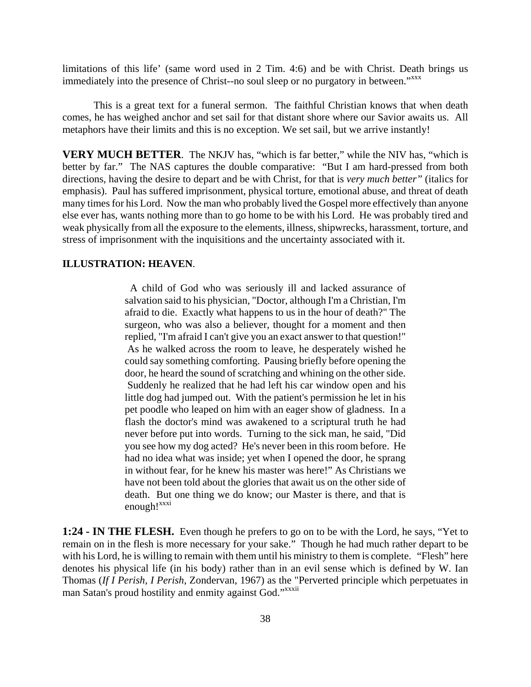limitations of this life' (same word used in 2 Tim. 4:6) and be with Christ. Death brings us immediately into the presence of Christ--no soul sleep or no purgatory in between."<sup>xxxx</sup>

This is a great text for a funeral sermon. The faithful Christian knows that when death comes, he has weighed anchor and set sail for that distant shore where our Savior awaits us. All metaphors have their limits and this is no exception. We set sail, but we arrive instantly!

**VERY MUCH BETTER.** The NKJV has, "which is far better," while the NIV has, "which is better by far." The NAS captures the double comparative: "But I am hard-pressed from both directions, having the desire to depart and be with Christ, for that is *very much better"* (italics for emphasis). Paul has suffered imprisonment, physical torture, emotional abuse, and threat of death many times for his Lord. Now the man who probably lived the Gospel more effectively than anyone else ever has, wants nothing more than to go home to be with his Lord. He was probably tired and weak physically from all the exposure to the elements, illness, shipwrecks, harassment, torture, and stress of imprisonment with the inquisitions and the uncertainty associated with it.

#### **ILLUSTRATION: HEAVEN**.

 A child of God who was seriously ill and lacked assurance of salvation said to his physician, "Doctor, although I'm a Christian, I'm afraid to die. Exactly what happens to us in the hour of death?" The surgeon, who was also a believer, thought for a moment and then replied, "I'm afraid I can't give you an exact answer to that question!" As he walked across the room to leave, he desperately wished he could say something comforting. Pausing briefly before opening the door, he heard the sound of scratching and whining on the other side. Suddenly he realized that he had left his car window open and his little dog had jumped out. With the patient's permission he let in his pet poodle who leaped on him with an eager show of gladness. In a flash the doctor's mind was awakened to a scriptural truth he had never before put into words. Turning to the sick man, he said, "Did you see how my dog acted? He's never been in this room before. He had no idea what was inside; yet when I opened the door, he sprang in without fear, for he knew his master was here!" As Christians we have not been told about the glories that await us on the other side of death. But one thing we do know; our Master is there, and that is enough!<sup>xxxi</sup>

**1:24 - IN THE FLESH.** Even though he prefers to go on to be with the Lord, he says, "Yet to remain on in the flesh is more necessary for your sake." Though he had much rather depart to be with his Lord, he is willing to remain with them until his ministry to them is complete. "Flesh" here denotes his physical life (in his body) rather than in an evil sense which is defined by W. Ian Thomas (*If I Perish, I Perish*, Zondervan, 1967) as the "Perverted principle which perpetuates in man Satan's proud hostility and enmity against God."<sup>xxxii</sup>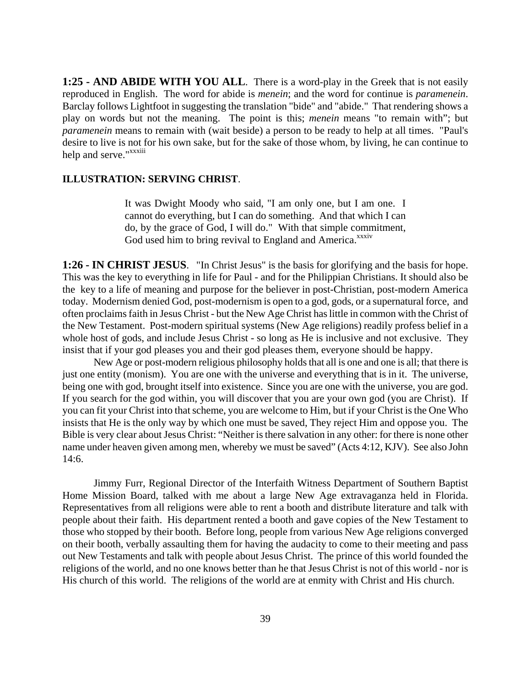**1:25 - AND ABIDE WITH YOU ALL**. There is a word-play in the Greek that is not easily reproduced in English. The word for abide is *menein*; and the word for continue is *paramenein*. Barclay follows Lightfoot in suggesting the translation "bide" and "abide." That rendering shows a play on words but not the meaning. The point is this; *menein* means "to remain with"; but *paramenein* means to remain with (wait beside) a person to be ready to help at all times. "Paul's desire to live is not for his own sake, but for the sake of those whom, by living, he can continue to help and serve."<sup>xxxiii</sup>

#### **ILLUSTRATION: SERVING CHRIST**.

It was Dwight Moody who said, "I am only one, but I am one. I cannot do everything, but I can do something. And that which I can do, by the grace of God, I will do." With that simple commitment, God used him to bring revival to England and America.<sup>xxxiv</sup>

**1:26 - IN CHRIST JESUS**. "In Christ Jesus" is the basis for glorifying and the basis for hope. This was the key to everything in life for Paul - and for the Philippian Christians. It should also be the key to a life of meaning and purpose for the believer in post-Christian, post-modern America today. Modernism denied God, post-modernism is open to a god, gods, or a supernatural force, and often proclaims faith in Jesus Christ - but the New Age Christ has little in common with the Christ of the New Testament. Post-modern spiritual systems (New Age religions) readily profess belief in a whole host of gods, and include Jesus Christ - so long as He is inclusive and not exclusive. They insist that if your god pleases you and their god pleases them, everyone should be happy.

New Age or post-modern religious philosophy holds that all is one and one is all; that there is just one entity (monism). You are one with the universe and everything that is in it. The universe, being one with god, brought itself into existence. Since you are one with the universe, you are god. If you search for the god within, you will discover that you are your own god (you are Christ). If you can fit your Christ into that scheme, you are welcome to Him, but if your Christ is the One Who insists that He is the only way by which one must be saved, They reject Him and oppose you. The Bible is very clear about Jesus Christ: "Neither is there salvation in any other: for there is none other name under heaven given among men, whereby we must be saved" (Acts 4:12, KJV). See also John 14:6.

Jimmy Furr, Regional Director of the Interfaith Witness Department of Southern Baptist Home Mission Board, talked with me about a large New Age extravaganza held in Florida. Representatives from all religions were able to rent a booth and distribute literature and talk with people about their faith. His department rented a booth and gave copies of the New Testament to those who stopped by their booth. Before long, people from various New Age religions converged on their booth, verbally assaulting them for having the audacity to come to their meeting and pass out New Testaments and talk with people about Jesus Christ. The prince of this world founded the religions of the world, and no one knows better than he that Jesus Christ is not of this world - nor is His church of this world. The religions of the world are at enmity with Christ and His church.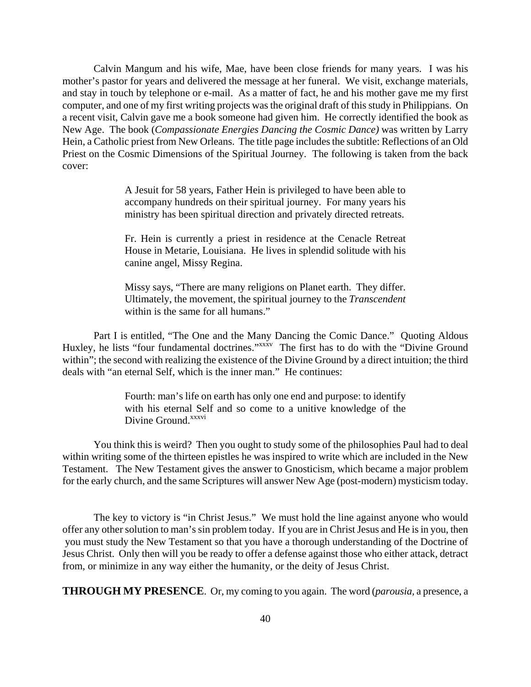Calvin Mangum and his wife, Mae, have been close friends for many years. I was his mother's pastor for years and delivered the message at her funeral. We visit, exchange materials, and stay in touch by telephone or e-mail. As a matter of fact, he and his mother gave me my first computer, and one of my first writing projects was the original draft of this study in Philippians. On a recent visit, Calvin gave me a book someone had given him. He correctly identified the book as New Age. The book (*Compassionate Energies Dancing the Cosmic Dance)* was written by Larry Hein, a Catholic priest from New Orleans. The title page includes the subtitle: Reflections of an Old Priest on the Cosmic Dimensions of the Spiritual Journey. The following is taken from the back cover:

> A Jesuit for 58 years, Father Hein is privileged to have been able to accompany hundreds on their spiritual journey. For many years his ministry has been spiritual direction and privately directed retreats.

> Fr. Hein is currently a priest in residence at the Cenacle Retreat House in Metarie, Louisiana. He lives in splendid solitude with his canine angel, Missy Regina.

> Missy says, "There are many religions on Planet earth. They differ. Ultimately, the movement, the spiritual journey to the *Transcendent* within is the same for all humans."

Part I is entitled, "The One and the Many Dancing the Comic Dance." Quoting Aldous Huxley, he lists "four fundamental doctrines."<sup>xxxxv</sup> The first has to do with the "Divine Ground" within"; the second with realizing the existence of the Divine Ground by a direct intuition; the third deals with "an eternal Self, which is the inner man." He continues:

> Fourth: man's life on earth has only one end and purpose: to identify with his eternal Self and so come to a unitive knowledge of the Divine Ground.<sup>xxxvi</sup>

You think this is weird? Then you ought to study some of the philosophies Paul had to deal within writing some of the thirteen epistles he was inspired to write which are included in the New Testament. The New Testament gives the answer to Gnosticism, which became a major problem for the early church, and the same Scriptures will answer New Age (post-modern) mysticism today.

The key to victory is "in Christ Jesus." We must hold the line against anyone who would offer any other solution to man's sin problem today. If you are in Christ Jesus and He is in you, then you must study the New Testament so that you have a thorough understanding of the Doctrine of Jesus Christ. Only then will you be ready to offer a defense against those who either attack, detract from, or minimize in any way either the humanity, or the deity of Jesus Christ.

**THROUGH MY PRESENCE**. Or, my coming to you again. The word (*parousia,* a presence, a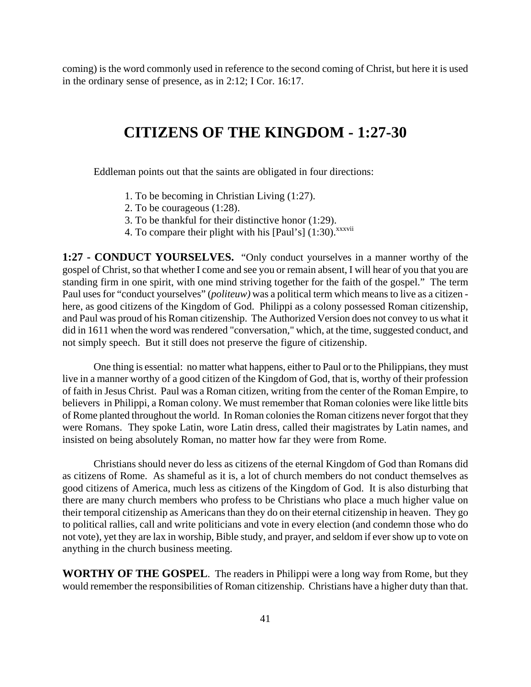coming) is the word commonly used in reference to the second coming of Christ, but here it is used in the ordinary sense of presence, as in 2:12; I Cor. 16:17.

## **CITIZENS OF THE KINGDOM - 1:27-30**

Eddleman points out that the saints are obligated in four directions:

- 1. To be becoming in Christian Living (1:27).
- 2. To be courageous (1:28).
- 3. To be thankful for their distinctive honor (1:29).
- 4. To compare their plight with his [Paul's]  $(1:30)$ . xxxvii

**1:27 - CONDUCT YOURSELVES.** "Only conduct yourselves in a manner worthy of the gospel of Christ, so that whether I come and see you or remain absent, I will hear of you that you are standing firm in one spirit, with one mind striving together for the faith of the gospel." The term Paul uses for "conduct yourselves" (*politeuw)* was a political term which means to live as a citizen here, as good citizens of the Kingdom of God. Philippi as a colony possessed Roman citizenship, and Paul was proud of his Roman citizenship. The Authorized Version does not convey to us what it did in 1611 when the word was rendered "conversation," which, at the time, suggested conduct, and not simply speech. But it still does not preserve the figure of citizenship.

One thing is essential: no matter what happens, either to Paul or to the Philippians, they must live in a manner worthy of a good citizen of the Kingdom of God, that is, worthy of their profession of faith in Jesus Christ. Paul was a Roman citizen, writing from the center of the Roman Empire, to believers in Philippi, a Roman colony. We must remember that Roman colonies were like little bits of Rome planted throughout the world. In Roman colonies the Roman citizens never forgot that they were Romans. They spoke Latin, wore Latin dress, called their magistrates by Latin names, and insisted on being absolutely Roman, no matter how far they were from Rome.

Christians should never do less as citizens of the eternal Kingdom of God than Romans did as citizens of Rome. As shameful as it is, a lot of church members do not conduct themselves as good citizens of America, much less as citizens of the Kingdom of God. It is also disturbing that there are many church members who profess to be Christians who place a much higher value on their temporal citizenship as Americans than they do on their eternal citizenship in heaven. They go to political rallies, call and write politicians and vote in every election (and condemn those who do not vote), yet they are lax in worship, Bible study, and prayer, and seldom if ever show up to vote on anything in the church business meeting.

**WORTHY OF THE GOSPEL**. The readers in Philippi were a long way from Rome, but they would remember the responsibilities of Roman citizenship. Christians have a higher duty than that.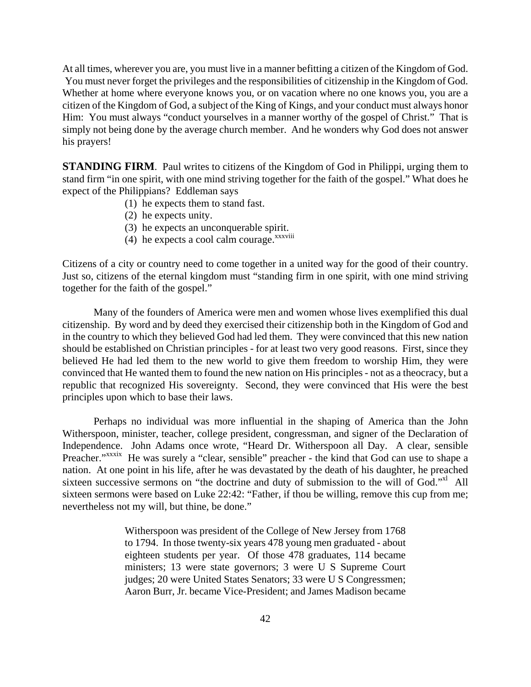At all times, wherever you are, you must live in a manner befitting a citizen of the Kingdom of God. You must never forget the privileges and the responsibilities of citizenship in the Kingdom of God. Whether at home where everyone knows you, or on vacation where no one knows you, you are a citizen of the Kingdom of God, a subject of the King of Kings, and your conduct must always honor Him: You must always "conduct yourselves in a manner worthy of the gospel of Christ." That is simply not being done by the average church member. And he wonders why God does not answer his prayers!

**STANDING FIRM.** Paul writes to citizens of the Kingdom of God in Philippi, urging them to stand firm "in one spirit, with one mind striving together for the faith of the gospel." What does he expect of the Philippians? Eddleman says

- (1) he expects them to stand fast.
- (2) he expects unity.
- (3) he expects an unconquerable spirit.
- (4) he expects a cool calm courage. $\overline{x}$ <sup>xxxviii</sup>

Citizens of a city or country need to come together in a united way for the good of their country. Just so, citizens of the eternal kingdom must "standing firm in one spirit, with one mind striving together for the faith of the gospel."

Many of the founders of America were men and women whose lives exemplified this dual citizenship. By word and by deed they exercised their citizenship both in the Kingdom of God and in the country to which they believed God had led them. They were convinced that this new nation should be established on Christian principles - for at least two very good reasons. First, since they believed He had led them to the new world to give them freedom to worship Him, they were convinced that He wanted them to found the new nation on His principles - not as a theocracy, but a republic that recognized His sovereignty. Second, they were convinced that His were the best principles upon which to base their laws.

Perhaps no individual was more influential in the shaping of America than the John Witherspoon, minister, teacher, college president, congressman, and signer of the Declaration of Independence. John Adams once wrote, "Heard Dr. Witherspoon all Day. A clear, sensible Preacher."xxxix He was surely a "clear, sensible" preacher - the kind that God can use to shape a nation. At one point in his life, after he was devastated by the death of his daughter, he preached sixteen successive sermons on "the doctrine and duty of submission to the will of God." All sixteen sermons were based on Luke 22:42: "Father, if thou be willing, remove this cup from me; nevertheless not my will, but thine, be done."

> Witherspoon was president of the College of New Jersey from 1768 to 1794. In those twenty-six years 478 young men graduated - about eighteen students per year. Of those 478 graduates, 114 became ministers; 13 were state governors; 3 were U S Supreme Court judges; 20 were United States Senators; 33 were U S Congressmen; Aaron Burr, Jr. became Vice-President; and James Madison became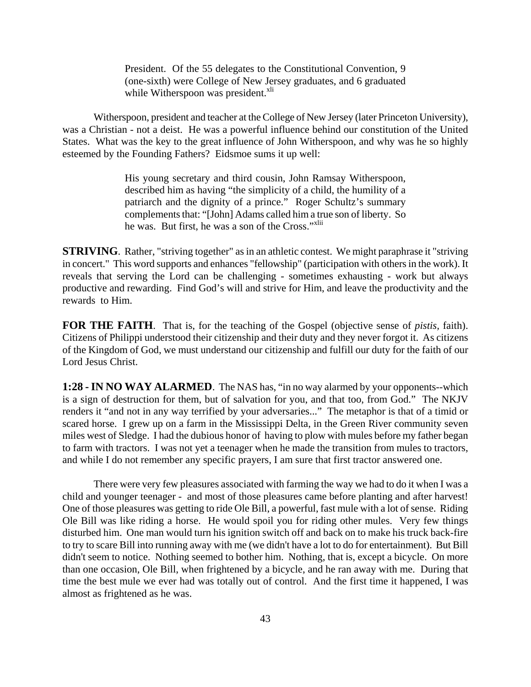President. Of the 55 delegates to the Constitutional Convention, 9 (one-sixth) were College of New Jersey graduates, and 6 graduated while Witherspoon was president. $x^{I}$ 

Witherspoon, president and teacher at the College of New Jersey (later Princeton University), was a Christian - not a deist. He was a powerful influence behind our constitution of the United States. What was the key to the great influence of John Witherspoon, and why was he so highly esteemed by the Founding Fathers? Eidsmoe sums it up well:

> His young secretary and third cousin, John Ramsay Witherspoon, described him as having "the simplicity of a child, the humility of a patriarch and the dignity of a prince." Roger Schultz's summary complements that: "[John] Adams called him a true son of liberty. So he was. But first, he was a son of the Cross."<sup>xlii</sup>

**STRIVING**. Rather, "striving together" as in an athletic contest. We might paraphrase it "striving in concert." This word supports and enhances "fellowship" (participation with others in the work). It reveals that serving the Lord can be challenging - sometimes exhausting - work but always productive and rewarding. Find God's will and strive for Him, and leave the productivity and the rewards to Him.

**FOR THE FAITH**. That is, for the teaching of the Gospel (objective sense of *pistis,* faith). Citizens of Philippi understood their citizenship and their duty and they never forgot it. As citizens of the Kingdom of God, we must understand our citizenship and fulfill our duty for the faith of our Lord Jesus Christ.

**1:28 - IN NO WAY ALARMED**. The NAS has, "in no way alarmed by your opponents--which is a sign of destruction for them, but of salvation for you, and that too, from God." The NKJV renders it "and not in any way terrified by your adversaries..." The metaphor is that of a timid or scared horse. I grew up on a farm in the Mississippi Delta, in the Green River community seven miles west of Sledge. I had the dubious honor of having to plow with mules before my father began to farm with tractors. I was not yet a teenager when he made the transition from mules to tractors, and while I do not remember any specific prayers, I am sure that first tractor answered one.

There were very few pleasures associated with farming the way we had to do it when I was a child and younger teenager - and most of those pleasures came before planting and after harvest! One of those pleasures was getting to ride Ole Bill, a powerful, fast mule with a lot of sense. Riding Ole Bill was like riding a horse. He would spoil you for riding other mules. Very few things disturbed him. One man would turn his ignition switch off and back on to make his truck back-fire to try to scare Bill into running away with me (we didn't have a lot to do for entertainment). But Bill didn't seem to notice. Nothing seemed to bother him. Nothing, that is, except a bicycle. On more than one occasion, Ole Bill, when frightened by a bicycle, and he ran away with me. During that time the best mule we ever had was totally out of control. And the first time it happened, I was almost as frightened as he was.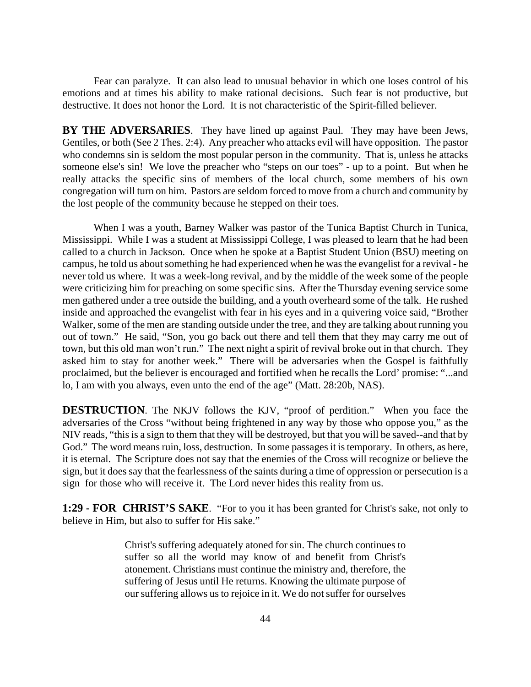Fear can paralyze. It can also lead to unusual behavior in which one loses control of his emotions and at times his ability to make rational decisions. Such fear is not productive, but destructive. It does not honor the Lord. It is not characteristic of the Spirit-filled believer.

**BY THE ADVERSARIES**. They have lined up against Paul. They may have been Jews, Gentiles, or both (See 2 Thes. 2:4). Any preacher who attacks evil will have opposition. The pastor who condemns sin is seldom the most popular person in the community. That is, unless he attacks someone else's sin! We love the preacher who "steps on our toes" - up to a point. But when he really attacks the specific sins of members of the local church, some members of his own congregation will turn on him. Pastors are seldom forced to move from a church and community by the lost people of the community because he stepped on their toes.

When I was a youth, Barney Walker was pastor of the Tunica Baptist Church in Tunica, Mississippi. While I was a student at Mississippi College, I was pleased to learn that he had been called to a church in Jackson. Once when he spoke at a Baptist Student Union (BSU) meeting on campus, he told us about something he had experienced when he was the evangelist for a revival - he never told us where. It was a week-long revival, and by the middle of the week some of the people were criticizing him for preaching on some specific sins. After the Thursday evening service some men gathered under a tree outside the building, and a youth overheard some of the talk. He rushed inside and approached the evangelist with fear in his eyes and in a quivering voice said, "Brother Walker, some of the men are standing outside under the tree, and they are talking about running you out of town." He said, "Son, you go back out there and tell them that they may carry me out of town, but this old man won't run." The next night a spirit of revival broke out in that church. They asked him to stay for another week." There will be adversaries when the Gospel is faithfully proclaimed, but the believer is encouraged and fortified when he recalls the Lord' promise: "...and lo, I am with you always, even unto the end of the age" (Matt. 28:20b, NAS).

**DESTRUCTION**. The NKJV follows the KJV, "proof of perdition." When you face the adversaries of the Cross "without being frightened in any way by those who oppose you," as the NIV reads, "this is a sign to them that they will be destroyed, but that you will be saved--and that by God." The word means ruin, loss, destruction. In some passages it is temporary. In others, as here, it is eternal. The Scripture does not say that the enemies of the Cross will recognize or believe the sign, but it does say that the fearlessness of the saints during a time of oppression or persecution is a sign for those who will receive it. The Lord never hides this reality from us.

**1:29 - FOR CHRIST'S SAKE**. "For to you it has been granted for Christ's sake, not only to believe in Him, but also to suffer for His sake."

> Christ's suffering adequately atoned for sin. The church continues to suffer so all the world may know of and benefit from Christ's atonement. Christians must continue the ministry and, therefore, the suffering of Jesus until He returns. Knowing the ultimate purpose of our suffering allows us to rejoice in it. We do not suffer for ourselves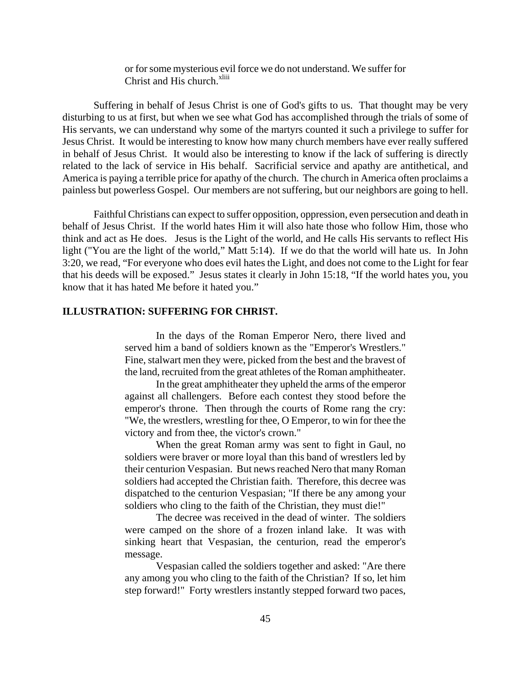or for some mysterious evil force we do not understand. We suffer for Christ and His church.<sup>xliii</sup>

Suffering in behalf of Jesus Christ is one of God's gifts to us. That thought may be very disturbing to us at first, but when we see what God has accomplished through the trials of some of His servants, we can understand why some of the martyrs counted it such a privilege to suffer for Jesus Christ. It would be interesting to know how many church members have ever really suffered in behalf of Jesus Christ. It would also be interesting to know if the lack of suffering is directly related to the lack of service in His behalf. Sacrificial service and apathy are antithetical, and America is paying a terrible price for apathy of the church. The church in America often proclaims a painless but powerless Gospel. Our members are not suffering, but our neighbors are going to hell.

Faithful Christians can expect to suffer opposition, oppression, even persecution and death in behalf of Jesus Christ. If the world hates Him it will also hate those who follow Him, those who think and act as He does. Jesus is the Light of the world, and He calls His servants to reflect His light ("You are the light of the world," Matt 5:14). If we do that the world will hate us. In John 3:20, we read, "For everyone who does evil hates the Light, and does not come to the Light for fear that his deeds will be exposed." Jesus states it clearly in John 15:18, "If the world hates you, you know that it has hated Me before it hated you."

#### **ILLUSTRATION: SUFFERING FOR CHRIST.**

In the days of the Roman Emperor Nero, there lived and served him a band of soldiers known as the "Emperor's Wrestlers." Fine, stalwart men they were, picked from the best and the bravest of the land, recruited from the great athletes of the Roman amphitheater.

In the great amphitheater they upheld the arms of the emperor against all challengers. Before each contest they stood before the emperor's throne. Then through the courts of Rome rang the cry: "We, the wrestlers, wrestling for thee, O Emperor, to win for thee the victory and from thee, the victor's crown."

When the great Roman army was sent to fight in Gaul, no soldiers were braver or more loyal than this band of wrestlers led by their centurion Vespasian. But news reached Nero that many Roman soldiers had accepted the Christian faith. Therefore, this decree was dispatched to the centurion Vespasian; "If there be any among your soldiers who cling to the faith of the Christian, they must die!"

The decree was received in the dead of winter. The soldiers were camped on the shore of a frozen inland lake. It was with sinking heart that Vespasian, the centurion, read the emperor's message.

Vespasian called the soldiers together and asked: "Are there any among you who cling to the faith of the Christian? If so, let him step forward!" Forty wrestlers instantly stepped forward two paces,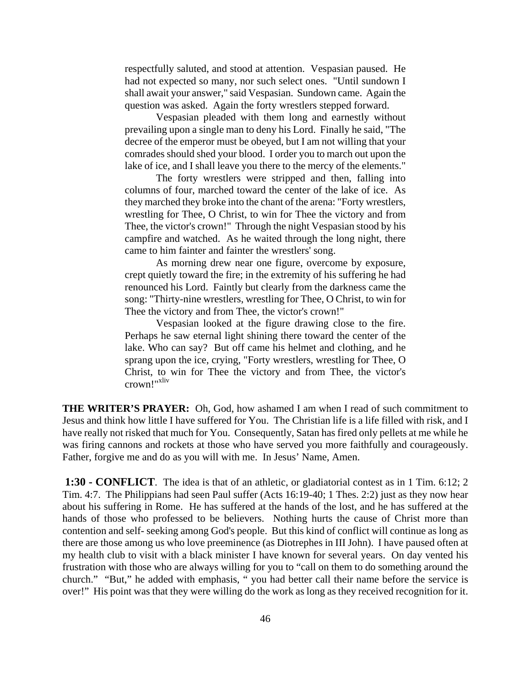respectfully saluted, and stood at attention. Vespasian paused. He had not expected so many, nor such select ones. "Until sundown I shall await your answer," said Vespasian. Sundown came. Again the question was asked. Again the forty wrestlers stepped forward.

Vespasian pleaded with them long and earnestly without prevailing upon a single man to deny his Lord. Finally he said, "The decree of the emperor must be obeyed, but I am not willing that your comrades should shed your blood. I order you to march out upon the lake of ice, and I shall leave you there to the mercy of the elements."

The forty wrestlers were stripped and then, falling into columns of four, marched toward the center of the lake of ice. As they marched they broke into the chant of the arena: "Forty wrestlers, wrestling for Thee, O Christ, to win for Thee the victory and from Thee, the victor's crown!" Through the night Vespasian stood by his campfire and watched. As he waited through the long night, there came to him fainter and fainter the wrestlers' song.

As morning drew near one figure, overcome by exposure, crept quietly toward the fire; in the extremity of his suffering he had renounced his Lord. Faintly but clearly from the darkness came the song: "Thirty-nine wrestlers, wrestling for Thee, O Christ, to win for Thee the victory and from Thee, the victor's crown!"

Vespasian looked at the figure drawing close to the fire. Perhaps he saw eternal light shining there toward the center of the lake. Who can say? But off came his helmet and clothing, and he sprang upon the ice, crying, "Forty wrestlers, wrestling for Thee, O Christ, to win for Thee the victory and from Thee, the victor's crown!"xliv

**THE WRITER'S PRAYER:** Oh, God, how ashamed I am when I read of such commitment to Jesus and think how little I have suffered for You. The Christian life is a life filled with risk, and I have really not risked that much for You. Consequently, Satan has fired only pellets at me while he was firing cannons and rockets at those who have served you more faithfully and courageously. Father, forgive me and do as you will with me. In Jesus' Name, Amen.

**1:30 - CONFLICT**. The idea is that of an athletic, or gladiatorial contest as in 1 Tim. 6:12; 2 Tim. 4:7. The Philippians had seen Paul suffer (Acts 16:19-40; 1 Thes. 2:2) just as they now hear about his suffering in Rome. He has suffered at the hands of the lost, and he has suffered at the hands of those who professed to be believers. Nothing hurts the cause of Christ more than contention and self- seeking among God's people. But this kind of conflict will continue as long as there are those among us who love preeminence (as Diotrephes in III John). I have paused often at my health club to visit with a black minister I have known for several years. On day vented his frustration with those who are always willing for you to "call on them to do something around the church." "But," he added with emphasis, " you had better call their name before the service is over!" His point was that they were willing do the work as long as they received recognition for it.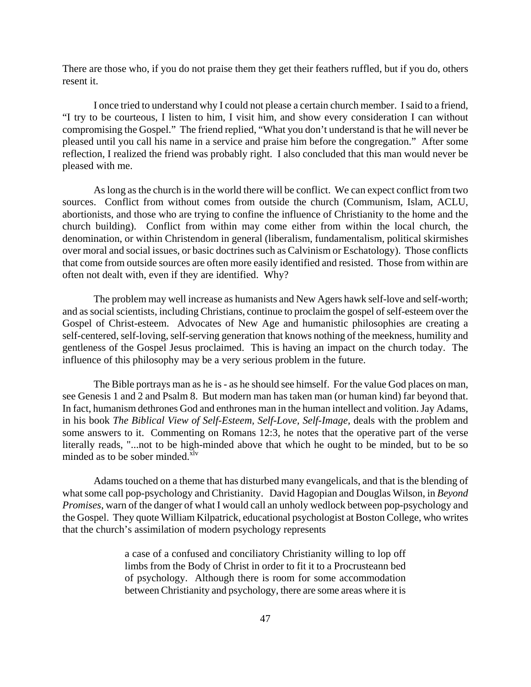There are those who, if you do not praise them they get their feathers ruffled, but if you do, others resent it.

I once tried to understand why I could not please a certain church member. I said to a friend, "I try to be courteous, I listen to him, I visit him, and show every consideration I can without compromising the Gospel." The friend replied, "What you don't understand is that he will never be pleased until you call his name in a service and praise him before the congregation." After some reflection, I realized the friend was probably right. I also concluded that this man would never be pleased with me.

As long as the church is in the world there will be conflict. We can expect conflict from two sources. Conflict from without comes from outside the church (Communism, Islam, ACLU, abortionists, and those who are trying to confine the influence of Christianity to the home and the church building). Conflict from within may come either from within the local church, the denomination, or within Christendom in general (liberalism, fundamentalism, political skirmishes over moral and social issues, or basic doctrines such as Calvinism or Eschatology). Those conflicts that come from outside sources are often more easily identified and resisted. Those from within are often not dealt with, even if they are identified. Why?

The problem may well increase as humanists and New Agers hawk self-love and self-worth; and as social scientists, including Christians, continue to proclaim the gospel of self-esteem over the Gospel of Christ-esteem. Advocates of New Age and humanistic philosophies are creating a self-centered, self-loving, self-serving generation that knows nothing of the meekness, humility and gentleness of the Gospel Jesus proclaimed. This is having an impact on the church today. The influence of this philosophy may be a very serious problem in the future.

The Bible portrays man as he is - as he should see himself. For the value God places on man, see Genesis 1 and 2 and Psalm 8. But modern man has taken man (or human kind) far beyond that. In fact, humanism dethrones God and enthrones man in the human intellect and volition. Jay Adams, in his book *The Biblical View of Self-Esteem, Self-Love, Self-Image,* deals with the problem and some answers to it. Commenting on Romans 12:3, he notes that the operative part of the verse literally reads, "...not to be high-minded above that which he ought to be minded, but to be so minded as to be sober minded.<sup>xlv</sup>

Adams touched on a theme that has disturbed many evangelicals, and that is the blending of what some call pop-psychology and Christianity. David Hagopian and Douglas Wilson, in *Beyond Promises*, warn of the danger of what I would call an unholy wedlock between pop-psychology and the Gospel. They quote William Kilpatrick, educational psychologist at Boston College, who writes that the church's assimilation of modern psychology represents

> a case of a confused and conciliatory Christianity willing to lop off limbs from the Body of Christ in order to fit it to a Procrusteann bed of psychology. Although there is room for some accommodation between Christianity and psychology, there are some areas where it is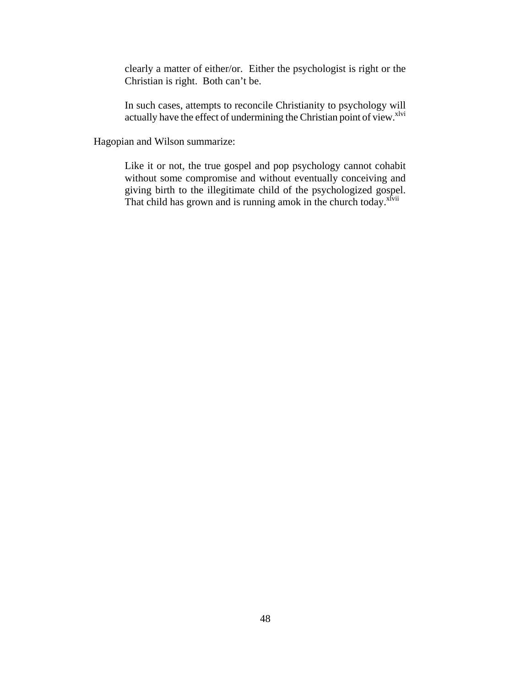clearly a matter of either/or. Either the psychologist is right or the Christian is right. Both can't be.

In such cases, attempts to reconcile Christianity to psychology will actually have the effect of undermining the Christian point of view.<sup>xlvi</sup>

Hagopian and Wilson summarize:

Like it or not, the true gospel and pop psychology cannot cohabit without some compromise and without eventually conceiving and giving birth to the illegitimate child of the psychologized gospel. That child has grown and is running amok in the church today.<sup>xlvii</sup>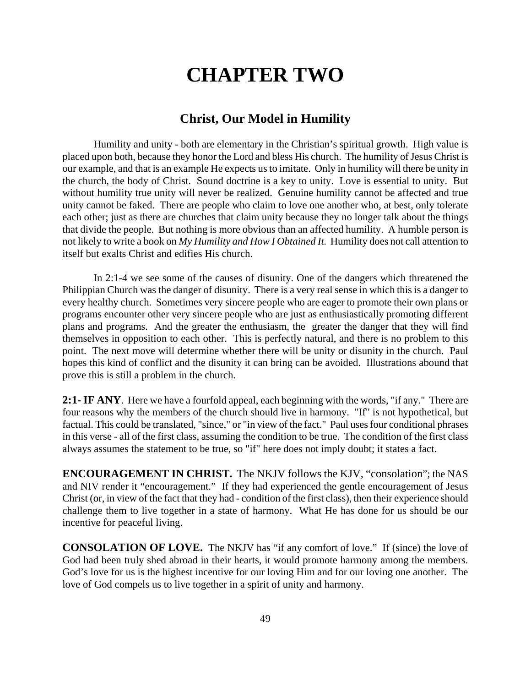# **CHAPTER TWO**

### **Christ, Our Model in Humility**

Humility and unity - both are elementary in the Christian's spiritual growth. High value is placed upon both, because they honor the Lord and bless His church. The humility of Jesus Christ is our example, and that is an example He expects us to imitate. Only in humility will there be unity in the church, the body of Christ. Sound doctrine is a key to unity. Love is essential to unity. But without humility true unity will never be realized. Genuine humility cannot be affected and true unity cannot be faked. There are people who claim to love one another who, at best, only tolerate each other; just as there are churches that claim unity because they no longer talk about the things that divide the people. But nothing is more obvious than an affected humility. A humble person is not likely to write a book on *My Humility and How I Obtained It.* Humility does not call attention to itself but exalts Christ and edifies His church.

In 2:1-4 we see some of the causes of disunity. One of the dangers which threatened the Philippian Church was the danger of disunity. There is a very real sense in which this is a danger to every healthy church. Sometimes very sincere people who are eager to promote their own plans or programs encounter other very sincere people who are just as enthusiastically promoting different plans and programs. And the greater the enthusiasm, the greater the danger that they will find themselves in opposition to each other. This is perfectly natural, and there is no problem to this point. The next move will determine whether there will be unity or disunity in the church. Paul hopes this kind of conflict and the disunity it can bring can be avoided. Illustrations abound that prove this is still a problem in the church.

**2:1- IF ANY**. Here we have a fourfold appeal, each beginning with the words, "if any." There are four reasons why the members of the church should live in harmony. "If" is not hypothetical, but factual. This could be translated, "since," or "in view of the fact." Paul uses four conditional phrases in this verse - all of the first class, assuming the condition to be true. The condition of the first class always assumes the statement to be true, so "if" here does not imply doubt; it states a fact.

**ENCOURAGEMENT IN CHRIST.** The NKJV follows the KJV, "consolation"; the NAS and NIV render it "encouragement." If they had experienced the gentle encouragement of Jesus Christ (or, in view of the fact that they had - condition of the first class), then their experience should challenge them to live together in a state of harmony. What He has done for us should be our incentive for peaceful living.

**CONSOLATION OF LOVE.** The NKJV has "if any comfort of love." If (since) the love of God had been truly shed abroad in their hearts, it would promote harmony among the members. God's love for us is the highest incentive for our loving Him and for our loving one another. The love of God compels us to live together in a spirit of unity and harmony.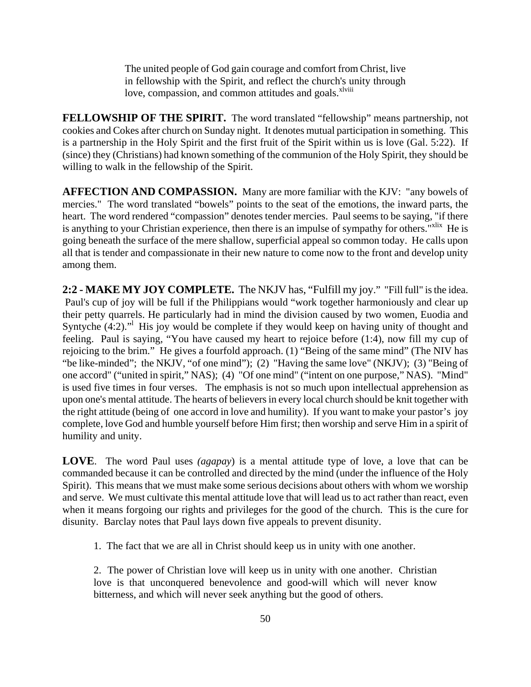The united people of God gain courage and comfort from Christ, live in fellowship with the Spirit, and reflect the church's unity through love, compassion, and common attitudes and goals.<sup>xlviii</sup>

**FELLOWSHIP OF THE SPIRIT.** The word translated "fellowship" means partnership, not cookies and Cokes after church on Sunday night. It denotes mutual participation in something. This is a partnership in the Holy Spirit and the first fruit of the Spirit within us is love (Gal. 5:22). If (since) they (Christians) had known something of the communion of the Holy Spirit, they should be willing to walk in the fellowship of the Spirit.

**AFFECTION AND COMPASSION.** Many are more familiar with the KJV: "any bowels of mercies." The word translated "bowels" points to the seat of the emotions, the inward parts, the heart. The word rendered "compassion" denotes tender mercies. Paul seems to be saying, "if there is anything to your Christian experience, then there is an impulse of sympathy for others.<sup>"xlix</sup> He is going beneath the surface of the mere shallow, superficial appeal so common today. He calls upon all that is tender and compassionate in their new nature to come now to the front and develop unity among them.

**2:2 - MAKE MY JOY COMPLETE.** The NKJV has, "Fulfill my joy." "Fill full" is the idea. Paul's cup of joy will be full if the Philippians would "work together harmoniously and clear up their petty quarrels. He particularly had in mind the division caused by two women, Euodia and Syntyche  $(4:2)$ ." His joy would be complete if they would keep on having unity of thought and feeling. Paul is saying, "You have caused my heart to rejoice before (1:4), now fill my cup of rejoicing to the brim." He gives a fourfold approach. (1) "Being of the same mind" (The NIV has "be like-minded"; the NKJV, "of one mind"); (2) "Having the same love" (NKJV); (3) "Being of one accord" ("united in spirit," NAS); (4) "Of one mind" ("intent on one purpose," NAS). "Mind" is used five times in four verses. The emphasis is not so much upon intellectual apprehension as upon one's mental attitude. The hearts of believers in every local church should be knit together with the right attitude (being of one accord in love and humility). If you want to make your pastor's joy complete, love God and humble yourself before Him first; then worship and serve Him in a spirit of humility and unity.

**LOVE**. The word Paul uses *(agapay*) is a mental attitude type of love, a love that can be commanded because it can be controlled and directed by the mind (under the influence of the Holy Spirit). This means that we must make some serious decisions about others with whom we worship and serve. We must cultivate this mental attitude love that will lead us to act rather than react, even when it means forgoing our rights and privileges for the good of the church. This is the cure for disunity. Barclay notes that Paul lays down five appeals to prevent disunity.

1. The fact that we are all in Christ should keep us in unity with one another.

2. The power of Christian love will keep us in unity with one another. Christian love is that unconquered benevolence and good-will which will never know bitterness, and which will never seek anything but the good of others.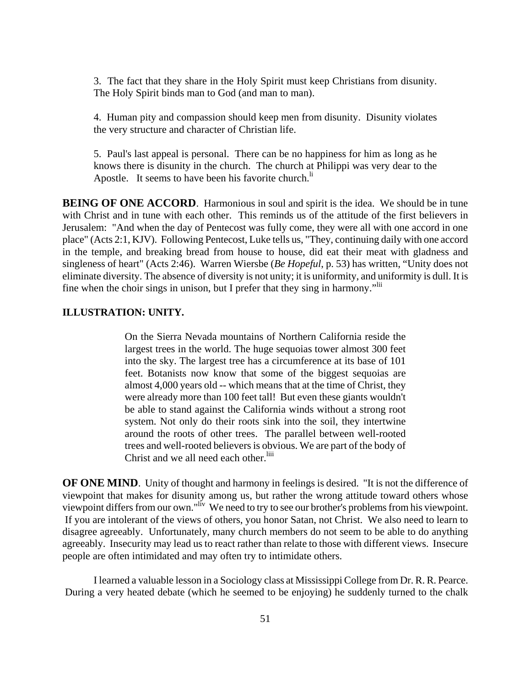3. The fact that they share in the Holy Spirit must keep Christians from disunity. The Holy Spirit binds man to God (and man to man).

4. Human pity and compassion should keep men from disunity. Disunity violates the very structure and character of Christian life.

5. Paul's last appeal is personal. There can be no happiness for him as long as he knows there is disunity in the church. The church at Philippi was very dear to the Apostle. It seems to have been his favorite church. $\mathbf{h}$ 

**BEING OF ONE ACCORD.** Harmonious in soul and spirit is the idea. We should be in tune with Christ and in tune with each other. This reminds us of the attitude of the first believers in Jerusalem: "And when the day of Pentecost was fully come, they were all with one accord in one place" (Acts 2:1, KJV). Following Pentecost, Luke tells us, "They, continuing daily with one accord in the temple, and breaking bread from house to house, did eat their meat with gladness and singleness of heart" (Acts 2:46). Warren Wiersbe (*Be Hopeful*, p. 53) has written, "Unity does not eliminate diversity. The absence of diversity is not unity; it is uniformity, and uniformity is dull. It is fine when the choir sings in unison, but I prefer that they sing in harmony.<sup>"Iii</sup>

#### **ILLUSTRATION: UNITY.**

On the Sierra Nevada mountains of Northern California reside the largest trees in the world. The huge sequoias tower almost 300 feet into the sky. The largest tree has a circumference at its base of 101 feet. Botanists now know that some of the biggest sequoias are almost 4,000 years old -- which means that at the time of Christ, they were already more than 100 feet tall! But even these giants wouldn't be able to stand against the California winds without a strong root system. Not only do their roots sink into the soil, they intertwine around the roots of other trees. The parallel between well-rooted trees and well-rooted believers is obvious. We are part of the body of Christ and we all need each other.<sup>liii</sup>

**OF ONE MIND.** Unity of thought and harmony in feelings is desired. "It is not the difference of viewpoint that makes for disunity among us, but rather the wrong attitude toward others whose viewpoint differs from our own."liv We need to try to see our brother's problems from his viewpoint. If you are intolerant of the views of others, you honor Satan, not Christ. We also need to learn to disagree agreeably. Unfortunately, many church members do not seem to be able to do anything agreeably. Insecurity may lead us to react rather than relate to those with different views. Insecure people are often intimidated and may often try to intimidate others.

I learned a valuable lesson in a Sociology class at Mississippi College from Dr. R. R. Pearce. During a very heated debate (which he seemed to be enjoying) he suddenly turned to the chalk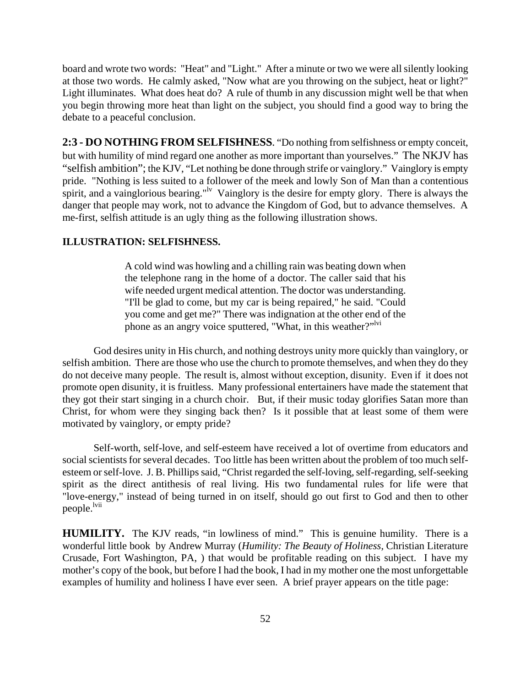board and wrote two words: "Heat" and "Light." After a minute or two we were all silently looking at those two words. He calmly asked, "Now what are you throwing on the subject, heat or light?" Light illuminates. What does heat do? A rule of thumb in any discussion might well be that when you begin throwing more heat than light on the subject, you should find a good way to bring the debate to a peaceful conclusion.

**2:3 - DO NOTHING FROM SELFISHNESS**. "Do nothing from selfishness or empty conceit, but with humility of mind regard one another as more important than yourselves." The NKJV has "selfish ambition"; the KJV, "Let nothing be done through strife or vainglory." Vainglory is empty pride. "Nothing is less suited to a follower of the meek and lowly Son of Man than a contentious spirit, and a vainglorious bearing."<sup>Iv</sup> Vainglory is the desire for empty glory. There is always the danger that people may work, not to advance the Kingdom of God, but to advance themselves. A me-first, selfish attitude is an ugly thing as the following illustration shows.

#### **ILLUSTRATION: SELFISHNESS.**

A cold wind was howling and a chilling rain was beating down when the telephone rang in the home of a doctor. The caller said that his wife needed urgent medical attention. The doctor was understanding. "I'll be glad to come, but my car is being repaired," he said. "Could you come and get me?" There was indignation at the other end of the phone as an angry voice sputtered, "What, in this weather?"<sup>lvi</sup>

God desires unity in His church, and nothing destroys unity more quickly than vainglory, or selfish ambition. There are those who use the church to promote themselves, and when they do they do not deceive many people. The result is, almost without exception, disunity. Even if it does not promote open disunity, it is fruitless. Many professional entertainers have made the statement that they got their start singing in a church choir. But, if their music today glorifies Satan more than Christ, for whom were they singing back then? Is it possible that at least some of them were motivated by vainglory, or empty pride?

Self-worth, self-love, and self-esteem have received a lot of overtime from educators and social scientists for several decades. Too little has been written about the problem of too much selfesteem or self-love. J. B. Phillips said, "Christ regarded the self-loving, self-regarding, self-seeking spirit as the direct antithesis of real living. His two fundamental rules for life were that "love-energy," instead of being turned in on itself, should go out first to God and then to other people.<sup>lvii</sup>

**HUMILITY.** The KJV reads, "in lowliness of mind." This is genuine humility. There is a wonderful little book by Andrew Murray (*Humility: The Beauty of Holiness,* Christian Literature Crusade, Fort Washington, PA, ) that would be profitable reading on this subject. I have my mother's copy of the book, but before I had the book, I had in my mother one the most unforgettable examples of humility and holiness I have ever seen. A brief prayer appears on the title page: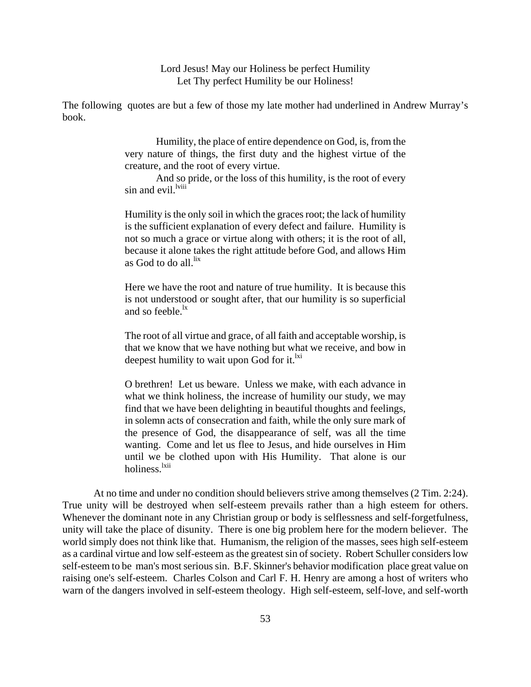Lord Jesus! May our Holiness be perfect Humility Let Thy perfect Humility be our Holiness!

The following quotes are but a few of those my late mother had underlined in Andrew Murray's book.

> Humility, the place of entire dependence on God, is, from the very nature of things, the first duty and the highest virtue of the creature, and the root of every virtue.

> And so pride, or the loss of this humility, is the root of every sin and evil.<sup>lviii</sup>

> Humility is the only soil in which the graces root; the lack of humility is the sufficient explanation of every defect and failure. Humility is not so much a grace or virtue along with others; it is the root of all, because it alone takes the right attitude before God, and allows Him as God to do all <sup>lix</sup>

> Here we have the root and nature of true humility. It is because this is not understood or sought after, that our humility is so superficial and so feeble. $\frac{dx}{dx}$

> The root of all virtue and grace, of all faith and acceptable worship, is that we know that we have nothing but what we receive, and bow in deepest humility to wait upon God for it. $^{ixi}$

> O brethren! Let us beware. Unless we make, with each advance in what we think holiness, the increase of humility our study, we may find that we have been delighting in beautiful thoughts and feelings, in solemn acts of consecration and faith, while the only sure mark of the presence of God, the disappearance of self, was all the time wanting. Come and let us flee to Jesus, and hide ourselves in Him until we be clothed upon with His Humility. That alone is our holiness.<sup>lxii</sup>

At no time and under no condition should believers strive among themselves (2 Tim. 2:24). True unity will be destroyed when self-esteem prevails rather than a high esteem for others. Whenever the dominant note in any Christian group or body is selflessness and self-forgetfulness, unity will take the place of disunity. There is one big problem here for the modern believer. The world simply does not think like that. Humanism, the religion of the masses, sees high self-esteem as a cardinal virtue and low self-esteem as the greatest sin of society. Robert Schuller considers low self-esteem to be man's most serious sin. B.F. Skinner's behavior modification place great value on raising one's self-esteem. Charles Colson and Carl F. H. Henry are among a host of writers who warn of the dangers involved in self-esteem theology. High self-esteem, self-love, and self-worth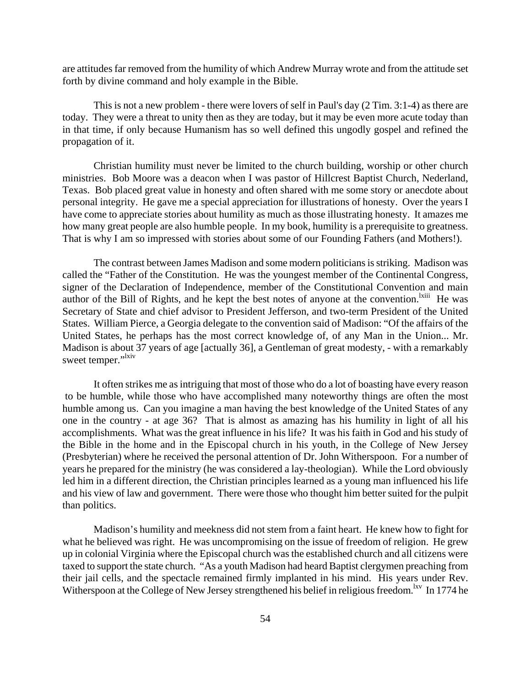are attitudes far removed from the humility of which Andrew Murray wrote and from the attitude set forth by divine command and holy example in the Bible.

This is not a new problem - there were lovers of self in Paul's day (2 Tim. 3:1-4) as there are today. They were a threat to unity then as they are today, but it may be even more acute today than in that time, if only because Humanism has so well defined this ungodly gospel and refined the propagation of it.

Christian humility must never be limited to the church building, worship or other church ministries. Bob Moore was a deacon when I was pastor of Hillcrest Baptist Church, Nederland, Texas. Bob placed great value in honesty and often shared with me some story or anecdote about personal integrity. He gave me a special appreciation for illustrations of honesty. Over the years I have come to appreciate stories about humility as much as those illustrating honesty. It amazes me how many great people are also humble people. In my book, humility is a prerequisite to greatness. That is why I am so impressed with stories about some of our Founding Fathers (and Mothers!).

The contrast between James Madison and some modern politicians is striking. Madison was called the "Father of the Constitution. He was the youngest member of the Continental Congress, signer of the Declaration of Independence, member of the Constitutional Convention and main author of the Bill of Rights, and he kept the best notes of anyone at the convention.<sup>Ixiii</sup> He was Secretary of State and chief advisor to President Jefferson, and two-term President of the United States. William Pierce, a Georgia delegate to the convention said of Madison: "Of the affairs of the United States, he perhaps has the most correct knowledge of, of any Man in the Union... Mr. Madison is about 37 years of age [actually 36], a Gentleman of great modesty, - with a remarkably sweet temper."<sup>1xiv</sup>

It often strikes me as intriguing that most of those who do a lot of boasting have every reason to be humble, while those who have accomplished many noteworthy things are often the most humble among us. Can you imagine a man having the best knowledge of the United States of any one in the country - at age 36? That is almost as amazing has his humility in light of all his accomplishments. What was the great influence in his life? It was his faith in God and his study of the Bible in the home and in the Episcopal church in his youth, in the College of New Jersey (Presbyterian) where he received the personal attention of Dr. John Witherspoon. For a number of years he prepared for the ministry (he was considered a lay-theologian). While the Lord obviously led him in a different direction, the Christian principles learned as a young man influenced his life and his view of law and government. There were those who thought him better suited for the pulpit than politics.

Madison's humility and meekness did not stem from a faint heart. He knew how to fight for what he believed was right. He was uncompromising on the issue of freedom of religion. He grew up in colonial Virginia where the Episcopal church was the established church and all citizens were taxed to support the state church. "As a youth Madison had heard Baptist clergymen preaching from their jail cells, and the spectacle remained firmly implanted in his mind. His years under Rev. Witherspoon at the College of New Jersey strengthened his belief in religious freedom.<sup>lxv</sup> In 1774 he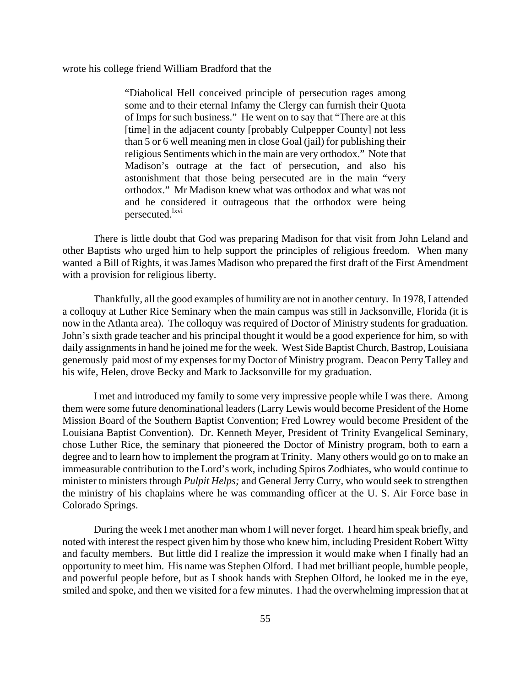wrote his college friend William Bradford that the

"Diabolical Hell conceived principle of persecution rages among some and to their eternal Infamy the Clergy can furnish their Quota of Imps for such business." He went on to say that "There are at this [time] in the adjacent county [probably Culpepper County] not less than 5 or 6 well meaning men in close Goal (jail) for publishing their religious Sentiments which in the main are very orthodox." Note that Madison's outrage at the fact of persecution, and also his astonishment that those being persecuted are in the main "very orthodox." Mr Madison knew what was orthodox and what was not and he considered it outrageous that the orthodox were being persecuted.<sup>lxvi</sup>

There is little doubt that God was preparing Madison for that visit from John Leland and other Baptists who urged him to help support the principles of religious freedom. When many wanted a Bill of Rights, it was James Madison who prepared the first draft of the First Amendment with a provision for religious liberty.

Thankfully, all the good examples of humility are not in another century. In 1978, I attended a colloquy at Luther Rice Seminary when the main campus was still in Jacksonville, Florida (it is now in the Atlanta area). The colloquy was required of Doctor of Ministry students for graduation. John's sixth grade teacher and his principal thought it would be a good experience for him, so with daily assignments in hand he joined me for the week. West Side Baptist Church, Bastrop, Louisiana generously paid most of my expenses for my Doctor of Ministry program. Deacon Perry Talley and his wife, Helen, drove Becky and Mark to Jacksonville for my graduation.

I met and introduced my family to some very impressive people while I was there. Among them were some future denominational leaders (Larry Lewis would become President of the Home Mission Board of the Southern Baptist Convention; Fred Lowrey would become President of the Louisiana Baptist Convention). Dr. Kenneth Meyer, President of Trinity Evangelical Seminary, chose Luther Rice, the seminary that pioneered the Doctor of Ministry program, both to earn a degree and to learn how to implement the program at Trinity. Many others would go on to make an immeasurable contribution to the Lord's work, including Spiros Zodhiates, who would continue to minister to ministers through *Pulpit Helps;* and General Jerry Curry, who would seek to strengthen the ministry of his chaplains where he was commanding officer at the U. S. Air Force base in Colorado Springs.

During the week I met another man whom I will never forget. I heard him speak briefly, and noted with interest the respect given him by those who knew him, including President Robert Witty and faculty members. But little did I realize the impression it would make when I finally had an opportunity to meet him. His name was Stephen Olford. I had met brilliant people, humble people, and powerful people before, but as I shook hands with Stephen Olford, he looked me in the eye, smiled and spoke, and then we visited for a few minutes. I had the overwhelming impression that at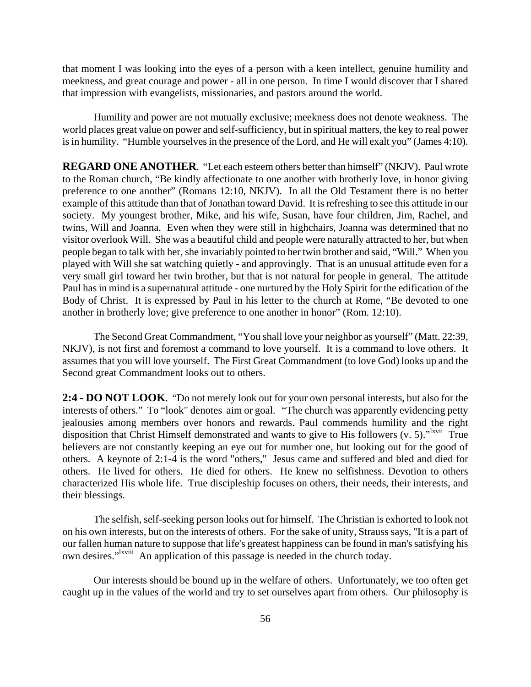that moment I was looking into the eyes of a person with a keen intellect, genuine humility and meekness, and great courage and power - all in one person. In time I would discover that I shared that impression with evangelists, missionaries, and pastors around the world.

Humility and power are not mutually exclusive; meekness does not denote weakness. The world places great value on power and self-sufficiency, but in spiritual matters, the key to real power is in humility. "Humble yourselves in the presence of the Lord, and He will exalt you" (James 4:10).

**REGARD ONE ANOTHER**. "Let each esteem others better than himself" (NKJV). Paul wrote to the Roman church, "Be kindly affectionate to one another with brotherly love, in honor giving preference to one another" (Romans 12:10, NKJV). In all the Old Testament there is no better example of this attitude than that of Jonathan toward David. It is refreshing to see this attitude in our society. My youngest brother, Mike, and his wife, Susan, have four children, Jim, Rachel, and twins, Will and Joanna. Even when they were still in highchairs, Joanna was determined that no visitor overlook Will. She was a beautiful child and people were naturally attracted to her, but when people began to talk with her, she invariably pointed to her twin brother and said, "Will." When you played with Will she sat watching quietly - and approvingly. That is an unusual attitude even for a very small girl toward her twin brother, but that is not natural for people in general. The attitude Paul has in mind is a supernatural attitude - one nurtured by the Holy Spirit for the edification of the Body of Christ. It is expressed by Paul in his letter to the church at Rome, "Be devoted to one another in brotherly love; give preference to one another in honor" (Rom. 12:10).

The Second Great Commandment, "You shall love your neighbor as yourself" (Matt. 22:39, NKJV), is not first and foremost a command to love yourself. It is a command to love others. It assumes that you will love yourself. The First Great Commandment (to love God) looks up and the Second great Commandment looks out to others.

**2:4 - DO NOT LOOK**. "Do not merely look out for your own personal interests, but also for the interests of others." To "look" denotes aim or goal. "The church was apparently evidencing petty jealousies among members over honors and rewards. Paul commends humility and the right disposition that Christ Himself demonstrated and wants to give to His followers  $(v, 5)$ .<sup>"Ixvii</sup> True believers are not constantly keeping an eye out for number one, but looking out for the good of others. A keynote of 2:1-4 is the word "others," Jesus came and suffered and bled and died for others. He lived for others. He died for others. He knew no selfishness. Devotion to others characterized His whole life. True discipleship focuses on others, their needs, their interests, and their blessings.

The selfish, self-seeking person looks out for himself. The Christian is exhorted to look not on his own interests, but on the interests of others. For the sake of unity, Strauss says, "It is a part of our fallen human nature to suppose that life's greatest happiness can be found in man's satisfying his own desires."<sup>Ixviii</sup> An application of this passage is needed in the church today.

Our interests should be bound up in the welfare of others. Unfortunately, we too often get caught up in the values of the world and try to set ourselves apart from others. Our philosophy is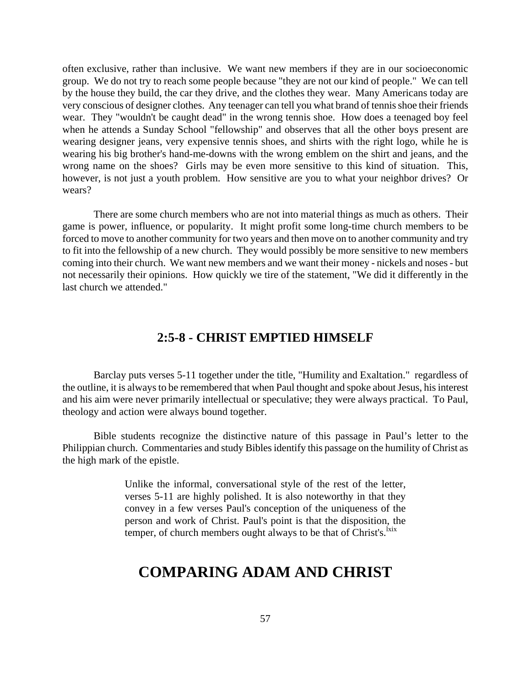often exclusive, rather than inclusive. We want new members if they are in our socioeconomic group. We do not try to reach some people because "they are not our kind of people." We can tell by the house they build, the car they drive, and the clothes they wear. Many Americans today are very conscious of designer clothes. Any teenager can tell you what brand of tennis shoe their friends wear. They "wouldn't be caught dead" in the wrong tennis shoe. How does a teenaged boy feel when he attends a Sunday School "fellowship" and observes that all the other boys present are wearing designer jeans, very expensive tennis shoes, and shirts with the right logo, while he is wearing his big brother's hand-me-downs with the wrong emblem on the shirt and jeans, and the wrong name on the shoes? Girls may be even more sensitive to this kind of situation. This, however, is not just a youth problem. How sensitive are you to what your neighbor drives? Or wears?

There are some church members who are not into material things as much as others. Their game is power, influence, or popularity. It might profit some long-time church members to be forced to move to another community for two years and then move on to another community and try to fit into the fellowship of a new church. They would possibly be more sensitive to new members coming into their church. We want new members and we want their money - nickels and noses - but not necessarily their opinions. How quickly we tire of the statement, "We did it differently in the last church we attended."

#### **2:5-8 - CHRIST EMPTIED HIMSELF**

Barclay puts verses 5-11 together under the title, "Humility and Exaltation." regardless of the outline, it is always to be remembered that when Paul thought and spoke about Jesus, his interest and his aim were never primarily intellectual or speculative; they were always practical. To Paul, theology and action were always bound together.

Bible students recognize the distinctive nature of this passage in Paul's letter to the Philippian church. Commentaries and study Bibles identify this passage on the humility of Christ as the high mark of the epistle.

> Unlike the informal, conversational style of the rest of the letter, verses 5-11 are highly polished. It is also noteworthy in that they convey in a few verses Paul's conception of the uniqueness of the person and work of Christ. Paul's point is that the disposition, the temper, of church members ought always to be that of Christ's. $\frac{ix}{x}$

### **COMPARING ADAM AND CHRIST**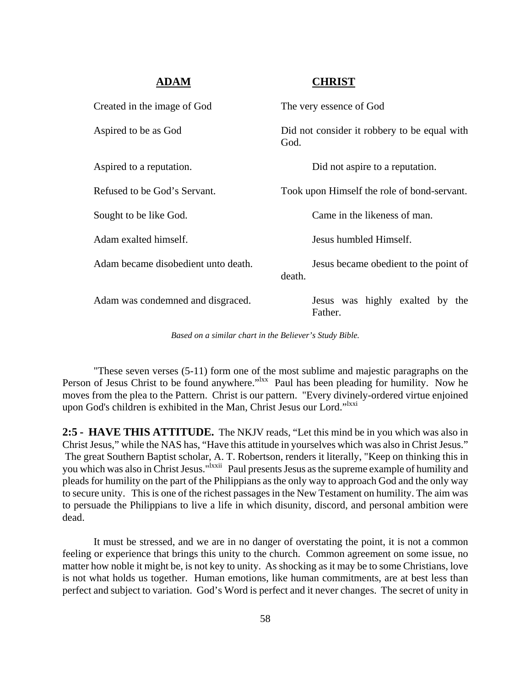#### **ADAM CHRIST**

| Created in the image of God         | The very essence of God                              |
|-------------------------------------|------------------------------------------------------|
| Aspired to be as God                | Did not consider it robbery to be equal with<br>God. |
| Aspired to a reputation.            | Did not aspire to a reputation.                      |
| Refused to be God's Servant.        | Took upon Himself the role of bond-servant.          |
| Sought to be like God.              | Came in the likeness of man.                         |
| Adam exalted himself.               | Jesus humbled Himself.                               |
| Adam became disobedient unto death. | Jesus became obedient to the point of<br>death.      |
| Adam was condemned and disgraced.   | Jesus was highly exalted by the<br>Father.           |

*Based on a similar chart in the Believer's Study Bible.*

"These seven verses (5-11) form one of the most sublime and majestic paragraphs on the Person of Jesus Christ to be found anywhere."<sup>Ixx</sup> Paul has been pleading for humility. Now he moves from the plea to the Pattern. Christ is our pattern. "Every divinely-ordered virtue enjoined upon God's children is exhibited in the Man, Christ Jesus our Lord."<sup>Ixxi</sup>

**2:5 - HAVE THIS ATTITUDE.** The NKJV reads, "Let this mind be in you which was also in Christ Jesus," while the NAS has, "Have this attitude in yourselves which was also in Christ Jesus." The great Southern Baptist scholar, A. T. Robertson, renders it literally, "Keep on thinking this in you which was also in Christ Jesus."<sup>Ixxii</sup> Paul presents Jesus as the supreme example of humility and pleads for humility on the part of the Philippians as the only way to approach God and the only way to secure unity. This is one of the richest passages in the New Testament on humility. The aim was to persuade the Philippians to live a life in which disunity, discord, and personal ambition were dead.

It must be stressed, and we are in no danger of overstating the point, it is not a common feeling or experience that brings this unity to the church. Common agreement on some issue, no matter how noble it might be, is not key to unity. As shocking as it may be to some Christians, love is not what holds us together. Human emotions, like human commitments, are at best less than perfect and subject to variation. God's Word is perfect and it never changes. The secret of unity in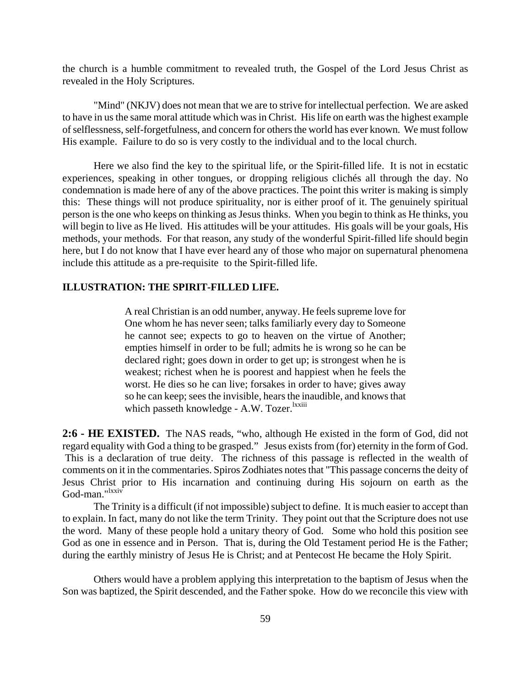the church is a humble commitment to revealed truth, the Gospel of the Lord Jesus Christ as revealed in the Holy Scriptures.

"Mind" (NKJV) does not mean that we are to strive for intellectual perfection. We are asked to have in us the same moral attitude which was in Christ. His life on earth was the highest example of selflessness, self-forgetfulness, and concern for others the world has ever known. We must follow His example. Failure to do so is very costly to the individual and to the local church.

Here we also find the key to the spiritual life, or the Spirit-filled life. It is not in ecstatic experiences, speaking in other tongues, or dropping religious clichés all through the day. No condemnation is made here of any of the above practices. The point this writer is making is simply this: These things will not produce spirituality, nor is either proof of it. The genuinely spiritual person is the one who keeps on thinking as Jesus thinks. When you begin to think as He thinks, you will begin to live as He lived. His attitudes will be your attitudes. His goals will be your goals, His methods, your methods. For that reason, any study of the wonderful Spirit-filled life should begin here, but I do not know that I have ever heard any of those who major on supernatural phenomena include this attitude as a pre-requisite to the Spirit-filled life.

#### **ILLUSTRATION: THE SPIRIT-FILLED LIFE.**

A real Christian is an odd number, anyway. He feels supreme love for One whom he has never seen; talks familiarly every day to Someone he cannot see; expects to go to heaven on the virtue of Another; empties himself in order to be full; admits he is wrong so he can be declared right; goes down in order to get up; is strongest when he is weakest; richest when he is poorest and happiest when he feels the worst. He dies so he can live; forsakes in order to have; gives away so he can keep; sees the invisible, hears the inaudible, and knows that which passeth knowledge - A.W. Tozer.<sup>lxxiii</sup>

**2:6 - HE EXISTED.** The NAS reads, "who, although He existed in the form of God, did not regard equality with God a thing to be grasped." Jesus exists from (for) eternity in the form of God. This is a declaration of true deity. The richness of this passage is reflected in the wealth of comments on it in the commentaries. Spiros Zodhiates notes that "This passage concerns the deity of Jesus Christ prior to His incarnation and continuing during His sojourn on earth as the God-man."<sup>lxxiv</sup>

The Trinity is a difficult (if not impossible) subject to define. It is much easier to accept than to explain. In fact, many do not like the term Trinity. They point out that the Scripture does not use the word. Many of these people hold a unitary theory of God. Some who hold this position see God as one in essence and in Person. That is, during the Old Testament period He is the Father; during the earthly ministry of Jesus He is Christ; and at Pentecost He became the Holy Spirit.

Others would have a problem applying this interpretation to the baptism of Jesus when the Son was baptized, the Spirit descended, and the Father spoke. How do we reconcile this view with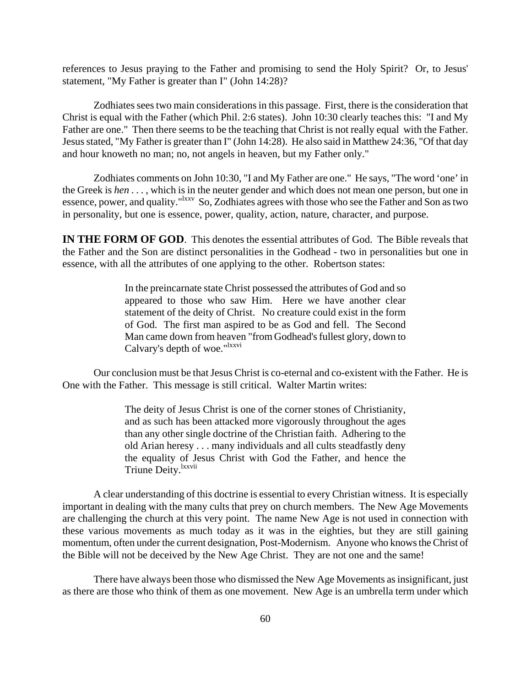references to Jesus praying to the Father and promising to send the Holy Spirit? Or, to Jesus' statement, "My Father is greater than I" (John 14:28)?

Zodhiates sees two main considerations in this passage. First, there is the consideration that Christ is equal with the Father (which Phil. 2:6 states). John 10:30 clearly teaches this: "I and My Father are one." Then there seems to be the teaching that Christ is not really equal with the Father. Jesus stated, "My Father is greater than I" (John 14:28). He also said in Matthew 24:36, "Of that day and hour knoweth no man; no, not angels in heaven, but my Father only."

Zodhiates comments on John 10:30, "I and My Father are one." He says, "The word 'one' in the Greek is *hen* . . . , which is in the neuter gender and which does not mean one person, but one in essence, power, and quality."<sup>Ixxv</sup> So, Zodhiates agrees with those who see the Father and Son as two in personality, but one is essence, power, quality, action, nature, character, and purpose.

**IN THE FORM OF GOD**. This denotes the essential attributes of God. The Bible reveals that the Father and the Son are distinct personalities in the Godhead - two in personalities but one in essence, with all the attributes of one applying to the other. Robertson states:

> In the preincarnate state Christ possessed the attributes of God and so appeared to those who saw Him. Here we have another clear statement of the deity of Christ. No creature could exist in the form of God. The first man aspired to be as God and fell. The Second Man came down from heaven "from Godhead's fullest glory, down to Calvary's depth of woe."<sup>lxxvi</sup>

Our conclusion must be that Jesus Christ is co-eternal and co-existent with the Father. He is One with the Father. This message is still critical. Walter Martin writes:

> The deity of Jesus Christ is one of the corner stones of Christianity, and as such has been attacked more vigorously throughout the ages than any other single doctrine of the Christian faith. Adhering to the old Arian heresy . . . many individuals and all cults steadfastly deny the equality of Jesus Christ with God the Father, and hence the Triune Deity.<sup>lxxvii</sup>

A clear understanding of this doctrine is essential to every Christian witness. It is especially important in dealing with the many cults that prey on church members. The New Age Movements are challenging the church at this very point. The name New Age is not used in connection with these various movements as much today as it was in the eighties, but they are still gaining momentum, often under the current designation, Post-Modernism. Anyone who knows the Christ of the Bible will not be deceived by the New Age Christ. They are not one and the same!

There have always been those who dismissed the New Age Movements as insignificant, just as there are those who think of them as one movement. New Age is an umbrella term under which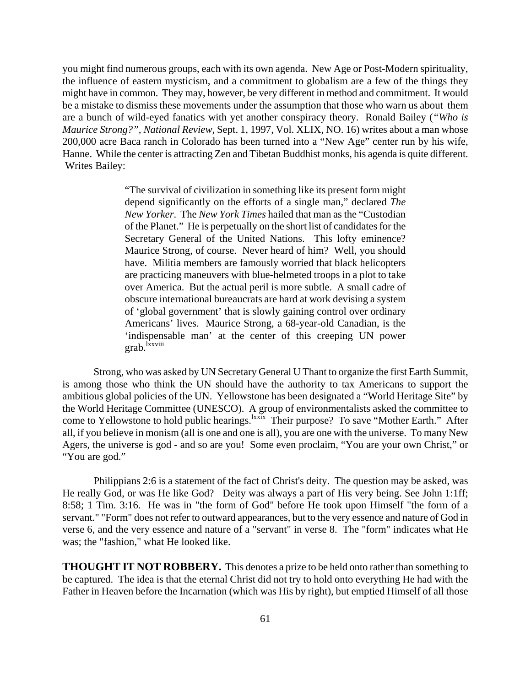you might find numerous groups, each with its own agenda. New Age or Post-Modern spirituality, the influence of eastern mysticism, and a commitment to globalism are a few of the things they might have in common. They may, however, be very different in method and commitment. It would be a mistake to dismiss these movements under the assumption that those who warn us about them are a bunch of wild-eyed fanatics with yet another conspiracy theory. Ronald Bailey (*"Who is Maurice Strong?", National Review,* Sept. 1, 1997, Vol. XLIX, NO. 16) writes about a man whose 200,000 acre Baca ranch in Colorado has been turned into a "New Age" center run by his wife, Hanne. While the center is attracting Zen and Tibetan Buddhist monks, his agenda is quite different. Writes Bailey:

> "The survival of civilization in something like its present form might depend significantly on the efforts of a single man," declared *The New Yorker*. The *New York Times* hailed that man as the "Custodian of the Planet." He is perpetually on the short list of candidates for the Secretary General of the United Nations. This lofty eminence? Maurice Strong, of course. Never heard of him? Well, you should have. Militia members are famously worried that black helicopters are practicing maneuvers with blue-helmeted troops in a plot to take over America. But the actual peril is more subtle. A small cadre of obscure international bureaucrats are hard at work devising a system of 'global government' that is slowly gaining control over ordinary Americans' lives. Maurice Strong, a 68-year-old Canadian, is the 'indispensable man' at the center of this creeping UN power grab.<sup>lxxviii</sup>

Strong, who was asked by UN Secretary General U Thant to organize the first Earth Summit, is among those who think the UN should have the authority to tax Americans to support the ambitious global policies of the UN. Yellowstone has been designated a "World Heritage Site" by the World Heritage Committee (UNESCO). A group of environmentalists asked the committee to come to Yellowstone to hold public hearings.<sup>1xxix</sup> Their purpose? To save "Mother Earth." After all, if you believe in monism (all is one and one is all), you are one with the universe. To many New Agers, the universe is god - and so are you! Some even proclaim, "You are your own Christ," or "You are god."

Philippians 2:6 is a statement of the fact of Christ's deity. The question may be asked, was He really God, or was He like God? Deity was always a part of His very being. See John 1:1ff; 8:58; 1 Tim. 3:16. He was in "the form of God" before He took upon Himself "the form of a servant." "Form" does not refer to outward appearances, but to the very essence and nature of God in verse 6, and the very essence and nature of a "servant" in verse 8. The "form" indicates what He was; the "fashion," what He looked like.

**THOUGHT IT NOT ROBBERY.** This denotes a prize to be held onto rather than something to be captured. The idea is that the eternal Christ did not try to hold onto everything He had with the Father in Heaven before the Incarnation (which was His by right), but emptied Himself of all those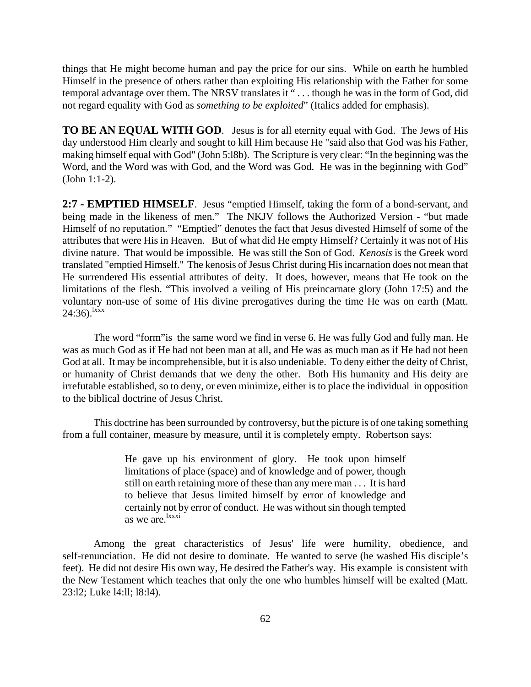things that He might become human and pay the price for our sins. While on earth he humbled Himself in the presence of others rather than exploiting His relationship with the Father for some temporal advantage over them. The NRSV translates it " . . . though he was in the form of God, did not regard equality with God as *something to be exploited*" (Italics added for emphasis).

**TO BE AN EQUAL WITH GOD**. Jesus is for all eternity equal with God. The Jews of His day understood Him clearly and sought to kill Him because He "said also that God was his Father, making himself equal with God" (John 5:l8b). The Scripture is very clear: "In the beginning was the Word, and the Word was with God, and the Word was God. He was in the beginning with God" (John 1:1-2).

**2:7 - EMPTIED HIMSELF**. Jesus "emptied Himself, taking the form of a bond-servant, and being made in the likeness of men." The NKJV follows the Authorized Version - "but made Himself of no reputation." "Emptied" denotes the fact that Jesus divested Himself of some of the attributes that were His in Heaven. But of what did He empty Himself? Certainly it was not of His divine nature. That would be impossible. He was still the Son of God. *Kenosis* is the Greek word translated "emptied Himself.'' The kenosis of Jesus Christ during His incarnation does not mean that He surrendered His essential attributes of deity. It does, however, means that He took on the limitations of the flesh. "This involved a veiling of His preincarnate glory (John 17:5) and the voluntary non-use of some of His divine prerogatives during the time He was on earth (Matt.  $24:36$ .<sup>lxxx</sup>

The word "form"is the same word we find in verse 6. He was fully God and fully man. He was as much God as if He had not been man at all, and He was as much man as if He had not been God at all. It may be incomprehensible, but it is also undeniable. To deny either the deity of Christ, or humanity of Christ demands that we deny the other. Both His humanity and His deity are irrefutable established, so to deny, or even minimize, either is to place the individual in opposition to the biblical doctrine of Jesus Christ.

This doctrine has been surrounded by controversy, but the picture is of one taking something from a full container, measure by measure, until it is completely empty. Robertson says:

> He gave up his environment of glory. He took upon himself limitations of place (space) and of knowledge and of power, though still on earth retaining more of these than any mere man . . . It is hard to believe that Jesus limited himself by error of knowledge and certainly not by error of conduct. He was without sin though tempted as we are.<sup>lxxxi</sup>

Among the great characteristics of Jesus' life were humility, obedience, and self-renunciation. He did not desire to dominate. He wanted to serve (he washed His disciple's feet). He did not desire His own way, He desired the Father's way. His example is consistent with the New Testament which teaches that only the one who humbles himself will be exalted (Matt. 23:l2; Luke l4:ll; l8:l4).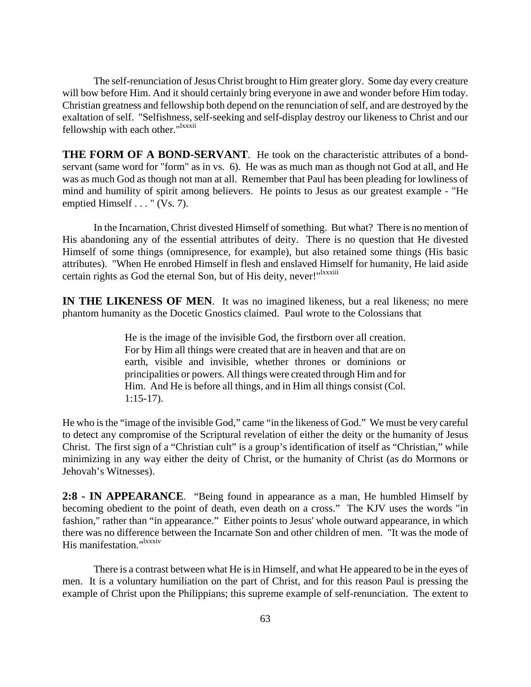The self-renunciation of Jesus Christ brought to Him greater glory. Some day every creature will bow before Him. And it should certainly bring everyone in awe and wonder before Him today. Christian greatness and fellowship both depend on the renunciation of self, and are destroyed by the exaltation of self. "Selfishness, self-seeking and self-display destroy our likeness to Christ and our fellowship with each other."<sup>1xxxii</sup>

**THE FORM OF A BOND-SERVANT**. He took on the characteristic attributes of a bondservant (same word for "form" as in vs. 6). He was as much man as though not God at all, and He was as much God as though not man at all. Remember that Paul has been pleading for lowliness of mind and humility of spirit among believers. He points to Jesus as our greatest example - "He emptied Himself . . . " (Vs. 7).

In the Incarnation, Christ divested Himself of something. But what? There is no mention of His abandoning any of the essential attributes of deity. There is no question that He divested Himself of some things (omnipresence, for example), but also retained some things (His basic attributes). "When He enrobed Himself in flesh and enslaved Himself for humanity, He laid aside certain rights as God the eternal Son, but of His deity, never!"<sup>Ixxxiii</sup>

**IN THE LIKENESS OF MEN.** It was no imagined likeness, but a real likeness; no mere phantom humanity as the Docetic Gnostics claimed. Paul wrote to the Colossians that

> He is the image of the invisible God, the firstborn over all creation. For by Him all things were created that are in heaven and that are on earth, visible and invisible, whether thrones or dominions or principalities or powers. All things were created through Him and for Him. And He is before all things, and in Him all things consist (Col. 1:15-17).

He who is the "image of the invisible God," came "in the likeness of God." We must be very careful to detect any compromise of the Scriptural revelation of either the deity or the humanity of Jesus Christ. The first sign of a "Christian cult" is a group's identification of itself as "Christian," while minimizing in any way either the deity of Christ, or the humanity of Christ (as do Mormons or Jehovah's Witnesses).

**2:8 - IN APPEARANCE**. "Being found in appearance as a man, He humbled Himself by becoming obedient to the point of death, even death on a cross." The KJV uses the words "in fashion," rather than "in appearance." Either points to Jesus' whole outward appearance, in which there was no difference between the Incarnate Son and other children of men. "It was the mode of His manifestation."<sup>1xxxiv</sup>

There is a contrast between what He is in Himself, and what He appeared to be in the eyes of men. It is a voluntary humiliation on the part of Christ, and for this reason Paul is pressing the example of Christ upon the Philippians; this supreme example of self-renunciation. The extent to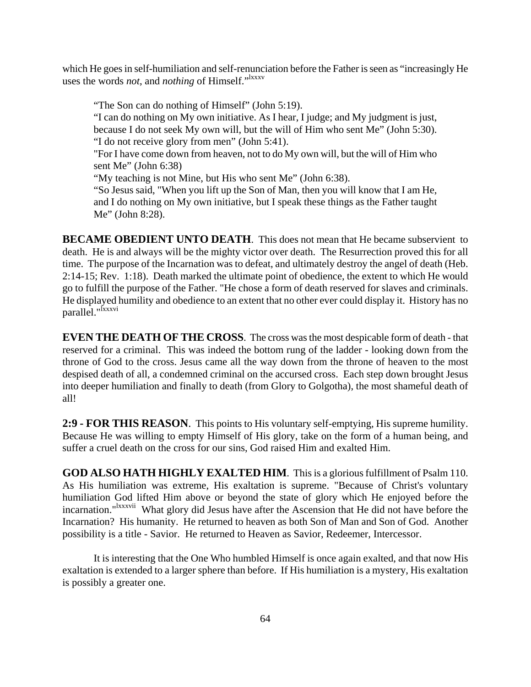which He goes in self-humiliation and self-renunciation before the Father is seen as "increasingly He uses the words *not*, and *nothing* of Himself."<sup>Ixxxv</sup>

"The Son can do nothing of Himself" (John 5:19). "I can do nothing on My own initiative. As I hear, I judge; and My judgment is just, because I do not seek My own will, but the will of Him who sent Me" (John 5:30). "I do not receive glory from men" (John 5:41). "For I have come down from heaven, not to do My own will, but the will of Him who sent Me" (John 6:38) "My teaching is not Mine, but His who sent Me" (John 6:38). "So Jesus said, "When you lift up the Son of Man, then you will know that I am He, and I do nothing on My own initiative, but I speak these things as the Father taught Me" (John 8:28).

**BECAME OBEDIENT UNTO DEATH.** This does not mean that He became subservient to death. He is and always will be the mighty victor over death. The Resurrection proved this for all time. The purpose of the Incarnation was to defeat, and ultimately destroy the angel of death (Heb. 2:14-15; Rev. 1:18). Death marked the ultimate point of obedience, the extent to which He would go to fulfill the purpose of the Father. "He chose a form of death reserved for slaves and criminals. He displayed humility and obedience to an extent that no other ever could display it. History has no parallel."lxxxvi

**EVEN THE DEATH OF THE CROSS**. The cross was the most despicable form of death - that reserved for a criminal. This was indeed the bottom rung of the ladder - looking down from the throne of God to the cross. Jesus came all the way down from the throne of heaven to the most despised death of all, a condemned criminal on the accursed cross. Each step down brought Jesus into deeper humiliation and finally to death (from Glory to Golgotha), the most shameful death of all!

**2:9 - FOR THIS REASON**. This points to His voluntary self-emptying, His supreme humility. Because He was willing to empty Himself of His glory, take on the form of a human being, and suffer a cruel death on the cross for our sins, God raised Him and exalted Him.

**GOD ALSO HATH HIGHLY EXALTED HIM**. This is a glorious fulfillment of Psalm 110. As His humiliation was extreme, His exaltation is supreme. "Because of Christ's voluntary humiliation God lifted Him above or beyond the state of glory which He enjoyed before the incarnation."<sup>Ixxxvii</sup> What glory did Jesus have after the Ascension that He did not have before the Incarnation? His humanity. He returned to heaven as both Son of Man and Son of God. Another possibility is a title - Savior. He returned to Heaven as Savior, Redeemer, Intercessor.

It is interesting that the One Who humbled Himself is once again exalted, and that now His exaltation is extended to a larger sphere than before. If His humiliation is a mystery, His exaltation is possibly a greater one.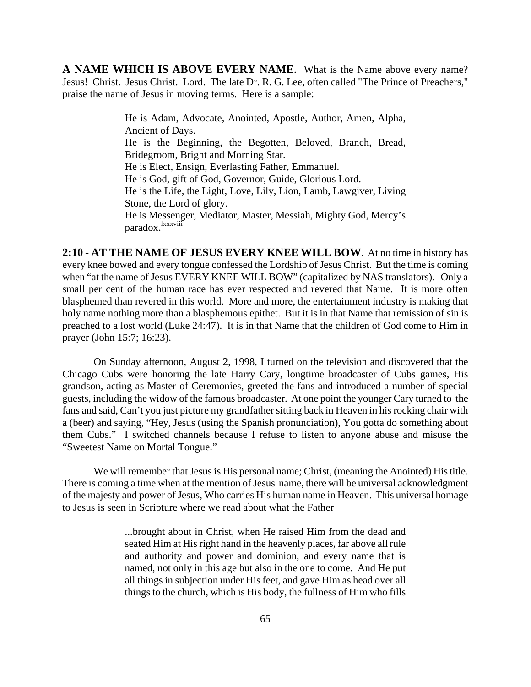**A NAME WHICH IS ABOVE EVERY NAME**. What is the Name above every name? Jesus! Christ. Jesus Christ. Lord. The late Dr. R. G. Lee, often called "The Prince of Preachers," praise the name of Jesus in moving terms. Here is a sample:

> He is Adam, Advocate, Anointed, Apostle, Author, Amen, Alpha, Ancient of Days. He is the Beginning, the Begotten, Beloved, Branch, Bread, Bridegroom, Bright and Morning Star. He is Elect, Ensign, Everlasting Father, Emmanuel. He is God, gift of God, Governor, Guide, Glorious Lord. He is the Life, the Light, Love, Lily, Lion, Lamb, Lawgiver, Living Stone, the Lord of glory. He is Messenger, Mediator, Master, Messiah, Mighty God, Mercy's paradox.<sup>lxxxviii</sup>

**2:10 - AT THE NAME OF JESUS EVERY KNEE WILL BOW**. At no time in history has every knee bowed and every tongue confessed the Lordship of Jesus Christ. But the time is coming when "at the name of Jesus EVERY KNEE WILL BOW" (capitalized by NAS translators). Only a small per cent of the human race has ever respected and revered that Name. It is more often blasphemed than revered in this world. More and more, the entertainment industry is making that holy name nothing more than a blasphemous epithet. But it is in that Name that remission of sin is preached to a lost world (Luke 24:47). It is in that Name that the children of God come to Him in prayer (John 15:7; 16:23).

On Sunday afternoon, August 2, 1998, I turned on the television and discovered that the Chicago Cubs were honoring the late Harry Cary, longtime broadcaster of Cubs games, His grandson, acting as Master of Ceremonies, greeted the fans and introduced a number of special guests, including the widow of the famous broadcaster. At one point the younger Cary turned to the fans and said, Can't you just picture my grandfather sitting back in Heaven in his rocking chair with a (beer) and saying, "Hey, Jesus (using the Spanish pronunciation), You gotta do something about them Cubs." I switched channels because I refuse to listen to anyone abuse and misuse the "Sweetest Name on Mortal Tongue."

We will remember that Jesus is His personal name; Christ, (meaning the Anointed) His title. There is coming a time when at the mention of Jesus' name, there will be universal acknowledgment of the majesty and power of Jesus, Who carries His human name in Heaven. This universal homage to Jesus is seen in Scripture where we read about what the Father

> ...brought about in Christ, when He raised Him from the dead and seated Him at His right hand in the heavenly places, far above all rule and authority and power and dominion, and every name that is named, not only in this age but also in the one to come. And He put all things in subjection under His feet, and gave Him as head over all things to the church, which is His body, the fullness of Him who fills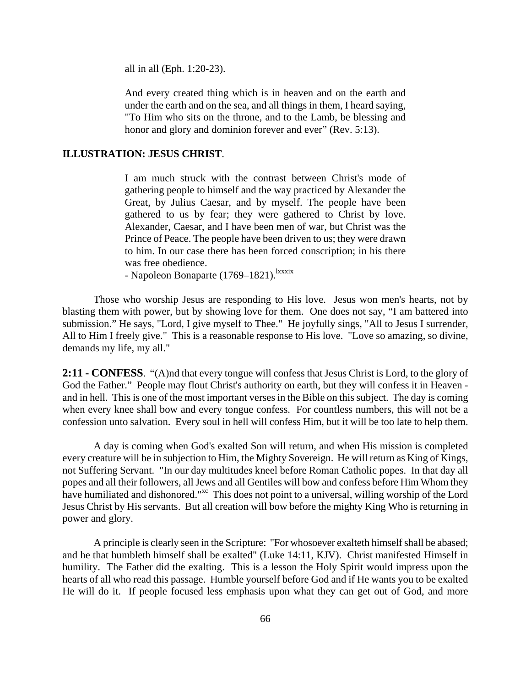all in all (Eph. 1:20-23).

And every created thing which is in heaven and on the earth and under the earth and on the sea, and all things in them, I heard saying, "To Him who sits on the throne, and to the Lamb, be blessing and honor and glory and dominion forever and ever" (Rev. 5:13).

#### **ILLUSTRATION: JESUS CHRIST**.

I am much struck with the contrast between Christ's mode of gathering people to himself and the way practiced by Alexander the Great, by Julius Caesar, and by myself. The people have been gathered to us by fear; they were gathered to Christ by love. Alexander, Caesar, and I have been men of war, but Christ was the Prince of Peace. The people have been driven to us; they were drawn to him. In our case there has been forced conscription; in his there was free obedience.

- Napoleon Bonaparte (1769–1821).<sup>lxxxix</sup>

Those who worship Jesus are responding to His love. Jesus won men's hearts, not by blasting them with power, but by showing love for them. One does not say, "I am battered into submission." He says, "Lord, I give myself to Thee." He joyfully sings, "All to Jesus I surrender, All to Him I freely give." This is a reasonable response to His love. "Love so amazing, so divine, demands my life, my all."

**2:11 - CONFESS**. "(A)nd that every tongue will confess that Jesus Christ is Lord, to the glory of God the Father." People may flout Christ's authority on earth, but they will confess it in Heaven and in hell. This is one of the most important verses in the Bible on this subject. The day is coming when every knee shall bow and every tongue confess. For countless numbers, this will not be a confession unto salvation. Every soul in hell will confess Him, but it will be too late to help them.

A day is coming when God's exalted Son will return, and when His mission is completed every creature will be in subjection to Him, the Mighty Sovereign. He will return as King of Kings, not Suffering Servant. "In our day multitudes kneel before Roman Catholic popes. In that day all popes and all their followers, all Jews and all Gentiles will bow and confess before Him Whom they have humiliated and dishonored."<sup>xc</sup> This does not point to a universal, willing worship of the Lord Jesus Christ by His servants. But all creation will bow before the mighty King Who is returning in power and glory.

A principle is clearly seen in the Scripture: "For whosoever exalteth himself shall be abased; and he that humbleth himself shall be exalted" (Luke 14:11, KJV). Christ manifested Himself in humility. The Father did the exalting. This is a lesson the Holy Spirit would impress upon the hearts of all who read this passage. Humble yourself before God and if He wants you to be exalted He will do it. If people focused less emphasis upon what they can get out of God, and more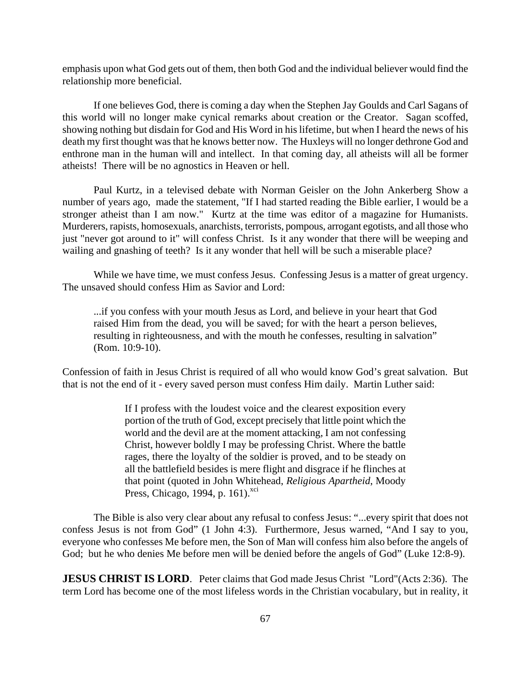emphasis upon what God gets out of them, then both God and the individual believer would find the relationship more beneficial.

If one believes God, there is coming a day when the Stephen Jay Goulds and Carl Sagans of this world will no longer make cynical remarks about creation or the Creator. Sagan scoffed, showing nothing but disdain for God and His Word in his lifetime, but when I heard the news of his death my first thought was that he knows better now. The Huxleys will no longer dethrone God and enthrone man in the human will and intellect. In that coming day, all atheists will all be former atheists! There will be no agnostics in Heaven or hell.

Paul Kurtz, in a televised debate with Norman Geisler on the John Ankerberg Show a number of years ago, made the statement, "If I had started reading the Bible earlier, I would be a stronger atheist than I am now." Kurtz at the time was editor of a magazine for Humanists. Murderers, rapists, homosexuals, anarchists, terrorists, pompous, arrogant egotists, and all those who just "never got around to it" will confess Christ. Is it any wonder that there will be weeping and wailing and gnashing of teeth? Is it any wonder that hell will be such a miserable place?

While we have time, we must confess Jesus. Confessing Jesus is a matter of great urgency. The unsaved should confess Him as Savior and Lord:

...if you confess with your mouth Jesus as Lord, and believe in your heart that God raised Him from the dead, you will be saved; for with the heart a person believes, resulting in righteousness, and with the mouth he confesses, resulting in salvation" (Rom. 10:9-10).

Confession of faith in Jesus Christ is required of all who would know God's great salvation. But that is not the end of it - every saved person must confess Him daily. Martin Luther said:

> If I profess with the loudest voice and the clearest exposition every portion of the truth of God, except precisely that little point which the world and the devil are at the moment attacking, I am not confessing Christ, however boldly I may be professing Christ. Where the battle rages, there the loyalty of the soldier is proved, and to be steady on all the battlefield besides is mere flight and disgrace if he flinches at that point (quoted in John Whitehead, *Religious Apartheid*, Moody Press, Chicago, 1994, p. 161). $\frac{xci}{x}$

The Bible is also very clear about any refusal to confess Jesus: "...every spirit that does not confess Jesus is not from God" (1 John 4:3). Furthermore, Jesus warned, "And I say to you, everyone who confesses Me before men, the Son of Man will confess him also before the angels of God; but he who denies Me before men will be denied before the angels of God" (Luke 12:8-9).

**JESUS CHRIST IS LORD.** Peter claims that God made Jesus Christ "Lord"(Acts 2:36). The term Lord has become one of the most lifeless words in the Christian vocabulary, but in reality, it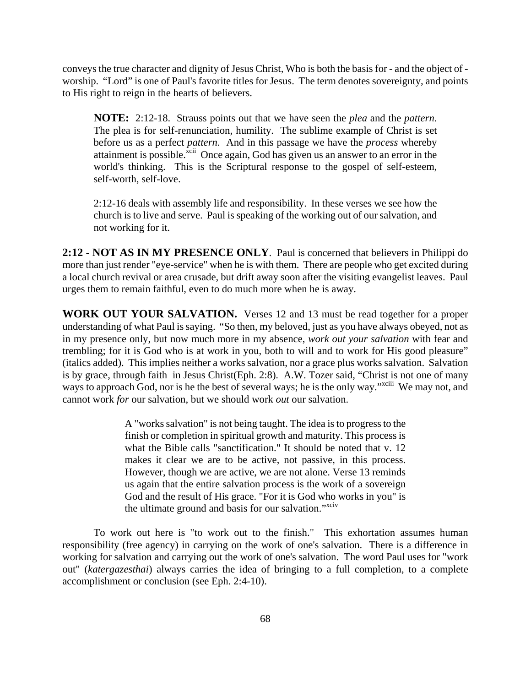conveys the true character and dignity of Jesus Christ, Who is both the basis for - and the object of worship. "Lord" is one of Paul's favorite titles for Jesus. The term denotes sovereignty, and points to His right to reign in the hearts of believers.

**NOTE:** 2:12-18. Strauss points out that we have seen the *plea* and the *pattern*. The plea is for self-renunciation, humility. The sublime example of Christ is set before us as a perfect *pattern*. And in this passage we have the *process* whereby attainment is possible.<sup> $\overline{x}$ cii Once again, God has given us an answer to an error in the</sup> world's thinking. This is the Scriptural response to the gospel of self-esteem, self-worth, self-love.

2:12-16 deals with assembly life and responsibility. In these verses we see how the church is to live and serve. Paul is speaking of the working out of our salvation, and not working for it.

**2:12 - NOT AS IN MY PRESENCE ONLY**. Paul is concerned that believers in Philippi do more than just render "eye-service" when he is with them. There are people who get excited during a local church revival or area crusade, but drift away soon after the visiting evangelist leaves. Paul urges them to remain faithful, even to do much more when he is away.

**WORK OUT YOUR SALVATION.** Verses 12 and 13 must be read together for a proper understanding of what Paul is saying. "So then, my beloved, just as you have always obeyed, not as in my presence only, but now much more in my absence, *work out your salvation* with fear and trembling; for it is God who is at work in you, both to will and to work for His good pleasure" (italics added). This implies neither a works salvation, nor a grace plus works salvation. Salvation is by grace, through faith in Jesus Christ(Eph. 2:8). A.W. Tozer said, "Christ is not one of many ways to approach God, nor is he the best of several ways; he is the only way."<sup>xciii</sup> We may not, and cannot work *for* our salvation, but we should work *out* our salvation.

> A "works salvation" is not being taught. The idea is to progress to the finish or completion in spiritual growth and maturity. This process is what the Bible calls "sanctification." It should be noted that v. 12 makes it clear we are to be active, not passive, in this process. However, though we are active, we are not alone. Verse 13 reminds us again that the entire salvation process is the work of a sovereign God and the result of His grace. "For it is God who works in you" is the ultimate ground and basis for our salvation."<sup>xciv</sup>

To work out here is "to work out to the finish." This exhortation assumes human responsibility (free agency) in carrying on the work of one's salvation. There is a difference in working for salvation and carrying out the work of one's salvation. The word Paul uses for "work out" (*katergazesthai*) always carries the idea of bringing to a full completion, to a complete accomplishment or conclusion (see Eph. 2:4-10).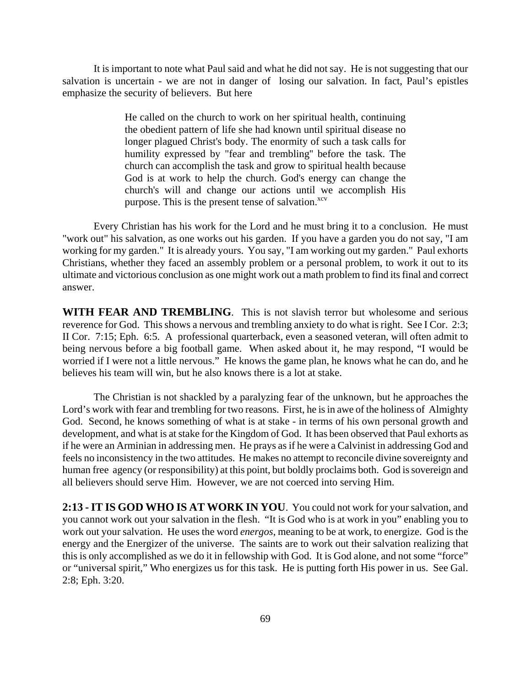It is important to note what Paul said and what he did not say. He is not suggesting that our salvation is uncertain - we are not in danger of losing our salvation. In fact, Paul's epistles emphasize the security of believers. But here

> He called on the church to work on her spiritual health, continuing the obedient pattern of life she had known until spiritual disease no longer plagued Christ's body. The enormity of such a task calls for humility expressed by "fear and trembling'' before the task. The church can accomplish the task and grow to spiritual health because God is at work to help the church. God's energy can change the church's will and change our actions until we accomplish His purpose. This is the present tense of salvation. $x^{cv}$

Every Christian has his work for the Lord and he must bring it to a conclusion. He must "work out" his salvation, as one works out his garden. If you have a garden you do not say, "I am working for my garden." It is already yours. You say, "I am working out my garden." Paul exhorts Christians, whether they faced an assembly problem or a personal problem, to work it out to its ultimate and victorious conclusion as one might work out a math problem to find its final and correct answer.

**WITH FEAR AND TREMBLING**. This is not slavish terror but wholesome and serious reverence for God. This shows a nervous and trembling anxiety to do what is right. See I Cor. 2:3; II Cor. 7:15; Eph. 6:5. A professional quarterback, even a seasoned veteran, will often admit to being nervous before a big football game. When asked about it, he may respond, "I would be worried if I were not a little nervous." He knows the game plan, he knows what he can do, and he believes his team will win, but he also knows there is a lot at stake.

The Christian is not shackled by a paralyzing fear of the unknown, but he approaches the Lord's work with fear and trembling for two reasons. First, he is in awe of the holiness of Almighty God. Second, he knows something of what is at stake - in terms of his own personal growth and development, and what is at stake for the Kingdom of God. It has been observed that Paul exhorts as if he were an Arminian in addressing men. He prays as if he were a Calvinist in addressing God and feels no inconsistency in the two attitudes. He makes no attempt to reconcile divine sovereignty and human free agency (or responsibility) at this point, but boldly proclaims both. God is sovereign and all believers should serve Him. However, we are not coerced into serving Him.

**2:13 - IT IS GOD WHO IS AT WORK IN YOU**. You could not work for your salvation, and you cannot work out your salvation in the flesh. "It is God who is at work in you" enabling you to work out your salvation. He uses the word *energos*, meaning to be at work, to energize. God is the energy and the Energizer of the universe. The saints are to work out their salvation realizing that this is only accomplished as we do it in fellowship with God. It is God alone, and not some "force" or "universal spirit," Who energizes us for this task. He is putting forth His power in us. See Gal. 2:8; Eph. 3:20.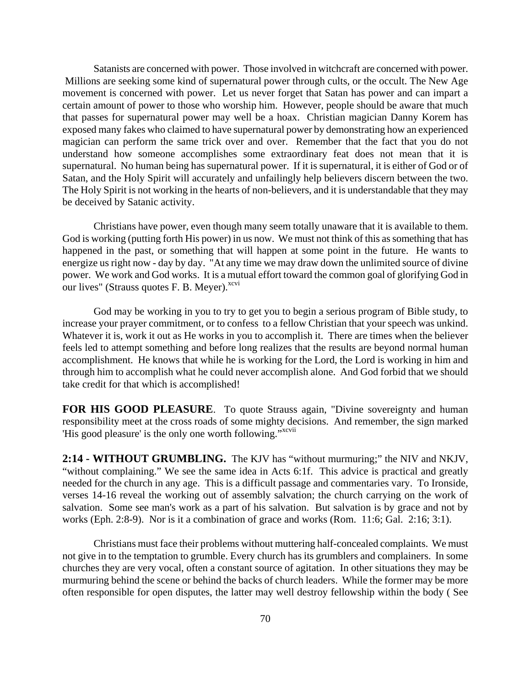Satanists are concerned with power. Those involved in witchcraft are concerned with power. Millions are seeking some kind of supernatural power through cults, or the occult. The New Age movement is concerned with power. Let us never forget that Satan has power and can impart a certain amount of power to those who worship him. However, people should be aware that much that passes for supernatural power may well be a hoax. Christian magician Danny Korem has exposed many fakes who claimed to have supernatural power by demonstrating how an experienced magician can perform the same trick over and over. Remember that the fact that you do not understand how someone accomplishes some extraordinary feat does not mean that it is supernatural. No human being has supernatural power. If it is supernatural, it is either of God or of Satan, and the Holy Spirit will accurately and unfailingly help believers discern between the two. The Holy Spirit is not working in the hearts of non-believers, and it is understandable that they may be deceived by Satanic activity.

Christians have power, even though many seem totally unaware that it is available to them. God is working (putting forth His power) in us now. We must not think of this as something that has happened in the past, or something that will happen at some point in the future. He wants to energize us right now - day by day. "At any time we may draw down the unlimited source of divine power. We work and God works. It is a mutual effort toward the common goal of glorifying God in our lives" (Strauss quotes F. B. Meyer).<sup>xcvi</sup>

God may be working in you to try to get you to begin a serious program of Bible study, to increase your prayer commitment, or to confess to a fellow Christian that your speech was unkind. Whatever it is, work it out as He works in you to accomplish it. There are times when the believer feels led to attempt something and before long realizes that the results are beyond normal human accomplishment. He knows that while he is working for the Lord, the Lord is working in him and through him to accomplish what he could never accomplish alone. And God forbid that we should take credit for that which is accomplished!

**FOR HIS GOOD PLEASURE**. To quote Strauss again, "Divine sovereignty and human responsibility meet at the cross roads of some mighty decisions. And remember, the sign marked 'His good pleasure' is the only one worth following."<sup>xcvii</sup>

**2:14 - WITHOUT GRUMBLING.** The KJV has "without murmuring;" the NIV and NKJV, "without complaining." We see the same idea in Acts 6:1f. This advice is practical and greatly needed for the church in any age. This is a difficult passage and commentaries vary. To Ironside, verses 14-16 reveal the working out of assembly salvation; the church carrying on the work of salvation. Some see man's work as a part of his salvation. But salvation is by grace and not by works (Eph. 2:8-9). Nor is it a combination of grace and works (Rom. 11:6; Gal. 2:16; 3:1).

Christians must face their problems without muttering half-concealed complaints. We must not give in to the temptation to grumble. Every church has its grumblers and complainers. In some churches they are very vocal, often a constant source of agitation. In other situations they may be murmuring behind the scene or behind the backs of church leaders. While the former may be more often responsible for open disputes, the latter may well destroy fellowship within the body ( See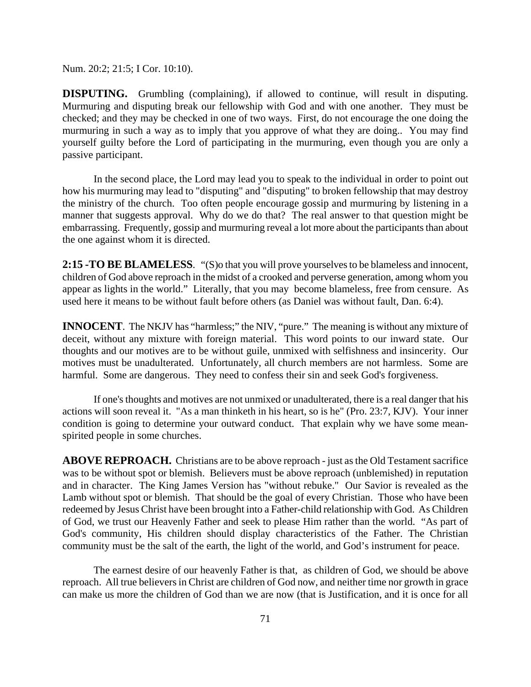Num. 20:2; 21:5; I Cor. 10:10).

**DISPUTING.** Grumbling (complaining), if allowed to continue, will result in disputing. Murmuring and disputing break our fellowship with God and with one another. They must be checked; and they may be checked in one of two ways. First, do not encourage the one doing the murmuring in such a way as to imply that you approve of what they are doing.. You may find yourself guilty before the Lord of participating in the murmuring, even though you are only a passive participant.

In the second place, the Lord may lead you to speak to the individual in order to point out how his murmuring may lead to "disputing" and "disputing" to broken fellowship that may destroy the ministry of the church. Too often people encourage gossip and murmuring by listening in a manner that suggests approval. Why do we do that? The real answer to that question might be embarrassing. Frequently, gossip and murmuring reveal a lot more about the participants than about the one against whom it is directed.

**2:15 -TO BE BLAMELESS**. "(S)o that you will prove yourselves to be blameless and innocent, children of God above reproach in the midst of a crooked and perverse generation, among whom you appear as lights in the world." Literally, that you may become blameless, free from censure. As used here it means to be without fault before others (as Daniel was without fault, Dan. 6:4).

**INNOCENT**. The NKJV has "harmless;" the NIV, "pure." The meaning is without any mixture of deceit, without any mixture with foreign material. This word points to our inward state. Our thoughts and our motives are to be without guile, unmixed with selfishness and insincerity. Our motives must be unadulterated. Unfortunately, all church members are not harmless. Some are harmful. Some are dangerous. They need to confess their sin and seek God's forgiveness.

If one's thoughts and motives are not unmixed or unadulterated, there is a real danger that his actions will soon reveal it. "As a man thinketh in his heart, so is he" (Pro. 23:7, KJV). Your inner condition is going to determine your outward conduct. That explain why we have some meanspirited people in some churches.

**ABOVE REPROACH.** Christians are to be above reproach - just as the Old Testament sacrifice was to be without spot or blemish. Believers must be above reproach (unblemished) in reputation and in character. The King James Version has "without rebuke." Our Savior is revealed as the Lamb without spot or blemish. That should be the goal of every Christian. Those who have been redeemed by Jesus Christ have been brought into a Father-child relationship with God. As Children of God, we trust our Heavenly Father and seek to please Him rather than the world. "As part of God's community, His children should display characteristics of the Father. The Christian community must be the salt of the earth, the light of the world, and God's instrument for peace.

The earnest desire of our heavenly Father is that, as children of God, we should be above reproach. All true believers in Christ are children of God now, and neither time nor growth in grace can make us more the children of God than we are now (that is Justification, and it is once for all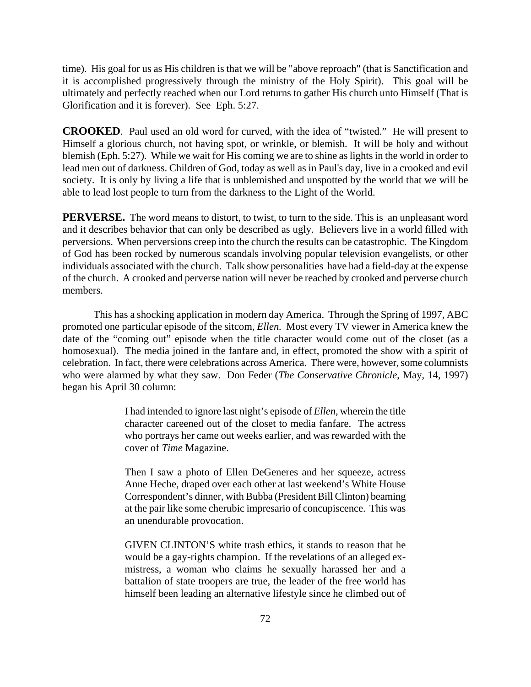time). His goal for us as His children is that we will be "above reproach" (that is Sanctification and it is accomplished progressively through the ministry of the Holy Spirit). This goal will be ultimately and perfectly reached when our Lord returns to gather His church unto Himself (That is Glorification and it is forever). See Eph. 5:27.

**CROOKED**. Paul used an old word for curved, with the idea of "twisted." He will present to Himself a glorious church, not having spot, or wrinkle, or blemish. It will be holy and without blemish (Eph. 5:27). While we wait for His coming we are to shine as lights in the world in order to lead men out of darkness. Children of God, today as well as in Paul's day, live in a crooked and evil society. It is only by living a life that is unblemished and unspotted by the world that we will be able to lead lost people to turn from the darkness to the Light of the World.

**PERVERSE.** The word means to distort, to twist, to turn to the side. This is an unpleasant word and it describes behavior that can only be described as ugly. Believers live in a world filled with perversions. When perversions creep into the church the results can be catastrophic. The Kingdom of God has been rocked by numerous scandals involving popular television evangelists, or other individuals associated with the church. Talk show personalities have had a field-day at the expense of the church. A crooked and perverse nation will never be reached by crooked and perverse church members.

This has a shocking application in modern day America. Through the Spring of 1997, ABC promoted one particular episode of the sitcom, *Ellen.* Most every TV viewer in America knew the date of the "coming out" episode when the title character would come out of the closet (as a homosexual). The media joined in the fanfare and, in effect, promoted the show with a spirit of celebration. In fact, there were celebrations across America. There were, however, some columnists who were alarmed by what they saw. Don Feder (*The Conservative Chronicle*, May, 14, 1997) began his April 30 column:

> I had intended to ignore last night's episode of *Ellen*, wherein the title character careened out of the closet to media fanfare. The actress who portrays her came out weeks earlier, and was rewarded with the cover of *Time* Magazine.

> Then I saw a photo of Ellen DeGeneres and her squeeze, actress Anne Heche, draped over each other at last weekend's White House Correspondent's dinner, with Bubba (President Bill Clinton) beaming at the pair like some cherubic impresario of concupiscence. This was an unendurable provocation.

> GIVEN CLINTON'S white trash ethics, it stands to reason that he would be a gay-rights champion. If the revelations of an alleged exmistress, a woman who claims he sexually harassed her and a battalion of state troopers are true, the leader of the free world has himself been leading an alternative lifestyle since he climbed out of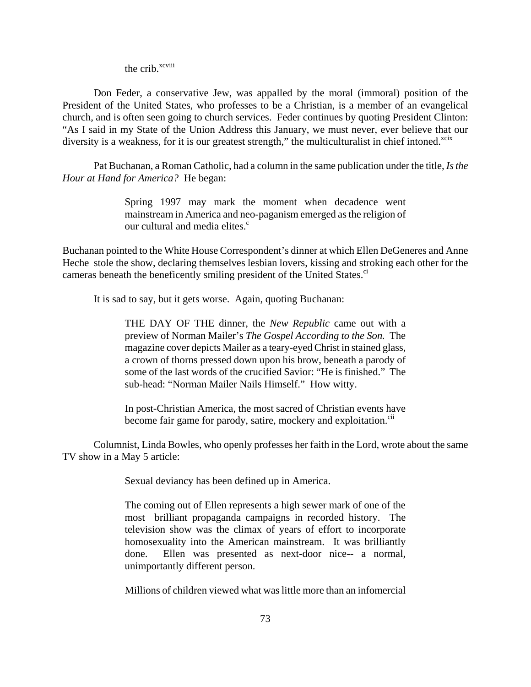the crib.<sup>xcviii</sup>

Don Feder, a conservative Jew, was appalled by the moral (immoral) position of the President of the United States, who professes to be a Christian, is a member of an evangelical church, and is often seen going to church services. Feder continues by quoting President Clinton: "As I said in my State of the Union Address this January, we must never, ever believe that our diversity is a weakness, for it is our greatest strength," the multiculturalist in chief intoned. $x$ cix

Pat Buchanan, a Roman Catholic, had a column in the same publication under the title, *Is the Hour at Hand for America?* He began:

> Spring 1997 may mark the moment when decadence went mainstream in America and neo-paganism emerged as the religion of our cultural and media elites.<sup>c</sup>

Buchanan pointed to the White House Correspondent's dinner at which Ellen DeGeneres and Anne Heche stole the show, declaring themselves lesbian lovers, kissing and stroking each other for the cameras beneath the beneficently smiling president of the United States.<sup>ci</sup>

It is sad to say, but it gets worse. Again, quoting Buchanan:

THE DAY OF THE dinner, the *New Republic* came out with a preview of Norman Mailer's *The Gospel According to the Son.* The magazine cover depicts Mailer as a teary-eyed Christ in stained glass, a crown of thorns pressed down upon his brow, beneath a parody of some of the last words of the crucified Savior: "He is finished." The sub-head: "Norman Mailer Nails Himself." How witty.

In post-Christian America, the most sacred of Christian events have become fair game for parody, satire, mockery and exploitation.<sup>cii</sup>

Columnist, Linda Bowles, who openly professes her faith in the Lord, wrote about the same TV show in a May 5 article:

Sexual deviancy has been defined up in America.

The coming out of Ellen represents a high sewer mark of one of the most brilliant propaganda campaigns in recorded history. The television show was the climax of years of effort to incorporate homosexuality into the American mainstream. It was brilliantly done. Ellen was presented as next-door nice-- a normal, unimportantly different person.

Millions of children viewed what was little more than an infomercial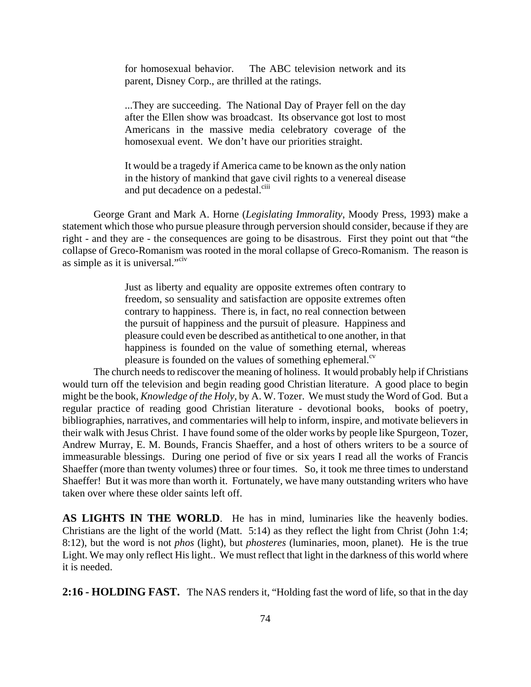for homosexual behavior. The ABC television network and its parent, Disney Corp., are thrilled at the ratings.

...They are succeeding. The National Day of Prayer fell on the day after the Ellen show was broadcast. Its observance got lost to most Americans in the massive media celebratory coverage of the homosexual event. We don't have our priorities straight.

It would be a tragedy if America came to be known as the only nation in the history of mankind that gave civil rights to a venereal disease and put decadence on a pedestal.<sup>ciii</sup>

George Grant and Mark A. Horne (*Legislating Immorality*, Moody Press, 1993) make a statement which those who pursue pleasure through perversion should consider, because if they are right - and they are - the consequences are going to be disastrous. First they point out that "the collapse of Greco-Romanism was rooted in the moral collapse of Greco-Romanism. The reason is as simple as it is universal."<sup>civ</sup>

> Just as liberty and equality are opposite extremes often contrary to freedom, so sensuality and satisfaction are opposite extremes often contrary to happiness. There is, in fact, no real connection between the pursuit of happiness and the pursuit of pleasure. Happiness and pleasure could even be described as antithetical to one another, in that happiness is founded on the value of something eternal, whereas pleasure is founded on the values of something ephemeral. $\alpha$ <sup>cv</sup>

 The church needs to rediscover the meaning of holiness. It would probably help if Christians would turn off the television and begin reading good Christian literature. A good place to begin might be the book, *Knowledge of the Holy,* by A. W. Tozer. We must study the Word of God. But a regular practice of reading good Christian literature - devotional books, books of poetry, bibliographies, narratives, and commentaries will help to inform, inspire, and motivate believers in their walk with Jesus Christ. I have found some of the older works by people like Spurgeon, Tozer, Andrew Murray, E. M. Bounds, Francis Shaeffer, and a host of others writers to be a source of immeasurable blessings. During one period of five or six years I read all the works of Francis Shaeffer (more than twenty volumes) three or four times. So, it took me three times to understand Shaeffer! But it was more than worth it. Fortunately, we have many outstanding writers who have taken over where these older saints left off.

**AS LIGHTS IN THE WORLD**. He has in mind, luminaries like the heavenly bodies. Christians are the light of the world (Matt. 5:14) as they reflect the light from Christ (John 1:4; 8:12), but the word is not *phos* (light), but *phosteres* (luminaries, moon, planet). He is the true Light. We may only reflect His light.. We must reflect that light in the darkness of this world where it is needed.

**2:16 - HOLDING FAST.** The NAS renders it, "Holding fast the word of life, so that in the day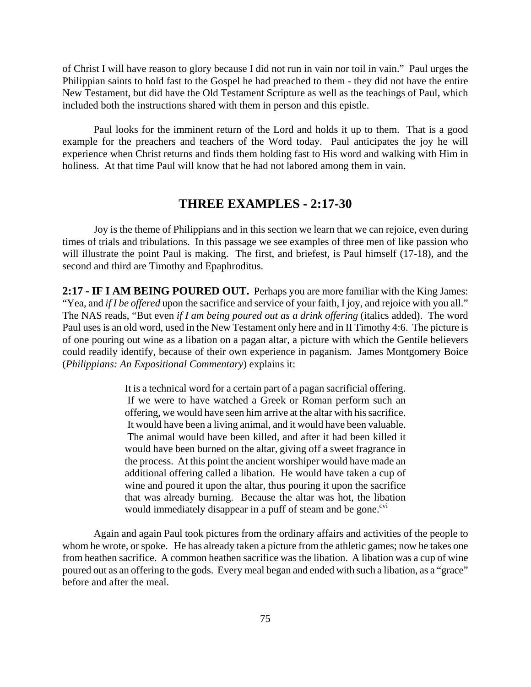of Christ I will have reason to glory because I did not run in vain nor toil in vain." Paul urges the Philippian saints to hold fast to the Gospel he had preached to them - they did not have the entire New Testament, but did have the Old Testament Scripture as well as the teachings of Paul, which included both the instructions shared with them in person and this epistle.

Paul looks for the imminent return of the Lord and holds it up to them. That is a good example for the preachers and teachers of the Word today. Paul anticipates the joy he will experience when Christ returns and finds them holding fast to His word and walking with Him in holiness. At that time Paul will know that he had not labored among them in vain.

# **THREE EXAMPLES - 2:17-30**

Joy is the theme of Philippians and in this section we learn that we can rejoice, even during times of trials and tribulations. In this passage we see examples of three men of like passion who will illustrate the point Paul is making. The first, and briefest, is Paul himself (17-18), and the second and third are Timothy and Epaphroditus.

**2:17 - IF I AM BEING POURED OUT.** Perhaps you are more familiar with the King James: "Yea, and *if I be offered* upon the sacrifice and service of your faith, I joy, and rejoice with you all." The NAS reads, "But even *if I am being poured out as a drink offering* (italics added). The word Paul uses is an old word, used in the New Testament only here and in II Timothy 4:6. The picture is of one pouring out wine as a libation on a pagan altar, a picture with which the Gentile believers could readily identify, because of their own experience in paganism. James Montgomery Boice (*Philippians: An Expositional Commentary*) explains it:

> It is a technical word for a certain part of a pagan sacrificial offering. If we were to have watched a Greek or Roman perform such an offering, we would have seen him arrive at the altar with his sacrifice. It would have been a living animal, and it would have been valuable. The animal would have been killed, and after it had been killed it would have been burned on the altar, giving off a sweet fragrance in the process. At this point the ancient worshiper would have made an additional offering called a libation. He would have taken a cup of wine and poured it upon the altar, thus pouring it upon the sacrifice that was already burning. Because the altar was hot, the libation would immediately disappear in a puff of steam and be gone.<sup>cvi</sup>

Again and again Paul took pictures from the ordinary affairs and activities of the people to whom he wrote, or spoke. He has already taken a picture from the athletic games; now he takes one from heathen sacrifice. A common heathen sacrifice was the libation. A libation was a cup of wine poured out as an offering to the gods. Every meal began and ended with such a libation, as a "grace" before and after the meal.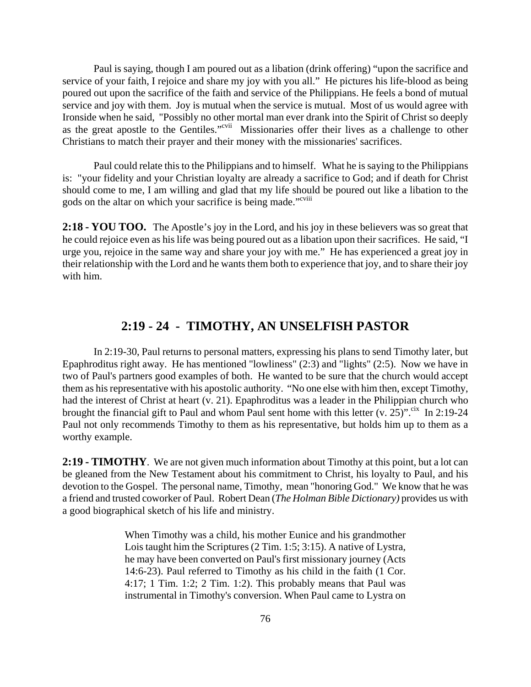Paul is saying, though I am poured out as a libation (drink offering) "upon the sacrifice and service of your faith, I rejoice and share my joy with you all." He pictures his life-blood as being poured out upon the sacrifice of the faith and service of the Philippians. He feels a bond of mutual service and joy with them. Joy is mutual when the service is mutual. Most of us would agree with Ironside when he said, "Possibly no other mortal man ever drank into the Spirit of Christ so deeply as the great apostle to the Gentiles."cvii Missionaries offer their lives as a challenge to other Christians to match their prayer and their money with the missionaries' sacrifices.

Paul could relate this to the Philippians and to himself. What he is saying to the Philippians is: "your fidelity and your Christian loyalty are already a sacrifice to God; and if death for Christ should come to me, I am willing and glad that my life should be poured out like a libation to the gods on the altar on which your sacrifice is being made."<sup>cviii</sup>

**2:18 - YOU TOO.** The Apostle's joy in the Lord, and his joy in these believers was so great that he could rejoice even as his life was being poured out as a libation upon their sacrifices. He said, "I urge you, rejoice in the same way and share your joy with me." He has experienced a great joy in their relationship with the Lord and he wants them both to experience that joy, and to share their joy with him.

# **2:19 - 24 - TIMOTHY, AN UNSELFISH PASTOR**

In 2:19-30, Paul returns to personal matters, expressing his plans to send Timothy later, but Epaphroditus right away. He has mentioned "lowliness" (2:3) and "lights" (2:5). Now we have in two of Paul's partners good examples of both. He wanted to be sure that the church would accept them as his representative with his apostolic authority. "No one else with him then, except Timothy, had the interest of Christ at heart (v. 21). Epaphroditus was a leader in the Philippian church who brought the financial gift to Paul and whom Paul sent home with this letter  $(v. 25)$ ".<sup>cix</sup> In 2:19-24 Paul not only recommends Timothy to them as his representative, but holds him up to them as a worthy example.

**2:19 - TIMOTHY**. We are not given much information about Timothy at this point, but a lot can be gleaned from the New Testament about his commitment to Christ, his loyalty to Paul, and his devotion to the Gospel. The personal name, Timothy, mean "honoring God." We know that he was a friend and trusted coworker of Paul. Robert Dean (*The Holman Bible Dictionary)* provides us with a good biographical sketch of his life and ministry.

> When Timothy was a child, his mother Eunice and his grandmother Lois taught him the Scriptures (2 Tim. 1:5; 3:15). A native of Lystra, he may have been converted on Paul's first missionary journey (Acts 14:6-23). Paul referred to Timothy as his child in the faith (1 Cor. 4:17; 1 Tim. 1:2; 2 Tim. 1:2). This probably means that Paul was instrumental in Timothy's conversion. When Paul came to Lystra on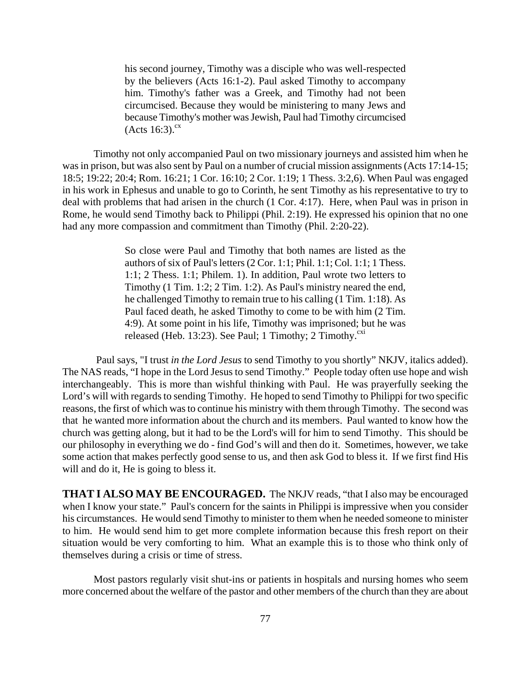his second journey, Timothy was a disciple who was well-respected by the believers (Acts 16:1-2). Paul asked Timothy to accompany him. Timothy's father was a Greek, and Timothy had not been circumcised. Because they would be ministering to many Jews and because Timothy's mother was Jewish, Paul had Timothy circumcised  $(Acts 16:3).<sup>cx</sup>$ 

Timothy not only accompanied Paul on two missionary journeys and assisted him when he was in prison, but was also sent by Paul on a number of crucial mission assignments (Acts 17:14-15; 18:5; 19:22; 20:4; Rom. 16:21; 1 Cor. 16:10; 2 Cor. 1:19; 1 Thess. 3:2,6). When Paul was engaged in his work in Ephesus and unable to go to Corinth, he sent Timothy as his representative to try to deal with problems that had arisen in the church (1 Cor. 4:17). Here, when Paul was in prison in Rome, he would send Timothy back to Philippi (Phil. 2:19). He expressed his opinion that no one had any more compassion and commitment than Timothy (Phil. 2:20-22).

> So close were Paul and Timothy that both names are listed as the authors of six of Paul's letters (2 Cor. 1:1; Phil. 1:1; Col. 1:1; 1 Thess. 1:1; 2 Thess. 1:1; Philem. 1). In addition, Paul wrote two letters to Timothy (1 Tim. 1:2; 2 Tim. 1:2). As Paul's ministry neared the end, he challenged Timothy to remain true to his calling (1 Tim. 1:18). As Paul faced death, he asked Timothy to come to be with him (2 Tim. 4:9). At some point in his life, Timothy was imprisoned; but he was released (Heb. 13:23). See Paul; 1 Timothy; 2 Timothy. $\frac{cx}{c}$

 Paul says, "I trust *in the Lord Jesus* to send Timothy to you shortly" NKJV, italics added). The NAS reads, "I hope in the Lord Jesus to send Timothy." People today often use hope and wish interchangeably. This is more than wishful thinking with Paul. He was prayerfully seeking the Lord's will with regards to sending Timothy. He hoped to send Timothy to Philippi for two specific reasons, the first of which was to continue his ministry with them through Timothy. The second was that he wanted more information about the church and its members. Paul wanted to know how the church was getting along, but it had to be the Lord's will for him to send Timothy. This should be our philosophy in everything we do - find God's will and then do it. Sometimes, however, we take some action that makes perfectly good sense to us, and then ask God to bless it. If we first find His will and do it, He is going to bless it.

**THAT I ALSO MAY BE ENCOURAGED.** The NKJV reads, "that I also may be encouraged when I know your state." Paul's concern for the saints in Philippi is impressive when you consider his circumstances. He would send Timothy to minister to them when he needed someone to minister to him. He would send him to get more complete information because this fresh report on their situation would be very comforting to him. What an example this is to those who think only of themselves during a crisis or time of stress.

Most pastors regularly visit shut-ins or patients in hospitals and nursing homes who seem more concerned about the welfare of the pastor and other members of the church than they are about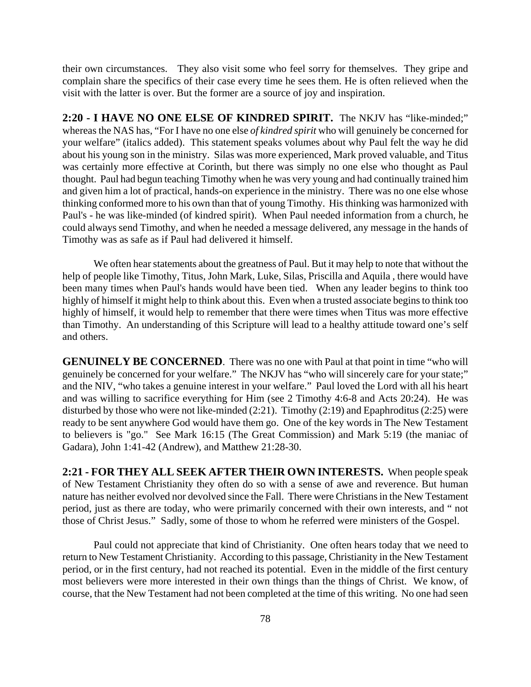their own circumstances. They also visit some who feel sorry for themselves. They gripe and complain share the specifics of their case every time he sees them. He is often relieved when the visit with the latter is over. But the former are a source of joy and inspiration.

**2:20 - I HAVE NO ONE ELSE OF KINDRED SPIRIT.** The NKJV has "like-minded;" whereas the NAS has, "For I have no one else *of kindred spirit* who will genuinely be concerned for your welfare" (italics added). This statement speaks volumes about why Paul felt the way he did about his young son in the ministry. Silas was more experienced, Mark proved valuable, and Titus was certainly more effective at Corinth, but there was simply no one else who thought as Paul thought. Paul had begun teaching Timothy when he was very young and had continually trained him and given him a lot of practical, hands-on experience in the ministry. There was no one else whose thinking conformed more to his own than that of young Timothy. His thinking was harmonized with Paul's - he was like-minded (of kindred spirit). When Paul needed information from a church, he could always send Timothy, and when he needed a message delivered, any message in the hands of Timothy was as safe as if Paul had delivered it himself.

We often hear statements about the greatness of Paul. But it may help to note that without the help of people like Timothy, Titus, John Mark, Luke, Silas, Priscilla and Aquila , there would have been many times when Paul's hands would have been tied. When any leader begins to think too highly of himself it might help to think about this. Even when a trusted associate begins to think too highly of himself, it would help to remember that there were times when Titus was more effective than Timothy. An understanding of this Scripture will lead to a healthy attitude toward one's self and others.

**GENUINELY BE CONCERNED**. There was no one with Paul at that point in time "who will genuinely be concerned for your welfare." The NKJV has "who will sincerely care for your state;" and the NIV, "who takes a genuine interest in your welfare." Paul loved the Lord with all his heart and was willing to sacrifice everything for Him (see 2 Timothy 4:6-8 and Acts 20:24). He was disturbed by those who were not like-minded (2:21). Timothy (2:19) and Epaphroditus (2:25) were ready to be sent anywhere God would have them go. One of the key words in The New Testament to believers is "go." See Mark 16:15 (The Great Commission) and Mark 5:19 (the maniac of Gadara), John 1:41-42 (Andrew), and Matthew 21:28-30.

**2:21 - FOR THEY ALL SEEK AFTER THEIR OWN INTERESTS.** When people speak of New Testament Christianity they often do so with a sense of awe and reverence. But human nature has neither evolved nor devolved since the Fall. There were Christians in the New Testament period, just as there are today, who were primarily concerned with their own interests, and " not those of Christ Jesus." Sadly, some of those to whom he referred were ministers of the Gospel.

Paul could not appreciate that kind of Christianity. One often hears today that we need to return to New Testament Christianity. According to this passage, Christianity in the New Testament period, or in the first century, had not reached its potential. Even in the middle of the first century most believers were more interested in their own things than the things of Christ. We know, of course, that the New Testament had not been completed at the time of this writing. No one had seen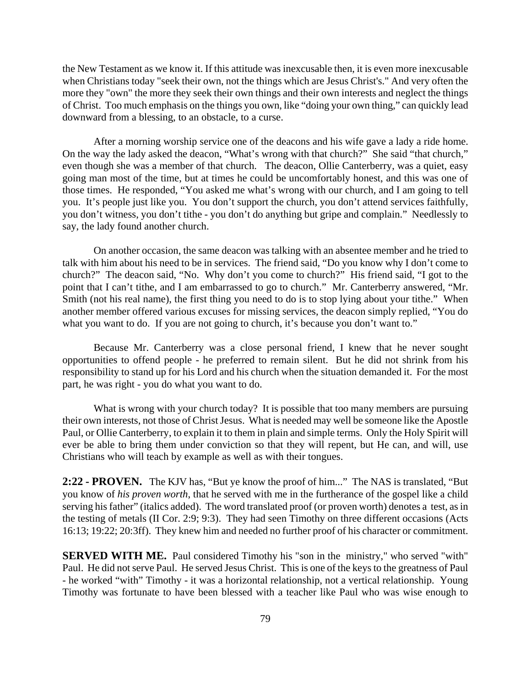the New Testament as we know it. If this attitude was inexcusable then, it is even more inexcusable when Christians today "seek their own, not the things which are Jesus Christ's." And very often the more they "own" the more they seek their own things and their own interests and neglect the things of Christ. Too much emphasis on the things you own, like "doing your own thing," can quickly lead downward from a blessing, to an obstacle, to a curse.

After a morning worship service one of the deacons and his wife gave a lady a ride home. On the way the lady asked the deacon, "What's wrong with that church?" She said "that church," even though she was a member of that church. The deacon, Ollie Canterberry, was a quiet, easy going man most of the time, but at times he could be uncomfortably honest, and this was one of those times. He responded, "You asked me what's wrong with our church, and I am going to tell you. It's people just like you. You don't support the church, you don't attend services faithfully, you don't witness, you don't tithe - you don't do anything but gripe and complain." Needlessly to say, the lady found another church.

On another occasion, the same deacon was talking with an absentee member and he tried to talk with him about his need to be in services. The friend said, "Do you know why I don't come to church?" The deacon said, "No. Why don't you come to church?" His friend said, "I got to the point that I can't tithe, and I am embarrassed to go to church." Mr. Canterberry answered, "Mr. Smith (not his real name), the first thing you need to do is to stop lying about your tithe." When another member offered various excuses for missing services, the deacon simply replied, "You do what you want to do. If you are not going to church, it's because you don't want to."

Because Mr. Canterberry was a close personal friend, I knew that he never sought opportunities to offend people - he preferred to remain silent. But he did not shrink from his responsibility to stand up for his Lord and his church when the situation demanded it. For the most part, he was right - you do what you want to do.

What is wrong with your church today? It is possible that too many members are pursuing their own interests, not those of Christ Jesus. What is needed may well be someone like the Apostle Paul, or Ollie Canterberry, to explain it to them in plain and simple terms. Only the Holy Spirit will ever be able to bring them under conviction so that they will repent, but He can, and will, use Christians who will teach by example as well as with their tongues.

**2:22 - PROVEN.** The KJV has, "But ye know the proof of him..." The NAS is translated, "But you know of *his proven worth*, that he served with me in the furtherance of the gospel like a child serving his father" (italics added). The word translated proof (or proven worth) denotes a test, as in the testing of metals (II Cor. 2:9; 9:3). They had seen Timothy on three different occasions (Acts 16:13; 19:22; 20:3ff). They knew him and needed no further proof of his character or commitment.

**SERVED WITH ME.** Paul considered Timothy his "son in the ministry," who served "with" Paul. He did not serve Paul. He served Jesus Christ. This is one of the keys to the greatness of Paul - he worked "with" Timothy - it was a horizontal relationship, not a vertical relationship. Young Timothy was fortunate to have been blessed with a teacher like Paul who was wise enough to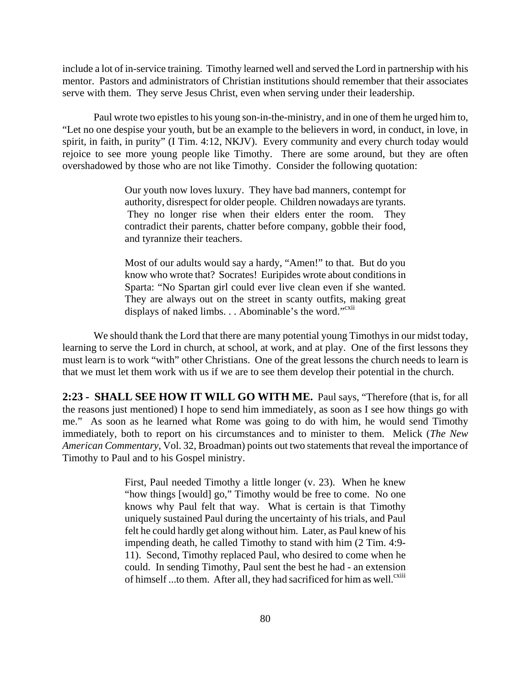include a lot of in-service training. Timothy learned well and served the Lord in partnership with his mentor. Pastors and administrators of Christian institutions should remember that their associates serve with them. They serve Jesus Christ, even when serving under their leadership.

Paul wrote two epistles to his young son-in-the-ministry, and in one of them he urged him to, "Let no one despise your youth, but be an example to the believers in word, in conduct, in love, in spirit, in faith, in purity" (I Tim. 4:12, NKJV). Every community and every church today would rejoice to see more young people like Timothy. There are some around, but they are often overshadowed by those who are not like Timothy. Consider the following quotation:

> Our youth now loves luxury. They have bad manners, contempt for authority, disrespect for older people. Children nowadays are tyrants. They no longer rise when their elders enter the room. They contradict their parents, chatter before company, gobble their food, and tyrannize their teachers.

> Most of our adults would say a hardy, "Amen!" to that. But do you know who wrote that? Socrates! Euripides wrote about conditions in Sparta: "No Spartan girl could ever live clean even if she wanted. They are always out on the street in scanty outfits, making great displays of naked limbs. . . Abominable's the word."<sup>cxii</sup>

We should thank the Lord that there are many potential young Timothys in our midst today, learning to serve the Lord in church, at school, at work, and at play. One of the first lessons they must learn is to work "with" other Christians. One of the great lessons the church needs to learn is that we must let them work with us if we are to see them develop their potential in the church.

**2:23 - SHALL SEE HOW IT WILL GO WITH ME.** Paul says, "Therefore (that is, for all the reasons just mentioned) I hope to send him immediately, as soon as I see how things go with me." As soon as he learned what Rome was going to do with him, he would send Timothy immediately, both to report on his circumstances and to minister to them. Melick (*The New American Commentary*, Vol. 32, Broadman) points out two statements that reveal the importance of Timothy to Paul and to his Gospel ministry.

> First, Paul needed Timothy a little longer (v. 23). When he knew "how things [would] go," Timothy would be free to come. No one knows why Paul felt that way. What is certain is that Timothy uniquely sustained Paul during the uncertainty of his trials, and Paul felt he could hardly get along without him. Later, as Paul knew of his impending death, he called Timothy to stand with him (2 Tim. 4:9- 11). Second, Timothy replaced Paul, who desired to come when he could. In sending Timothy, Paul sent the best he had - an extension of himself ...to them. After all, they had sacrificed for him as well.<sup>cxiii</sup>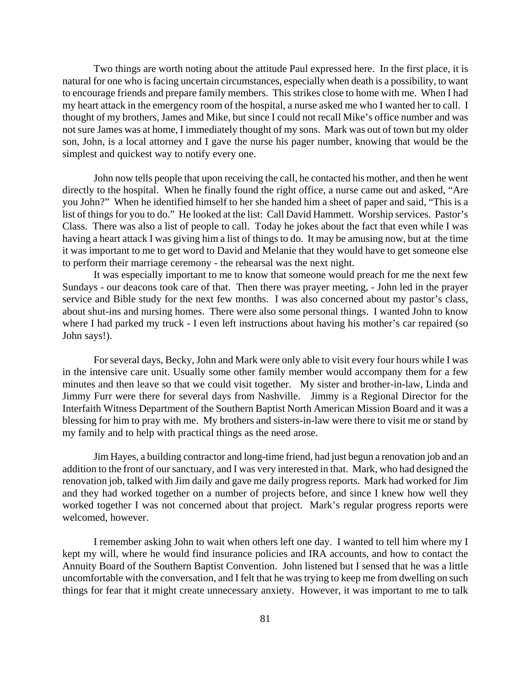Two things are worth noting about the attitude Paul expressed here. In the first place, it is natural for one who is facing uncertain circumstances, especially when death is a possibility, to want to encourage friends and prepare family members. This strikes close to home with me. When I had my heart attack in the emergency room of the hospital, a nurse asked me who I wanted her to call. I thought of my brothers, James and Mike, but since I could not recall Mike's office number and was not sure James was at home, I immediately thought of my sons. Mark was out of town but my older son, John, is a local attorney and I gave the nurse his pager number, knowing that would be the simplest and quickest way to notify every one.

John now tells people that upon receiving the call, he contacted his mother, and then he went directly to the hospital. When he finally found the right office, a nurse came out and asked, "Are you John?" When he identified himself to her she handed him a sheet of paper and said, "This is a list of things for you to do." He looked at the list: Call David Hammett. Worship services. Pastor's Class. There was also a list of people to call. Today he jokes about the fact that even while I was having a heart attack I was giving him a list of things to do. It may be amusing now, but at the time it was important to me to get word to David and Melanie that they would have to get someone else to perform their marriage ceremony - the rehearsal was the next night.

It was especially important to me to know that someone would preach for me the next few Sundays - our deacons took care of that. Then there was prayer meeting, - John led in the prayer service and Bible study for the next few months. I was also concerned about my pastor's class, about shut-ins and nursing homes. There were also some personal things. I wanted John to know where I had parked my truck - I even left instructions about having his mother's car repaired (so John says!).

For several days, Becky, John and Mark were only able to visit every four hours while I was in the intensive care unit. Usually some other family member would accompany them for a few minutes and then leave so that we could visit together. My sister and brother-in-law, Linda and Jimmy Furr were there for several days from Nashville. Jimmy is a Regional Director for the Interfaith Witness Department of the Southern Baptist North American Mission Board and it was a blessing for him to pray with me. My brothers and sisters-in-law were there to visit me or stand by my family and to help with practical things as the need arose.

Jim Hayes, a building contractor and long-time friend, had just begun a renovation job and an addition to the front of our sanctuary, and I was very interested in that. Mark, who had designed the renovation job, talked with Jim daily and gave me daily progress reports. Mark had worked for Jim and they had worked together on a number of projects before, and since I knew how well they worked together I was not concerned about that project. Mark's regular progress reports were welcomed, however.

I remember asking John to wait when others left one day. I wanted to tell him where my I kept my will, where he would find insurance policies and IRA accounts, and how to contact the Annuity Board of the Southern Baptist Convention. John listened but I sensed that he was a little uncomfortable with the conversation, and I felt that he was trying to keep me from dwelling on such things for fear that it might create unnecessary anxiety. However, it was important to me to talk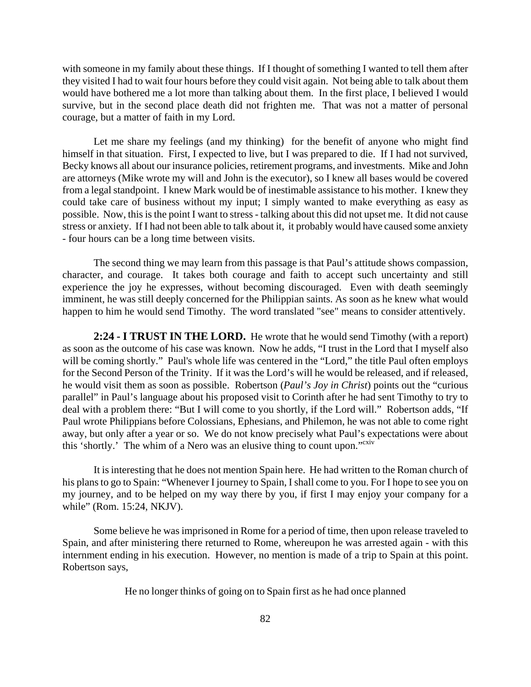with someone in my family about these things. If I thought of something I wanted to tell them after they visited I had to wait four hours before they could visit again. Not being able to talk about them would have bothered me a lot more than talking about them. In the first place, I believed I would survive, but in the second place death did not frighten me. That was not a matter of personal courage, but a matter of faith in my Lord.

Let me share my feelings (and my thinking) for the benefit of anyone who might find himself in that situation. First, I expected to live, but I was prepared to die. If I had not survived, Becky knows all about our insurance policies, retirement programs, and investments. Mike and John are attorneys (Mike wrote my will and John is the executor), so I knew all bases would be covered from a legal standpoint. I knew Mark would be of inestimable assistance to his mother. I knew they could take care of business without my input; I simply wanted to make everything as easy as possible. Now, this is the point I want to stress - talking about this did not upset me. It did not cause stress or anxiety. If I had not been able to talk about it, it probably would have caused some anxiety - four hours can be a long time between visits.

The second thing we may learn from this passage is that Paul's attitude shows compassion, character, and courage. It takes both courage and faith to accept such uncertainty and still experience the joy he expresses, without becoming discouraged. Even with death seemingly imminent, he was still deeply concerned for the Philippian saints. As soon as he knew what would happen to him he would send Timothy. The word translated "see" means to consider attentively.

**2:24 - I TRUST IN THE LORD.** He wrote that he would send Timothy (with a report) as soon as the outcome of his case was known. Now he adds, "I trust in the Lord that I myself also will be coming shortly." Paul's whole life was centered in the "Lord," the title Paul often employs for the Second Person of the Trinity. If it was the Lord's will he would be released, and if released, he would visit them as soon as possible. Robertson (*Paul's Joy in Christ*) points out the "curious parallel" in Paul's language about his proposed visit to Corinth after he had sent Timothy to try to deal with a problem there: "But I will come to you shortly, if the Lord will." Robertson adds, "If Paul wrote Philippians before Colossians, Ephesians, and Philemon, he was not able to come right away, but only after a year or so. We do not know precisely what Paul's expectations were about this 'shortly.' The whim of a Nero was an elusive thing to count upon."<sup>cxiv</sup>

It is interesting that he does not mention Spain here. He had written to the Roman church of his plans to go to Spain: "Whenever I journey to Spain, I shall come to you. For I hope to see you on my journey, and to be helped on my way there by you, if first I may enjoy your company for a while" (Rom. 15:24, NKJV).

Some believe he was imprisoned in Rome for a period of time, then upon release traveled to Spain, and after ministering there returned to Rome, whereupon he was arrested again - with this internment ending in his execution. However, no mention is made of a trip to Spain at this point. Robertson says,

He no longer thinks of going on to Spain first as he had once planned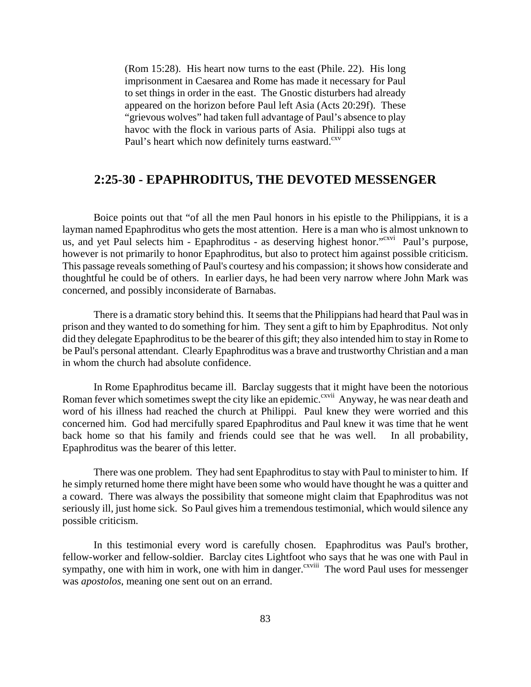(Rom 15:28). His heart now turns to the east (Phile. 22). His long imprisonment in Caesarea and Rome has made it necessary for Paul to set things in order in the east. The Gnostic disturbers had already appeared on the horizon before Paul left Asia (Acts 20:29f). These "grievous wolves" had taken full advantage of Paul's absence to play havoc with the flock in various parts of Asia. Philippi also tugs at Paul's heart which now definitely turns eastward.<sup>cxv</sup>

# **2:25-30 - EPAPHRODITUS, THE DEVOTED MESSENGER**

Boice points out that "of all the men Paul honors in his epistle to the Philippians, it is a layman named Epaphroditus who gets the most attention. Here is a man who is almost unknown to us, and yet Paul selects him - Epaphroditus - as deserving highest honor."<sup>cxvi</sup> Paul's purpose, however is not primarily to honor Epaphroditus, but also to protect him against possible criticism. This passage reveals something of Paul's courtesy and his compassion; it shows how considerate and thoughtful he could be of others. In earlier days, he had been very narrow where John Mark was concerned, and possibly inconsiderate of Barnabas.

There is a dramatic story behind this. It seems that the Philippians had heard that Paul was in prison and they wanted to do something for him. They sent a gift to him by Epaphroditus. Not only did they delegate Epaphroditus to be the bearer of this gift; they also intended him to stay in Rome to be Paul's personal attendant. Clearly Epaphroditus was a brave and trustworthy Christian and a man in whom the church had absolute confidence.

In Rome Epaphroditus became ill. Barclay suggests that it might have been the notorious Roman fever which sometimes swept the city like an epidemic.<sup>cxvii</sup> Anyway, he was near death and word of his illness had reached the church at Philippi. Paul knew they were worried and this concerned him. God had mercifully spared Epaphroditus and Paul knew it was time that he went back home so that his family and friends could see that he was well. In all probability, Epaphroditus was the bearer of this letter.

There was one problem. They had sent Epaphroditus to stay with Paul to minister to him. If he simply returned home there might have been some who would have thought he was a quitter and a coward. There was always the possibility that someone might claim that Epaphroditus was not seriously ill, just home sick. So Paul gives him a tremendous testimonial, which would silence any possible criticism.

In this testimonial every word is carefully chosen. Epaphroditus was Paul's brother, fellow-worker and fellow-soldier. Barclay cites Lightfoot who says that he was one with Paul in sympathy, one with him in work, one with him in danger.<sup>cxviii</sup> The word Paul uses for messenger was *apostolos*, meaning one sent out on an errand.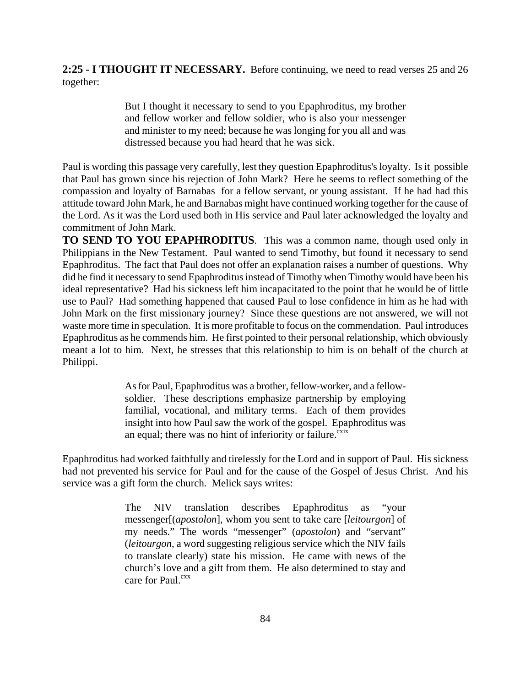**2:25 - I THOUGHT IT NECESSARY.** Before continuing, we need to read verses 25 and 26 together:

> But I thought it necessary to send to you Epaphroditus, my brother and fellow worker and fellow soldier, who is also your messenger and minister to my need; because he was longing for you all and was distressed because you had heard that he was sick.

Paul is wording this passage very carefully, lest they question Epaphroditus's loyalty. Is it possible that Paul has grown since his rejection of John Mark? Here he seems to reflect something of the compassion and loyalty of Barnabas for a fellow servant, or young assistant. If he had had this attitude toward John Mark, he and Barnabas might have continued working together for the cause of the Lord. As it was the Lord used both in His service and Paul later acknowledged the loyalty and commitment of John Mark.

**TO SEND TO YOU EPAPHRODITUS**. This was a common name, though used only in Philippians in the New Testament. Paul wanted to send Timothy, but found it necessary to send Epaphroditus. The fact that Paul does not offer an explanation raises a number of questions. Why did he find it necessary to send Epaphroditus instead of Timothy when Timothy would have been his ideal representative? Had his sickness left him incapacitated to the point that he would be of little use to Paul? Had something happened that caused Paul to lose confidence in him as he had with John Mark on the first missionary journey? Since these questions are not answered, we will not waste more time in speculation. It is more profitable to focus on the commendation. Paul introduces Epaphroditus as he commends him. He first pointed to their personal relationship, which obviously meant a lot to him. Next, he stresses that this relationship to him is on behalf of the church at Philippi.

> As for Paul, Epaphroditus was a brother, fellow-worker, and a fellowsoldier. These descriptions emphasize partnership by employing familial, vocational, and military terms. Each of them provides insight into how Paul saw the work of the gospel. Epaphroditus was an equal; there was no hint of inferiority or failure. $\frac{\text{c}^{\text{mix}}}{\text{c}^{\text{mix}}}$

Epaphroditus had worked faithfully and tirelessly for the Lord and in support of Paul. His sickness had not prevented his service for Paul and for the cause of the Gospel of Jesus Christ. And his service was a gift form the church. Melick says writes:

> The NIV translation describes Epaphroditus as "your messenger[(*apostolon*], whom you sent to take care [*leitourgon*] of my needs." The words "messenger" (*apostolon*) and "servant" (*leitourgon*, a word suggesting religious service which the NIV fails to translate clearly) state his mission. He came with news of the church's love and a gift from them. He also determined to stay and care for Paul. $cxx$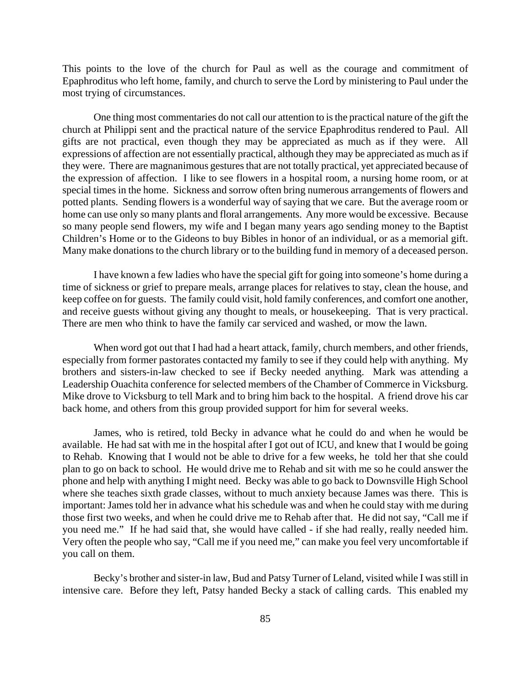This points to the love of the church for Paul as well as the courage and commitment of Epaphroditus who left home, family, and church to serve the Lord by ministering to Paul under the most trying of circumstances.

One thing most commentaries do not call our attention to is the practical nature of the gift the church at Philippi sent and the practical nature of the service Epaphroditus rendered to Paul. All gifts are not practical, even though they may be appreciated as much as if they were. All expressions of affection are not essentially practical, although they may be appreciated as much as if they were. There are magnanimous gestures that are not totally practical, yet appreciated because of the expression of affection. I like to see flowers in a hospital room, a nursing home room, or at special times in the home. Sickness and sorrow often bring numerous arrangements of flowers and potted plants. Sending flowers is a wonderful way of saying that we care. But the average room or home can use only so many plants and floral arrangements. Any more would be excessive. Because so many people send flowers, my wife and I began many years ago sending money to the Baptist Children's Home or to the Gideons to buy Bibles in honor of an individual, or as a memorial gift. Many make donations to the church library or to the building fund in memory of a deceased person.

I have known a few ladies who have the special gift for going into someone's home during a time of sickness or grief to prepare meals, arrange places for relatives to stay, clean the house, and keep coffee on for guests. The family could visit, hold family conferences, and comfort one another, and receive guests without giving any thought to meals, or housekeeping. That is very practical. There are men who think to have the family car serviced and washed, or mow the lawn.

When word got out that I had had a heart attack, family, church members, and other friends, especially from former pastorates contacted my family to see if they could help with anything. My brothers and sisters-in-law checked to see if Becky needed anything. Mark was attending a Leadership Ouachita conference for selected members of the Chamber of Commerce in Vicksburg. Mike drove to Vicksburg to tell Mark and to bring him back to the hospital. A friend drove his car back home, and others from this group provided support for him for several weeks.

James, who is retired, told Becky in advance what he could do and when he would be available. He had sat with me in the hospital after I got out of ICU, and knew that I would be going to Rehab. Knowing that I would not be able to drive for a few weeks, he told her that she could plan to go on back to school. He would drive me to Rehab and sit with me so he could answer the phone and help with anything I might need. Becky was able to go back to Downsville High School where she teaches sixth grade classes, without to much anxiety because James was there. This is important: James told her in advance what his schedule was and when he could stay with me during those first two weeks, and when he could drive me to Rehab after that. He did not say, "Call me if you need me." If he had said that, she would have called - if she had really, really needed him. Very often the people who say, "Call me if you need me," can make you feel very uncomfortable if you call on them.

Becky's brother and sister-in law, Bud and Patsy Turner of Leland, visited while I was still in intensive care. Before they left, Patsy handed Becky a stack of calling cards. This enabled my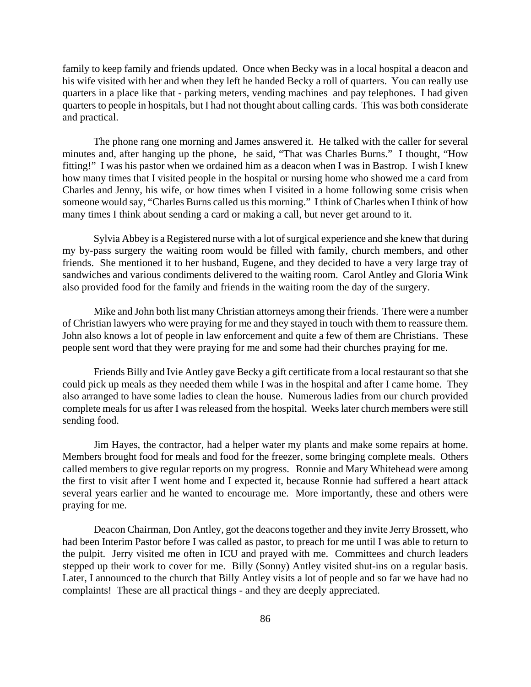family to keep family and friends updated. Once when Becky was in a local hospital a deacon and his wife visited with her and when they left he handed Becky a roll of quarters. You can really use quarters in a place like that - parking meters, vending machines and pay telephones. I had given quarters to people in hospitals, but I had not thought about calling cards. This was both considerate and practical.

The phone rang one morning and James answered it. He talked with the caller for several minutes and, after hanging up the phone, he said, "That was Charles Burns." I thought, "How fitting!" I was his pastor when we ordained him as a deacon when I was in Bastrop. I wish I knew how many times that I visited people in the hospital or nursing home who showed me a card from Charles and Jenny, his wife, or how times when I visited in a home following some crisis when someone would say, "Charles Burns called us this morning." I think of Charles when I think of how many times I think about sending a card or making a call, but never get around to it.

Sylvia Abbey is a Registered nurse with a lot of surgical experience and she knew that during my by-pass surgery the waiting room would be filled with family, church members, and other friends. She mentioned it to her husband, Eugene, and they decided to have a very large tray of sandwiches and various condiments delivered to the waiting room. Carol Antley and Gloria Wink also provided food for the family and friends in the waiting room the day of the surgery.

Mike and John both list many Christian attorneys among their friends. There were a number of Christian lawyers who were praying for me and they stayed in touch with them to reassure them. John also knows a lot of people in law enforcement and quite a few of them are Christians. These people sent word that they were praying for me and some had their churches praying for me.

Friends Billy and Ivie Antley gave Becky a gift certificate from a local restaurant so that she could pick up meals as they needed them while I was in the hospital and after I came home. They also arranged to have some ladies to clean the house. Numerous ladies from our church provided complete meals for us after I was released from the hospital. Weeks later church members were still sending food.

Jim Hayes, the contractor, had a helper water my plants and make some repairs at home. Members brought food for meals and food for the freezer, some bringing complete meals. Others called members to give regular reports on my progress. Ronnie and Mary Whitehead were among the first to visit after I went home and I expected it, because Ronnie had suffered a heart attack several years earlier and he wanted to encourage me. More importantly, these and others were praying for me.

Deacon Chairman, Don Antley, got the deacons together and they invite Jerry Brossett, who had been Interim Pastor before I was called as pastor, to preach for me until I was able to return to the pulpit. Jerry visited me often in ICU and prayed with me. Committees and church leaders stepped up their work to cover for me. Billy (Sonny) Antley visited shut-ins on a regular basis. Later, I announced to the church that Billy Antley visits a lot of people and so far we have had no complaints! These are all practical things - and they are deeply appreciated.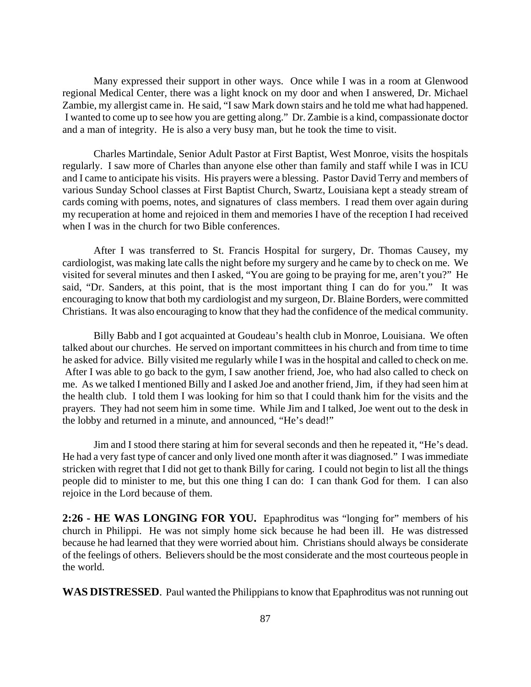Many expressed their support in other ways. Once while I was in a room at Glenwood regional Medical Center, there was a light knock on my door and when I answered, Dr. Michael Zambie, my allergist came in. He said, "I saw Mark down stairs and he told me what had happened. I wanted to come up to see how you are getting along." Dr. Zambie is a kind, compassionate doctor and a man of integrity. He is also a very busy man, but he took the time to visit.

Charles Martindale, Senior Adult Pastor at First Baptist, West Monroe, visits the hospitals regularly. I saw more of Charles than anyone else other than family and staff while I was in ICU and I came to anticipate his visits. His prayers were a blessing. Pastor David Terry and members of various Sunday School classes at First Baptist Church, Swartz, Louisiana kept a steady stream of cards coming with poems, notes, and signatures of class members. I read them over again during my recuperation at home and rejoiced in them and memories I have of the reception I had received when I was in the church for two Bible conferences.

After I was transferred to St. Francis Hospital for surgery, Dr. Thomas Causey, my cardiologist, was making late calls the night before my surgery and he came by to check on me. We visited for several minutes and then I asked, "You are going to be praying for me, aren't you?" He said, "Dr. Sanders, at this point, that is the most important thing I can do for you." It was encouraging to know that both my cardiologist and my surgeon, Dr. Blaine Borders, were committed Christians. It was also encouraging to know that they had the confidence of the medical community.

Billy Babb and I got acquainted at Goudeau's health club in Monroe, Louisiana. We often talked about our churches. He served on important committees in his church and from time to time he asked for advice. Billy visited me regularly while I was in the hospital and called to check on me. After I was able to go back to the gym, I saw another friend, Joe, who had also called to check on me. As we talked I mentioned Billy and I asked Joe and another friend, Jim, if they had seen him at the health club. I told them I was looking for him so that I could thank him for the visits and the prayers. They had not seem him in some time. While Jim and I talked, Joe went out to the desk in the lobby and returned in a minute, and announced, "He's dead!"

Jim and I stood there staring at him for several seconds and then he repeated it, "He's dead. He had a very fast type of cancer and only lived one month after it was diagnosed." I was immediate stricken with regret that I did not get to thank Billy for caring. I could not begin to list all the things people did to minister to me, but this one thing I can do: I can thank God for them. I can also rejoice in the Lord because of them.

**2:26 - HE WAS LONGING FOR YOU.** Epaphroditus was "longing for" members of his church in Philippi. He was not simply home sick because he had been ill. He was distressed because he had learned that they were worried about him. Christians should always be considerate of the feelings of others. Believers should be the most considerate and the most courteous people in the world.

**WAS DISTRESSED**. Paul wanted the Philippians to know that Epaphroditus was not running out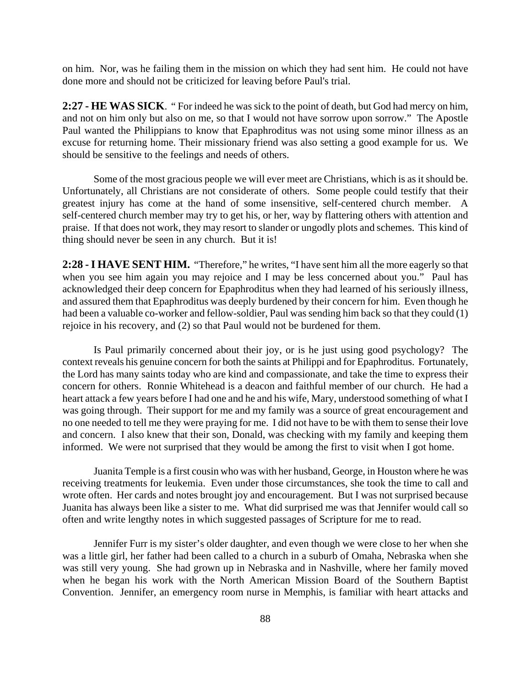on him. Nor, was he failing them in the mission on which they had sent him. He could not have done more and should not be criticized for leaving before Paul's trial.

**2:27 - HE WAS SICK**. " For indeed he was sick to the point of death, but God had mercy on him, and not on him only but also on me, so that I would not have sorrow upon sorrow." The Apostle Paul wanted the Philippians to know that Epaphroditus was not using some minor illness as an excuse for returning home. Their missionary friend was also setting a good example for us. We should be sensitive to the feelings and needs of others.

Some of the most gracious people we will ever meet are Christians, which is as it should be. Unfortunately, all Christians are not considerate of others. Some people could testify that their greatest injury has come at the hand of some insensitive, self-centered church member. A self-centered church member may try to get his, or her, way by flattering others with attention and praise. If that does not work, they may resort to slander or ungodly plots and schemes. This kind of thing should never be seen in any church. But it is!

**2:28 - I HAVE SENT HIM.** "Therefore," he writes, "I have sent him all the more eagerly so that when you see him again you may rejoice and I may be less concerned about you." Paul has acknowledged their deep concern for Epaphroditus when they had learned of his seriously illness, and assured them that Epaphroditus was deeply burdened by their concern for him. Even though he had been a valuable co-worker and fellow-soldier, Paul was sending him back so that they could (1) rejoice in his recovery, and (2) so that Paul would not be burdened for them.

Is Paul primarily concerned about their joy, or is he just using good psychology? The context reveals his genuine concern for both the saints at Philippi and for Epaphroditus. Fortunately, the Lord has many saints today who are kind and compassionate, and take the time to express their concern for others. Ronnie Whitehead is a deacon and faithful member of our church. He had a heart attack a few years before I had one and he and his wife, Mary, understood something of what I was going through. Their support for me and my family was a source of great encouragement and no one needed to tell me they were praying for me. I did not have to be with them to sense their love and concern. I also knew that their son, Donald, was checking with my family and keeping them informed. We were not surprised that they would be among the first to visit when I got home.

Juanita Temple is a first cousin who was with her husband, George, in Houston where he was receiving treatments for leukemia. Even under those circumstances, she took the time to call and wrote often. Her cards and notes brought joy and encouragement. But I was not surprised because Juanita has always been like a sister to me. What did surprised me was that Jennifer would call so often and write lengthy notes in which suggested passages of Scripture for me to read.

Jennifer Furr is my sister's older daughter, and even though we were close to her when she was a little girl, her father had been called to a church in a suburb of Omaha, Nebraska when she was still very young. She had grown up in Nebraska and in Nashville, where her family moved when he began his work with the North American Mission Board of the Southern Baptist Convention. Jennifer, an emergency room nurse in Memphis, is familiar with heart attacks and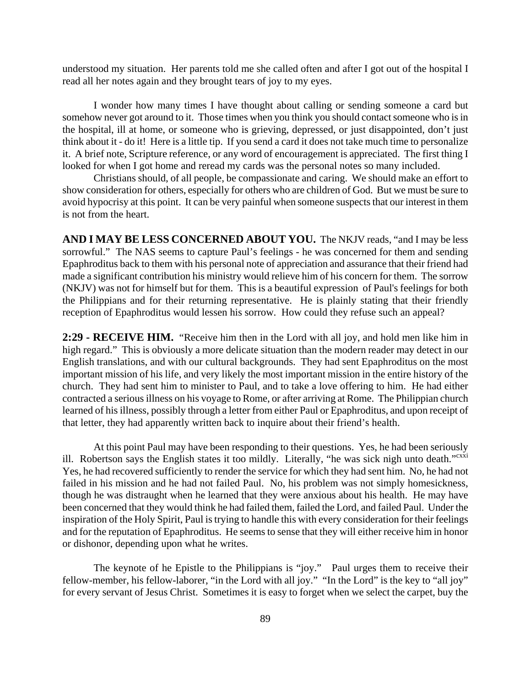understood my situation. Her parents told me she called often and after I got out of the hospital I read all her notes again and they brought tears of joy to my eyes.

I wonder how many times I have thought about calling or sending someone a card but somehow never got around to it. Those times when you think you should contact someone who is in the hospital, ill at home, or someone who is grieving, depressed, or just disappointed, don't just think about it - do it! Here is a little tip. If you send a card it does not take much time to personalize it. A brief note, Scripture reference, or any word of encouragement is appreciated. The first thing I looked for when I got home and reread my cards was the personal notes so many included.

Christians should, of all people, be compassionate and caring. We should make an effort to show consideration for others, especially for others who are children of God. But we must be sure to avoid hypocrisy at this point. It can be very painful when someone suspects that our interest in them is not from the heart.

**AND I MAY BE LESS CONCERNED ABOUT YOU.** The NKJV reads, "and I may be less sorrowful." The NAS seems to capture Paul's feelings - he was concerned for them and sending Epaphroditus back to them with his personal note of appreciation and assurance that their friend had made a significant contribution his ministry would relieve him of his concern for them. The sorrow (NKJV) was not for himself but for them. This is a beautiful expression of Paul's feelings for both the Philippians and for their returning representative. He is plainly stating that their friendly reception of Epaphroditus would lessen his sorrow. How could they refuse such an appeal?

**2:29 - RECEIVE HIM.** "Receive him then in the Lord with all joy, and hold men like him in high regard." This is obviously a more delicate situation than the modern reader may detect in our English translations, and with our cultural backgrounds. They had sent Epaphroditus on the most important mission of his life, and very likely the most important mission in the entire history of the church. They had sent him to minister to Paul, and to take a love offering to him. He had either contracted a serious illness on his voyage to Rome, or after arriving at Rome. The Philippian church learned of his illness, possibly through a letter from either Paul or Epaphroditus, and upon receipt of that letter, they had apparently written back to inquire about their friend's health.

At this point Paul may have been responding to their questions. Yes, he had been seriously ill. Robertson says the English states it too mildly. Literally, "he was sick nigh unto death."<sup>cxxi</sup> Yes, he had recovered sufficiently to render the service for which they had sent him. No, he had not failed in his mission and he had not failed Paul. No, his problem was not simply homesickness, though he was distraught when he learned that they were anxious about his health. He may have been concerned that they would think he had failed them, failed the Lord, and failed Paul. Under the inspiration of the Holy Spirit, Paul is trying to handle this with every consideration for their feelings and for the reputation of Epaphroditus. He seems to sense that they will either receive him in honor or dishonor, depending upon what he writes.

The keynote of he Epistle to the Philippians is "joy." Paul urges them to receive their fellow-member, his fellow-laborer, "in the Lord with all joy." "In the Lord" is the key to "all joy" for every servant of Jesus Christ. Sometimes it is easy to forget when we select the carpet, buy the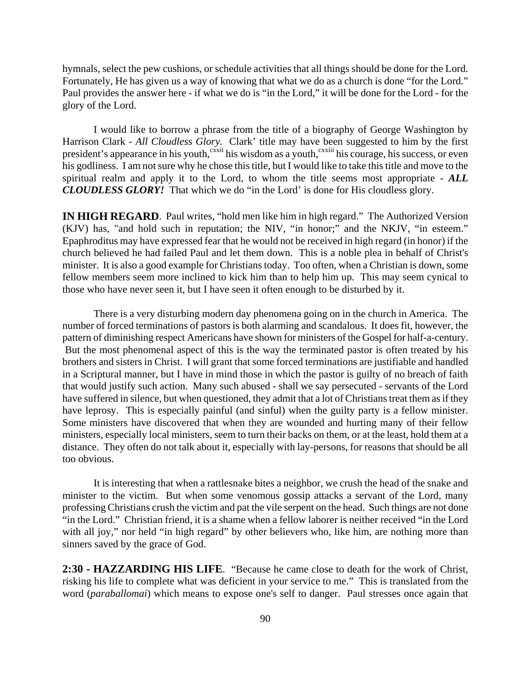hymnals, select the pew cushions, or schedule activities that all things should be done for the Lord. Fortunately, He has given us a way of knowing that what we do as a church is done "for the Lord." Paul provides the answer here - if what we do is "in the Lord," it will be done for the Lord - for the glory of the Lord.

I would like to borrow a phrase from the title of a biography of George Washington by Harrison Clark - *All Cloudless Glory.* Clark' title may have been suggested to him by the first president's appearance in his youth,<sup>cxxii</sup> his wisdom as a youth,<sup>cxxiii</sup> his courage, his success, or even his godliness. I am not sure why he chose this title, but I would like to take this title and move to the spiritual realm and apply it to the Lord, to whom the title seems most appropriate - *ALL CLOUDLESS GLORY!* That which we do "in the Lord' is done for His cloudless glory.

**IN HIGH REGARD.** Paul writes, "hold men like him in high regard." The Authorized Version (KJV) has, "and hold such in reputation; the NIV, "in honor;" and the NKJV, "in esteem." Epaphroditus may have expressed fear that he would not be received in high regard (in honor) if the church believed he had failed Paul and let them down. This is a noble plea in behalf of Christ's minister. It is also a good example for Christians today. Too often, when a Christian is down, some fellow members seem more inclined to kick him than to help him up. This may seem cynical to those who have never seen it, but I have seen it often enough to be disturbed by it.

There is a very disturbing modern day phenomena going on in the church in America. The number of forced terminations of pastors is both alarming and scandalous. It does fit, however, the pattern of diminishing respect Americans have shown for ministers of the Gospel for half-a-century. But the most phenomenal aspect of this is the way the terminated pastor is often treated by his brothers and sisters in Christ. I will grant that some forced terminations are justifiable and handled in a Scriptural manner, but I have in mind those in which the pastor is guilty of no breach of faith that would justify such action. Many such abused - shall we say persecuted - servants of the Lord have suffered in silence, but when questioned, they admit that a lot of Christians treat them as if they have leprosy. This is especially painful (and sinful) when the guilty party is a fellow minister. Some ministers have discovered that when they are wounded and hurting many of their fellow ministers, especially local ministers, seem to turn their backs on them, or at the least, hold them at a distance. They often do not talk about it, especially with lay-persons, for reasons that should be all too obvious.

It is interesting that when a rattlesnake bites a neighbor, we crush the head of the snake and minister to the victim. But when some venomous gossip attacks a servant of the Lord, many professing Christians crush the victim and pat the vile serpent on the head. Such things are not done "in the Lord." Christian friend, it is a shame when a fellow laborer is neither received "in the Lord with all joy," nor held "in high regard" by other believers who, like him, are nothing more than sinners saved by the grace of God.

**2:30 - HAZZARDING HIS LIFE**. "Because he came close to death for the work of Christ, risking his life to complete what was deficient in your service to me." This is translated from the word (*paraballomai*) which means to expose one's self to danger. Paul stresses once again that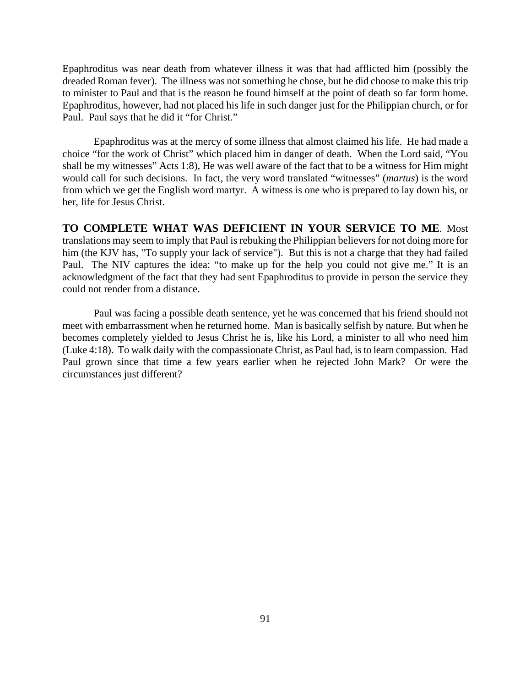Epaphroditus was near death from whatever illness it was that had afflicted him (possibly the dreaded Roman fever). The illness was not something he chose, but he did choose to make this trip to minister to Paul and that is the reason he found himself at the point of death so far form home. Epaphroditus, however, had not placed his life in such danger just for the Philippian church, or for Paul. Paul says that he did it "for Christ."

Epaphroditus was at the mercy of some illness that almost claimed his life. He had made a choice "for the work of Christ" which placed him in danger of death. When the Lord said, "You shall be my witnesses" Acts 1:8), He was well aware of the fact that to be a witness for Him might would call for such decisions. In fact, the very word translated "witnesses" (*martus*) is the word from which we get the English word martyr. A witness is one who is prepared to lay down his, or her, life for Jesus Christ.

**TO COMPLETE WHAT WAS DEFICIENT IN YOUR SERVICE TO ME**. Most translations may seem to imply that Paul is rebuking the Philippian believers for not doing more for him (the KJV has, "To supply your lack of service"). But this is not a charge that they had failed Paul. The NIV captures the idea: "to make up for the help you could not give me." It is an acknowledgment of the fact that they had sent Epaphroditus to provide in person the service they could not render from a distance.

Paul was facing a possible death sentence, yet he was concerned that his friend should not meet with embarrassment when he returned home. Man is basically selfish by nature. But when he becomes completely yielded to Jesus Christ he is, like his Lord, a minister to all who need him (Luke 4:18). To walk daily with the compassionate Christ, as Paul had, is to learn compassion. Had Paul grown since that time a few years earlier when he rejected John Mark? Or were the circumstances just different?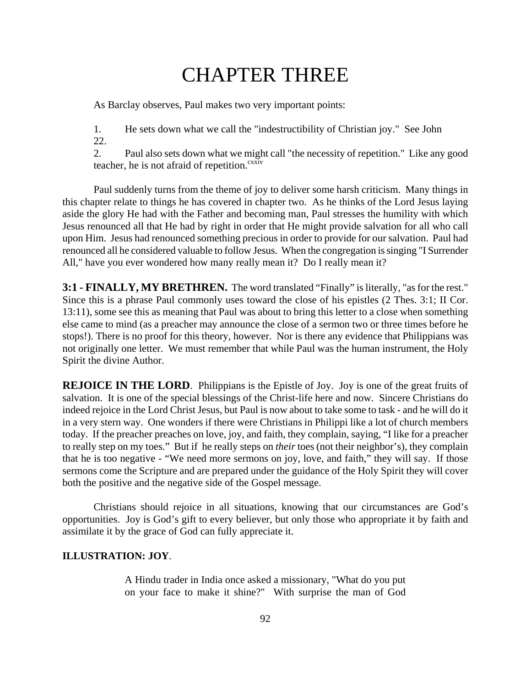# CHAPTER THREE

As Barclay observes, Paul makes two very important points:

1. He sets down what we call the "indestructibility of Christian joy." See John 22.

2. Paul also sets down what we might call "the necessity of repetition." Like any good teacher, he is not afraid of repetition.<sup>cxxiv</sup>

Paul suddenly turns from the theme of joy to deliver some harsh criticism. Many things in this chapter relate to things he has covered in chapter two. As he thinks of the Lord Jesus laying aside the glory He had with the Father and becoming man, Paul stresses the humility with which Jesus renounced all that He had by right in order that He might provide salvation for all who call upon Him. Jesus had renounced something precious in order to provide for our salvation. Paul had renounced all he considered valuable to follow Jesus. When the congregation is singing "I Surrender All," have you ever wondered how many really mean it? Do I really mean it?

**3:1 - FINALLY, MY BRETHREN.** The word translated "Finally" is literally, "as for the rest." Since this is a phrase Paul commonly uses toward the close of his epistles (2 Thes. 3:1; II Cor. 13:11), some see this as meaning that Paul was about to bring this letter to a close when something else came to mind (as a preacher may announce the close of a sermon two or three times before he stops!). There is no proof for this theory, however. Nor is there any evidence that Philippians was not originally one letter. We must remember that while Paul was the human instrument, the Holy Spirit the divine Author.

**REJOICE IN THE LORD.** Philippians is the Epistle of Joy. Joy is one of the great fruits of salvation. It is one of the special blessings of the Christ-life here and now. Sincere Christians do indeed rejoice in the Lord Christ Jesus, but Paul is now about to take some to task - and he will do it in a very stern way. One wonders if there were Christians in Philippi like a lot of church members today. If the preacher preaches on love, joy, and faith, they complain, saying, "I like for a preacher to really step on my toes." But if he really steps on *their* toes (not their neighbor's), they complain that he is too negative - "We need more sermons on joy, love, and faith," they will say. If those sermons come the Scripture and are prepared under the guidance of the Holy Spirit they will cover both the positive and the negative side of the Gospel message.

Christians should rejoice in all situations, knowing that our circumstances are God's opportunities. Joy is God's gift to every believer, but only those who appropriate it by faith and assimilate it by the grace of God can fully appreciate it.

#### **ILLUSTRATION: JOY**.

A Hindu trader in India once asked a missionary, "What do you put on your face to make it shine?" With surprise the man of God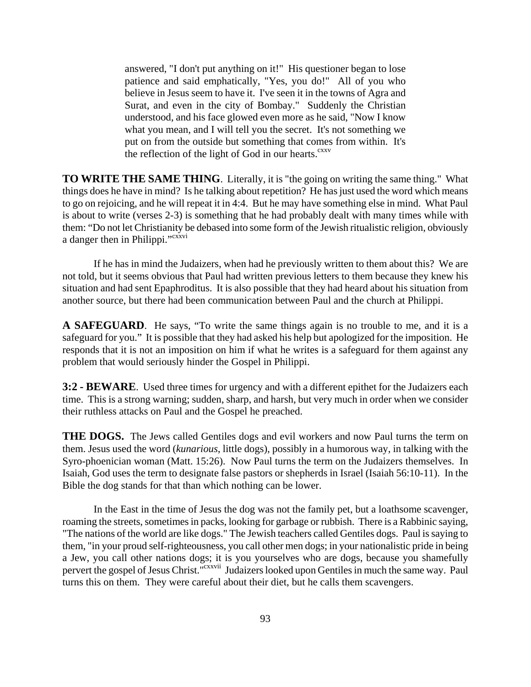answered, "I don't put anything on it!" His questioner began to lose patience and said emphatically, "Yes, you do!" All of you who believe in Jesus seem to have it. I've seen it in the towns of Agra and Surat, and even in the city of Bombay." Suddenly the Christian understood, and his face glowed even more as he said, "Now I know what you mean, and I will tell you the secret. It's not something we put on from the outside but something that comes from within. It's the reflection of the light of God in our hearts. $c_{xx}$ 

**TO WRITE THE SAME THING**. Literally, it is "the going on writing the same thing." What things does he have in mind? Is he talking about repetition? He has just used the word which means to go on rejoicing, and he will repeat it in 4:4. But he may have something else in mind. What Paul is about to write (verses 2-3) is something that he had probably dealt with many times while with them: "Do not let Christianity be debased into some form of the Jewish ritualistic religion, obviously a danger then in Philippi."<sup>cxxvi</sup>

If he has in mind the Judaizers, when had he previously written to them about this? We are not told, but it seems obvious that Paul had written previous letters to them because they knew his situation and had sent Epaphroditus. It is also possible that they had heard about his situation from another source, but there had been communication between Paul and the church at Philippi.

**A SAFEGUARD**. He says, "To write the same things again is no trouble to me, and it is a safeguard for you." It is possible that they had asked his help but apologized for the imposition. He responds that it is not an imposition on him if what he writes is a safeguard for them against any problem that would seriously hinder the Gospel in Philippi.

**3:2 - BEWARE**. Used three times for urgency and with a different epithet for the Judaizers each time. This is a strong warning; sudden, sharp, and harsh, but very much in order when we consider their ruthless attacks on Paul and the Gospel he preached.

**THE DOGS.** The Jews called Gentiles dogs and evil workers and now Paul turns the term on them. Jesus used the word (*kunarious*, little dogs), possibly in a humorous way, in talking with the Syro-phoenician woman (Matt. 15:26). Now Paul turns the term on the Judaizers themselves. In Isaiah, God uses the term to designate false pastors or shepherds in Israel (Isaiah 56:10-11). In the Bible the dog stands for that than which nothing can be lower.

In the East in the time of Jesus the dog was not the family pet, but a loathsome scavenger, roaming the streets, sometimes in packs, looking for garbage or rubbish. There is a Rabbinic saying, "The nations of the world are like dogs." The Jewish teachers called Gentiles dogs. Paul is saying to them, "in your proud self-righteousness, you call other men dogs; in your nationalistic pride in being a Jew, you call other nations dogs; it is you yourselves who are dogs, because you shamefully pervert the gospel of Jesus Christ.<sup>"cxxvii</sup> Judaizers looked upon Gentiles in much the same way. Paul turns this on them. They were careful about their diet, but he calls them scavengers.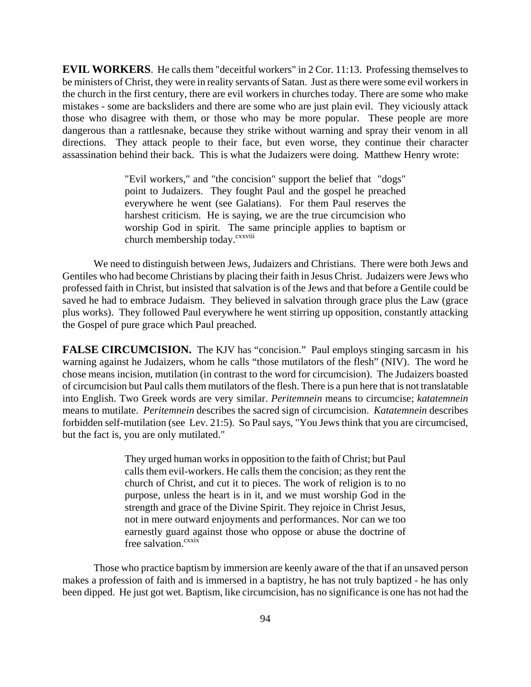**EVIL WORKERS**. He calls them "deceitful workers" in 2 Cor. 11:13. Professing themselves to be ministers of Christ, they were in reality servants of Satan. Just as there were some evil workers in the church in the first century, there are evil workers in churches today. There are some who make mistakes - some are backsliders and there are some who are just plain evil. They viciously attack those who disagree with them, or those who may be more popular. These people are more dangerous than a rattlesnake, because they strike without warning and spray their venom in all directions. They attack people to their face, but even worse, they continue their character assassination behind their back. This is what the Judaizers were doing. Matthew Henry wrote:

> "Evil workers," and "the concision" support the belief that "dogs" point to Judaizers. They fought Paul and the gospel he preached everywhere he went (see Galatians). For them Paul reserves the harshest criticism. He is saying, we are the true circumcision who worship God in spirit. The same principle applies to baptism or church membership today.<sup>cxxviii</sup>

We need to distinguish between Jews, Judaizers and Christians. There were both Jews and Gentiles who had become Christians by placing their faith in Jesus Christ. Judaizers were Jews who professed faith in Christ, but insisted that salvation is of the Jews and that before a Gentile could be saved he had to embrace Judaism. They believed in salvation through grace plus the Law (grace plus works). They followed Paul everywhere he went stirring up opposition, constantly attacking the Gospel of pure grace which Paul preached.

**FALSE CIRCUMCISION.** The KJV has "concision." Paul employs stinging sarcasm in his warning against he Judaizers, whom he calls "those mutilators of the flesh" (NIV). The word he chose means incision, mutilation (in contrast to the word for circumcision). The Judaizers boasted of circumcision but Paul calls them mutilators of the flesh. There is a pun here that is not translatable into English. Two Greek words are very similar. *Peritemnein* means to circumcise; *katatemnein* means to mutilate. *Peritemnein* describes the sacred sign of circumcision. *Katatemnein* describes forbidden self-mutilation (see Lev. 21:5). So Paul says, "You Jews think that you are circumcised, but the fact is, you are only mutilated."

> They urged human works in opposition to the faith of Christ; but Paul calls them evil-workers. He calls them the concision; as they rent the church of Christ, and cut it to pieces. The work of religion is to no purpose, unless the heart is in it, and we must worship God in the strength and grace of the Divine Spirit. They rejoice in Christ Jesus, not in mere outward enjoyments and performances. Nor can we too earnestly guard against those who oppose or abuse the doctrine of free salvation.<sup>cxxix</sup>

Those who practice baptism by immersion are keenly aware of the that if an unsaved person makes a profession of faith and is immersed in a baptistry, he has not truly baptized - he has only been dipped. He just got wet. Baptism, like circumcision, has no significance is one has not had the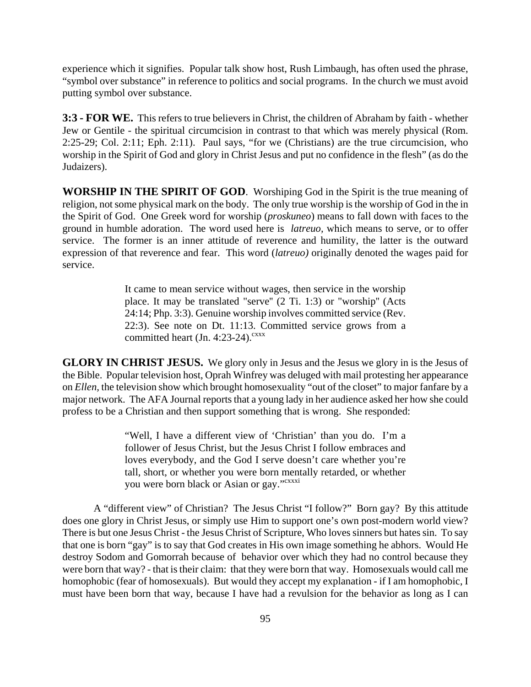experience which it signifies. Popular talk show host, Rush Limbaugh, has often used the phrase, "symbol over substance" in reference to politics and social programs. In the church we must avoid putting symbol over substance.

**3:3 - FOR WE.** This refers to true believers in Christ, the children of Abraham by faith - whether Jew or Gentile - the spiritual circumcision in contrast to that which was merely physical (Rom. 2:25-29; Col. 2:11; Eph. 2:11). Paul says, "for we (Christians) are the true circumcision, who worship in the Spirit of God and glory in Christ Jesus and put no confidence in the flesh" (as do the Judaizers).

**WORSHIP IN THE SPIRIT OF GOD**. Worshiping God in the Spirit is the true meaning of religion, not some physical mark on the body. The only true worship is the worship of God in the in the Spirit of God. One Greek word for worship (*proskuneo*) means to fall down with faces to the ground in humble adoration. The word used here is *latreuo,* which means to serve, or to offer service. The former is an inner attitude of reverence and humility, the latter is the outward expression of that reverence and fear. This word (*latreuo)* originally denoted the wages paid for service.

> It came to mean service without wages, then service in the worship place. It may be translated "serve'' (2 Ti. 1:3) or "worship'' (Acts 24:14; Php. 3:3). Genuine worship involves committed service (Rev. 22:3). See note on Dt. 11:13. Committed service grows from a committed heart (Jn. 4:23-24). $c$ <sup>xxx</sup>

**GLORY IN CHRIST JESUS.** We glory only in Jesus and the Jesus we glory in is the Jesus of the Bible. Popular television host, Oprah Winfrey was deluged with mail protesting her appearance on *Ellen,* the television show which brought homosexuality "out of the closet" to major fanfare by a major network. The AFA Journal reports that a young lady in her audience asked her how she could profess to be a Christian and then support something that is wrong. She responded:

> "Well, I have a different view of 'Christian' than you do. I'm a follower of Jesus Christ, but the Jesus Christ I follow embraces and loves everybody, and the God I serve doesn't care whether you're tall, short, or whether you were born mentally retarded, or whether you were born black or Asian or gay."<sup>cxxxi</sup>

A "different view" of Christian? The Jesus Christ "I follow?" Born gay? By this attitude does one glory in Christ Jesus, or simply use Him to support one's own post-modern world view? There is but one Jesus Christ - the Jesus Christ of Scripture, Who loves sinners but hates sin. To say that one is born "gay" is to say that God creates in His own image something he abhors. Would He destroy Sodom and Gomorrah because of behavior over which they had no control because they were born that way? - that is their claim: that they were born that way. Homosexuals would call me homophobic (fear of homosexuals). But would they accept my explanation - if I am homophobic, I must have been born that way, because I have had a revulsion for the behavior as long as I can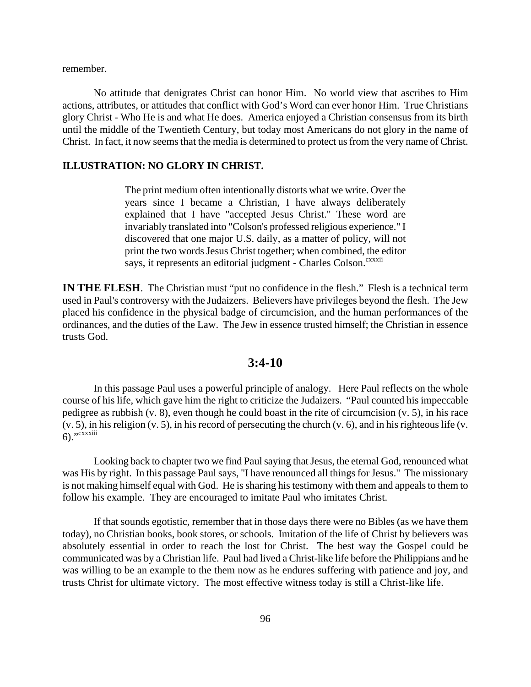remember.

No attitude that denigrates Christ can honor Him. No world view that ascribes to Him actions, attributes, or attitudes that conflict with God's Word can ever honor Him. True Christians glory Christ - Who He is and what He does. America enjoyed a Christian consensus from its birth until the middle of the Twentieth Century, but today most Americans do not glory in the name of Christ. In fact, it now seems that the media is determined to protect us from the very name of Christ.

#### **ILLUSTRATION: NO GLORY IN CHRIST.**

The print medium often intentionally distorts what we write. Over the years since I became a Christian, I have always deliberately explained that I have "accepted Jesus Christ." These word are invariably translated into "Colson's professed religious experience." I discovered that one major U.S. daily, as a matter of policy, will not print the two words Jesus Christ together; when combined, the editor says, it represents an editorial judgment - Charles Colson.<sup>cxxxii</sup>

**IN THE FLESH.** The Christian must "put no confidence in the flesh." Flesh is a technical term used in Paul's controversy with the Judaizers. Believers have privileges beyond the flesh. The Jew placed his confidence in the physical badge of circumcision, and the human performances of the ordinances, and the duties of the Law. The Jew in essence trusted himself; the Christian in essence trusts God.

### **3:4-10**

In this passage Paul uses a powerful principle of analogy. Here Paul reflects on the whole course of his life, which gave him the right to criticize the Judaizers. "Paul counted his impeccable pedigree as rubbish (v. 8), even though he could boast in the rite of circumcision (v. 5), in his race (v. 5), in his religion (v. 5), in his record of persecuting the church (v. 6), and in his righteous life (v.  $6)$ ." $\overline{\text{c} \text{x} \text{x} \text{x} \text{iii}}$ 

Looking back to chapter two we find Paul saying that Jesus, the eternal God, renounced what was His by right. In this passage Paul says, "I have renounced all things for Jesus." The missionary is not making himself equal with God. He is sharing his testimony with them and appeals to them to follow his example. They are encouraged to imitate Paul who imitates Christ.

If that sounds egotistic, remember that in those days there were no Bibles (as we have them today), no Christian books, book stores, or schools. Imitation of the life of Christ by believers was absolutely essential in order to reach the lost for Christ. The best way the Gospel could be communicated was by a Christian life. Paul had lived a Christ-like life before the Philippians and he was willing to be an example to the them now as he endures suffering with patience and joy, and trusts Christ for ultimate victory. The most effective witness today is still a Christ-like life.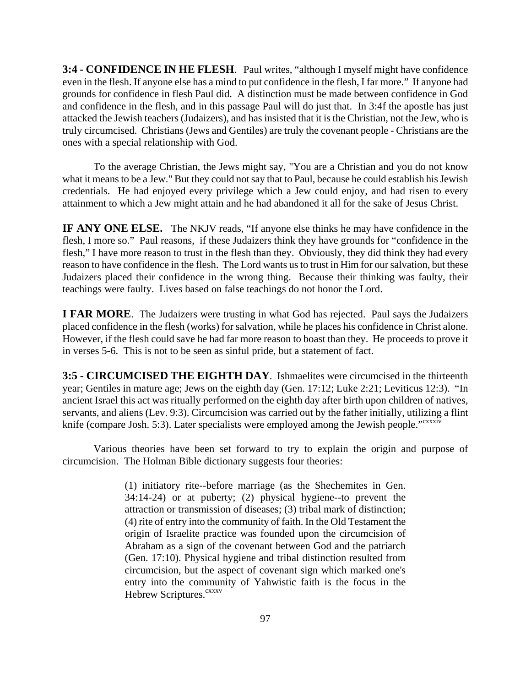**3:4 - CONFIDENCE IN HE FLESH**. Paul writes, "although I myself might have confidence even in the flesh. If anyone else has a mind to put confidence in the flesh, I far more." If anyone had grounds for confidence in flesh Paul did. A distinction must be made between confidence in God and confidence in the flesh, and in this passage Paul will do just that. In 3:4f the apostle has just attacked the Jewish teachers (Judaizers), and has insisted that it is the Christian, not the Jew, who is truly circumcised. Christians (Jews and Gentiles) are truly the covenant people - Christians are the ones with a special relationship with God.

To the average Christian, the Jews might say, "You are a Christian and you do not know what it means to be a Jew." But they could not say that to Paul, because he could establish his Jewish credentials. He had enjoyed every privilege which a Jew could enjoy, and had risen to every attainment to which a Jew might attain and he had abandoned it all for the sake of Jesus Christ.

**IF ANY ONE ELSE.** The NKJV reads, "If anyone else thinks he may have confidence in the flesh, I more so." Paul reasons, if these Judaizers think they have grounds for "confidence in the flesh," I have more reason to trust in the flesh than they. Obviously, they did think they had every reason to have confidence in the flesh. The Lord wants us to trust in Him for our salvation, but these Judaizers placed their confidence in the wrong thing. Because their thinking was faulty, their teachings were faulty. Lives based on false teachings do not honor the Lord.

**I FAR MORE**. The Judaizers were trusting in what God has rejected. Paul says the Judaizers placed confidence in the flesh (works) for salvation, while he places his confidence in Christ alone. However, if the flesh could save he had far more reason to boast than they. He proceeds to prove it in verses 5-6. This is not to be seen as sinful pride, but a statement of fact.

**3:5 - CIRCUMCISED THE EIGHTH DAY**. Ishmaelites were circumcised in the thirteenth year; Gentiles in mature age; Jews on the eighth day (Gen. 17:12; Luke 2:21; Leviticus 12:3). "In ancient Israel this act was ritually performed on the eighth day after birth upon children of natives, servants, and aliens (Lev. 9:3). Circumcision was carried out by the father initially, utilizing a flint knife (compare Josh. 5:3). Later specialists were employed among the Jewish people."<sup>cxxxiv</sup>

Various theories have been set forward to try to explain the origin and purpose of circumcision. The Holman Bible dictionary suggests four theories:

> (1) initiatory rite--before marriage (as the Shechemites in Gen. 34:14-24) or at puberty; (2) physical hygiene--to prevent the attraction or transmission of diseases; (3) tribal mark of distinction; (4) rite of entry into the community of faith. In the Old Testament the origin of Israelite practice was founded upon the circumcision of Abraham as a sign of the covenant between God and the patriarch (Gen. 17:10). Physical hygiene and tribal distinction resulted from circumcision, but the aspect of covenant sign which marked one's entry into the community of Yahwistic faith is the focus in the Hebrew Scriptures.<sup>cxxxv</sup>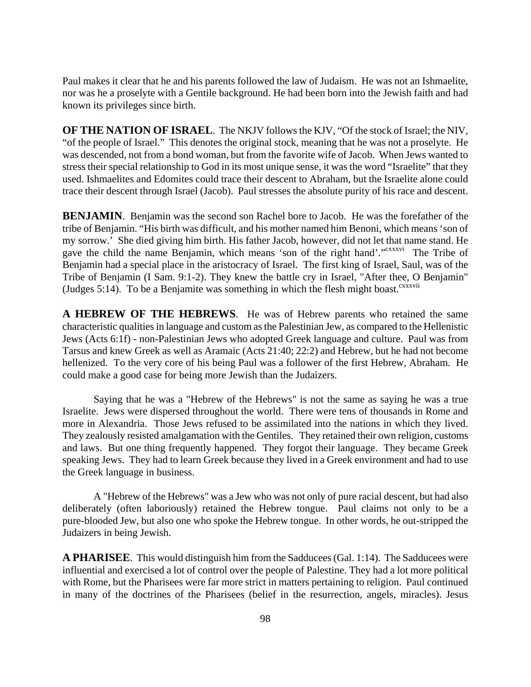Paul makes it clear that he and his parents followed the law of Judaism. He was not an Ishmaelite, nor was he a proselyte with a Gentile background. He had been born into the Jewish faith and had known its privileges since birth.

**OF THE NATION OF ISRAEL**. The NKJV follows the KJV, "Of the stock of Israel; the NIV, "of the people of Israel." This denotes the original stock, meaning that he was not a proselyte. He was descended, not from a bond woman, but from the favorite wife of Jacob. When Jews wanted to stress their special relationship to God in its most unique sense, it was the word "Israelite" that they used. Ishmaelites and Edomites could trace their descent to Abraham, but the Israelite alone could trace their descent through Israel (Jacob). Paul stresses the absolute purity of his race and descent.

**BENJAMIN**. Benjamin was the second son Rachel bore to Jacob. He was the forefather of the tribe of Benjamin. "His birth was difficult, and his mother named him Benoni, which means 'son of my sorrow.' She died giving him birth. His father Jacob, however, did not let that name stand. He gave the child the name Benjamin, which means 'son of the right hand'."<sup>cxxxvi</sup> The Tribe of Benjamin had a special place in the aristocracy of Israel. The first king of Israel, Saul, was of the Tribe of Benjamin (I Sam. 9:1-2). They knew the battle cry in Israel, "After thee, O Benjamin" (Judges 5:14). To be a Benjamite was something in which the flesh might boast. $c^{xxxxii}$ 

**A HEBREW OF THE HEBREWS**. He was of Hebrew parents who retained the same characteristic qualities in language and custom as the Palestinian Jew, as compared to the Hellenistic Jews (Acts 6:1f) - non-Palestinian Jews who adopted Greek language and culture. Paul was from Tarsus and knew Greek as well as Aramaic (Acts 21:40; 22:2) and Hebrew, but he had not become hellenized. To the very core of his being Paul was a follower of the first Hebrew, Abraham. He could make a good case for being more Jewish than the Judaizers.

Saying that he was a "Hebrew of the Hebrews" is not the same as saying he was a true Israelite. Jews were dispersed throughout the world. There were tens of thousands in Rome and more in Alexandria. Those Jews refused to be assimilated into the nations in which they lived. They zealously resisted amalgamation with the Gentiles. They retained their own religion, customs and laws. But one thing frequently happened. They forgot their language. They became Greek speaking Jews. They had to learn Greek because they lived in a Greek environment and had to use the Greek language in business.

A "Hebrew of the Hebrews" was a Jew who was not only of pure racial descent, but had also deliberately (often laboriously) retained the Hebrew tongue. Paul claims not only to be a pure-blooded Jew, but also one who spoke the Hebrew tongue. In other words, he out-stripped the Judaizers in being Jewish.

**A PHARISEE**. This would distinguish him from the Sadducees (Gal. 1:14). The Sadducees were influential and exercised a lot of control over the people of Palestine. They had a lot more political with Rome, but the Pharisees were far more strict in matters pertaining to religion. Paul continued in many of the doctrines of the Pharisees (belief in the resurrection, angels, miracles). Jesus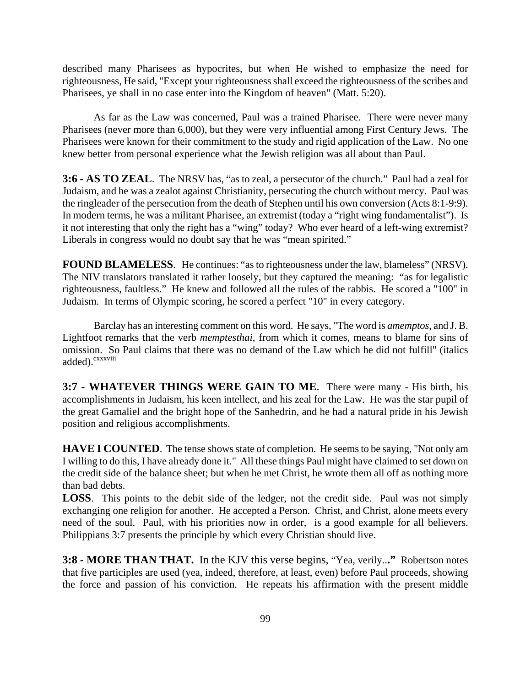described many Pharisees as hypocrites, but when He wished to emphasize the need for righteousness, He said, "Except your righteousness shall exceed the righteousness of the scribes and Pharisees, ye shall in no case enter into the Kingdom of heaven" (Matt. 5:20).

As far as the Law was concerned, Paul was a trained Pharisee. There were never many Pharisees (never more than 6,000), but they were very influential among First Century Jews. The Pharisees were known for their commitment to the study and rigid application of the Law. No one knew better from personal experience what the Jewish religion was all about than Paul.

**3:6 - AS TO ZEAL**. The NRSV has, "as to zeal, a persecutor of the church." Paul had a zeal for Judaism, and he was a zealot against Christianity, persecuting the church without mercy. Paul was the ringleader of the persecution from the death of Stephen until his own conversion (Acts 8:1-9:9). In modern terms, he was a militant Pharisee, an extremist (today a "right wing fundamentalist"). Is it not interesting that only the right has a "wing" today? Who ever heard of a left-wing extremist? Liberals in congress would no doubt say that he was "mean spirited."

**FOUND BLAMELESS.** He continues: "as to righteousness under the law, blameless" (NRSV). The NIV translators translated it rather loosely, but they captured the meaning: "as for legalistic righteousness, faultless." He knew and followed all the rules of the rabbis. He scored a "100" in Judaism. In terms of Olympic scoring, he scored a perfect "10" in every category.

Barclay has an interesting comment on this word. He says, "The word is *amemptos*, and J. B. Lightfoot remarks that the verb *memptesthai*, from which it comes, means to blame for sins of omission. So Paul claims that there was no demand of the Law which he did not fulfill" (italics added).<sup>cxxxviii</sup>

**3:7 - WHATEVER THINGS WERE GAIN TO ME**. There were many - His birth, his accomplishments in Judaism, his keen intellect, and his zeal for the Law. He was the star pupil of the great Gamaliel and the bright hope of the Sanhedrin, and he had a natural pride in his Jewish position and religious accomplishments.

**HAVE I COUNTED.** The tense shows state of completion. He seems to be saying, "Not only am I willing to do this, I have already done it." All these things Paul might have claimed to set down on the credit side of the balance sheet; but when he met Christ, he wrote them all off as nothing more than bad debts.

**LOSS**. This points to the debit side of the ledger, not the credit side. Paul was not simply exchanging one religion for another. He accepted a Person. Christ, and Christ, alone meets every need of the soul. Paul, with his priorities now in order, is a good example for all believers. Philippians 3:7 presents the principle by which every Christian should live.

**3:8 - MORE THAN THAT.** In the KJV this verse begins, "Yea, verily..**."** Robertson notes that five participles are used (yea, indeed, therefore, at least, even) before Paul proceeds, showing the force and passion of his conviction. He repeats his affirmation with the present middle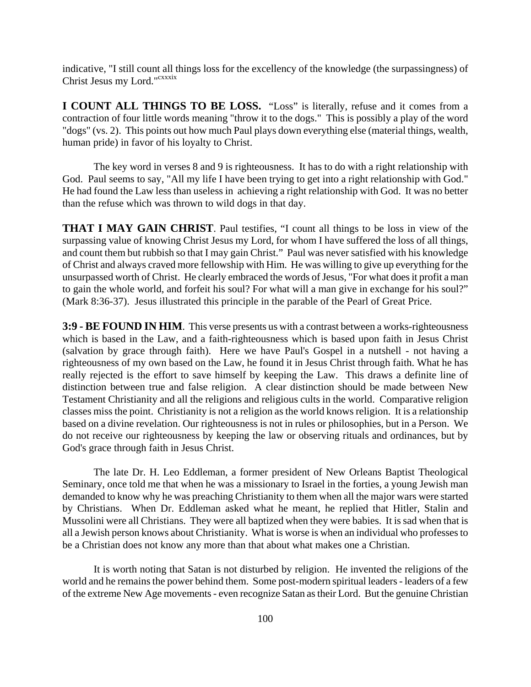indicative, "I still count all things loss for the excellency of the knowledge (the surpassingness) of Christ Jesus my Lord."cxxxix

**I COUNT ALL THINGS TO BE LOSS.** "Loss" is literally, refuse and it comes from a contraction of four little words meaning "throw it to the dogs." This is possibly a play of the word "dogs" (vs. 2). This points out how much Paul plays down everything else (material things, wealth, human pride) in favor of his loyalty to Christ.

The key word in verses 8 and 9 is righteousness. It has to do with a right relationship with God. Paul seems to say, "All my life I have been trying to get into a right relationship with God." He had found the Law less than useless in achieving a right relationship with God. It was no better than the refuse which was thrown to wild dogs in that day.

**THAT I MAY GAIN CHRIST**. Paul testifies, "I count all things to be loss in view of the surpassing value of knowing Christ Jesus my Lord, for whom I have suffered the loss of all things, and count them but rubbish so that I may gain Christ." Paul was never satisfied with his knowledge of Christ and always craved more fellowship with Him. He was willing to give up everything for the unsurpassed worth of Christ. He clearly embraced the words of Jesus, "For what does it profit a man to gain the whole world, and forfeit his soul? For what will a man give in exchange for his soul?" (Mark 8:36-37). Jesus illustrated this principle in the parable of the Pearl of Great Price.

**3:9 - BE FOUND IN HIM**. This verse presents us with a contrast between a works-righteousness which is based in the Law, and a faith-righteousness which is based upon faith in Jesus Christ (salvation by grace through faith). Here we have Paul's Gospel in a nutshell - not having a righteousness of my own based on the Law, he found it in Jesus Christ through faith. What he has really rejected is the effort to save himself by keeping the Law. This draws a definite line of distinction between true and false religion. A clear distinction should be made between New Testament Christianity and all the religions and religious cults in the world. Comparative religion classes miss the point. Christianity is not a religion as the world knows religion. It is a relationship based on a divine revelation. Our righteousness is not in rules or philosophies, but in a Person. We do not receive our righteousness by keeping the law or observing rituals and ordinances, but by God's grace through faith in Jesus Christ.

The late Dr. H. Leo Eddleman, a former president of New Orleans Baptist Theological Seminary, once told me that when he was a missionary to Israel in the forties, a young Jewish man demanded to know why he was preaching Christianity to them when all the major wars were started by Christians. When Dr. Eddleman asked what he meant, he replied that Hitler, Stalin and Mussolini were all Christians. They were all baptized when they were babies. It is sad when that is all a Jewish person knows about Christianity. What is worse is when an individual who professes to be a Christian does not know any more than that about what makes one a Christian.

It is worth noting that Satan is not disturbed by religion. He invented the religions of the world and he remains the power behind them. Some post-modern spiritual leaders - leaders of a few of the extreme New Age movements - even recognize Satan as their Lord. But the genuine Christian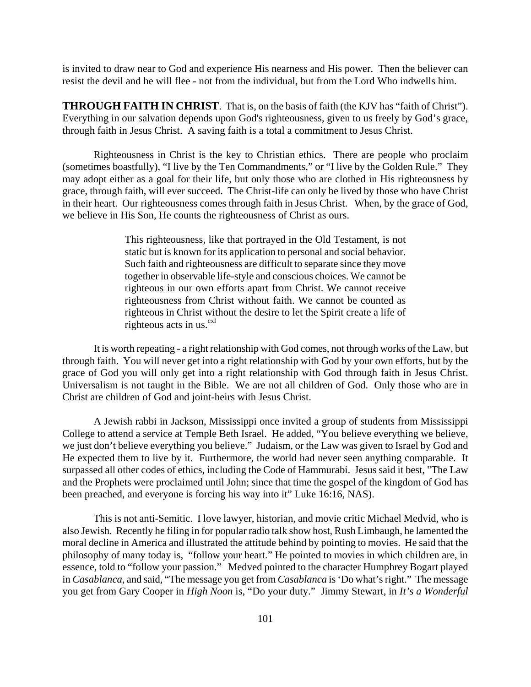is invited to draw near to God and experience His nearness and His power. Then the believer can resist the devil and he will flee - not from the individual, but from the Lord Who indwells him.

**THROUGH FAITH IN CHRIST**. That is, on the basis of faith (the KJV has "faith of Christ"). Everything in our salvation depends upon God's righteousness, given to us freely by God's grace, through faith in Jesus Christ. A saving faith is a total a commitment to Jesus Christ.

Righteousness in Christ is the key to Christian ethics. There are people who proclaim (sometimes boastfully), "I live by the Ten Commandments," or "I live by the Golden Rule." They may adopt either as a goal for their life, but only those who are clothed in His righteousness by grace, through faith, will ever succeed. The Christ-life can only be lived by those who have Christ in their heart. Our righteousness comes through faith in Jesus Christ. When, by the grace of God, we believe in His Son, He counts the righteousness of Christ as ours.

> This righteousness, like that portrayed in the Old Testament, is not static but is known for its application to personal and social behavior. Such faith and righteousness are difficult to separate since they move together in observable life-style and conscious choices. We cannot be righteous in our own efforts apart from Christ. We cannot receive righteousness from Christ without faith. We cannot be counted as righteous in Christ without the desire to let the Spirit create a life of righteous acts in us. $\frac{cx}{c}$

It is worth repeating - a right relationship with God comes, not through works of the Law, but through faith. You will never get into a right relationship with God by your own efforts, but by the grace of God you will only get into a right relationship with God through faith in Jesus Christ. Universalism is not taught in the Bible. We are not all children of God. Only those who are in Christ are children of God and joint-heirs with Jesus Christ.

A Jewish rabbi in Jackson, Mississippi once invited a group of students from Mississippi College to attend a service at Temple Beth Israel. He added, "You believe everything we believe, we just don't believe everything you believe." Judaism, or the Law was given to Israel by God and He expected them to live by it. Furthermore, the world had never seen anything comparable. It surpassed all other codes of ethics, including the Code of Hammurabi. Jesus said it best, "The Law and the Prophets were proclaimed until John; since that time the gospel of the kingdom of God has been preached, and everyone is forcing his way into it" Luke 16:16, NAS).

This is not anti-Semitic. I love lawyer, historian, and movie critic Michael Medvid, who is also Jewish. Recently he filing in for popular radio talk show host, Rush Limbaugh, he lamented the moral decline in America and illustrated the attitude behind by pointing to movies. He said that the philosophy of many today is, "follow your heart." He pointed to movies in which children are, in essence, told to "follow your passion." Medved pointed to the character Humphrey Bogart played in *Casablanca,* and said, "The message you get from *Casablanca* is 'Do what's right." The message you get from Gary Cooper in *High Noon* is, "Do your duty." Jimmy Stewart, in *It's a Wonderful*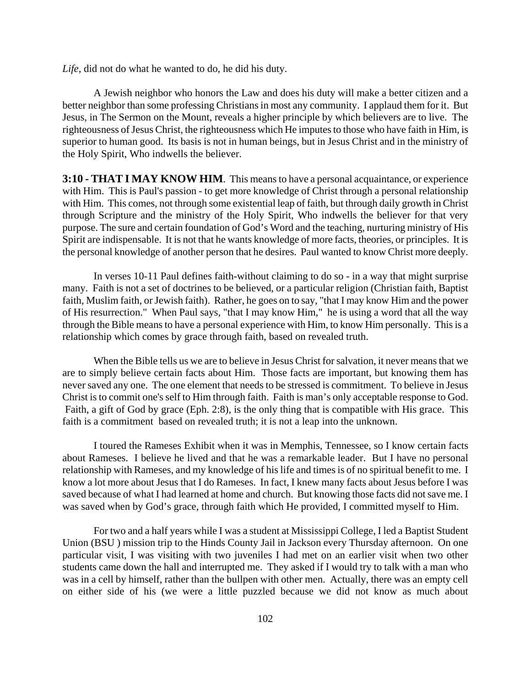*Life,* did not do what he wanted to do, he did his duty.

A Jewish neighbor who honors the Law and does his duty will make a better citizen and a better neighbor than some professing Christians in most any community. I applaud them for it. But Jesus, in The Sermon on the Mount, reveals a higher principle by which believers are to live. The righteousness of Jesus Christ, the righteousness which He imputes to those who have faith in Him, is superior to human good. Its basis is not in human beings, but in Jesus Christ and in the ministry of the Holy Spirit, Who indwells the believer.

**3:10 - THAT I MAY KNOW HIM**. This means to have a personal acquaintance, or experience with Him. This is Paul's passion - to get more knowledge of Christ through a personal relationship with Him. This comes, not through some existential leap of faith, but through daily growth in Christ through Scripture and the ministry of the Holy Spirit, Who indwells the believer for that very purpose. The sure and certain foundation of God's Word and the teaching, nurturing ministry of His Spirit are indispensable. It is not that he wants knowledge of more facts, theories, or principles. It is the personal knowledge of another person that he desires. Paul wanted to know Christ more deeply.

In verses 10-11 Paul defines faith-without claiming to do so - in a way that might surprise many. Faith is not a set of doctrines to be believed, or a particular religion (Christian faith, Baptist faith, Muslim faith, or Jewish faith). Rather, he goes on to say, "that I may know Him and the power of His resurrection." When Paul says, "that I may know Him," he is using a word that all the way through the Bible means to have a personal experience with Him, to know Him personally. This is a relationship which comes by grace through faith, based on revealed truth.

When the Bible tells us we are to believe in Jesus Christ for salvation, it never means that we are to simply believe certain facts about Him. Those facts are important, but knowing them has never saved any one. The one element that needs to be stressed is commitment. To believe in Jesus Christ is to commit one's self to Him through faith. Faith is man's only acceptable response to God. Faith, a gift of God by grace (Eph. 2:8), is the only thing that is compatible with His grace. This faith is a commitment based on revealed truth; it is not a leap into the unknown.

I toured the Rameses Exhibit when it was in Memphis, Tennessee, so I know certain facts about Rameses. I believe he lived and that he was a remarkable leader. But I have no personal relationship with Rameses, and my knowledge of his life and times is of no spiritual benefit to me. I know a lot more about Jesus that I do Rameses. In fact, I knew many facts about Jesus before I was saved because of what I had learned at home and church. But knowing those facts did not save me. I was saved when by God's grace, through faith which He provided, I committed myself to Him.

For two and a half years while I was a student at Mississippi College, I led a Baptist Student Union (BSU ) mission trip to the Hinds County Jail in Jackson every Thursday afternoon. On one particular visit, I was visiting with two juveniles I had met on an earlier visit when two other students came down the hall and interrupted me. They asked if I would try to talk with a man who was in a cell by himself, rather than the bullpen with other men. Actually, there was an empty cell on either side of his (we were a little puzzled because we did not know as much about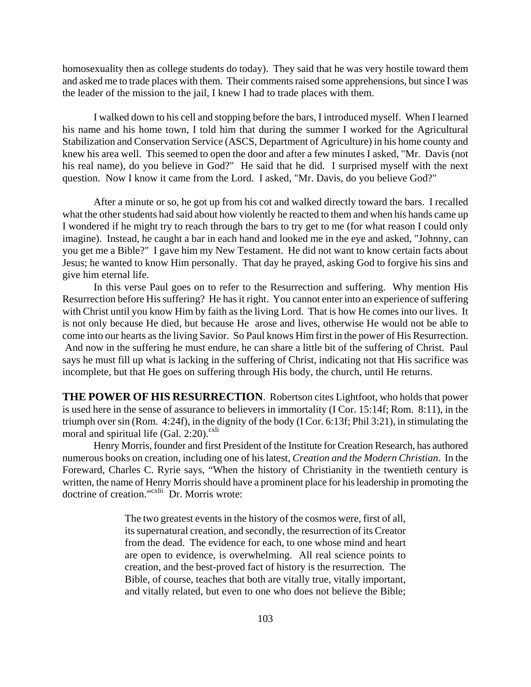homosexuality then as college students do today). They said that he was very hostile toward them and asked me to trade places with them. Their comments raised some apprehensions, but since I was the leader of the mission to the jail, I knew I had to trade places with them.

I walked down to his cell and stopping before the bars, I introduced myself. When I learned his name and his home town, I told him that during the summer I worked for the Agricultural Stabilization and Conservation Service (ASCS, Department of Agriculture) in his home county and knew his area well. This seemed to open the door and after a few minutes I asked, "Mr. Davis (not his real name), do you believe in God?" He said that he did. I surprised myself with the next question. Now I know it came from the Lord. I asked, "Mr. Davis, do you believe God?"

After a minute or so, he got up from his cot and walked directly toward the bars. I recalled what the other students had said about how violently he reacted to them and when his hands came up I wondered if he might try to reach through the bars to try get to me (for what reason I could only imagine). Instead, he caught a bar in each hand and looked me in the eye and asked, "Johnny, can you get me a Bible?" I gave him my New Testament. He did not want to know certain facts about Jesus; he wanted to know Him personally. That day he prayed, asking God to forgive his sins and give him eternal life.

In this verse Paul goes on to refer to the Resurrection and suffering. Why mention His Resurrection before His suffering? He has it right. You cannot enter into an experience of suffering with Christ until you know Him by faith as the living Lord. That is how He comes into our lives. It is not only because He died, but because He arose and lives, otherwise He would not be able to come into our hearts as the living Savior. So Paul knows Him first in the power of His Resurrection. And now in the suffering he must endure, he can share a little bit of the suffering of Christ. Paul says he must fill up what is lacking in the suffering of Christ, indicating not that His sacrifice was incomplete, but that He goes on suffering through His body, the church, until He returns.

**THE POWER OF HIS RESURRECTION**. Robertson cites Lightfoot, who holds that power is used here in the sense of assurance to believers in immortality (I Cor. 15:14f; Rom. 8:11), in the triumph over sin (Rom. 4:24f), in the dignity of the body (I Cor. 6:13f; Phil 3:21), in stimulating the moral and spiritual life (Gal. 2:20). $\frac{\text{c}^{1}}{1}$ 

Henry Morris, founder and first President of the Institute for Creation Research, has authored numerous books on creation, including one of his latest, *Creation and the Modern Christian*. In the Foreward, Charles C. Ryrie says, "When the history of Christianity in the twentieth century is written, the name of Henry Morris should have a prominent place for his leadership in promoting the doctrine of creation."<sup>cxlii</sup> Dr. Morris wrote:

> The two greatest events in the history of the cosmos were, first of all, its supernatural creation, and secondly, the resurrection of its Creator from the dead. The evidence for each, to one whose mind and heart are open to evidence, is overwhelming. All real science points to creation, and the best-proved fact of history is the resurrection. The Bible, of course, teaches that both are vitally true, vitally important, and vitally related, but even to one who does not believe the Bible;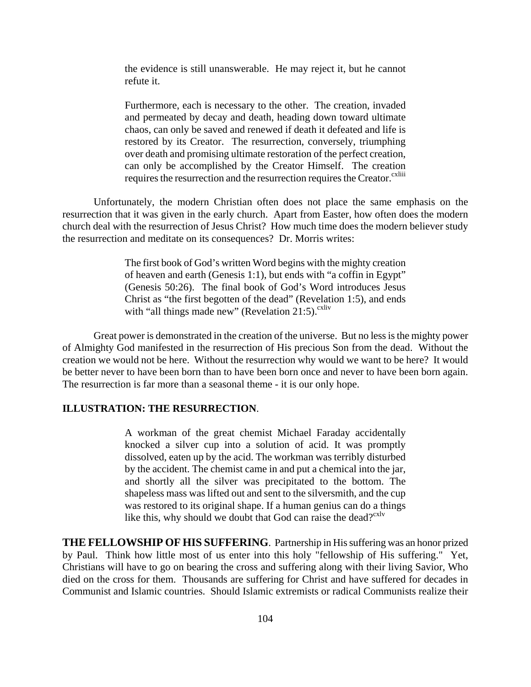the evidence is still unanswerable. He may reject it, but he cannot refute it.

Furthermore, each is necessary to the other. The creation, invaded and permeated by decay and death, heading down toward ultimate chaos, can only be saved and renewed if death it defeated and life is restored by its Creator. The resurrection, conversely, triumphing over death and promising ultimate restoration of the perfect creation, can only be accomplished by the Creator Himself. The creation requires the resurrection and the resurrection requires the Creator.<sup>cxliii</sup>

Unfortunately, the modern Christian often does not place the same emphasis on the resurrection that it was given in the early church. Apart from Easter, how often does the modern church deal with the resurrection of Jesus Christ? How much time does the modern believer study the resurrection and meditate on its consequences? Dr. Morris writes:

> The first book of God's written Word begins with the mighty creation of heaven and earth (Genesis 1:1), but ends with "a coffin in Egypt" (Genesis 50:26). The final book of God's Word introduces Jesus Christ as "the first begotten of the dead" (Revelation 1:5), and ends with "all things made new" (Revelation 21:5). $\text{c}^{\text{xliv}}$

Great power is demonstrated in the creation of the universe. But no less is the mighty power of Almighty God manifested in the resurrection of His precious Son from the dead. Without the creation we would not be here. Without the resurrection why would we want to be here? It would be better never to have been born than to have been born once and never to have been born again. The resurrection is far more than a seasonal theme - it is our only hope.

#### **ILLUSTRATION: THE RESURRECTION**.

A workman of the great chemist Michael Faraday accidentally knocked a silver cup into a solution of acid. It was promptly dissolved, eaten up by the acid. The workman was terribly disturbed by the accident. The chemist came in and put a chemical into the jar, and shortly all the silver was precipitated to the bottom. The shapeless mass was lifted out and sent to the silversmith, and the cup was restored to its original shape. If a human genius can do a things like this, why should we doubt that God can raise the dead? $\mathbb{C}^{\text{xlv}}$ 

**THE FELLOWSHIP OF HIS SUFFERING**. Partnership in His suffering was an honor prized by Paul. Think how little most of us enter into this holy "fellowship of His suffering." Yet, Christians will have to go on bearing the cross and suffering along with their living Savior, Who died on the cross for them. Thousands are suffering for Christ and have suffered for decades in Communist and Islamic countries. Should Islamic extremists or radical Communists realize their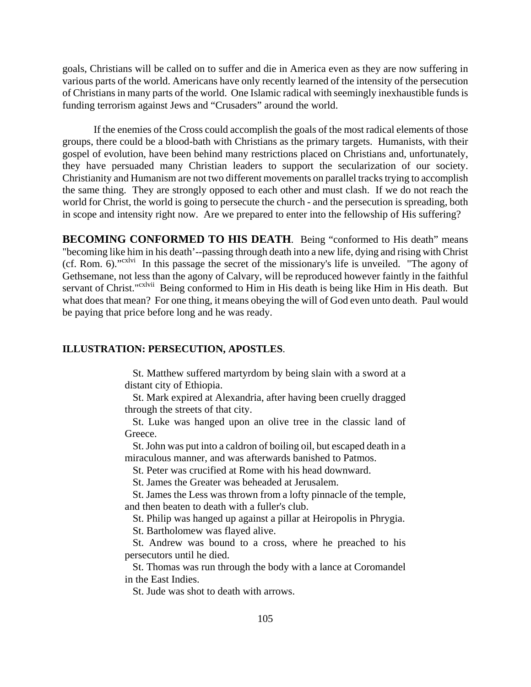goals, Christians will be called on to suffer and die in America even as they are now suffering in various parts of the world. Americans have only recently learned of the intensity of the persecution of Christians in many parts of the world. One Islamic radical with seemingly inexhaustible funds is funding terrorism against Jews and "Crusaders" around the world.

If the enemies of the Cross could accomplish the goals of the most radical elements of those groups, there could be a blood-bath with Christians as the primary targets. Humanists, with their gospel of evolution, have been behind many restrictions placed on Christians and, unfortunately, they have persuaded many Christian leaders to support the secularization of our society. Christianity and Humanism are not two different movements on parallel tracks trying to accomplish the same thing. They are strongly opposed to each other and must clash. If we do not reach the world for Christ, the world is going to persecute the church - and the persecution is spreading, both in scope and intensity right now. Are we prepared to enter into the fellowship of His suffering?

**BECOMING CONFORMED TO HIS DEATH.** Being "conformed to His death" means "becoming like him in his death'--passing through death into a new life, dying and rising with Christ (cf. Rom. 6)."cxlvi In this passage the secret of the missionary's life is unveiled. "The agony of Gethsemane, not less than the agony of Calvary, will be reproduced however faintly in the faithful servant of Christ."<sup>cxlvii</sup> Being conformed to Him in His death is being like Him in His death. But what does that mean? For one thing, it means obeying the will of God even unto death. Paul would be paying that price before long and he was ready.

#### **ILLUSTRATION: PERSECUTION, APOSTLES**.

 St. Matthew suffered martyrdom by being slain with a sword at a distant city of Ethiopia.

 St. Mark expired at Alexandria, after having been cruelly dragged through the streets of that city.

 St. Luke was hanged upon an olive tree in the classic land of Greece.

 St. John was put into a caldron of boiling oil, but escaped death in a miraculous manner, and was afterwards banished to Patmos.

St. Peter was crucified at Rome with his head downward.

St. James the Greater was beheaded at Jerusalem.

 St. James the Less was thrown from a lofty pinnacle of the temple, and then beaten to death with a fuller's club.

St. Philip was hanged up against a pillar at Heiropolis in Phrygia.

St. Bartholomew was flayed alive.

 St. Andrew was bound to a cross, where he preached to his persecutors until he died.

 St. Thomas was run through the body with a lance at Coromandel in the East Indies.

St. Jude was shot to death with arrows.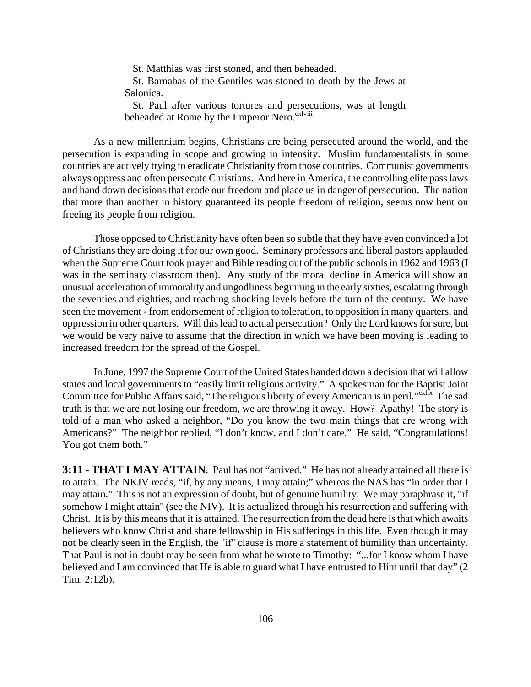St. Matthias was first stoned, and then beheaded.

 St. Barnabas of the Gentiles was stoned to death by the Jews at Salonica.

 St. Paul after various tortures and persecutions, was at length beheaded at Rome by the Emperor Nero.<sup>cxlviii</sup>

As a new millennium begins, Christians are being persecuted around the world, and the persecution is expanding in scope and growing in intensity. Muslim fundamentalists in some countries are actively trying to eradicate Christianity from those countries. Communist governments always oppress and often persecute Christians. And here in America, the controlling elite pass laws and hand down decisions that erode our freedom and place us in danger of persecution. The nation that more than another in history guaranteed its people freedom of religion, seems now bent on freeing its people from religion.

Those opposed to Christianity have often been so subtle that they have even convinced a lot of Christians they are doing it for our own good. Seminary professors and liberal pastors applauded when the Supreme Court took prayer and Bible reading out of the public schools in 1962 and 1963 (I was in the seminary classroom then). Any study of the moral decline in America will show an unusual acceleration of immorality and ungodliness beginning in the early sixties, escalating through the seventies and eighties, and reaching shocking levels before the turn of the century. We have seen the movement - from endorsement of religion to toleration, to opposition in many quarters, and oppression in other quarters. Will this lead to actual persecution? Only the Lord knows for sure, but we would be very naive to assume that the direction in which we have been moving is leading to increased freedom for the spread of the Gospel.

In June, 1997 the Supreme Court of the United States handed down a decision that will allow states and local governments to "easily limit religious activity." A spokesman for the Baptist Joint Committee for Public Affairs said, "The religious liberty of every American is in peril."<sup>cxlix</sup> The sad truth is that we are not losing our freedom, we are throwing it away. How? Apathy! The story is told of a man who asked a neighbor, "Do you know the two main things that are wrong with Americans?" The neighbor replied, "I don't know, and I don't care." He said, "Congratulations! You got them both."

**3:11 - THAT I MAY ATTAIN.** Paul has not "arrived." He has not already attained all there is to attain. The NKJV reads, "if, by any means, I may attain;" whereas the NAS has "in order that I may attain." This is not an expression of doubt, but of genuine humility. We may paraphrase it, "if somehow I might attain'' (see the NIV). It is actualized through his resurrection and suffering with Christ. It is by this means that it is attained. The resurrection from the dead here is that which awaits believers who know Christ and share fellowship in His sufferings in this life. Even though it may not be clearly seen in the English, the "if'' clause is more a statement of humility than uncertainty. That Paul is not in doubt may be seen from what he wrote to Timothy: "...for I know whom I have believed and I am convinced that He is able to guard what I have entrusted to Him until that day" (2 Tim. 2:12b).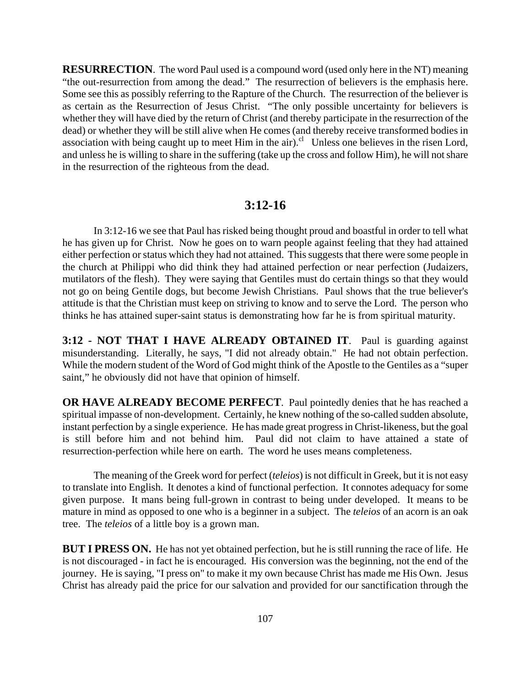**RESURRECTION**. The word Paul used is a compound word (used only here in the NT) meaning "the out-resurrection from among the dead." The resurrection of believers is the emphasis here. Some see this as possibly referring to the Rapture of the Church. The resurrection of the believer is as certain as the Resurrection of Jesus Christ. "The only possible uncertainty for believers is whether they will have died by the return of Christ (and thereby participate in the resurrection of the dead) or whether they will be still alive when He comes (and thereby receive transformed bodies in association with being caught up to meet Him in the air).<sup>cl</sup> Unless one believes in the risen Lord, and unless he is willing to share in the suffering (take up the cross and follow Him), he will not share in the resurrection of the righteous from the dead.

## **3:12-16**

In 3:12-16 we see that Paul has risked being thought proud and boastful in order to tell what he has given up for Christ. Now he goes on to warn people against feeling that they had attained either perfection or status which they had not attained. This suggests that there were some people in the church at Philippi who did think they had attained perfection or near perfection (Judaizers, mutilators of the flesh). They were saying that Gentiles must do certain things so that they would not go on being Gentile dogs, but become Jewish Christians. Paul shows that the true believer's attitude is that the Christian must keep on striving to know and to serve the Lord. The person who thinks he has attained super-saint status is demonstrating how far he is from spiritual maturity.

**3:12 - NOT THAT I HAVE ALREADY OBTAINED IT**. Paul is guarding against misunderstanding. Literally, he says, "I did not already obtain." He had not obtain perfection. While the modern student of the Word of God might think of the Apostle to the Gentiles as a "super saint," he obviously did not have that opinion of himself.

**OR HAVE ALREADY BECOME PERFECT**. Paul pointedly denies that he has reached a spiritual impasse of non-development. Certainly, he knew nothing of the so-called sudden absolute, instant perfection by a single experience. He has made great progress in Christ-likeness, but the goal is still before him and not behind him. Paul did not claim to have attained a state of resurrection-perfection while here on earth. The word he uses means completeness.

The meaning of the Greek word for perfect (*teleios*) is not difficult in Greek, but it is not easy to translate into English. It denotes a kind of functional perfection. It connotes adequacy for some given purpose. It mans being full-grown in contrast to being under developed. It means to be mature in mind as opposed to one who is a beginner in a subject. The *teleios* of an acorn is an oak tree. The *teleios* of a little boy is a grown man.

**BUT I PRESS ON.** He has not yet obtained perfection, but he is still running the race of life. He is not discouraged - in fact he is encouraged. His conversion was the beginning, not the end of the journey. He is saying, "I press on" to make it my own because Christ has made me His Own. Jesus Christ has already paid the price for our salvation and provided for our sanctification through the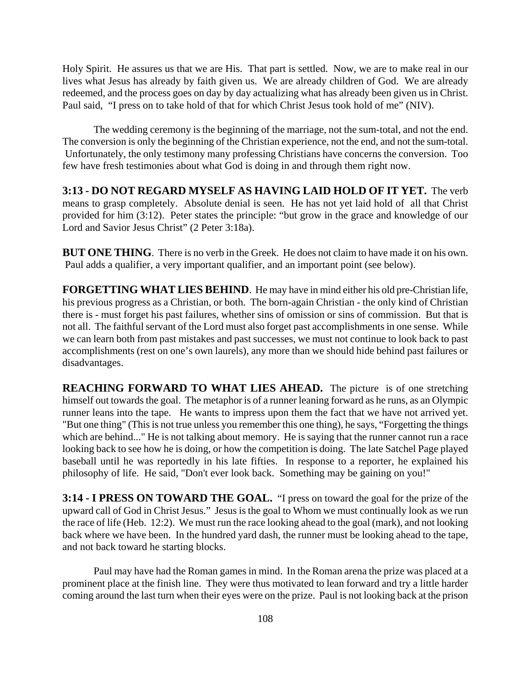Holy Spirit. He assures us that we are His. That part is settled. Now, we are to make real in our lives what Jesus has already by faith given us. We are already children of God. We are already redeemed, and the process goes on day by day actualizing what has already been given us in Christ. Paul said, "I press on to take hold of that for which Christ Jesus took hold of me" (NIV).

The wedding ceremony is the beginning of the marriage, not the sum-total, and not the end. The conversion is only the beginning of the Christian experience, not the end, and not the sum-total. Unfortunately, the only testimony many professing Christians have concerns the conversion. Too few have fresh testimonies about what God is doing in and through them right now.

**3:13 - DO NOT REGARD MYSELF AS HAVING LAID HOLD OF IT YET.** The verb means to grasp completely. Absolute denial is seen. He has not yet laid hold of all that Christ provided for him (3:12). Peter states the principle: "but grow in the grace and knowledge of our Lord and Savior Jesus Christ" (2 Peter 3:18a).

**BUT ONE THING**. There is no verb in the Greek. He does not claim to have made it on his own. Paul adds a qualifier, a very important qualifier, and an important point (see below).

**FORGETTING WHAT LIES BEHIND**. He may have in mind either his old pre-Christian life, his previous progress as a Christian, or both. The born-again Christian - the only kind of Christian there is - must forget his past failures, whether sins of omission or sins of commission. But that is not all. The faithful servant of the Lord must also forget past accomplishments in one sense. While we can learn both from past mistakes and past successes, we must not continue to look back to past accomplishments (rest on one's own laurels), any more than we should hide behind past failures or disadvantages.

**REACHING FORWARD TO WHAT LIES AHEAD.** The picture is of one stretching himself out towards the goal. The metaphor is of a runner leaning forward as he runs, as an Olympic runner leans into the tape. He wants to impress upon them the fact that we have not arrived yet. "But one thing" (This is not true unless you remember this one thing), he says, "Forgetting the things which are behind..." He is not talking about memory. He is saying that the runner cannot run a race looking back to see how he is doing, or how the competition is doing. The late Satchel Page played baseball until he was reportedly in his late fifties. In response to a reporter, he explained his philosophy of life. He said, "Don't ever look back. Something may be gaining on you!"

**3:14 - I PRESS ON TOWARD THE GOAL.** "I press on toward the goal for the prize of the upward call of God in Christ Jesus." Jesus is the goal to Whom we must continually look as we run the race of life (Heb. 12:2). We must run the race looking ahead to the goal (mark), and not looking back where we have been. In the hundred yard dash, the runner must be looking ahead to the tape, and not back toward he starting blocks.

Paul may have had the Roman games in mind. In the Roman arena the prize was placed at a prominent place at the finish line. They were thus motivated to lean forward and try a little harder coming around the last turn when their eyes were on the prize. Paul is not looking back at the prison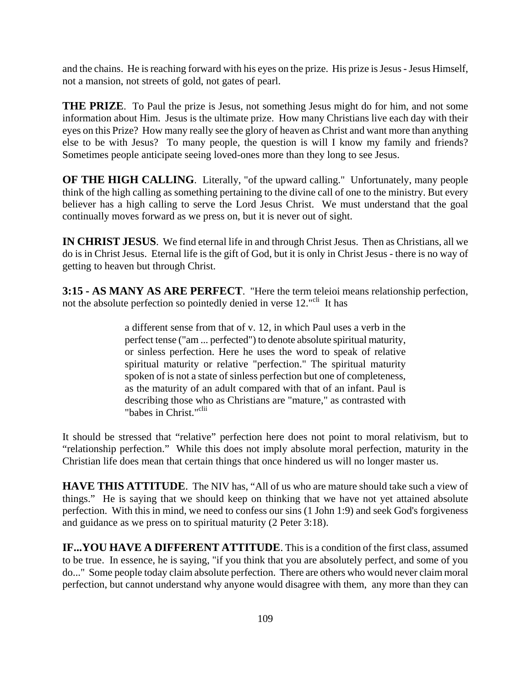and the chains. He is reaching forward with his eyes on the prize. His prize is Jesus - Jesus Himself, not a mansion, not streets of gold, not gates of pearl.

**THE PRIZE**. To Paul the prize is Jesus, not something Jesus might do for him, and not some information about Him. Jesus is the ultimate prize. How many Christians live each day with their eyes on this Prize? How many really see the glory of heaven as Christ and want more than anything else to be with Jesus? To many people, the question is will I know my family and friends? Sometimes people anticipate seeing loved-ones more than they long to see Jesus.

**OF THE HIGH CALLING.** Literally, "of the upward calling." Unfortunately, many people think of the high calling as something pertaining to the divine call of one to the ministry. But every believer has a high calling to serve the Lord Jesus Christ. We must understand that the goal continually moves forward as we press on, but it is never out of sight.

**IN CHRIST JESUS**. We find eternal life in and through Christ Jesus. Then as Christians, all we do is in Christ Jesus. Eternal life is the gift of God, but it is only in Christ Jesus - there is no way of getting to heaven but through Christ.

**3:15 - AS MANY AS ARE PERFECT**. "Here the term teleioi means relationship perfection, not the absolute perfection so pointedly denied in verse 12."<sup>cli</sup> It has

> a different sense from that of v. 12, in which Paul uses a verb in the perfect tense ("am ... perfected") to denote absolute spiritual maturity, or sinless perfection. Here he uses the word to speak of relative spiritual maturity or relative "perfection." The spiritual maturity spoken of is not a state of sinless perfection but one of completeness, as the maturity of an adult compared with that of an infant. Paul is describing those who as Christians are "mature," as contrasted with "babes in Christ."<sup>clii</sup>

It should be stressed that "relative" perfection here does not point to moral relativism, but to "relationship perfection." While this does not imply absolute moral perfection, maturity in the Christian life does mean that certain things that once hindered us will no longer master us.

**HAVE THIS ATTITUDE**. The NIV has, "All of us who are mature should take such a view of things." He is saying that we should keep on thinking that we have not yet attained absolute perfection. With this in mind, we need to confess our sins (1 John 1:9) and seek God's forgiveness and guidance as we press on to spiritual maturity (2 Peter 3:18).

**IF...YOU HAVE A DIFFERENT ATTITUDE**. This is a condition of the first class, assumed to be true. In essence, he is saying, "if you think that you are absolutely perfect, and some of you do..." Some people today claim absolute perfection. There are others who would never claim moral perfection, but cannot understand why anyone would disagree with them, any more than they can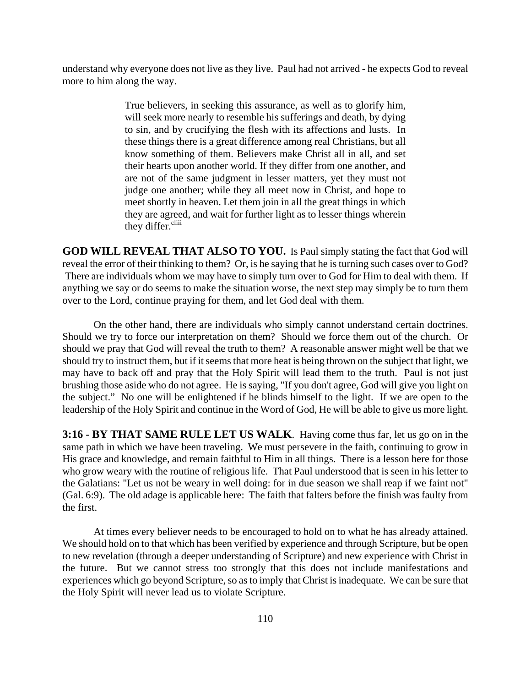understand why everyone does not live as they live. Paul had not arrived - he expects God to reveal more to him along the way.

> True believers, in seeking this assurance, as well as to glorify him, will seek more nearly to resemble his sufferings and death, by dying to sin, and by crucifying the flesh with its affections and lusts. In these things there is a great difference among real Christians, but all know something of them. Believers make Christ all in all, and set their hearts upon another world. If they differ from one another, and are not of the same judgment in lesser matters, yet they must not judge one another; while they all meet now in Christ, and hope to meet shortly in heaven. Let them join in all the great things in which they are agreed, and wait for further light as to lesser things wherein they differ.<sup>cliii</sup>

**GOD WILL REVEAL THAT ALSO TO YOU.** Is Paul simply stating the fact that God will reveal the error of their thinking to them? Or, is he saying that he is turning such cases over to God? There are individuals whom we may have to simply turn over to God for Him to deal with them. If anything we say or do seems to make the situation worse, the next step may simply be to turn them over to the Lord, continue praying for them, and let God deal with them.

On the other hand, there are individuals who simply cannot understand certain doctrines. Should we try to force our interpretation on them? Should we force them out of the church. Or should we pray that God will reveal the truth to them? A reasonable answer might well be that we should try to instruct them, but if it seems that more heat is being thrown on the subject that light, we may have to back off and pray that the Holy Spirit will lead them to the truth. Paul is not just brushing those aside who do not agree. He is saying, "If you don't agree, God will give you light on the subject." No one will be enlightened if he blinds himself to the light. If we are open to the leadership of the Holy Spirit and continue in the Word of God, He will be able to give us more light.

**3:16 - BY THAT SAME RULE LET US WALK**. Having come thus far, let us go on in the same path in which we have been traveling. We must persevere in the faith, continuing to grow in His grace and knowledge, and remain faithful to Him in all things. There is a lesson here for those who grow weary with the routine of religious life. That Paul understood that is seen in his letter to the Galatians: "Let us not be weary in well doing: for in due season we shall reap if we faint not" (Gal. 6:9). The old adage is applicable here: The faith that falters before the finish was faulty from the first.

At times every believer needs to be encouraged to hold on to what he has already attained. We should hold on to that which has been verified by experience and through Scripture, but be open to new revelation (through a deeper understanding of Scripture) and new experience with Christ in the future. But we cannot stress too strongly that this does not include manifestations and experiences which go beyond Scripture, so as to imply that Christ is inadequate. We can be sure that the Holy Spirit will never lead us to violate Scripture.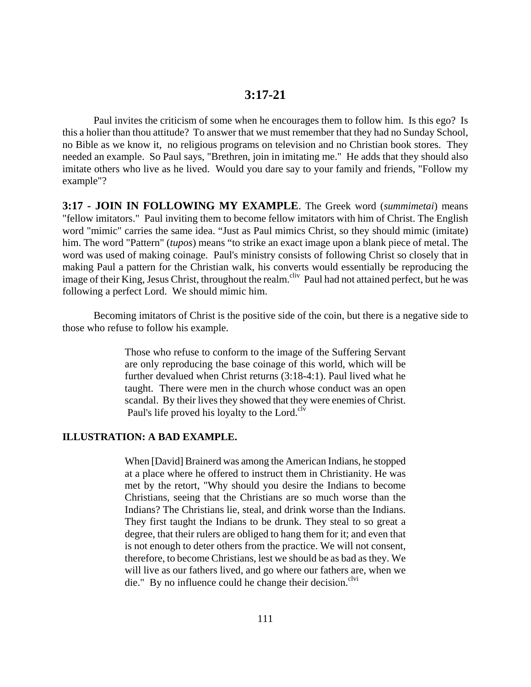## **3:17-21**

Paul invites the criticism of some when he encourages them to follow him. Is this ego? Is this a holier than thou attitude? To answer that we must remember that they had no Sunday School, no Bible as we know it, no religious programs on television and no Christian book stores. They needed an example. So Paul says, "Brethren, join in imitating me." He adds that they should also imitate others who live as he lived. Would you dare say to your family and friends, "Follow my example"?

**3:17 - JOIN IN FOLLOWING MY EXAMPLE**. The Greek word (*summimetai*) means "fellow imitators." Paul inviting them to become fellow imitators with him of Christ. The English word "mimic" carries the same idea. "Just as Paul mimics Christ, so they should mimic (imitate) him. The word "Pattern" (*tupos*) means "to strike an exact image upon a blank piece of metal. The word was used of making coinage. Paul's ministry consists of following Christ so closely that in making Paul a pattern for the Christian walk, his converts would essentially be reproducing the image of their King, Jesus Christ, throughout the realm.<sup>cliv</sup> Paul had not attained perfect, but he was following a perfect Lord. We should mimic him.

Becoming imitators of Christ is the positive side of the coin, but there is a negative side to those who refuse to follow his example.

> Those who refuse to conform to the image of the Suffering Servant are only reproducing the base coinage of this world, which will be further devalued when Christ returns (3:18-4:1). Paul lived what he taught. There were men in the church whose conduct was an open scandal. By their lives they showed that they were enemies of Christ. Paul's life proved his loyalty to the Lord. $\rm^{clv}$

#### **ILLUSTRATION: A BAD EXAMPLE.**

When [David] Brainerd was among the American Indians, he stopped at a place where he offered to instruct them in Christianity. He was met by the retort, "Why should you desire the Indians to become Christians, seeing that the Christians are so much worse than the Indians? The Christians lie, steal, and drink worse than the Indians. They first taught the Indians to be drunk. They steal to so great a degree, that their rulers are obliged to hang them for it; and even that is not enough to deter others from the practice. We will not consent, therefore, to become Christians, lest we should be as bad as they. We will live as our fathers lived, and go where our fathers are, when we die." By no influence could he change their decision.<sup>clvi</sup>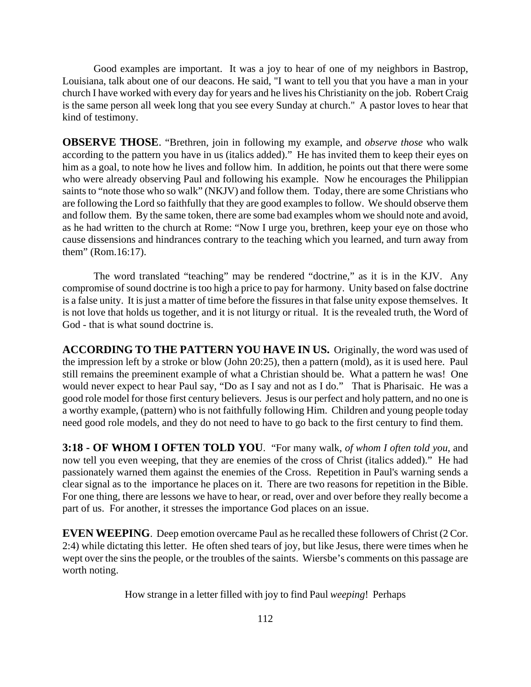Good examples are important. It was a joy to hear of one of my neighbors in Bastrop, Louisiana, talk about one of our deacons. He said, "I want to tell you that you have a man in your church I have worked with every day for years and he lives his Christianity on the job. Robert Craig is the same person all week long that you see every Sunday at church." A pastor loves to hear that kind of testimony.

**OBSERVE THOSE**. "Brethren, join in following my example, and *observe those* who walk according to the pattern you have in us (italics added)." He has invited them to keep their eyes on him as a goal, to note how he lives and follow him. In addition, he points out that there were some who were already observing Paul and following his example. Now he encourages the Philippian saints to "note those who so walk" (NKJV) and follow them. Today, there are some Christians who are following the Lord so faithfully that they are good examples to follow. We should observe them and follow them. By the same token, there are some bad examples whom we should note and avoid, as he had written to the church at Rome: "Now I urge you, brethren, keep your eye on those who cause dissensions and hindrances contrary to the teaching which you learned, and turn away from them" (Rom.16:17).

The word translated "teaching" may be rendered "doctrine," as it is in the KJV. Any compromise of sound doctrine is too high a price to pay for harmony. Unity based on false doctrine is a false unity. It is just a matter of time before the fissures in that false unity expose themselves. It is not love that holds us together, and it is not liturgy or ritual. It is the revealed truth, the Word of God - that is what sound doctrine is.

**ACCORDING TO THE PATTERN YOU HAVE IN US.** Originally, the word was used of the impression left by a stroke or blow (John 20:25), then a pattern (mold), as it is used here. Paul still remains the preeminent example of what a Christian should be. What a pattern he was! One would never expect to hear Paul say, "Do as I say and not as I do." That is Pharisaic. He was a good role model for those first century believers. Jesus is our perfect and holy pattern, and no one is a worthy example, (pattern) who is not faithfully following Him. Children and young people today need good role models, and they do not need to have to go back to the first century to find them.

**3:18 - OF WHOM I OFTEN TOLD YOU**. "For many walk, *of whom I often told you*, and now tell you even weeping, that they are enemies of the cross of Christ (italics added)." He had passionately warned them against the enemies of the Cross. Repetition in Paul's warning sends a clear signal as to the importance he places on it. There are two reasons for repetition in the Bible. For one thing, there are lessons we have to hear, or read, over and over before they really become a part of us. For another, it stresses the importance God places on an issue.

**EVEN WEEPING**. Deep emotion overcame Paul as he recalled these followers of Christ (2 Cor. 2:4) while dictating this letter. He often shed tears of joy, but like Jesus, there were times when he wept over the sins the people, or the troubles of the saints. Wiersbe's comments on this passage are worth noting.

How strange in a letter filled with joy to find Paul *weeping*! Perhaps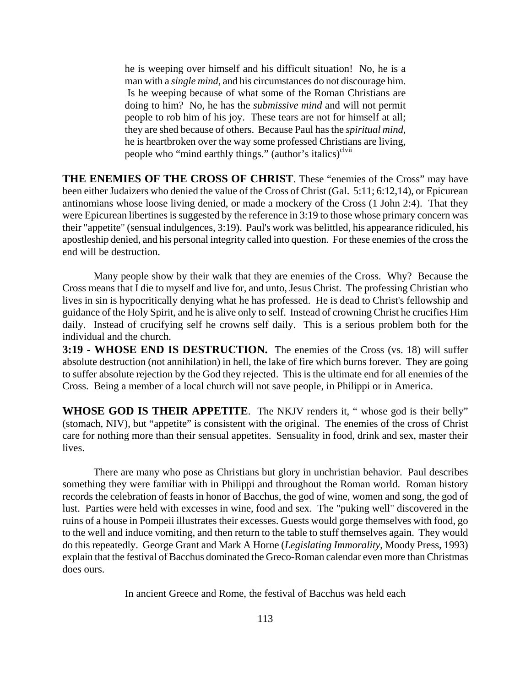he is weeping over himself and his difficult situation! No, he is a man with a *single mind*, and his circumstances do not discourage him. Is he weeping because of what some of the Roman Christians are doing to him? No, he has the *submissive mind* and will not permit people to rob him of his joy. These tears are not for himself at all; they are shed because of others. Because Paul has the *spiritual mind*, he is heartbroken over the way some professed Christians are living, people who "mind earthly things." (author's italics) $\text{c}^{\text{lvii}}$ 

**THE ENEMIES OF THE CROSS OF CHRIST**. These "enemies of the Cross" may have been either Judaizers who denied the value of the Cross of Christ (Gal. 5:11; 6:12,14), or Epicurean antinomians whose loose living denied, or made a mockery of the Cross (1 John 2:4). That they were Epicurean libertines is suggested by the reference in 3:19 to those whose primary concern was their "appetite" (sensual indulgences, 3:19). Paul's work was belittled, his appearance ridiculed, his apostleship denied, and his personal integrity called into question. For these enemies of the cross the end will be destruction.

Many people show by their walk that they are enemies of the Cross. Why? Because the Cross means that I die to myself and live for, and unto, Jesus Christ. The professing Christian who lives in sin is hypocritically denying what he has professed. He is dead to Christ's fellowship and guidance of the Holy Spirit, and he is alive only to self. Instead of crowning Christ he crucifies Him daily. Instead of crucifying self he crowns self daily. This is a serious problem both for the individual and the church.

**3:19 - WHOSE END IS DESTRUCTION.** The enemies of the Cross (vs. 18) will suffer absolute destruction (not annihilation) in hell, the lake of fire which burns forever. They are going to suffer absolute rejection by the God they rejected. This is the ultimate end for all enemies of the Cross. Being a member of a local church will not save people, in Philippi or in America.

**WHOSE GOD IS THEIR APPETITE**. The NKJV renders it, " whose god is their belly" (stomach, NIV), but "appetite" is consistent with the original. The enemies of the cross of Christ care for nothing more than their sensual appetites. Sensuality in food, drink and sex, master their lives.

There are many who pose as Christians but glory in unchristian behavior. Paul describes something they were familiar with in Philippi and throughout the Roman world. Roman history records the celebration of feasts in honor of Bacchus, the god of wine, women and song, the god of lust. Parties were held with excesses in wine, food and sex. The "puking well" discovered in the ruins of a house in Pompeii illustrates their excesses. Guests would gorge themselves with food, go to the well and induce vomiting, and then return to the table to stuff themselves again. They would do this repeatedly. George Grant and Mark A Horne (*Legislating Immorality*, Moody Press, 1993) explain that the festival of Bacchus dominated the Greco-Roman calendar even more than Christmas does ours.

In ancient Greece and Rome, the festival of Bacchus was held each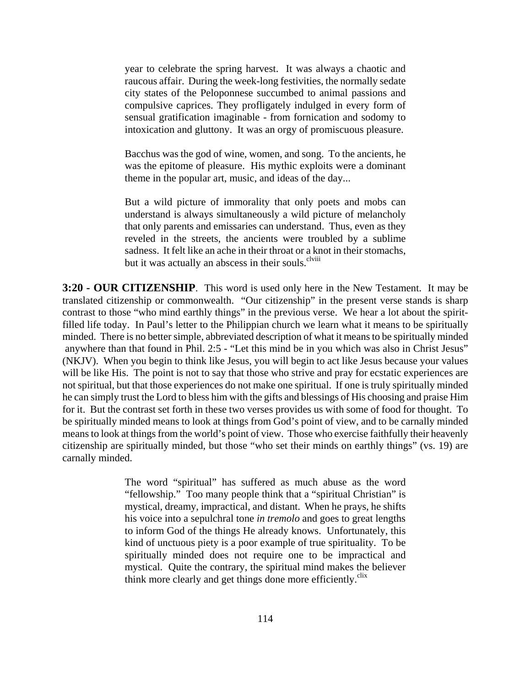year to celebrate the spring harvest. It was always a chaotic and raucous affair. During the week-long festivities, the normally sedate city states of the Peloponnese succumbed to animal passions and compulsive caprices. They profligately indulged in every form of sensual gratification imaginable - from fornication and sodomy to intoxication and gluttony. It was an orgy of promiscuous pleasure.

Bacchus was the god of wine, women, and song. To the ancients, he was the epitome of pleasure. His mythic exploits were a dominant theme in the popular art, music, and ideas of the day...

But a wild picture of immorality that only poets and mobs can understand is always simultaneously a wild picture of melancholy that only parents and emissaries can understand. Thus, even as they reveled in the streets, the ancients were troubled by a sublime sadness. It felt like an ache in their throat or a knot in their stomachs, but it was actually an abscess in their souls.<sup>clviii</sup>

**3:20 - OUR CITIZENSHIP**. This word is used only here in the New Testament. It may be translated citizenship or commonwealth. "Our citizenship" in the present verse stands is sharp contrast to those "who mind earthly things" in the previous verse. We hear a lot about the spiritfilled life today. In Paul's letter to the Philippian church we learn what it means to be spiritually minded. There is no better simple, abbreviated description of what it means to be spiritually minded anywhere than that found in Phil. 2:5 - "Let this mind be in you which was also in Christ Jesus" (NKJV). When you begin to think like Jesus, you will begin to act like Jesus because your values will be like His. The point is not to say that those who strive and pray for ecstatic experiences are not spiritual, but that those experiences do not make one spiritual. If one is truly spiritually minded he can simply trust the Lord to bless him with the gifts and blessings of His choosing and praise Him for it. But the contrast set forth in these two verses provides us with some of food for thought. To be spiritually minded means to look at things from God's point of view, and to be carnally minded means to look at things from the world's point of view. Those who exercise faithfully their heavenly citizenship are spiritually minded, but those "who set their minds on earthly things" (vs. 19) are carnally minded.

> The word "spiritual" has suffered as much abuse as the word "fellowship." Too many people think that a "spiritual Christian" is mystical, dreamy, impractical, and distant. When he prays, he shifts his voice into a sepulchral tone *in tremolo* and goes to great lengths to inform God of the things He already knows. Unfortunately, this kind of unctuous piety is a poor example of true spirituality. To be spiritually minded does not require one to be impractical and mystical. Quite the contrary, the spiritual mind makes the believer think more clearly and get things done more efficiently.<sup>clix</sup>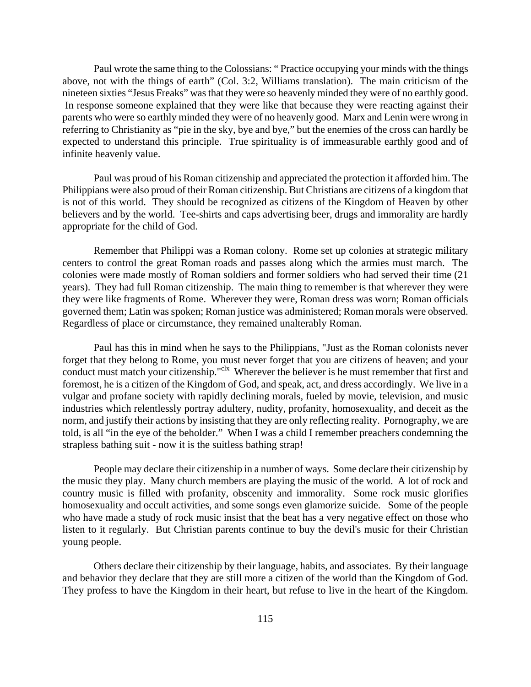Paul wrote the same thing to the Colossians: " Practice occupying your minds with the things above, not with the things of earth" (Col. 3:2, Williams translation). The main criticism of the nineteen sixties "Jesus Freaks" was that they were so heavenly minded they were of no earthly good. In response someone explained that they were like that because they were reacting against their parents who were so earthly minded they were of no heavenly good. Marx and Lenin were wrong in referring to Christianity as "pie in the sky, bye and bye," but the enemies of the cross can hardly be expected to understand this principle. True spirituality is of immeasurable earthly good and of infinite heavenly value.

Paul was proud of his Roman citizenship and appreciated the protection it afforded him. The Philippians were also proud of their Roman citizenship. But Christians are citizens of a kingdom that is not of this world. They should be recognized as citizens of the Kingdom of Heaven by other believers and by the world. Tee-shirts and caps advertising beer, drugs and immorality are hardly appropriate for the child of God.

Remember that Philippi was a Roman colony. Rome set up colonies at strategic military centers to control the great Roman roads and passes along which the armies must march. The colonies were made mostly of Roman soldiers and former soldiers who had served their time (21 years). They had full Roman citizenship. The main thing to remember is that wherever they were they were like fragments of Rome. Wherever they were, Roman dress was worn; Roman officials governed them; Latin was spoken; Roman justice was administered; Roman morals were observed. Regardless of place or circumstance, they remained unalterably Roman.

Paul has this in mind when he says to the Philippians, "Just as the Roman colonists never forget that they belong to Rome, you must never forget that you are citizens of heaven; and your conduct must match your citizenship."<sup>clx</sup> Wherever the believer is he must remember that first and foremost, he is a citizen of the Kingdom of God, and speak, act, and dress accordingly. We live in a vulgar and profane society with rapidly declining morals, fueled by movie, television, and music industries which relentlessly portray adultery, nudity, profanity, homosexuality, and deceit as the norm, and justify their actions by insisting that they are only reflecting reality. Pornography, we are told, is all "in the eye of the beholder." When I was a child I remember preachers condemning the strapless bathing suit - now it is the suitless bathing strap!

People may declare their citizenship in a number of ways. Some declare their citizenship by the music they play. Many church members are playing the music of the world. A lot of rock and country music is filled with profanity, obscenity and immorality. Some rock music glorifies homosexuality and occult activities, and some songs even glamorize suicide. Some of the people who have made a study of rock music insist that the beat has a very negative effect on those who listen to it regularly. But Christian parents continue to buy the devil's music for their Christian young people.

Others declare their citizenship by their language, habits, and associates. By their language and behavior they declare that they are still more a citizen of the world than the Kingdom of God. They profess to have the Kingdom in their heart, but refuse to live in the heart of the Kingdom.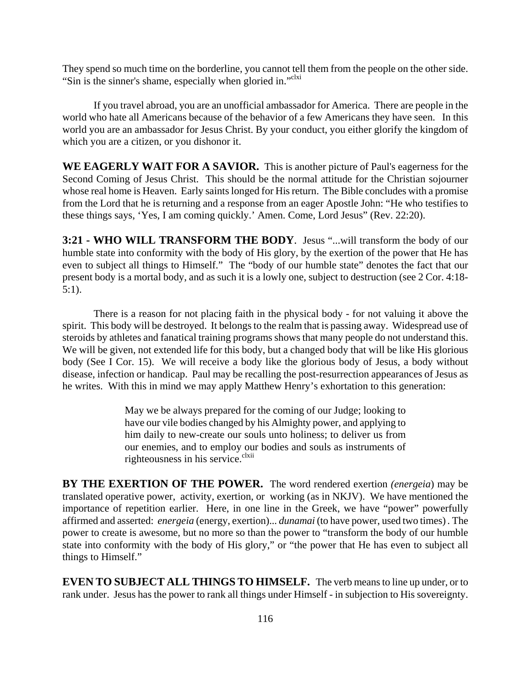They spend so much time on the borderline, you cannot tell them from the people on the other side. "Sin is the sinner's shame, especially when gloried in."<sup>clxi</sup>

If you travel abroad, you are an unofficial ambassador for America. There are people in the world who hate all Americans because of the behavior of a few Americans they have seen. In this world you are an ambassador for Jesus Christ. By your conduct, you either glorify the kingdom of which you are a citizen, or you dishonor it.

**WE EAGERLY WAIT FOR A SAVIOR.** This is another picture of Paul's eagerness for the Second Coming of Jesus Christ. This should be the normal attitude for the Christian sojourner whose real home is Heaven. Early saints longed for His return. The Bible concludes with a promise from the Lord that he is returning and a response from an eager Apostle John: "He who testifies to these things says, 'Yes, I am coming quickly.' Amen. Come, Lord Jesus" (Rev. 22:20).

**3:21 - WHO WILL TRANSFORM THE BODY**. Jesus "...will transform the body of our humble state into conformity with the body of His glory, by the exertion of the power that He has even to subject all things to Himself." The "body of our humble state" denotes the fact that our present body is a mortal body, and as such it is a lowly one, subject to destruction (see 2 Cor. 4:18- 5:1).

There is a reason for not placing faith in the physical body - for not valuing it above the spirit. This body will be destroyed. It belongs to the realm that is passing away. Widespread use of steroids by athletes and fanatical training programs shows that many people do not understand this. We will be given, not extended life for this body, but a changed body that will be like His glorious body (See I Cor. 15). We will receive a body like the glorious body of Jesus, a body without disease, infection or handicap. Paul may be recalling the post-resurrection appearances of Jesus as he writes. With this in mind we may apply Matthew Henry's exhortation to this generation:

> May we be always prepared for the coming of our Judge; looking to have our vile bodies changed by his Almighty power, and applying to him daily to new-create our souls unto holiness; to deliver us from our enemies, and to employ our bodies and souls as instruments of righteousness in his service. $\frac{clxii}{l}$

**BY THE EXERTION OF THE POWER.** The word rendered exertion *(energeia*) may be translated operative power, activity, exertion, or working (as in NKJV). We have mentioned the importance of repetition earlier. Here, in one line in the Greek, we have "power" powerfully affirmed and asserted: *energeia* (energy, exertion)... *dunamai* (to have power, used two times) *.* The power to create is awesome, but no more so than the power to "transform the body of our humble state into conformity with the body of His glory," or "the power that He has even to subject all things to Himself."

**EVEN TO SUBJECT ALL THINGS TO HIMSELF.** The verb means to line up under, or to rank under. Jesus has the power to rank all things under Himself - in subjection to His sovereignty.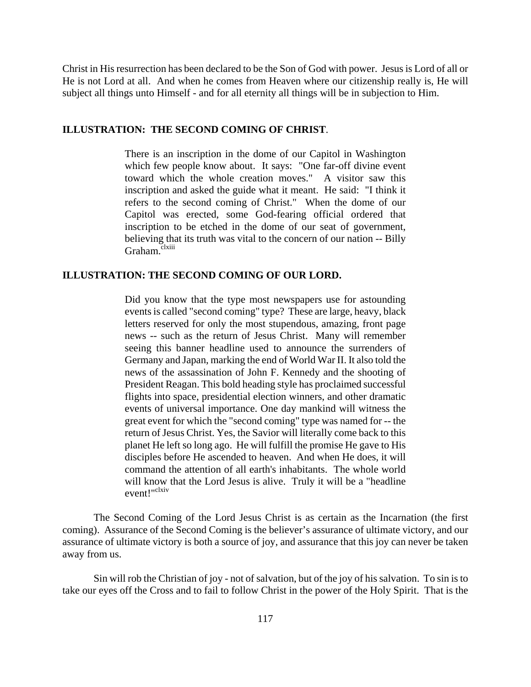Christ in His resurrection has been declared to be the Son of God with power. Jesus is Lord of all or He is not Lord at all. And when he comes from Heaven where our citizenship really is, He will subject all things unto Himself - and for all eternity all things will be in subjection to Him.

#### **ILLUSTRATION: THE SECOND COMING OF CHRIST**.

There is an inscription in the dome of our Capitol in Washington which few people know about. It says: "One far-off divine event toward which the whole creation moves." A visitor saw this inscription and asked the guide what it meant. He said: "I think it refers to the second coming of Christ." When the dome of our Capitol was erected, some God-fearing official ordered that inscription to be etched in the dome of our seat of government, believing that its truth was vital to the concern of our nation -- Billy Graham.<sup>clxiii</sup>

#### **ILLUSTRATION: THE SECOND COMING OF OUR LORD.**

Did you know that the type most newspapers use for astounding events is called "second coming" type? These are large, heavy, black letters reserved for only the most stupendous, amazing, front page news -- such as the return of Jesus Christ. Many will remember seeing this banner headline used to announce the surrenders of Germany and Japan, marking the end of World War II. It also told the news of the assassination of John F. Kennedy and the shooting of President Reagan. This bold heading style has proclaimed successful flights into space, presidential election winners, and other dramatic events of universal importance. One day mankind will witness the great event for which the "second coming" type was named for -- the return of Jesus Christ. Yes, the Savior will literally come back to this planet He left so long ago. He will fulfill the promise He gave to His disciples before He ascended to heaven. And when He does, it will command the attention of all earth's inhabitants. The whole world will know that the Lord Jesus is alive. Truly it will be a "headline event!"<sup>clxiv</sup>

The Second Coming of the Lord Jesus Christ is as certain as the Incarnation (the first coming). Assurance of the Second Coming is the believer's assurance of ultimate victory, and our assurance of ultimate victory is both a source of joy, and assurance that this joy can never be taken away from us.

Sin will rob the Christian of joy - not of salvation, but of the joy of his salvation. To sin is to take our eyes off the Cross and to fail to follow Christ in the power of the Holy Spirit. That is the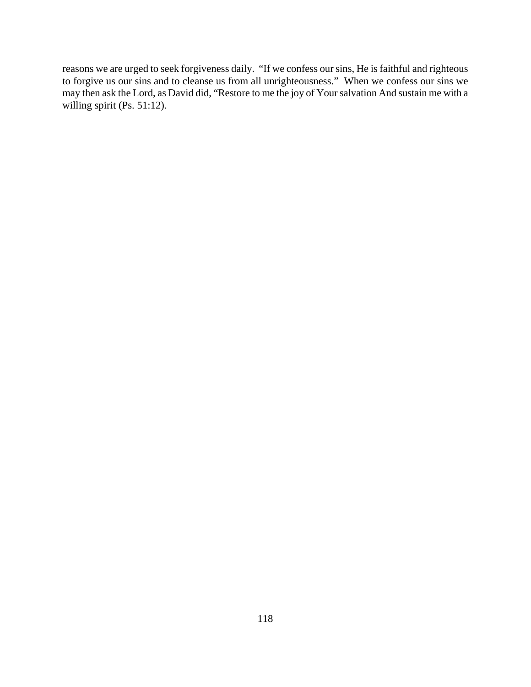reasons we are urged to seek forgiveness daily. "If we confess our sins, He is faithful and righteous to forgive us our sins and to cleanse us from all unrighteousness." When we confess our sins we may then ask the Lord, as David did, "Restore to me the joy of Your salvation And sustain me with a willing spirit (Ps. 51:12).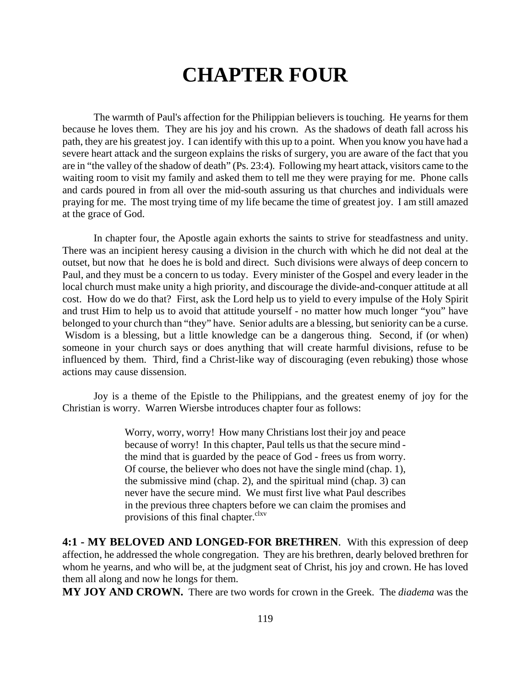# **CHAPTER FOUR**

The warmth of Paul's affection for the Philippian believers is touching. He yearns for them because he loves them. They are his joy and his crown. As the shadows of death fall across his path, they are his greatest joy. I can identify with this up to a point. When you know you have had a severe heart attack and the surgeon explains the risks of surgery, you are aware of the fact that you are in "the valley of the shadow of death" (Ps. 23:4). Following my heart attack, visitors came to the waiting room to visit my family and asked them to tell me they were praying for me. Phone calls and cards poured in from all over the mid-south assuring us that churches and individuals were praying for me. The most trying time of my life became the time of greatest joy. I am still amazed at the grace of God.

In chapter four, the Apostle again exhorts the saints to strive for steadfastness and unity. There was an incipient heresy causing a division in the church with which he did not deal at the outset, but now that he does he is bold and direct. Such divisions were always of deep concern to Paul, and they must be a concern to us today. Every minister of the Gospel and every leader in the local church must make unity a high priority, and discourage the divide-and-conquer attitude at all cost. How do we do that? First, ask the Lord help us to yield to every impulse of the Holy Spirit and trust Him to help us to avoid that attitude yourself - no matter how much longer "you" have belonged to your church than "they" have. Senior adults are a blessing, but seniority can be a curse. Wisdom is a blessing, but a little knowledge can be a dangerous thing. Second, if (or when) someone in your church says or does anything that will create harmful divisions, refuse to be influenced by them. Third, find a Christ-like way of discouraging (even rebuking) those whose actions may cause dissension.

Joy is a theme of the Epistle to the Philippians, and the greatest enemy of joy for the Christian is worry. Warren Wiersbe introduces chapter four as follows:

> Worry, worry, worry! How many Christians lost their joy and peace because of worry! In this chapter, Paul tells us that the secure mind the mind that is guarded by the peace of God - frees us from worry. Of course, the believer who does not have the single mind (chap. 1), the submissive mind (chap. 2), and the spiritual mind (chap. 3) can never have the secure mind. We must first live what Paul describes in the previous three chapters before we can claim the promises and provisions of this final chapter.<sup>clxv</sup>

**4:1 - MY BELOVED AND LONGED-FOR BRETHREN**. With this expression of deep affection, he addressed the whole congregation. They are his brethren, dearly beloved brethren for whom he yearns, and who will be, at the judgment seat of Christ, his joy and crown. He has loved them all along and now he longs for them.

**MY JOY AND CROWN.** There are two words for crown in the Greek. The *diadema* was the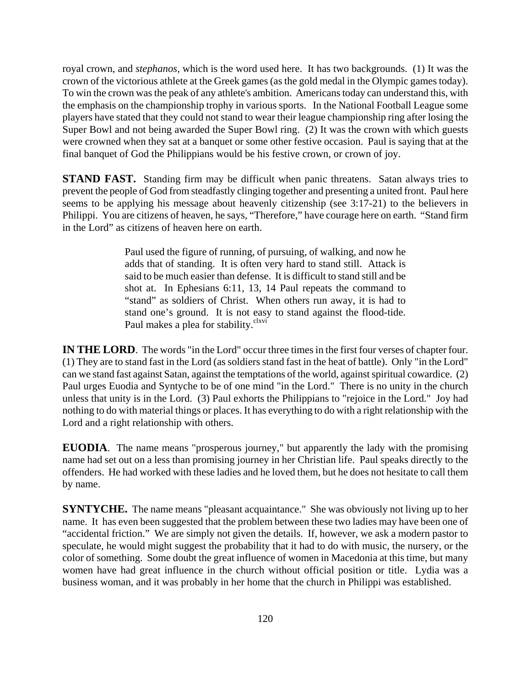royal crown, and *stephanos,* which is the word used here. It has two backgrounds. (1) It was the crown of the victorious athlete at the Greek games (as the gold medal in the Olympic games today). To win the crown was the peak of any athlete's ambition. Americans today can understand this, with the emphasis on the championship trophy in various sports. In the National Football League some players have stated that they could not stand to wear their league championship ring after losing the Super Bowl and not being awarded the Super Bowl ring. (2) It was the crown with which guests were crowned when they sat at a banquet or some other festive occasion. Paul is saying that at the final banquet of God the Philippians would be his festive crown, or crown of joy.

**STAND FAST.** Standing firm may be difficult when panic threatens. Satan always tries to prevent the people of God from steadfastly clinging together and presenting a united front. Paul here seems to be applying his message about heavenly citizenship (see 3:17-21) to the believers in Philippi. You are citizens of heaven, he says, "Therefore," have courage here on earth. "Stand firm in the Lord" as citizens of heaven here on earth.

> Paul used the figure of running, of pursuing, of walking, and now he adds that of standing. It is often very hard to stand still. Attack is said to be much easier than defense. It is difficult to stand still and be shot at. In Ephesians 6:11, 13, 14 Paul repeats the command to "stand" as soldiers of Christ. When others run away, it is had to stand one's ground. It is not easy to stand against the flood-tide. Paul makes a plea for stability.<sup>clxvi</sup>

**IN THE LORD**. The words "in the Lord" occur three times in the first four verses of chapter four. (1) They are to stand fast in the Lord (as soldiers stand fast in the heat of battle). Only "in the Lord" can we stand fast against Satan, against the temptations of the world, against spiritual cowardice. (2) Paul urges Euodia and Syntyche to be of one mind "in the Lord." There is no unity in the church unless that unity is in the Lord. (3) Paul exhorts the Philippians to "rejoice in the Lord." Joy had nothing to do with material things or places. It has everything to do with a right relationship with the Lord and a right relationship with others.

**EUODIA**. The name means "prosperous journey," but apparently the lady with the promising name had set out on a less than promising journey in her Christian life. Paul speaks directly to the offenders. He had worked with these ladies and he loved them, but he does not hesitate to call them by name.

**SYNTYCHE.** The name means "pleasant acquaintance." She was obviously not living up to her name. It has even been suggested that the problem between these two ladies may have been one of "accidental friction." We are simply not given the details. If, however, we ask a modern pastor to speculate, he would might suggest the probability that it had to do with music, the nursery, or the color of something. Some doubt the great influence of women in Macedonia at this time, but many women have had great influence in the church without official position or title. Lydia was a business woman, and it was probably in her home that the church in Philippi was established.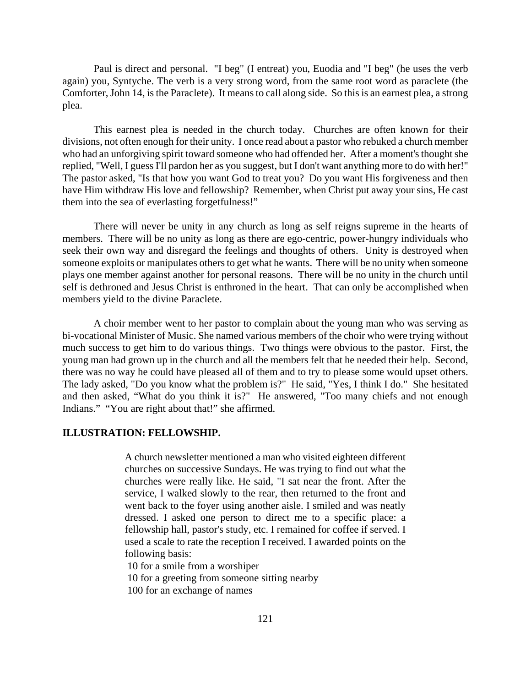Paul is direct and personal. "I beg" (I entreat) you, Euodia and "I beg" (he uses the verb again) you, Syntyche. The verb is a very strong word, from the same root word as paraclete (the Comforter, John 14, is the Paraclete). It means to call along side. So this is an earnest plea, a strong plea.

This earnest plea is needed in the church today. Churches are often known for their divisions, not often enough for their unity. I once read about a pastor who rebuked a church member who had an unforgiving spirit toward someone who had offended her. After a moment's thought she replied, "Well, I guess I'll pardon her as you suggest, but I don't want anything more to do with her!" The pastor asked, "Is that how you want God to treat you? Do you want His forgiveness and then have Him withdraw His love and fellowship? Remember, when Christ put away your sins, He cast them into the sea of everlasting forgetfulness!"

There will never be unity in any church as long as self reigns supreme in the hearts of members. There will be no unity as long as there are ego-centric, power-hungry individuals who seek their own way and disregard the feelings and thoughts of others. Unity is destroyed when someone exploits or manipulates others to get what he wants. There will be no unity when someone plays one member against another for personal reasons. There will be no unity in the church until self is dethroned and Jesus Christ is enthroned in the heart. That can only be accomplished when members yield to the divine Paraclete.

A choir member went to her pastor to complain about the young man who was serving as bi-vocational Minister of Music. She named various members of the choir who were trying without much success to get him to do various things. Two things were obvious to the pastor. First, the young man had grown up in the church and all the members felt that he needed their help. Second, there was no way he could have pleased all of them and to try to please some would upset others. The lady asked, "Do you know what the problem is?" He said, "Yes, I think I do." She hesitated and then asked, "What do you think it is?" He answered, "Too many chiefs and not enough Indians." "You are right about that!" she affirmed.

#### **ILLUSTRATION: FELLOWSHIP.**

A church newsletter mentioned a man who visited eighteen different churches on successive Sundays. He was trying to find out what the churches were really like. He said, "I sat near the front. After the service, I walked slowly to the rear, then returned to the front and went back to the foyer using another aisle. I smiled and was neatly dressed. I asked one person to direct me to a specific place: a fellowship hall, pastor's study, etc. I remained for coffee if served. I used a scale to rate the reception I received. I awarded points on the following basis:

10 for a smile from a worshiper

10 for a greeting from someone sitting nearby

100 for an exchange of names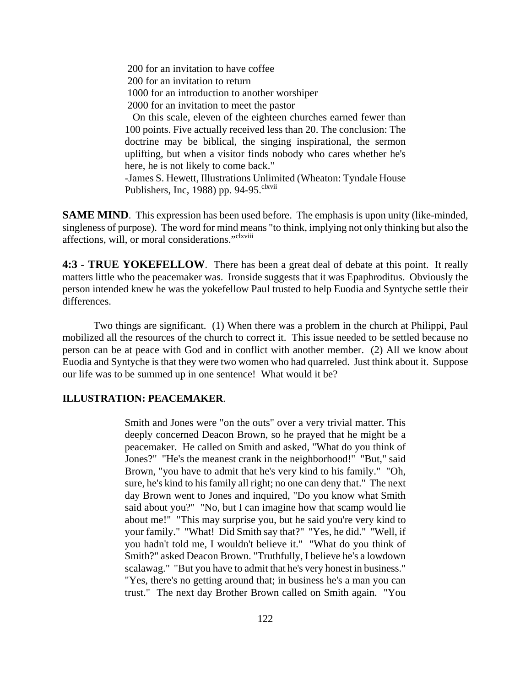200 for an invitation to have coffee 200 for an invitation to return 1000 for an introduction to another worshiper 2000 for an invitation to meet the pastor On this scale, eleven of the eighteen churches earned fewer than

100 points. Five actually received less than 20. The conclusion: The doctrine may be biblical, the singing inspirational, the sermon uplifting, but when a visitor finds nobody who cares whether he's here, he is not likely to come back."

-James S. Hewett, Illustrations Unlimited (Wheaton: Tyndale House Publishers, Inc, 1988) pp. 94-95. $e^{l$ kvii

**SAME MIND.** This expression has been used before. The emphasis is upon unity (like-minded, singleness of purpose). The word for mind means "to think, implying not only thinking but also the affections, will, or moral considerations."<sup>clxviii</sup>

**4:3 - TRUE YOKEFELLOW**. There has been a great deal of debate at this point. It really matters little who the peacemaker was. Ironside suggests that it was Epaphroditus. Obviously the person intended knew he was the yokefellow Paul trusted to help Euodia and Syntyche settle their differences.

Two things are significant. (1) When there was a problem in the church at Philippi, Paul mobilized all the resources of the church to correct it. This issue needed to be settled because no person can be at peace with God and in conflict with another member. (2) All we know about Euodia and Syntyche is that they were two women who had quarreled. Just think about it. Suppose our life was to be summed up in one sentence! What would it be?

#### **ILLUSTRATION: PEACEMAKER**.

Smith and Jones were "on the outs" over a very trivial matter. This deeply concerned Deacon Brown, so he prayed that he might be a peacemaker. He called on Smith and asked, "What do you think of Jones?" "He's the meanest crank in the neighborhood!" "But," said Brown, "you have to admit that he's very kind to his family." "Oh, sure, he's kind to his family all right; no one can deny that." The next day Brown went to Jones and inquired, "Do you know what Smith said about you?" "No, but I can imagine how that scamp would lie about me!" "This may surprise you, but he said you're very kind to your family." "What! Did Smith say that?" "Yes, he did." "Well, if you hadn't told me, I wouldn't believe it." "What do you think of Smith?" asked Deacon Brown. "Truthfully, I believe he's a lowdown scalawag." "But you have to admit that he's very honest in business." "Yes, there's no getting around that; in business he's a man you can trust." The next day Brother Brown called on Smith again. "You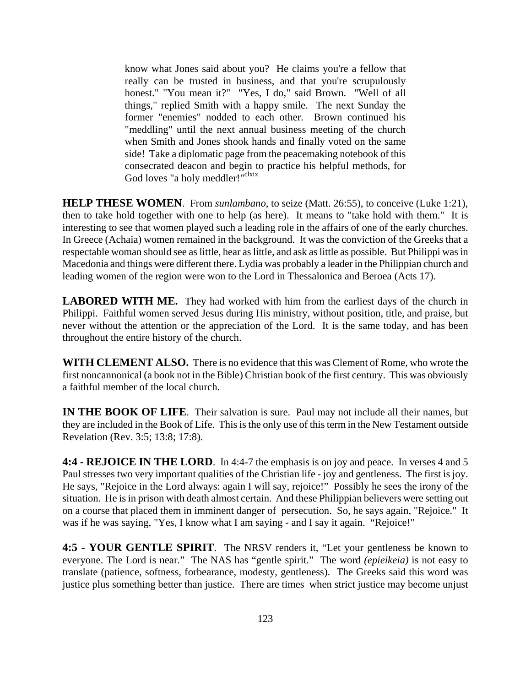know what Jones said about you? He claims you're a fellow that really can be trusted in business, and that you're scrupulously honest." "You mean it?" "Yes, I do," said Brown. "Well of all things," replied Smith with a happy smile. The next Sunday the former "enemies" nodded to each other. Brown continued his "meddling" until the next annual business meeting of the church when Smith and Jones shook hands and finally voted on the same side! Take a diplomatic page from the peacemaking notebook of this consecrated deacon and begin to practice his helpful methods, for God loves "a holy meddler!"<sup>clxix</sup>

**HELP THESE WOMEN**. From *sunlambano*, to seize (Matt. 26:55), to conceive (Luke 1:21), then to take hold together with one to help (as here). It means to "take hold with them." It is interesting to see that women played such a leading role in the affairs of one of the early churches. In Greece (Achaia) women remained in the background. It was the conviction of the Greeks that a respectable woman should see as little, hear as little, and ask as little as possible. But Philippi was in Macedonia and things were different there. Lydia was probably a leader in the Philippian church and leading women of the region were won to the Lord in Thessalonica and Beroea (Acts 17).

**LABORED WITH ME.** They had worked with him from the earliest days of the church in Philippi. Faithful women served Jesus during His ministry, without position, title, and praise, but never without the attention or the appreciation of the Lord. It is the same today, and has been throughout the entire history of the church.

**WITH CLEMENT ALSO.** There is no evidence that this was Clement of Rome, who wrote the first noncannonical (a book not in the Bible) Christian book of the first century. This was obviously a faithful member of the local church.

**IN THE BOOK OF LIFE**. Their salvation is sure. Paul may not include all their names, but they are included in the Book of Life. This is the only use of this term in the New Testament outside Revelation (Rev. 3:5; 13:8; 17:8).

**4:4 - REJOICE IN THE LORD**. In 4:4-7 the emphasis is on joy and peace. In verses 4 and 5 Paul stresses two very important qualities of the Christian life - joy and gentleness. The first is joy. He says, "Rejoice in the Lord always: again I will say, rejoice!" Possibly he sees the irony of the situation. He is in prison with death almost certain. And these Philippian believers were setting out on a course that placed them in imminent danger of persecution. So, he says again, "Rejoice." It was if he was saying, "Yes, I know what I am saying - and I say it again. "Rejoice!"

**4:5 - YOUR GENTLE SPIRIT**. The NRSV renders it, "Let your gentleness be known to everyone. The Lord is near." The NAS has "gentle spirit." The word *(epieikeia)* is not easy to translate (patience, softness, forbearance, modesty, gentleness). The Greeks said this word was justice plus something better than justice. There are times when strict justice may become unjust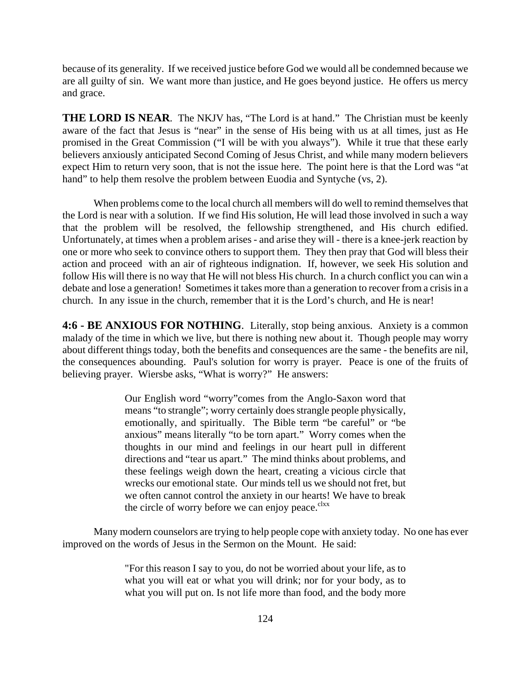because of its generality. If we received justice before God we would all be condemned because we are all guilty of sin. We want more than justice, and He goes beyond justice. He offers us mercy and grace.

**THE LORD IS NEAR.** The NKJV has, "The Lord is at hand." The Christian must be keenly aware of the fact that Jesus is "near" in the sense of His being with us at all times, just as He promised in the Great Commission ("I will be with you always"). While it true that these early believers anxiously anticipated Second Coming of Jesus Christ, and while many modern believers expect Him to return very soon, that is not the issue here. The point here is that the Lord was "at hand" to help them resolve the problem between Euodia and Syntyche (vs, 2).

When problems come to the local church all members will do well to remind themselves that the Lord is near with a solution. If we find His solution, He will lead those involved in such a way that the problem will be resolved, the fellowship strengthened, and His church edified. Unfortunately, at times when a problem arises - and arise they will - there is a knee-jerk reaction by one or more who seek to convince others to support them. They then pray that God will bless their action and proceed with an air of righteous indignation. If, however, we seek His solution and follow His will there is no way that He will not bless His church. In a church conflict you can win a debate and lose a generation! Sometimes it takes more than a generation to recover from a crisis in a church. In any issue in the church, remember that it is the Lord's church, and He is near!

**4:6 - BE ANXIOUS FOR NOTHING**. Literally, stop being anxious. Anxiety is a common malady of the time in which we live, but there is nothing new about it. Though people may worry about different things today, both the benefits and consequences are the same - the benefits are nil, the consequences abounding. Paul's solution for worry is prayer. Peace is one of the fruits of believing prayer. Wiersbe asks, "What is worry?" He answers:

> Our English word "worry"comes from the Anglo-Saxon word that means "to strangle"; worry certainly does strangle people physically, emotionally, and spiritually. The Bible term "be careful" or "be anxious" means literally "to be torn apart." Worry comes when the thoughts in our mind and feelings in our heart pull in different directions and "tear us apart." The mind thinks about problems, and these feelings weigh down the heart, creating a vicious circle that wrecks our emotional state. Our minds tell us we should not fret, but we often cannot control the anxiety in our hearts! We have to break the circle of worry before we can enjoy peace. $c<sup>lxx</sup>$

Many modern counselors are trying to help people cope with anxiety today. No one has ever improved on the words of Jesus in the Sermon on the Mount. He said:

> "For this reason I say to you, do not be worried about your life, as to what you will eat or what you will drink; nor for your body, as to what you will put on. Is not life more than food, and the body more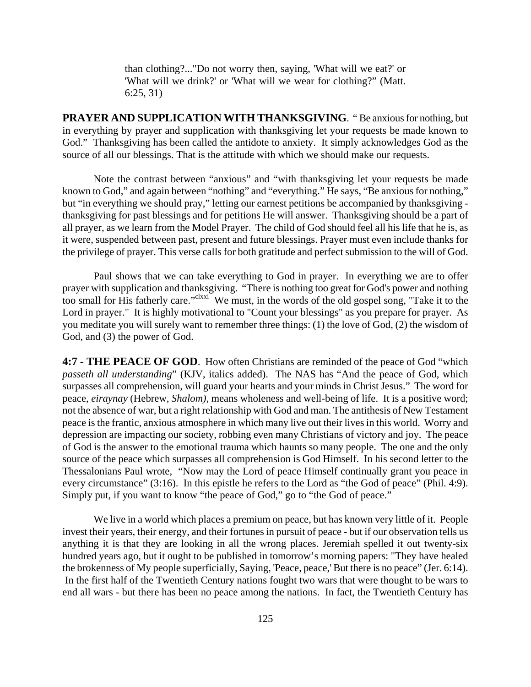than clothing?..."Do not worry then, saying, 'What will we eat?' or 'What will we drink?' or 'What will we wear for clothing?" (Matt. 6:25, 31)

**PRAYER AND SUPPLICATION WITH THANKSGIVING**. " Be anxious for nothing, but in everything by prayer and supplication with thanksgiving let your requests be made known to God." Thanksgiving has been called the antidote to anxiety. It simply acknowledges God as the source of all our blessings. That is the attitude with which we should make our requests.

Note the contrast between "anxious" and "with thanksgiving let your requests be made known to God," and again between "nothing" and "everything." He says, "Be anxious for nothing," but "in everything we should pray," letting our earnest petitions be accompanied by thanksgiving thanksgiving for past blessings and for petitions He will answer. Thanksgiving should be a part of all prayer, as we learn from the Model Prayer. The child of God should feel all his life that he is, as it were, suspended between past, present and future blessings. Prayer must even include thanks for the privilege of prayer. This verse calls for both gratitude and perfect submission to the will of God.

Paul shows that we can take everything to God in prayer. In everything we are to offer prayer with supplication and thanksgiving. "There is nothing too great for God's power and nothing too small for His fatherly care."<sup>clxxi</sup> We must, in the words of the old gospel song, "Take it to the Lord in prayer." It is highly motivational to "Count your blessings" as you prepare for prayer. As you meditate you will surely want to remember three things: (1) the love of God, (2) the wisdom of God, and (3) the power of God.

**4:7 - THE PEACE OF GOD**. How often Christians are reminded of the peace of God "which *passeth all understanding*" (KJV, italics added). The NAS has "And the peace of God, which surpasses all comprehension, will guard your hearts and your minds in Christ Jesus." The word for peace, *eiraynay* (Hebrew, *Shalom),* means wholeness and well-being of life. It is a positive word; not the absence of war, but a right relationship with God and man. The antithesis of New Testament peace is the frantic, anxious atmosphere in which many live out their lives in this world. Worry and depression are impacting our society, robbing even many Christians of victory and joy. The peace of God is the answer to the emotional trauma which haunts so many people. The one and the only source of the peace which surpasses all comprehension is God Himself. In his second letter to the Thessalonians Paul wrote, "Now may the Lord of peace Himself continually grant you peace in every circumstance" (3:16). In this epistle he refers to the Lord as "the God of peace" (Phil. 4:9). Simply put, if you want to know "the peace of God," go to "the God of peace."

We live in a world which places a premium on peace, but has known very little of it. People invest their years, their energy, and their fortunes in pursuit of peace - but if our observation tells us anything it is that they are looking in all the wrong places. Jeremiah spelled it out twenty-six hundred years ago, but it ought to be published in tomorrow's morning papers: "They have healed the brokenness of My people superficially, Saying, 'Peace, peace,' But there is no peace" (Jer. 6:14). In the first half of the Twentieth Century nations fought two wars that were thought to be wars to end all wars - but there has been no peace among the nations. In fact, the Twentieth Century has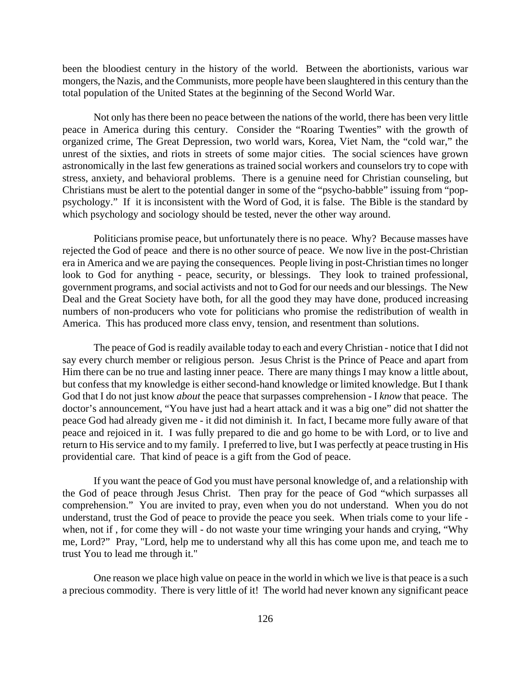been the bloodiest century in the history of the world. Between the abortionists, various war mongers, the Nazis, and the Communists, more people have been slaughtered in this century than the total population of the United States at the beginning of the Second World War.

Not only has there been no peace between the nations of the world, there has been very little peace in America during this century. Consider the "Roaring Twenties" with the growth of organized crime, The Great Depression, two world wars, Korea, Viet Nam, the "cold war," the unrest of the sixties, and riots in streets of some major cities. The social sciences have grown astronomically in the last few generations as trained social workers and counselors try to cope with stress, anxiety, and behavioral problems. There is a genuine need for Christian counseling, but Christians must be alert to the potential danger in some of the "psycho-babble" issuing from "poppsychology." If it is inconsistent with the Word of God, it is false. The Bible is the standard by which psychology and sociology should be tested, never the other way around.

Politicians promise peace, but unfortunately there is no peace. Why? Because masses have rejected the God of peace and there is no other source of peace. We now live in the post-Christian era in America and we are paying the consequences. People living in post-Christian times no longer look to God for anything - peace, security, or blessings. They look to trained professional, government programs, and social activists and not to God for our needs and our blessings. The New Deal and the Great Society have both, for all the good they may have done, produced increasing numbers of non-producers who vote for politicians who promise the redistribution of wealth in America. This has produced more class envy, tension, and resentment than solutions.

The peace of God is readily available today to each and every Christian - notice that I did not say every church member or religious person. Jesus Christ is the Prince of Peace and apart from Him there can be no true and lasting inner peace. There are many things I may know a little about, but confess that my knowledge is either second-hand knowledge or limited knowledge. But I thank God that I do not just know *about* the peace that surpasses comprehension - I *know* that peace. The doctor's announcement, "You have just had a heart attack and it was a big one" did not shatter the peace God had already given me - it did not diminish it. In fact, I became more fully aware of that peace and rejoiced in it. I was fully prepared to die and go home to be with Lord, or to live and return to His service and to my family. I preferred to live, but I was perfectly at peace trusting in His providential care. That kind of peace is a gift from the God of peace.

If you want the peace of God you must have personal knowledge of, and a relationship with the God of peace through Jesus Christ. Then pray for the peace of God "which surpasses all comprehension." You are invited to pray, even when you do not understand. When you do not understand, trust the God of peace to provide the peace you seek. When trials come to your life when, not if , for come they will - do not waste your time wringing your hands and crying, "Why me, Lord?" Pray, "Lord, help me to understand why all this has come upon me, and teach me to trust You to lead me through it."

One reason we place high value on peace in the world in which we live is that peace is a such a precious commodity. There is very little of it! The world had never known any significant peace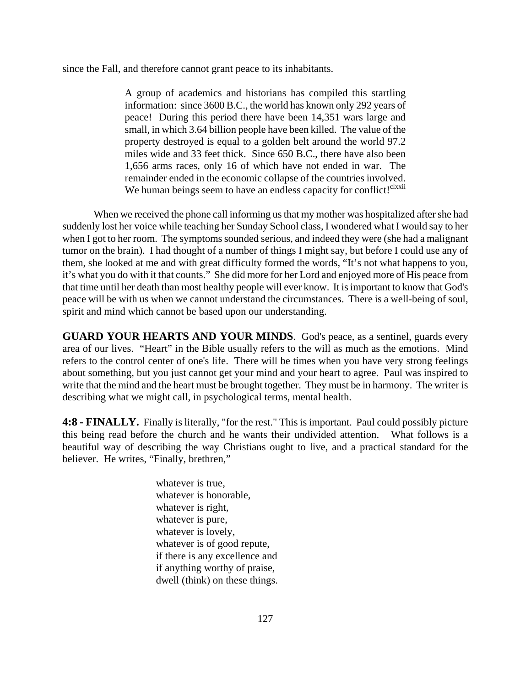since the Fall, and therefore cannot grant peace to its inhabitants.

A group of academics and historians has compiled this startling information: since 3600 B.C., the world has known only 292 years of peace! During this period there have been 14,351 wars large and small, in which 3.64 billion people have been killed. The value of the property destroyed is equal to a golden belt around the world 97.2 miles wide and 33 feet thick. Since 650 B.C., there have also been 1,656 arms races, only 16 of which have not ended in war. The remainder ended in the economic collapse of the countries involved. We human beings seem to have an endless capacity for conflict!<sup>clxxii</sup>

When we received the phone call informing us that my mother was hospitalized after she had suddenly lost her voice while teaching her Sunday School class, I wondered what I would say to her when I got to her room. The symptoms sounded serious, and indeed they were (she had a malignant tumor on the brain). I had thought of a number of things I might say, but before I could use any of them, she looked at me and with great difficulty formed the words, "It's not what happens to you, it's what you do with it that counts." She did more for her Lord and enjoyed more of His peace from that time until her death than most healthy people will ever know. It is important to know that God's peace will be with us when we cannot understand the circumstances. There is a well-being of soul, spirit and mind which cannot be based upon our understanding.

**GUARD YOUR HEARTS AND YOUR MINDS**. God's peace, as a sentinel, guards every area of our lives. "Heart" in the Bible usually refers to the will as much as the emotions. Mind refers to the control center of one's life. There will be times when you have very strong feelings about something, but you just cannot get your mind and your heart to agree. Paul was inspired to write that the mind and the heart must be brought together. They must be in harmony. The writer is describing what we might call, in psychological terms, mental health.

**4:8 - FINALLY.** Finally is literally, "for the rest." This is important. Paul could possibly picture this being read before the church and he wants their undivided attention. What follows is a beautiful way of describing the way Christians ought to live, and a practical standard for the believer. He writes, "Finally, brethren,"

> whatever is true, whatever is honorable, whatever is right, whatever is pure, whatever is lovely, whatever is of good repute, if there is any excellence and if anything worthy of praise, dwell (think) on these things.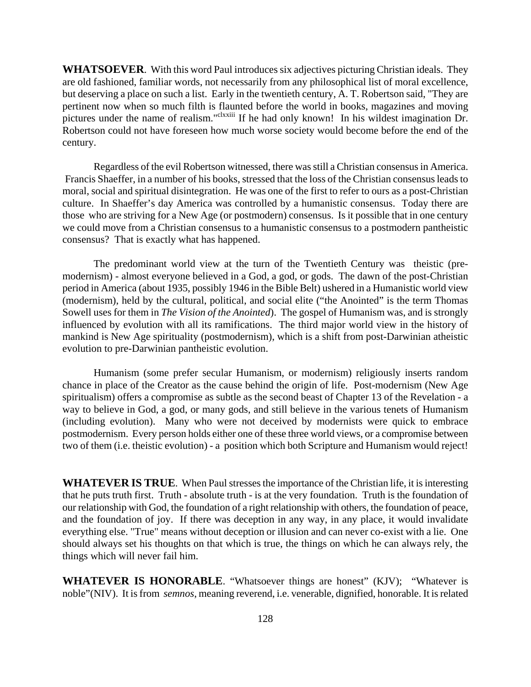**WHATSOEVER**. With this word Paul introduces six adjectives picturing Christian ideals. They are old fashioned, familiar words, not necessarily from any philosophical list of moral excellence, but deserving a place on such a list. Early in the twentieth century, A. T. Robertson said, "They are pertinent now when so much filth is flaunted before the world in books, magazines and moving pictures under the name of realism."<sup>clxxiii</sup> If he had only known! In his wildest imagination Dr. Robertson could not have foreseen how much worse society would become before the end of the century.

Regardless of the evil Robertson witnessed, there was still a Christian consensus in America. Francis Shaeffer, in a number of his books, stressed that the loss of the Christian consensus leads to moral, social and spiritual disintegration. He was one of the first to refer to ours as a post-Christian culture. In Shaeffer's day America was controlled by a humanistic consensus. Today there are those who are striving for a New Age (or postmodern) consensus. Is it possible that in one century we could move from a Christian consensus to a humanistic consensus to a postmodern pantheistic consensus? That is exactly what has happened.

The predominant world view at the turn of the Twentieth Century was theistic (premodernism) - almost everyone believed in a God, a god, or gods. The dawn of the post-Christian period in America (about 1935, possibly 1946 in the Bible Belt) ushered in a Humanistic world view (modernism), held by the cultural, political, and social elite ("the Anointed" is the term Thomas Sowell uses for them in *The Vision of the Anointed*). The gospel of Humanism was, and is strongly influenced by evolution with all its ramifications. The third major world view in the history of mankind is New Age spirituality (postmodernism), which is a shift from post-Darwinian atheistic evolution to pre-Darwinian pantheistic evolution.

Humanism (some prefer secular Humanism, or modernism) religiously inserts random chance in place of the Creator as the cause behind the origin of life. Post-modernism (New Age spiritualism) offers a compromise as subtle as the second beast of Chapter 13 of the Revelation - a way to believe in God, a god, or many gods, and still believe in the various tenets of Humanism (including evolution). Many who were not deceived by modernists were quick to embrace postmodernism. Every person holds either one of these three world views, or a compromise between two of them (i.e. theistic evolution) - a position which both Scripture and Humanism would reject!

**WHATEVER IS TRUE**. When Paul stresses the importance of the Christian life, it is interesting that he puts truth first. Truth - absolute truth - is at the very foundation. Truth is the foundation of our relationship with God, the foundation of a right relationship with others, the foundation of peace, and the foundation of joy. If there was deception in any way, in any place, it would invalidate everything else. "True" means without deception or illusion and can never co-exist with a lie. One should always set his thoughts on that which is true, the things on which he can always rely, the things which will never fail him.

**WHATEVER IS HONORABLE**. "Whatsoever things are honest" (KJV); "Whatever is noble"(NIV). It is from *semnos*, meaning reverend, i.e. venerable, dignified, honorable. It is related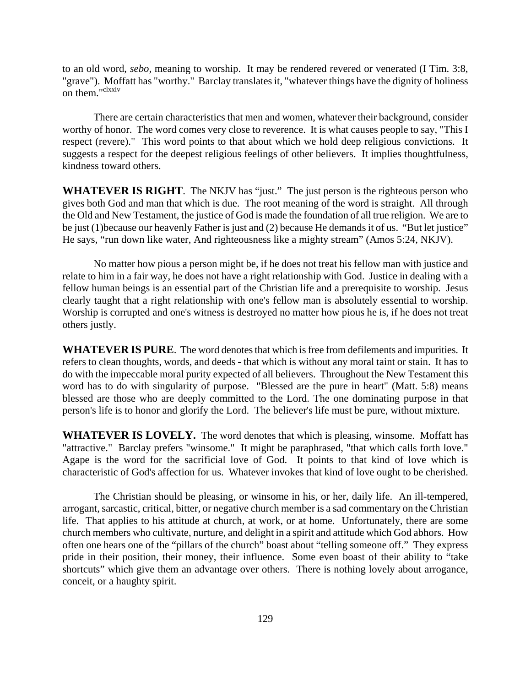to an old word, *sebo,* meaning to worship. It may be rendered revered or venerated (I Tim. 3:8, "grave"). Moffatt has "worthy." Barclay translates it, "whatever things have the dignity of holiness on them."<sup>clxxiv</sup>

There are certain characteristics that men and women, whatever their background, consider worthy of honor. The word comes very close to reverence. It is what causes people to say, "This I respect (revere)." This word points to that about which we hold deep religious convictions. It suggests a respect for the deepest religious feelings of other believers. It implies thoughtfulness, kindness toward others.

**WHATEVER IS RIGHT**. The NKJV has "just." The just person is the righteous person who gives both God and man that which is due. The root meaning of the word is straight. All through the Old and New Testament, the justice of God is made the foundation of all true religion. We are to be just (1)because our heavenly Father is just and (2) because He demands it of us. "But let justice" He says, "run down like water, And righteousness like a mighty stream" (Amos 5:24, NKJV).

No matter how pious a person might be, if he does not treat his fellow man with justice and relate to him in a fair way, he does not have a right relationship with God. Justice in dealing with a fellow human beings is an essential part of the Christian life and a prerequisite to worship. Jesus clearly taught that a right relationship with one's fellow man is absolutely essential to worship. Worship is corrupted and one's witness is destroyed no matter how pious he is, if he does not treat others justly.

**WHATEVER IS PURE**. The word denotes that which is free from defilements and impurities. It refers to clean thoughts, words, and deeds - that which is without any moral taint or stain. It has to do with the impeccable moral purity expected of all believers. Throughout the New Testament this word has to do with singularity of purpose. "Blessed are the pure in heart" (Matt. 5:8) means blessed are those who are deeply committed to the Lord. The one dominating purpose in that person's life is to honor and glorify the Lord. The believer's life must be pure, without mixture.

**WHATEVER IS LOVELY.** The word denotes that which is pleasing, winsome. Moffatt has "attractive." Barclay prefers "winsome." It might be paraphrased, "that which calls forth love." Agape is the word for the sacrificial love of God. It points to that kind of love which is characteristic of God's affection for us. Whatever invokes that kind of love ought to be cherished.

The Christian should be pleasing, or winsome in his, or her, daily life. An ill-tempered, arrogant, sarcastic, critical, bitter, or negative church member is a sad commentary on the Christian life. That applies to his attitude at church, at work, or at home. Unfortunately, there are some church members who cultivate, nurture, and delight in a spirit and attitude which God abhors. How often one hears one of the "pillars of the church" boast about "telling someone off." They express pride in their position, their money, their influence. Some even boast of their ability to "take shortcuts" which give them an advantage over others. There is nothing lovely about arrogance, conceit, or a haughty spirit.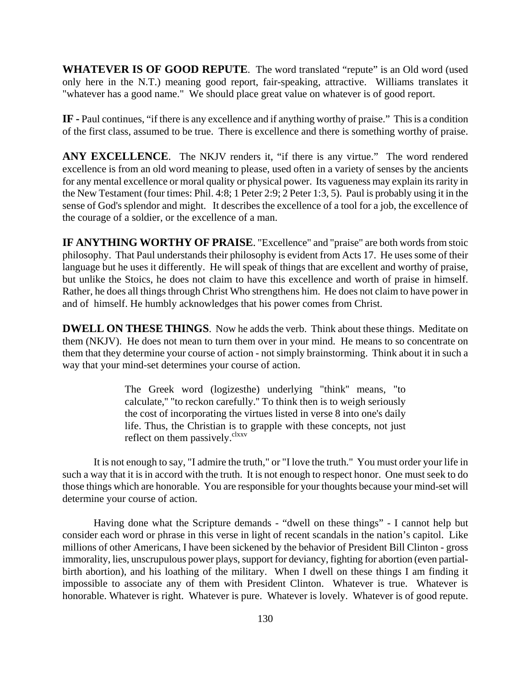**WHATEVER IS OF GOOD REPUTE.** The word translated "repute" is an Old word (used only here in the N.T.) meaning good report, fair-speaking, attractive. Williams translates it "whatever has a good name." We should place great value on whatever is of good report.

**IF -** Paul continues, "if there is any excellence and if anything worthy of praise." This is a condition of the first class, assumed to be true. There is excellence and there is something worthy of praise.

**ANY EXCELLENCE.** The NKJV renders it, "if there is any virtue." The word rendered excellence is from an old word meaning to please, used often in a variety of senses by the ancients for any mental excellence or moral quality or physical power. Its vagueness may explain its rarity in the New Testament (four times: Phil. 4:8; 1 Peter 2:9; 2 Peter 1:3, 5). Paul is probably using it in the sense of God's splendor and might. It describes the excellence of a tool for a job, the excellence of the courage of a soldier, or the excellence of a man.

**IF ANYTHING WORTHY OF PRAISE**. "Excellence" and "praise" are both words from stoic philosophy. That Paul understands their philosophy is evident from Acts 17. He uses some of their language but he uses it differently. He will speak of things that are excellent and worthy of praise, but unlike the Stoics, he does not claim to have this excellence and worth of praise in himself. Rather, he does all things through Christ Who strengthens him. He does not claim to have power in and of himself. He humbly acknowledges that his power comes from Christ.

**DWELL ON THESE THINGS**. Now he adds the verb. Think about these things. Meditate on them (NKJV). He does not mean to turn them over in your mind. He means to so concentrate on them that they determine your course of action - not simply brainstorming. Think about it in such a way that your mind-set determines your course of action.

> The Greek word (logizesthe) underlying "think'' means, "to calculate,'' "to reckon carefully.'' To think then is to weigh seriously the cost of incorporating the virtues listed in verse 8 into one's daily life. Thus, the Christian is to grapple with these concepts, not just reflect on them passively.<sup>clxxv</sup>

It is not enough to say, "I admire the truth," or "I love the truth." You must order your life in such a way that it is in accord with the truth. It is not enough to respect honor. One must seek to do those things which are honorable. You are responsible for your thoughts because your mind-set will determine your course of action.

Having done what the Scripture demands - "dwell on these things" - I cannot help but consider each word or phrase in this verse in light of recent scandals in the nation's capitol. Like millions of other Americans, I have been sickened by the behavior of President Bill Clinton - gross immorality, lies, unscrupulous power plays, support for deviancy, fighting for abortion (even partialbirth abortion), and his loathing of the military. When I dwell on these things I am finding it impossible to associate any of them with President Clinton. Whatever is true. Whatever is honorable. Whatever is right. Whatever is pure. Whatever is lovely. Whatever is of good repute.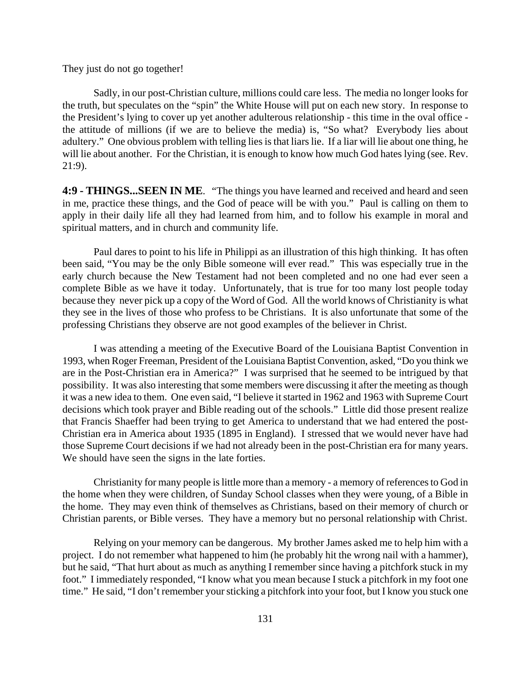They just do not go together!

Sadly, in our post-Christian culture, millions could care less. The media no longer looks for the truth, but speculates on the "spin" the White House will put on each new story. In response to the President's lying to cover up yet another adulterous relationship - this time in the oval office the attitude of millions (if we are to believe the media) is, "So what? Everybody lies about adultery." One obvious problem with telling lies is that liars lie. If a liar will lie about one thing, he will lie about another. For the Christian, it is enough to know how much God hates lying (see. Rev. 21:9).

**4:9 - THINGS...SEEN IN ME**. "The things you have learned and received and heard and seen in me, practice these things, and the God of peace will be with you." Paul is calling on them to apply in their daily life all they had learned from him, and to follow his example in moral and spiritual matters, and in church and community life.

Paul dares to point to his life in Philippi as an illustration of this high thinking. It has often been said, "You may be the only Bible someone will ever read." This was especially true in the early church because the New Testament had not been completed and no one had ever seen a complete Bible as we have it today. Unfortunately, that is true for too many lost people today because they never pick up a copy of the Word of God. All the world knows of Christianity is what they see in the lives of those who profess to be Christians. It is also unfortunate that some of the professing Christians they observe are not good examples of the believer in Christ.

I was attending a meeting of the Executive Board of the Louisiana Baptist Convention in 1993, when Roger Freeman, President of the Louisiana Baptist Convention, asked, "Do you think we are in the Post-Christian era in America?" I was surprised that he seemed to be intrigued by that possibility. It was also interesting that some members were discussing it after the meeting as though it was a new idea to them. One even said, "I believe it started in 1962 and 1963 with Supreme Court decisions which took prayer and Bible reading out of the schools." Little did those present realize that Francis Shaeffer had been trying to get America to understand that we had entered the post-Christian era in America about 1935 (1895 in England). I stressed that we would never have had those Supreme Court decisions if we had not already been in the post-Christian era for many years. We should have seen the signs in the late forties.

Christianity for many people is little more than a memory - a memory of references to God in the home when they were children, of Sunday School classes when they were young, of a Bible in the home. They may even think of themselves as Christians, based on their memory of church or Christian parents, or Bible verses. They have a memory but no personal relationship with Christ.

Relying on your memory can be dangerous. My brother James asked me to help him with a project. I do not remember what happened to him (he probably hit the wrong nail with a hammer), but he said, "That hurt about as much as anything I remember since having a pitchfork stuck in my foot." I immediately responded, "I know what you mean because I stuck a pitchfork in my foot one time." He said, "I don't remember your sticking a pitchfork into your foot, but I know you stuck one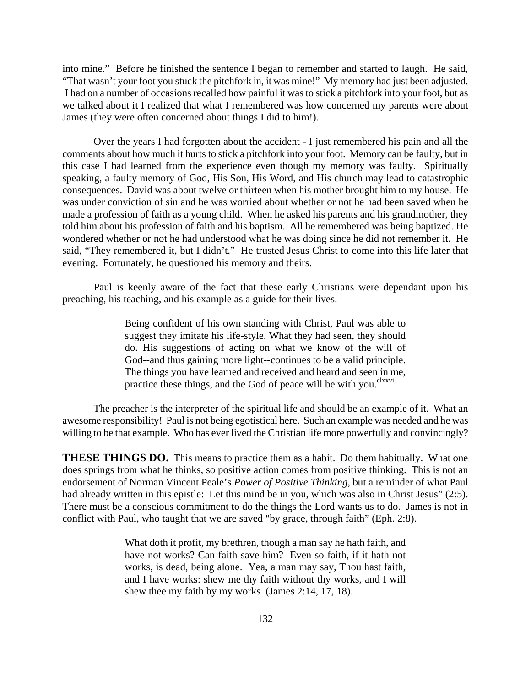into mine." Before he finished the sentence I began to remember and started to laugh. He said, "That wasn't your foot you stuck the pitchfork in, it was mine!" My memory had just been adjusted. I had on a number of occasions recalled how painful it was to stick a pitchfork into your foot, but as we talked about it I realized that what I remembered was how concerned my parents were about James (they were often concerned about things I did to him!).

Over the years I had forgotten about the accident - I just remembered his pain and all the comments about how much it hurts to stick a pitchfork into your foot. Memory can be faulty, but in this case I had learned from the experience even though my memory was faulty. Spiritually speaking, a faulty memory of God, His Son, His Word, and His church may lead to catastrophic consequences. David was about twelve or thirteen when his mother brought him to my house. He was under conviction of sin and he was worried about whether or not he had been saved when he made a profession of faith as a young child. When he asked his parents and his grandmother, they told him about his profession of faith and his baptism. All he remembered was being baptized. He wondered whether or not he had understood what he was doing since he did not remember it. He said, "They remembered it, but I didn't." He trusted Jesus Christ to come into this life later that evening. Fortunately, he questioned his memory and theirs.

Paul is keenly aware of the fact that these early Christians were dependant upon his preaching, his teaching, and his example as a guide for their lives.

> Being confident of his own standing with Christ, Paul was able to suggest they imitate his life-style. What they had seen, they should do. His suggestions of acting on what we know of the will of God--and thus gaining more light--continues to be a valid principle. The things you have learned and received and heard and seen in me, practice these things, and the God of peace will be with you.<sup>clxxvi</sup>

The preacher is the interpreter of the spiritual life and should be an example of it. What an awesome responsibility! Paul is not being egotistical here. Such an example was needed and he was willing to be that example. Who has ever lived the Christian life more powerfully and convincingly?

**THESE THINGS DO.** This means to practice them as a habit. Do them habitually. What one does springs from what he thinks, so positive action comes from positive thinking. This is not an endorsement of Norman Vincent Peale's *Power of Positive Thinking*, but a reminder of what Paul had already written in this epistle: Let this mind be in you, which was also in Christ Jesus" (2:5). There must be a conscious commitment to do the things the Lord wants us to do. James is not in conflict with Paul, who taught that we are saved "by grace, through faith" (Eph. 2:8).

> What doth it profit, my brethren, though a man say he hath faith, and have not works? Can faith save him? Even so faith, if it hath not works, is dead, being alone. Yea, a man may say, Thou hast faith, and I have works: shew me thy faith without thy works, and I will shew thee my faith by my works (James 2:14, 17, 18).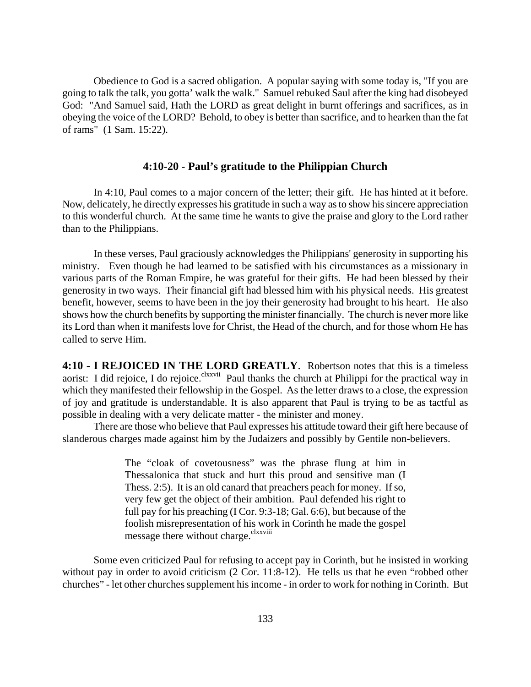Obedience to God is a sacred obligation. A popular saying with some today is, "If you are going to talk the talk, you gotta' walk the walk." Samuel rebuked Saul after the king had disobeyed God: "And Samuel said, Hath the LORD as great delight in burnt offerings and sacrifices, as in obeying the voice of the LORD? Behold, to obey is better than sacrifice, and to hearken than the fat of rams" (1 Sam. 15:22).

#### **4:10-20 - Paul's gratitude to the Philippian Church**

In 4:10, Paul comes to a major concern of the letter; their gift. He has hinted at it before. Now, delicately, he directly expresses his gratitude in such a way as to show his sincere appreciation to this wonderful church. At the same time he wants to give the praise and glory to the Lord rather than to the Philippians.

In these verses, Paul graciously acknowledges the Philippians' generosity in supporting his ministry. Even though he had learned to be satisfied with his circumstances as a missionary in various parts of the Roman Empire, he was grateful for their gifts. He had been blessed by their generosity in two ways. Their financial gift had blessed him with his physical needs. His greatest benefit, however, seems to have been in the joy their generosity had brought to his heart. He also shows how the church benefits by supporting the minister financially. The church is never more like its Lord than when it manifests love for Christ, the Head of the church, and for those whom He has called to serve Him.

**4:10 - I REJOICED IN THE LORD GREATLY**. Robertson notes that this is a timeless aorist: I did rejoice, I do rejoice.<sup>clxxvii</sup> Paul thanks the church at Philippi for the practical way in which they manifested their fellowship in the Gospel. As the letter draws to a close, the expression of joy and gratitude is understandable. It is also apparent that Paul is trying to be as tactful as possible in dealing with a very delicate matter - the minister and money.

There are those who believe that Paul expresses his attitude toward their gift here because of slanderous charges made against him by the Judaizers and possibly by Gentile non-believers.

> The "cloak of covetousness" was the phrase flung at him in Thessalonica that stuck and hurt this proud and sensitive man (I Thess. 2:5). It is an old canard that preachers peach for money. If so, very few get the object of their ambition. Paul defended his right to full pay for his preaching (I Cor. 9:3-18; Gal. 6:6), but because of the foolish misrepresentation of his work in Corinth he made the gospel message there without charge.<sup>clxxviii</sup>

Some even criticized Paul for refusing to accept pay in Corinth, but he insisted in working without pay in order to avoid criticism (2 Cor. 11:8-12). He tells us that he even "robbed other churches" - let other churches supplement his income - in order to work for nothing in Corinth. But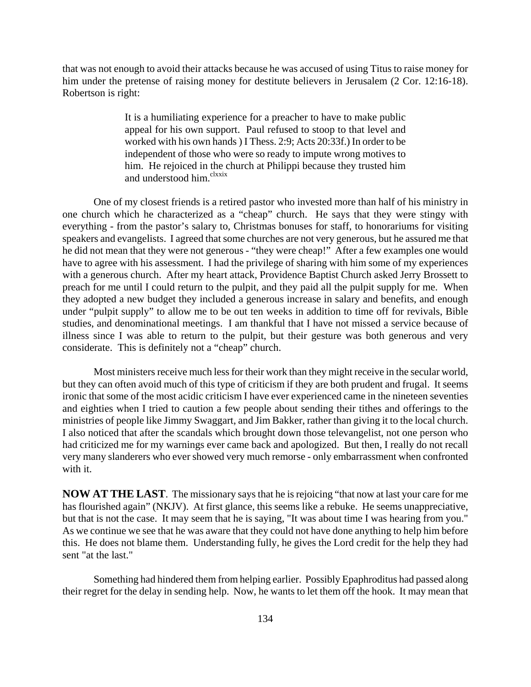that was not enough to avoid their attacks because he was accused of using Titus to raise money for him under the pretense of raising money for destitute believers in Jerusalem (2 Cor. 12:16-18). Robertson is right:

> It is a humiliating experience for a preacher to have to make public appeal for his own support. Paul refused to stoop to that level and worked with his own hands ) I Thess. 2:9; Acts 20:33f.) In order to be independent of those who were so ready to impute wrong motives to him. He rejoiced in the church at Philippi because they trusted him and understood him.<sup>clxxix</sup>

One of my closest friends is a retired pastor who invested more than half of his ministry in one church which he characterized as a "cheap" church. He says that they were stingy with everything - from the pastor's salary to, Christmas bonuses for staff, to honorariums for visiting speakers and evangelists. I agreed that some churches are not very generous, but he assured me that he did not mean that they were not generous - "they were cheap!" After a few examples one would have to agree with his assessment. I had the privilege of sharing with him some of my experiences with a generous church. After my heart attack, Providence Baptist Church asked Jerry Brossett to preach for me until I could return to the pulpit, and they paid all the pulpit supply for me. When they adopted a new budget they included a generous increase in salary and benefits, and enough under "pulpit supply" to allow me to be out ten weeks in addition to time off for revivals, Bible studies, and denominational meetings. I am thankful that I have not missed a service because of illness since I was able to return to the pulpit, but their gesture was both generous and very considerate. This is definitely not a "cheap" church.

Most ministers receive much less for their work than they might receive in the secular world, but they can often avoid much of this type of criticism if they are both prudent and frugal. It seems ironic that some of the most acidic criticism I have ever experienced came in the nineteen seventies and eighties when I tried to caution a few people about sending their tithes and offerings to the ministries of people like Jimmy Swaggart, and Jim Bakker, rather than giving it to the local church. I also noticed that after the scandals which brought down those televangelist, not one person who had criticized me for my warnings ever came back and apologized. But then, I really do not recall very many slanderers who ever showed very much remorse - only embarrassment when confronted with it.

**NOW AT THE LAST**. The missionary says that he is rejoicing "that now at last your care for me has flourished again" (NKJV). At first glance, this seems like a rebuke. He seems unappreciative, but that is not the case. It may seem that he is saying, "It was about time I was hearing from you." As we continue we see that he was aware that they could not have done anything to help him before this. He does not blame them. Understanding fully, he gives the Lord credit for the help they had sent "at the last."

Something had hindered them from helping earlier. Possibly Epaphroditus had passed along their regret for the delay in sending help. Now, he wants to let them off the hook. It may mean that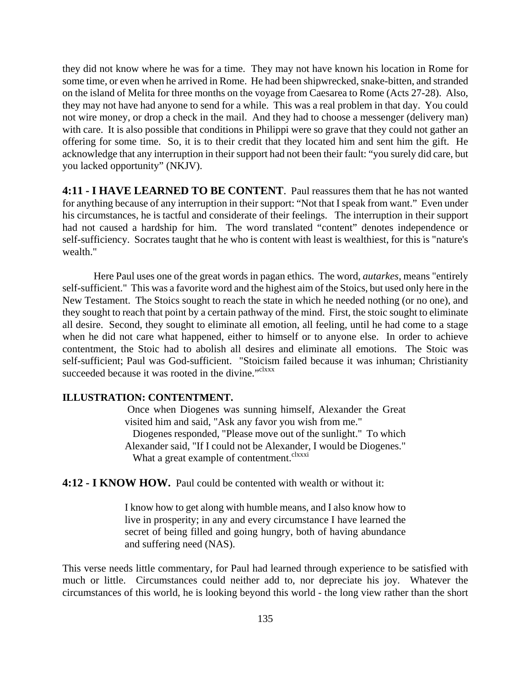they did not know where he was for a time. They may not have known his location in Rome for some time, or even when he arrived in Rome. He had been shipwrecked, snake-bitten, and stranded on the island of Melita for three months on the voyage from Caesarea to Rome (Acts 27-28). Also, they may not have had anyone to send for a while. This was a real problem in that day. You could not wire money, or drop a check in the mail. And they had to choose a messenger (delivery man) with care. It is also possible that conditions in Philippi were so grave that they could not gather an offering for some time. So, it is to their credit that they located him and sent him the gift. He acknowledge that any interruption in their support had not been their fault: "you surely did care, but you lacked opportunity" (NKJV).

**4:11 - I HAVE LEARNED TO BE CONTENT**. Paul reassures them that he has not wanted for anything because of any interruption in their support: "Not that I speak from want." Even under his circumstances, he is tactful and considerate of their feelings. The interruption in their support had not caused a hardship for him. The word translated "content" denotes independence or self-sufficiency. Socrates taught that he who is content with least is wealthiest, for this is "nature's wealth."

Here Paul uses one of the great words in pagan ethics. The word, *autarkes*, means "entirely self-sufficient." This was a favorite word and the highest aim of the Stoics, but used only here in the New Testament. The Stoics sought to reach the state in which he needed nothing (or no one), and they sought to reach that point by a certain pathway of the mind. First, the stoic sought to eliminate all desire. Second, they sought to eliminate all emotion, all feeling, until he had come to a stage when he did not care what happened, either to himself or to anyone else. In order to achieve contentment, the Stoic had to abolish all desires and eliminate all emotions. The Stoic was self-sufficient; Paul was God-sufficient. "Stoicism failed because it was inhuman; Christianity succeeded because it was rooted in the divine."<sup>clxxx</sup>

#### **ILLUSTRATION: CONTENTMENT.**

 Once when Diogenes was sunning himself, Alexander the Great visited him and said, "Ask any favor you wish from me." Diogenes responded, "Please move out of the sunlight." To which Alexander said, "If I could not be Alexander, I would be Diogenes." What a great example of contentment.<sup>clxxxi</sup>

**4:12 - I KNOW HOW.** Paul could be contented with wealth or without it:

I know how to get along with humble means, and I also know how to live in prosperity; in any and every circumstance I have learned the secret of being filled and going hungry, both of having abundance and suffering need (NAS).

This verse needs little commentary, for Paul had learned through experience to be satisfied with much or little. Circumstances could neither add to, nor depreciate his joy. Whatever the circumstances of this world, he is looking beyond this world - the long view rather than the short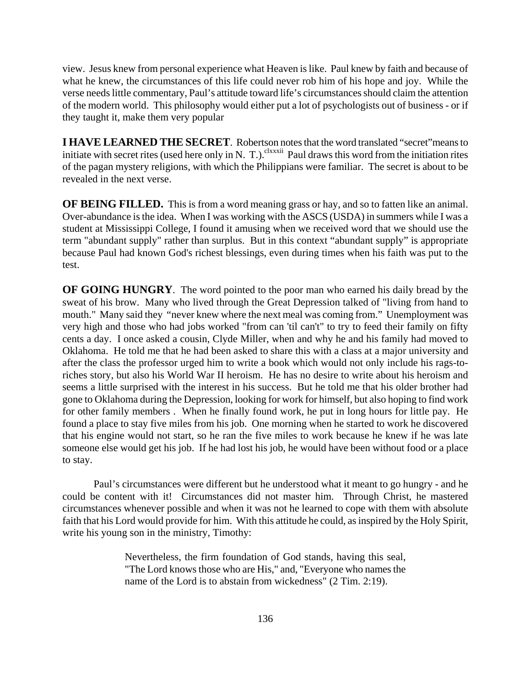view. Jesus knew from personal experience what Heaven is like. Paul knew by faith and because of what he knew, the circumstances of this life could never rob him of his hope and joy. While the verse needs little commentary, Paul's attitude toward life's circumstances should claim the attention of the modern world. This philosophy would either put a lot of psychologists out of business - or if they taught it, make them very popular

**I HAVE LEARNED THE SECRET**. Robertson notes that the word translated "secret"means to initiate with secret rites (used here only in N. T.).<sup>clxxxii</sup> Paul draws this word from the initiation rites of the pagan mystery religions, with which the Philippians were familiar. The secret is about to be revealed in the next verse.

**OF BEING FILLED.** This is from a word meaning grass or hay, and so to fatten like an animal. Over-abundance is the idea. When I was working with the ASCS (USDA) in summers while I was a student at Mississippi College, I found it amusing when we received word that we should use the term "abundant supply" rather than surplus. But in this context "abundant supply" is appropriate because Paul had known God's richest blessings, even during times when his faith was put to the test.

**OF GOING HUNGRY**. The word pointed to the poor man who earned his daily bread by the sweat of his brow. Many who lived through the Great Depression talked of "living from hand to mouth." Many said they "never knew where the next meal was coming from." Unemployment was very high and those who had jobs worked "from can 'til can't" to try to feed their family on fifty cents a day. I once asked a cousin, Clyde Miller, when and why he and his family had moved to Oklahoma. He told me that he had been asked to share this with a class at a major university and after the class the professor urged him to write a book which would not only include his rags-toriches story, but also his World War II heroism. He has no desire to write about his heroism and seems a little surprised with the interest in his success. But he told me that his older brother had gone to Oklahoma during the Depression, looking for work for himself, but also hoping to find work for other family members . When he finally found work, he put in long hours for little pay. He found a place to stay five miles from his job. One morning when he started to work he discovered that his engine would not start, so he ran the five miles to work because he knew if he was late someone else would get his job. If he had lost his job, he would have been without food or a place to stay.

Paul's circumstances were different but he understood what it meant to go hungry - and he could be content with it! Circumstances did not master him. Through Christ, he mastered circumstances whenever possible and when it was not he learned to cope with them with absolute faith that his Lord would provide for him. With this attitude he could, as inspired by the Holy Spirit, write his young son in the ministry, Timothy:

> Nevertheless, the firm foundation of God stands, having this seal, "The Lord knows those who are His," and, "Everyone who names the name of the Lord is to abstain from wickedness" (2 Tim. 2:19).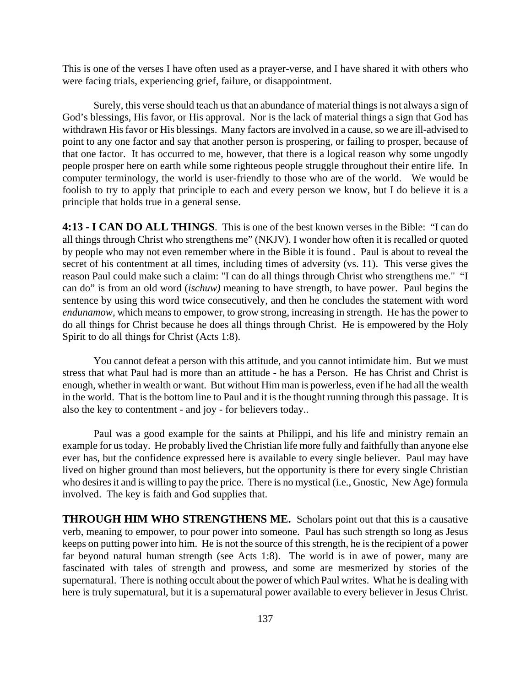This is one of the verses I have often used as a prayer-verse, and I have shared it with others who were facing trials, experiencing grief, failure, or disappointment.

Surely, this verse should teach us that an abundance of material things is not always a sign of God's blessings, His favor, or His approval. Nor is the lack of material things a sign that God has withdrawn His favor or His blessings. Many factors are involved in a cause, so we are ill-advised to point to any one factor and say that another person is prospering, or failing to prosper, because of that one factor. It has occurred to me, however, that there is a logical reason why some ungodly people prosper here on earth while some righteous people struggle throughout their entire life. In computer terminology, the world is user-friendly to those who are of the world. We would be foolish to try to apply that principle to each and every person we know, but I do believe it is a principle that holds true in a general sense.

**4:13 - I CAN DO ALL THINGS**. This is one of the best known verses in the Bible: "I can do all things through Christ who strengthens me" (NKJV). I wonder how often it is recalled or quoted by people who may not even remember where in the Bible it is found . Paul is about to reveal the secret of his contentment at all times, including times of adversity (vs. 11). This verse gives the reason Paul could make such a claim: "I can do all things through Christ who strengthens me." "I can do" is from an old word (*ischuw)* meaning to have strength, to have power. Paul begins the sentence by using this word twice consecutively, and then he concludes the statement with word *endunamow,* which means to empower, to grow strong, increasing in strength. He has the power to do all things for Christ because he does all things through Christ. He is empowered by the Holy Spirit to do all things for Christ (Acts 1:8).

You cannot defeat a person with this attitude, and you cannot intimidate him. But we must stress that what Paul had is more than an attitude - he has a Person. He has Christ and Christ is enough, whether in wealth or want. But without Him man is powerless, even if he had all the wealth in the world. That is the bottom line to Paul and it is the thought running through this passage. It is also the key to contentment - and joy - for believers today..

Paul was a good example for the saints at Philippi, and his life and ministry remain an example for us today. He probably lived the Christian life more fully and faithfully than anyone else ever has, but the confidence expressed here is available to every single believer. Paul may have lived on higher ground than most believers, but the opportunity is there for every single Christian who desires it and is willing to pay the price. There is no mystical (i.e., Gnostic, New Age) formula involved. The key is faith and God supplies that.

**THROUGH HIM WHO STRENGTHENS ME.** Scholars point out that this is a causative verb, meaning to empower, to pour power into someone. Paul has such strength so long as Jesus keeps on putting power into him. He is not the source of this strength, he is the recipient of a power far beyond natural human strength (see Acts 1:8). The world is in awe of power, many are fascinated with tales of strength and prowess, and some are mesmerized by stories of the supernatural. There is nothing occult about the power of which Paul writes. What he is dealing with here is truly supernatural, but it is a supernatural power available to every believer in Jesus Christ.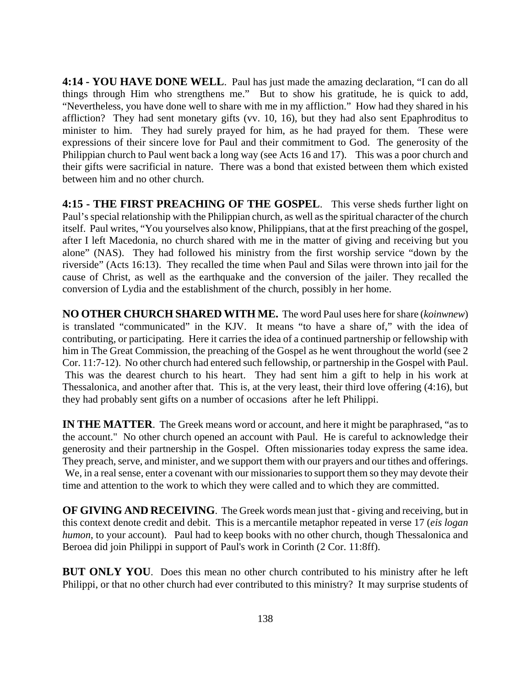**4:14 - YOU HAVE DONE WELL**. Paul has just made the amazing declaration, "I can do all things through Him who strengthens me." But to show his gratitude, he is quick to add, "Nevertheless, you have done well to share with me in my affliction." How had they shared in his affliction? They had sent monetary gifts (vv. 10, 16), but they had also sent Epaphroditus to minister to him. They had surely prayed for him, as he had prayed for them. These were expressions of their sincere love for Paul and their commitment to God. The generosity of the Philippian church to Paul went back a long way (see Acts 16 and 17). This was a poor church and their gifts were sacrificial in nature. There was a bond that existed between them which existed between him and no other church.

**4:15 - THE FIRST PREACHING OF THE GOSPEL**. This verse sheds further light on Paul's special relationship with the Philippian church, as well as the spiritual character of the church itself. Paul writes, "You yourselves also know, Philippians, that at the first preaching of the gospel, after I left Macedonia, no church shared with me in the matter of giving and receiving but you alone" (NAS). They had followed his ministry from the first worship service "down by the riverside" (Acts 16:13). They recalled the time when Paul and Silas were thrown into jail for the cause of Christ, as well as the earthquake and the conversion of the jailer. They recalled the conversion of Lydia and the establishment of the church, possibly in her home.

**NO OTHER CHURCH SHARED WITH ME.** The word Paul uses here for share (*koinwnew*) is translated "communicated" in the KJV. It means "to have a share of," with the idea of contributing, or participating. Here it carries the idea of a continued partnership or fellowship with him in The Great Commission, the preaching of the Gospel as he went throughout the world (see 2 Cor. 11:7-12). No other church had entered such fellowship, or partnership in the Gospel with Paul. This was the dearest church to his heart. They had sent him a gift to help in his work at Thessalonica, and another after that. This is, at the very least, their third love offering (4:16), but they had probably sent gifts on a number of occasions after he left Philippi.

**IN THE MATTER**. The Greek means word or account, and here it might be paraphrased, "as to the account." No other church opened an account with Paul. He is careful to acknowledge their generosity and their partnership in the Gospel. Often missionaries today express the same idea. They preach, serve, and minister, and we support them with our prayers and our tithes and offerings. We, in a real sense, enter a covenant with our missionaries to support them so they may devote their time and attention to the work to which they were called and to which they are committed.

**OF GIVING AND RECEIVING**. The Greek words mean just that - giving and receiving, but in this context denote credit and debit. This is a mercantile metaphor repeated in verse 17 (*eis logan humon*, to your account). Paul had to keep books with no other church, though Thessalonica and Beroea did join Philippi in support of Paul's work in Corinth (2 Cor. 11:8ff).

**BUT ONLY YOU.** Does this mean no other church contributed to his ministry after he left Philippi, or that no other church had ever contributed to this ministry? It may surprise students of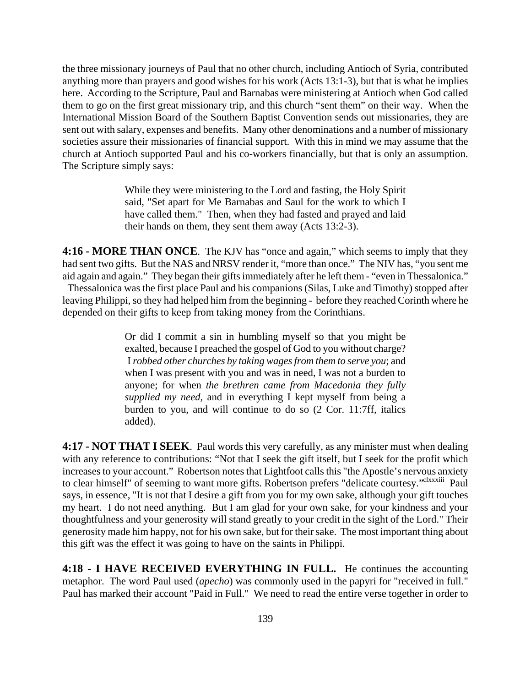the three missionary journeys of Paul that no other church, including Antioch of Syria, contributed anything more than prayers and good wishes for his work (Acts 13:1-3), but that is what he implies here. According to the Scripture, Paul and Barnabas were ministering at Antioch when God called them to go on the first great missionary trip, and this church "sent them" on their way. When the International Mission Board of the Southern Baptist Convention sends out missionaries, they are sent out with salary, expenses and benefits. Many other denominations and a number of missionary societies assure their missionaries of financial support. With this in mind we may assume that the church at Antioch supported Paul and his co-workers financially, but that is only an assumption. The Scripture simply says:

> While they were ministering to the Lord and fasting, the Holy Spirit said, "Set apart for Me Barnabas and Saul for the work to which I have called them." Then, when they had fasted and prayed and laid their hands on them, they sent them away (Acts 13:2-3).

**4:16 - MORE THAN ONCE**. The KJV has "once and again," which seems to imply that they had sent two gifts. But the NAS and NRSV render it, "more than once." The NIV has, "you sent me aid again and again." They began their gifts immediately after he left them - "even in Thessalonica." Thessalonica was the first place Paul and his companions (Silas, Luke and Timothy) stopped after leaving Philippi, so they had helped him from the beginning - before they reached Corinth where he depended on their gifts to keep from taking money from the Corinthians.

> Or did I commit a sin in humbling myself so that you might be exalted, because I preached the gospel of God to you without charge? I *robbed other churches by taking wages from them to serve you*; and when I was present with you and was in need, I was not a burden to anyone; for when *the brethren came from Macedonia they fully supplied my need,* and in everything I kept myself from being a burden to you, and will continue to do so (2 Cor. 11:7ff, italics added).

**4:17 - NOT THAT I SEEK**. Paul words this very carefully, as any minister must when dealing with any reference to contributions: "Not that I seek the gift itself, but I seek for the profit which increases to your account." Robertson notes that Lightfoot calls this "the Apostle's nervous anxiety to clear himself" of seeming to want more gifts. Robertson prefers "delicate courtesy."<sup>clxxxiii</sup> Paul says, in essence, "It is not that I desire a gift from you for my own sake, although your gift touches my heart. I do not need anything. But I am glad for your own sake, for your kindness and your thoughtfulness and your generosity will stand greatly to your credit in the sight of the Lord." Their generosity made him happy, not for his own sake, but for their sake. The most important thing about this gift was the effect it was going to have on the saints in Philippi.

**4:18 - I HAVE RECEIVED EVERYTHING IN FULL.** He continues the accounting metaphor. The word Paul used (*apecho*) was commonly used in the papyri for "received in full." Paul has marked their account "Paid in Full." We need to read the entire verse together in order to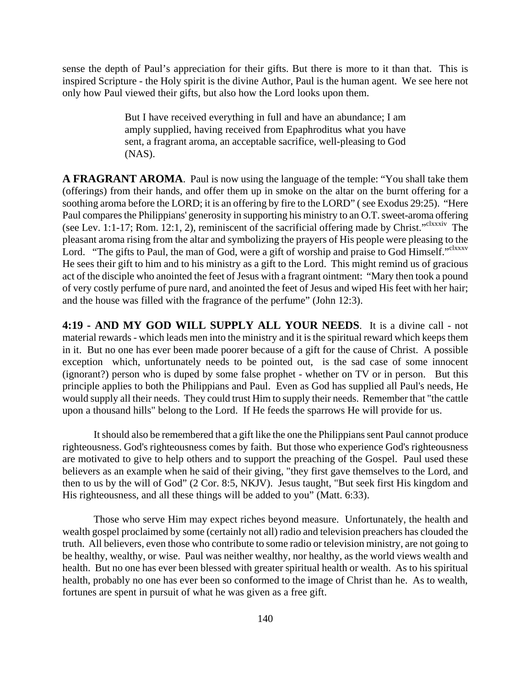sense the depth of Paul's appreciation for their gifts. But there is more to it than that. This is inspired Scripture - the Holy spirit is the divine Author, Paul is the human agent. We see here not only how Paul viewed their gifts, but also how the Lord looks upon them.

> But I have received everything in full and have an abundance; I am amply supplied, having received from Epaphroditus what you have sent, a fragrant aroma, an acceptable sacrifice, well-pleasing to God (NAS).

**A FRAGRANT AROMA**. Paul is now using the language of the temple: "You shall take them (offerings) from their hands, and offer them up in smoke on the altar on the burnt offering for a soothing aroma before the LORD; it is an offering by fire to the LORD" ( see Exodus 29:25). "Here Paul compares the Philippians' generosity in supporting his ministry to an O.T. sweet-aroma offering (see Lev. 1:1-17; Rom. 12:1, 2), reminiscent of the sacrificial offering made by Christ." $\text{clxxxiv}$  The pleasant aroma rising from the altar and symbolizing the prayers of His people were pleasing to the Lord. "The gifts to Paul, the man of God, were a gift of worship and praise to God Himself."<sup>clxxxv</sup> He sees their gift to him and to his ministry as a gift to the Lord. This might remind us of gracious act of the disciple who anointed the feet of Jesus with a fragrant ointment: "Mary then took a pound of very costly perfume of pure nard, and anointed the feet of Jesus and wiped His feet with her hair; and the house was filled with the fragrance of the perfume" (John 12:3).

**4:19 - AND MY GOD WILL SUPPLY ALL YOUR NEEDS**. It is a divine call - not material rewards - which leads men into the ministry and it is the spiritual reward which keeps them in it. But no one has ever been made poorer because of a gift for the cause of Christ. A possible exception which, unfortunately needs to be pointed out, is the sad case of some innocent (ignorant?) person who is duped by some false prophet - whether on TV or in person. But this principle applies to both the Philippians and Paul. Even as God has supplied all Paul's needs, He would supply all their needs. They could trust Him to supply their needs. Remember that "the cattle upon a thousand hills" belong to the Lord. If He feeds the sparrows He will provide for us.

It should also be remembered that a gift like the one the Philippians sent Paul cannot produce righteousness. God's righteousness comes by faith. But those who experience God's righteousness are motivated to give to help others and to support the preaching of the Gospel. Paul used these believers as an example when he said of their giving, "they first gave themselves to the Lord, and then to us by the will of God" (2 Cor. 8:5, NKJV). Jesus taught, "But seek first His kingdom and His righteousness, and all these things will be added to you" (Matt. 6:33).

Those who serve Him may expect riches beyond measure. Unfortunately, the health and wealth gospel proclaimed by some (certainly not all) radio and television preachers has clouded the truth. All believers, even those who contribute to some radio or television ministry, are not going to be healthy, wealthy, or wise. Paul was neither wealthy, nor healthy, as the world views wealth and health. But no one has ever been blessed with greater spiritual health or wealth. As to his spiritual health, probably no one has ever been so conformed to the image of Christ than he. As to wealth, fortunes are spent in pursuit of what he was given as a free gift.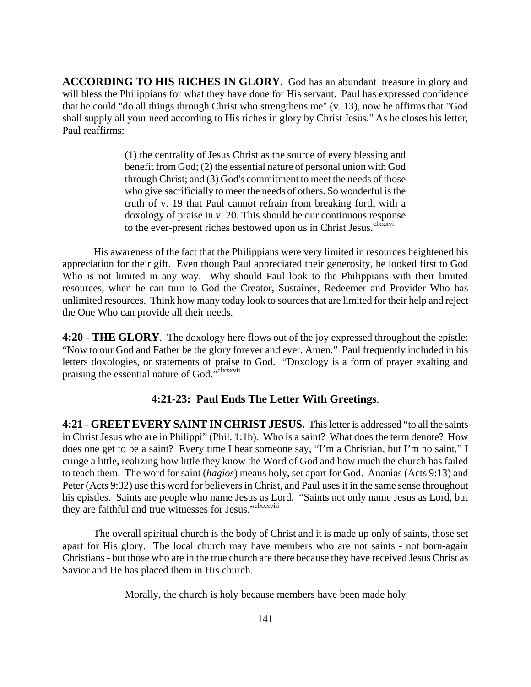**ACCORDING TO HIS RICHES IN GLORY**. God has an abundant treasure in glory and will bless the Philippians for what they have done for His servant. Paul has expressed confidence that he could "do all things through Christ who strengthens me" (v. 13), now he affirms that "God shall supply all your need according to His riches in glory by Christ Jesus." As he closes his letter, Paul reaffirms:

> (1) the centrality of Jesus Christ as the source of every blessing and benefit from God; (2) the essential nature of personal union with God through Christ; and (3) God's commitment to meet the needs of those who give sacrificially to meet the needs of others. So wonderful is the truth of v. 19 that Paul cannot refrain from breaking forth with a doxology of praise in v. 20. This should be our continuous response to the ever-present riches bestowed upon us in Christ Jesus.<sup>clxxxvi</sup>

His awareness of the fact that the Philippians were very limited in resources heightened his appreciation for their gift. Even though Paul appreciated their generosity, he looked first to God Who is not limited in any way. Why should Paul look to the Philippians with their limited resources, when he can turn to God the Creator, Sustainer, Redeemer and Provider Who has unlimited resources. Think how many today look to sources that are limited for their help and reject the One Who can provide all their needs.

**4:20 - THE GLORY**. The doxology here flows out of the joy expressed throughout the epistle: "Now to our God and Father be the glory forever and ever. Amen." Paul frequently included in his letters doxologies, or statements of praise to God. "Doxology is a form of prayer exalting and praising the essential nature of God."<sup>clxxxvii</sup>

### **4:21-23: Paul Ends The Letter With Greetings**.

**4:21 - GREET EVERY SAINT IN CHRIST JESUS.** This letter is addressed "to all the saints in Christ Jesus who are in Philippi" (Phil. 1:1b). Who is a saint? What does the term denote? How does one get to be a saint? Every time I hear someone say, "I'm a Christian, but I'm no saint," I cringe a little, realizing how little they know the Word of God and how much the church has failed to teach them. The word for saint (*hagios*) means holy, set apart for God. Ananias (Acts 9:13) and Peter (Acts 9:32) use this word for believers in Christ, and Paul uses it in the same sense throughout his epistles. Saints are people who name Jesus as Lord. "Saints not only name Jesus as Lord, but they are faithful and true witnesses for Jesus."clxxxviii

The overall spiritual church is the body of Christ and it is made up only of saints, those set apart for His glory. The local church may have members who are not saints - not born-again Christians - but those who are in the true church are there because they have received Jesus Christ as Savior and He has placed them in His church.

Morally, the church is holy because members have been made holy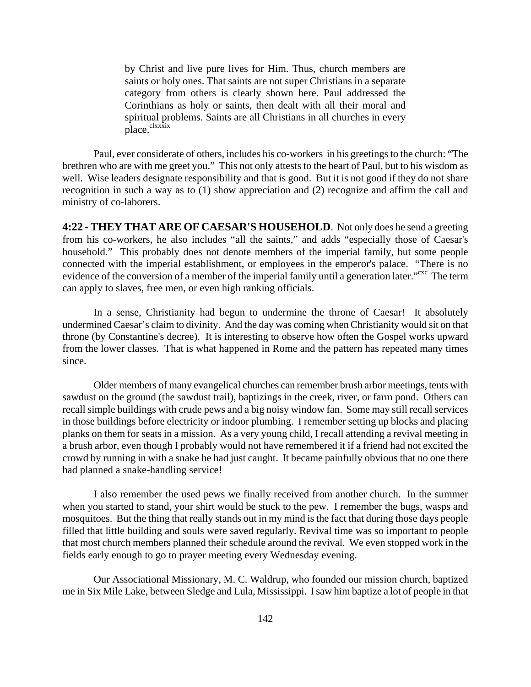by Christ and live pure lives for Him. Thus, church members are saints or holy ones. That saints are not super Christians in a separate category from others is clearly shown here. Paul addressed the Corinthians as holy or saints, then dealt with all their moral and spiritual problems. Saints are all Christians in all churches in every place.<sup>clxxxix</sup>

Paul, ever considerate of others, includes his co-workers in his greetings to the church: "The brethren who are with me greet you." This not only attests to the heart of Paul, but to his wisdom as well. Wise leaders designate responsibility and that is good. But it is not good if they do not share recognition in such a way as to (1) show appreciation and (2) recognize and affirm the call and ministry of co-laborers.

**4:22 - THEY THAT ARE OF CAESAR'S HOUSEHOLD**. Not only does he send a greeting from his co-workers, he also includes "all the saints," and adds "especially those of Caesar's household." This probably does not denote members of the imperial family, but some people connected with the imperial establishment, or employees in the emperor's palace. "There is no evidence of the conversion of a member of the imperial family until a generation later.<sup>"cxc</sup> The term can apply to slaves, free men, or even high ranking officials.

In a sense, Christianity had begun to undermine the throne of Caesar! It absolutely undermined Caesar's claim to divinity. And the day was coming when Christianity would sit on that throne (by Constantine's decree). It is interesting to observe how often the Gospel works upward from the lower classes. That is what happened in Rome and the pattern has repeated many times since.

Older members of many evangelical churches can remember brush arbor meetings, tents with sawdust on the ground (the sawdust trail), baptizings in the creek, river, or farm pond. Others can recall simple buildings with crude pews and a big noisy window fan. Some may still recall services in those buildings before electricity or indoor plumbing. I remember setting up blocks and placing planks on them for seats in a mission. As a very young child, I recall attending a revival meeting in a brush arbor, even though I probably would not have remembered it if a friend had not excited the crowd by running in with a snake he had just caught. It became painfully obvious that no one there had planned a snake-handling service!

I also remember the used pews we finally received from another church. In the summer when you started to stand, your shirt would be stuck to the pew. I remember the bugs, wasps and mosquitoes. But the thing that really stands out in my mind is the fact that during those days people filled that little building and souls were saved regularly. Revival time was so important to people that most church members planned their schedule around the revival. We even stopped work in the fields early enough to go to prayer meeting every Wednesday evening.

Our Associational Missionary, M. C. Waldrup, who founded our mission church, baptized me in Six Mile Lake, between Sledge and Lula, Mississippi. I saw him baptize a lot of people in that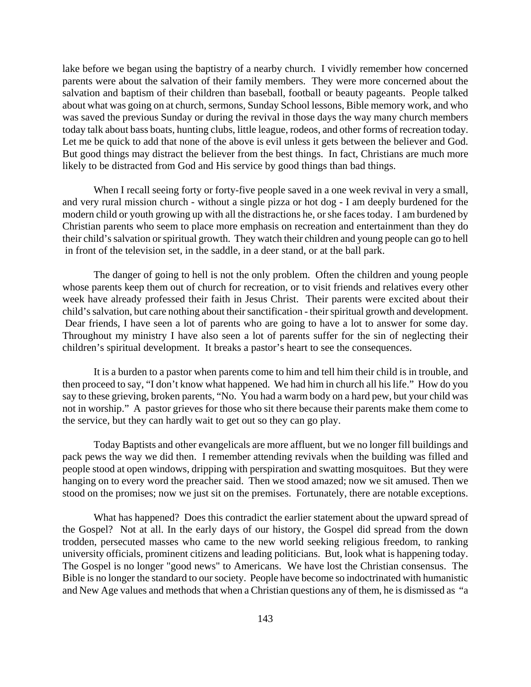lake before we began using the baptistry of a nearby church. I vividly remember how concerned parents were about the salvation of their family members. They were more concerned about the salvation and baptism of their children than baseball, football or beauty pageants. People talked about what was going on at church, sermons, Sunday School lessons, Bible memory work, and who was saved the previous Sunday or during the revival in those days the way many church members today talk about bass boats, hunting clubs, little league, rodeos, and other forms of recreation today. Let me be quick to add that none of the above is evil unless it gets between the believer and God. But good things may distract the believer from the best things. In fact, Christians are much more likely to be distracted from God and His service by good things than bad things.

When I recall seeing forty or forty-five people saved in a one week revival in very a small, and very rural mission church - without a single pizza or hot dog - I am deeply burdened for the modern child or youth growing up with all the distractions he, or she faces today. I am burdened by Christian parents who seem to place more emphasis on recreation and entertainment than they do their child's salvation or spiritual growth. They watch their children and young people can go to hell in front of the television set, in the saddle, in a deer stand, or at the ball park.

The danger of going to hell is not the only problem. Often the children and young people whose parents keep them out of church for recreation, or to visit friends and relatives every other week have already professed their faith in Jesus Christ. Their parents were excited about their child's salvation, but care nothing about their sanctification - their spiritual growth and development. Dear friends, I have seen a lot of parents who are going to have a lot to answer for some day. Throughout my ministry I have also seen a lot of parents suffer for the sin of neglecting their children's spiritual development. It breaks a pastor's heart to see the consequences.

It is a burden to a pastor when parents come to him and tell him their child is in trouble, and then proceed to say, "I don't know what happened. We had him in church all his life." How do you say to these grieving, broken parents, "No. You had a warm body on a hard pew, but your child was not in worship." A pastor grieves for those who sit there because their parents make them come to the service, but they can hardly wait to get out so they can go play.

Today Baptists and other evangelicals are more affluent, but we no longer fill buildings and pack pews the way we did then. I remember attending revivals when the building was filled and people stood at open windows, dripping with perspiration and swatting mosquitoes. But they were hanging on to every word the preacher said. Then we stood amazed; now we sit amused. Then we stood on the promises; now we just sit on the premises. Fortunately, there are notable exceptions.

What has happened? Does this contradict the earlier statement about the upward spread of the Gospel? Not at all. In the early days of our history, the Gospel did spread from the down trodden, persecuted masses who came to the new world seeking religious freedom, to ranking university officials, prominent citizens and leading politicians. But, look what is happening today. The Gospel is no longer "good news" to Americans. We have lost the Christian consensus. The Bible is no longer the standard to our society. People have become so indoctrinated with humanistic and New Age values and methods that when a Christian questions any of them, he is dismissed as "a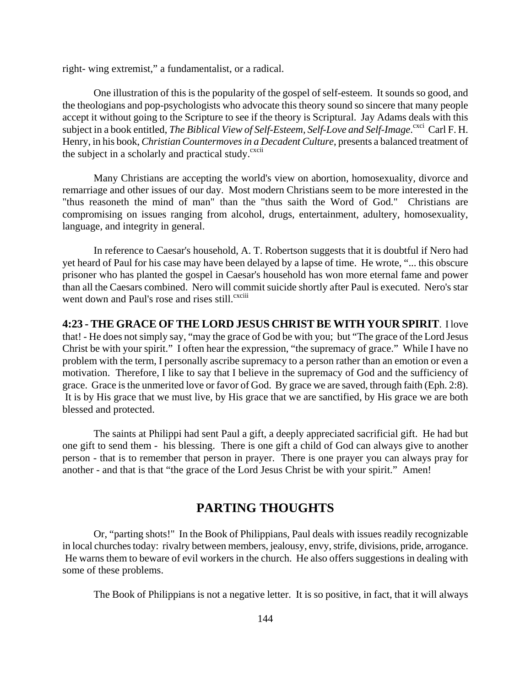right- wing extremist," a fundamentalist, or a radical.

One illustration of this is the popularity of the gospel of self-esteem. It sounds so good, and the theologians and pop-psychologists who advocate this theory sound so sincere that many people accept it without going to the Scripture to see if the theory is Scriptural. Jay Adams deals with this subject in a book entitled, *The Biblical View of Self-Esteem, Self-Love and Self-Image*. Carl F. H. Henry, in his book, *Christian Countermoves in a Decadent Culture*, presents a balanced treatment of the subject in a scholarly and practical study.<sup>cxcii</sup>

Many Christians are accepting the world's view on abortion, homosexuality, divorce and remarriage and other issues of our day. Most modern Christians seem to be more interested in the "thus reasoneth the mind of man" than the "thus saith the Word of God." Christians are compromising on issues ranging from alcohol, drugs, entertainment, adultery, homosexuality, language, and integrity in general.

In reference to Caesar's household, A. T. Robertson suggests that it is doubtful if Nero had yet heard of Paul for his case may have been delayed by a lapse of time. He wrote, "... this obscure prisoner who has planted the gospel in Caesar's household has won more eternal fame and power than all the Caesars combined. Nero will commit suicide shortly after Paul is executed. Nero's star went down and Paul's rose and rises still.<sup>cxciii</sup>

**4:23 - THE GRACE OF THE LORD JESUS CHRIST BE WITH YOUR SPIRIT**. I love that! - He does not simply say, "may the grace of God be with you; but "The grace of the Lord Jesus Christ be with your spirit." I often hear the expression, "the supremacy of grace." While I have no problem with the term, I personally ascribe supremacy to a person rather than an emotion or even a motivation. Therefore, I like to say that I believe in the supremacy of God and the sufficiency of grace. Grace is the unmerited love or favor of God. By grace we are saved, through faith (Eph. 2:8). It is by His grace that we must live, by His grace that we are sanctified, by His grace we are both blessed and protected.

The saints at Philippi had sent Paul a gift, a deeply appreciated sacrificial gift. He had but one gift to send them - his blessing. There is one gift a child of God can always give to another person - that is to remember that person in prayer. There is one prayer you can always pray for another - and that is that "the grace of the Lord Jesus Christ be with your spirit." Amen!

## **PARTING THOUGHTS**

Or, "parting shots!" In the Book of Philippians, Paul deals with issues readily recognizable in local churches today: rivalry between members, jealousy, envy, strife, divisions, pride, arrogance. He warns them to beware of evil workers in the church. He also offers suggestions in dealing with some of these problems.

The Book of Philippians is not a negative letter. It is so positive, in fact, that it will always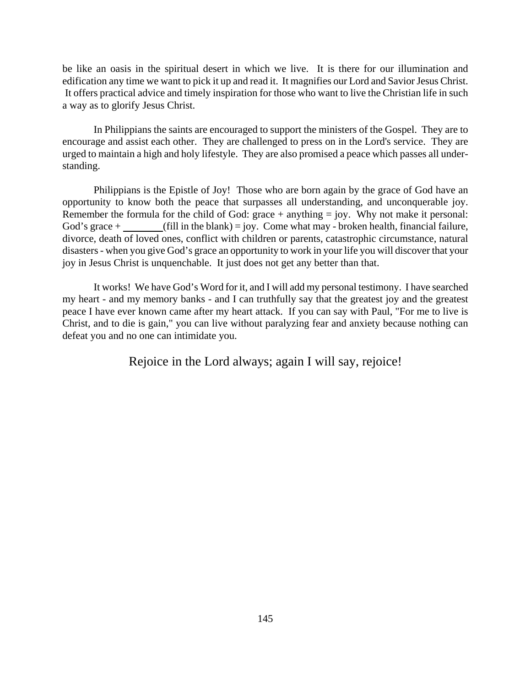be like an oasis in the spiritual desert in which we live. It is there for our illumination and edification any time we want to pick it up and read it. It magnifies our Lord and Savior Jesus Christ. It offers practical advice and timely inspiration for those who want to live the Christian life in such a way as to glorify Jesus Christ.

In Philippians the saints are encouraged to support the ministers of the Gospel. They are to encourage and assist each other. They are challenged to press on in the Lord's service. They are urged to maintain a high and holy lifestyle. They are also promised a peace which passes all understanding.

Philippians is the Epistle of Joy! Those who are born again by the grace of God have an opportunity to know both the peace that surpasses all understanding, and unconquerable joy. Remember the formula for the child of God:  $\text{grace} + \text{anything} = \text{joy}$ . Why not make it personal: God's grace +  $(iil \text{ in the blank}) = joy$ . Come what may - broken health, financial failure, divorce, death of loved ones, conflict with children or parents, catastrophic circumstance, natural disasters - when you give God's grace an opportunity to work in your life you will discover that your joy in Jesus Christ is unquenchable. It just does not get any better than that.

It works! We have God's Word for it, and I will add my personal testimony. I have searched my heart - and my memory banks - and I can truthfully say that the greatest joy and the greatest peace I have ever known came after my heart attack. If you can say with Paul, "For me to live is Christ, and to die is gain," you can live without paralyzing fear and anxiety because nothing can defeat you and no one can intimidate you.

Rejoice in the Lord always; again I will say, rejoice!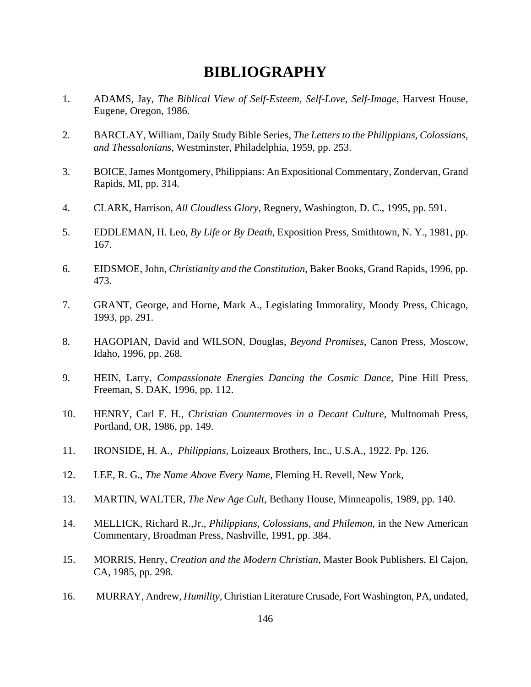# **BIBLIOGRAPHY**

- 1. ADAMS, Jay, *The Biblical View of Self-Esteem, Self-Love, Self-Image*, Harvest House, Eugene, Oregon, 1986.
- 2. BARCLAY, William, Daily Study Bible Series, *The Letters to the Philippians, Colossians, and Thessalonians*, Westminster, Philadelphia, 1959, pp. 253.
- 3. BOICE, James Montgomery, Philippians: An Expositional Commentary, Zondervan, Grand Rapids, MI, pp. 314.
- 4. CLARK, Harrison, *All Cloudless Glory*, Regnery, Washington, D. C., 1995, pp. 591.
- 5. EDDLEMAN, H. Leo, *By Life or By Death*, Exposition Press, Smithtown, N. Y., 1981, pp. 167.
- 6. EIDSMOE, John, *Christianity and the Constitution*, Baker Books, Grand Rapids, 1996, pp. 473.
- 7. GRANT, George, and Horne, Mark A., Legislating Immorality, Moody Press, Chicago, 1993, pp. 291.
- 8. HAGOPIAN, David and WILSON, Douglas, *Beyond Promises*, Canon Press, Moscow, Idaho, 1996, pp. 268.
- 9. HEIN, Larry, *Compassionate Energies Dancing the Cosmic Dance*, Pine Hill Press, Freeman, S. DAK, 1996, pp. 112.
- 10. HENRY, Carl F. H., *Christian Countermoves in a Decant Culture*, Multnomah Press, Portland, OR, 1986, pp. 149.
- 11. IRONSIDE, H. A., *Philippians*, Loizeaux Brothers, Inc., U.S.A., 1922. Pp. 126.
- 12. LEE, R. G., *The Name Above Every Name*, Fleming H. Revell, New York,
- 13. MARTIN, WALTER, *The New Age Cult,* Bethany House, Minneapolis, 1989, pp. 140.
- 14. MELLICK, Richard R.,Jr., *Philippians, Colossians, and Philemon*, in the New American Commentary, Broadman Press, Nashville, 1991, pp. 384.
- 15. MORRIS, Henry, *Creation and the Modern Christian*, Master Book Publishers, El Cajon, CA, 1985, pp. 298.
- 16. MURRAY, Andrew, *Humility,* Christian Literature Crusade, Fort Washington, PA, undated,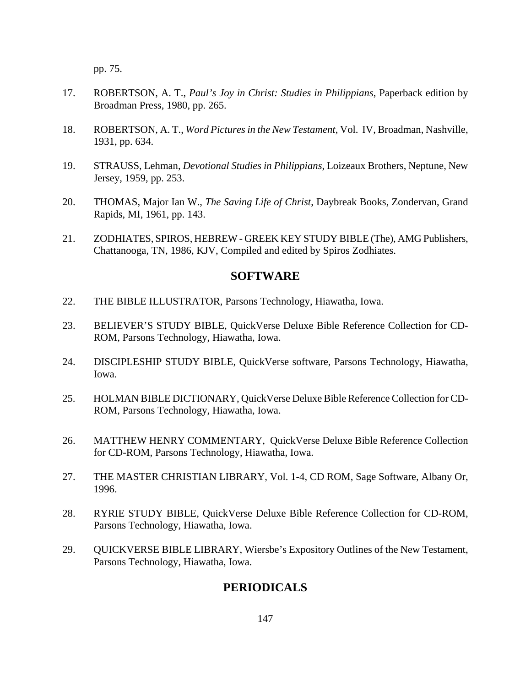pp. 75.

- 17. ROBERTSON, A. T., *Paul's Joy in Christ: Studies in Philippians*, Paperback edition by Broadman Press, 1980, pp. 265.
- 18. ROBERTSON, A. T., *Word Pictures in the New Testament*, Vol. IV, Broadman, Nashville, 1931, pp. 634.
- 19. STRAUSS, Lehman, *Devotional Studies in Philippians*, Loizeaux Brothers, Neptune, New Jersey, 1959, pp. 253.
- 20. THOMAS, Major Ian W., *The Saving Life of Christ*, Daybreak Books, Zondervan, Grand Rapids, MI, 1961, pp. 143.
- 21. ZODHIATES, SPIROS, HEBREW GREEK KEY STUDY BIBLE (The), AMG Publishers, Chattanooga, TN, 1986, KJV, Compiled and edited by Spiros Zodhiates.

### **SOFTWARE**

- 22. THE BIBLE ILLUSTRATOR, Parsons Technology, Hiawatha, Iowa.
- 23. BELIEVER'S STUDY BIBLE, QuickVerse Deluxe Bible Reference Collection for CD-ROM, Parsons Technology, Hiawatha, Iowa.
- 24. DISCIPLESHIP STUDY BIBLE, QuickVerse software, Parsons Technology, Hiawatha, Iowa.
- 25. HOLMAN BIBLE DICTIONARY, QuickVerse Deluxe Bible Reference Collection for CD-ROM, Parsons Technology, Hiawatha, Iowa.
- 26. MATTHEW HENRY COMMENTARY, QuickVerse Deluxe Bible Reference Collection for CD-ROM, Parsons Technology, Hiawatha, Iowa.
- 27. THE MASTER CHRISTIAN LIBRARY, Vol. 1-4, CD ROM, Sage Software, Albany Or, 1996.
- 28. RYRIE STUDY BIBLE, QuickVerse Deluxe Bible Reference Collection for CD-ROM, Parsons Technology, Hiawatha, Iowa.
- 29. QUICKVERSE BIBLE LIBRARY, Wiersbe's Expository Outlines of the New Testament, Parsons Technology, Hiawatha, Iowa.

### **PERIODICALS**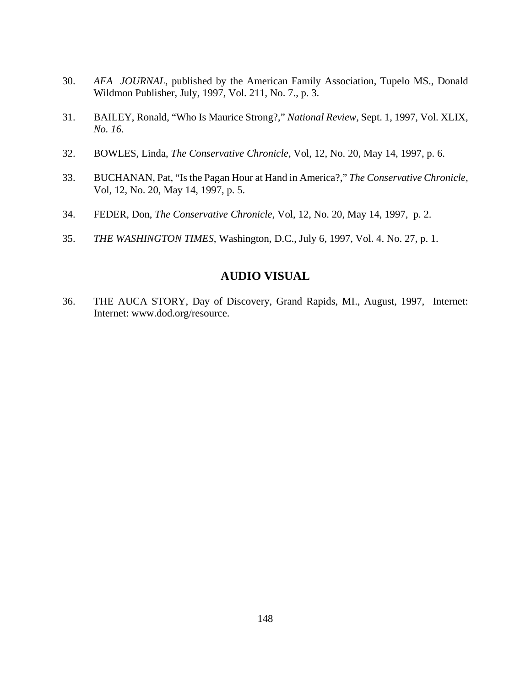- 30. *AFA JOURNAL*, published by the American Family Association, Tupelo MS., Donald Wildmon Publisher, July, 1997, Vol. 211, No. 7., p. 3.
- 31. BAILEY, Ronald, "Who Is Maurice Strong?," *National Review,* Sept. 1, 1997, Vol. XLIX*, No. 16.*
- 32. BOWLES, Linda, *The Conservative Chronicle,* Vol, 12, No. 20, May 14, 1997, p. 6.
- 33. BUCHANAN, Pat, "Is the Pagan Hour at Hand in America?," *The Conservative Chronicle,*  Vol, 12, No. 20, May 14, 1997, p. 5.
- 34. FEDER, Don, *The Conservative Chronicle,* Vol, 12, No. 20, May 14, 1997, p. 2.
- 35. *THE WASHINGTON TIMES*, Washington, D.C., July 6, 1997, Vol. 4. No. 27, p. 1.

## **AUDIO VISUAL**

36. THE AUCA STORY, Day of Discovery, Grand Rapids, MI., August, 1997, Internet: Internet: www.dod.org/resource.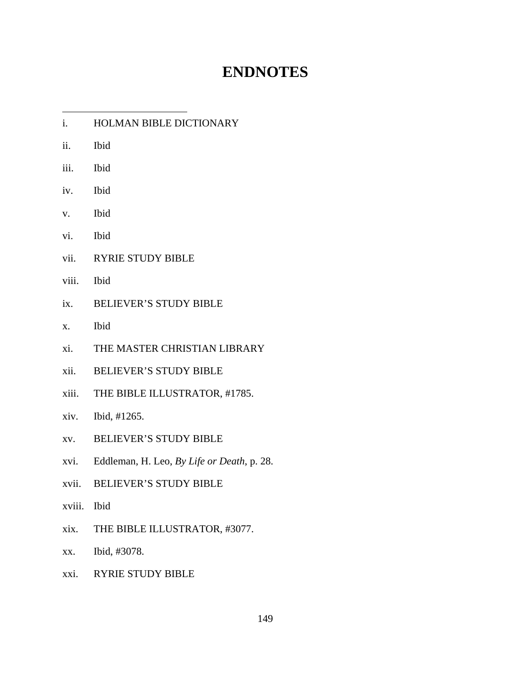# **ENDNOTES**

| i.          | HOLMAN BIBLE DICTIONARY                    |
|-------------|--------------------------------------------|
| ii.         | Ibid                                       |
| iii.        | Ibid                                       |
| iv.         | <b>Ibid</b>                                |
| V.          | Ibid                                       |
| vi.         | Ibid                                       |
| vii.        | RYRIE STUDY BIBLE                          |
| viii.       | Ibid                                       |
| ix.         | <b>BELIEVER'S STUDY BIBLE</b>              |
| X.          | Ibid                                       |
| xi.         | THE MASTER CHRISTIAN LIBRARY               |
| xii.        | <b>BELIEVER'S STUDY BIBLE</b>              |
|             | xiii. THE BIBLE ILLUSTRATOR, #1785.        |
| xiv.        | Ibid, #1265.                               |
| XV.         | <b>BELIEVER'S STUDY BIBLE</b>              |
| xvi.        | Eddleman, H. Leo, By Life or Death, p. 28. |
|             | xvii. BELIEVER'S STUDY BIBLE               |
| xviii. Ibid |                                            |
| xix.        | THE BIBLE ILLUSTRATOR, #3077.              |
| XX.         | Ibid, #3078.                               |
| xxi.        | <b>RYRIE STUDY BIBLE</b>                   |
|             |                                            |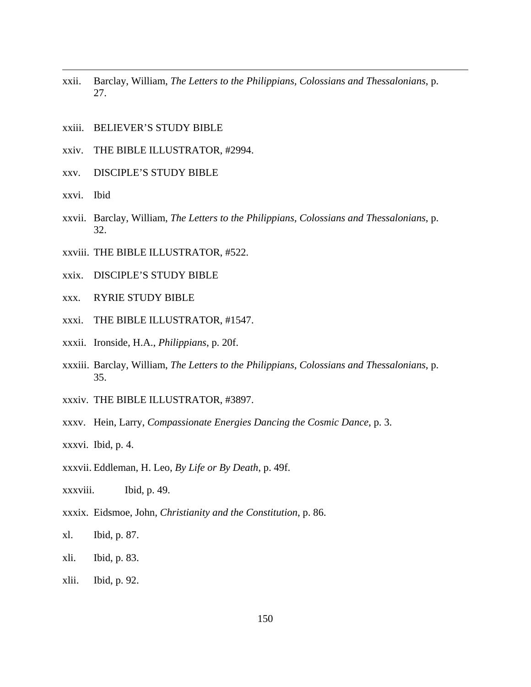- xxii. Barclay, William, *The Letters to the Philippians, Colossians and Thessalonians*, p. 27.
- xxiii. BELIEVER'S STUDY BIBLE
- xxiv. THE BIBLE ILLUSTRATOR, #2994.
- xxv. DISCIPLE'S STUDY BIBLE
- xxvi. Ibid

- xxvii. Barclay, William, *The Letters to the Philippians, Colossians and Thessalonians*, p. 32.
- xxviii. THE BIBLE ILLUSTRATOR, #522.
- xxix. DISCIPLE'S STUDY BIBLE
- xxx. RYRIE STUDY BIBLE
- xxxi. THE BIBLE ILLUSTRATOR, #1547.
- xxxii. Ironside, H.A., *Philippians*, p. 20f.
- xxxiii. Barclay, William, *The Letters to the Philippians, Colossians and Thessalonians*, p. 35.
- xxxiv. THE BIBLE ILLUSTRATOR, #3897.
- xxxv. Hein, Larry, *Compassionate Energies Dancing the Cosmic Dance*, p. 3.
- xxxvi. Ibid, p. 4.
- xxxvii. Eddleman, H. Leo, *By Life or By Death*, p. 49f.
- xxxviii. Ibid, p. 49.
- xxxix. Eidsmoe, John, *Christianity and the Constitution*, p. 86.
- xl. Ibid, p. 87.
- xli. Ibid, p. 83.
- xlii. Ibid, p. 92.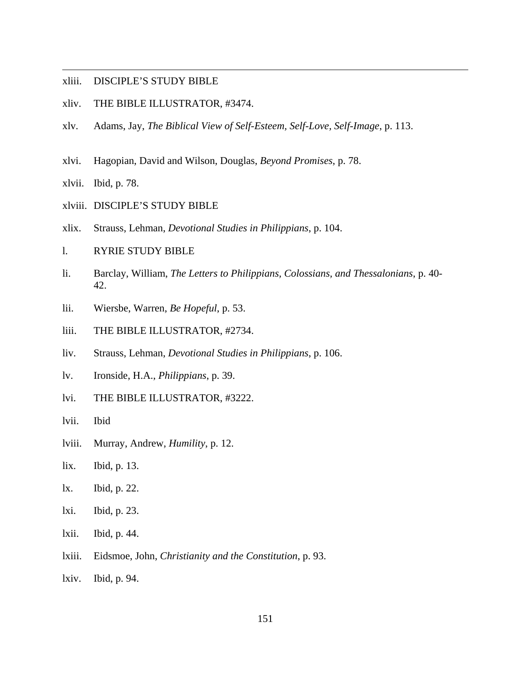### xliii. DISCIPLE'S STUDY BIBLE

- xliv. THE BIBLE ILLUSTRATOR, #3474.
- xlv. Adams, Jay, *The Biblical View of Self-Esteem, Self-Love, Self-Image*, p. 113.
- xlvi. Hagopian, David and Wilson, Douglas, *Beyond Promises*, p. 78.

xlvii. Ibid, p. 78.

 $\overline{a}$ 

xlviii. DISCIPLE'S STUDY BIBLE

- xlix. Strauss, Lehman, *Devotional Studies in Philippians*, p. 104.
- l. RYRIE STUDY BIBLE
- li. Barclay, William, *The Letters to Philippians, Colossians, and Thessalonians*, p. 40- 42.
- lii. Wiersbe, Warren, *Be Hopeful*, p. 53.
- liii. THE BIBLE ILLUSTRATOR, #2734.
- liv. Strauss, Lehman, *Devotional Studies in Philippians*, p. 106.
- lv. Ironside, H.A., *Philippians*, p. 39.
- lvi. THE BIBLE ILLUSTRATOR, #3222.
- lvii. Ibid
- lviii. Murray, Andrew, *Humility*, p. 12.
- lix. Ibid, p. 13.
- lx. Ibid, p. 22.
- lxi. Ibid, p. 23.
- lxii. Ibid, p. 44.
- lxiii. Eidsmoe, John, *Christianity and the Constitution*, p. 93.
- lxiv. Ibid, p. 94.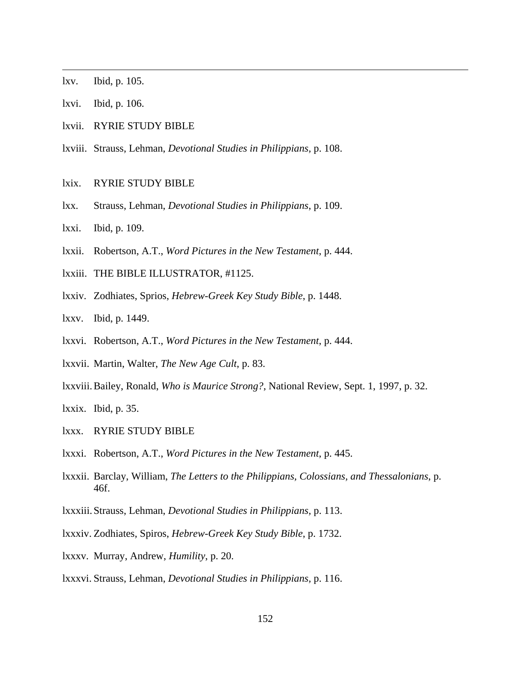lxv. Ibid, p. 105.

 $\overline{a}$ 

- lxvi. Ibid, p. 106.
- lxvii. RYRIE STUDY BIBLE
- lxviii. Strauss, Lehman, *Devotional Studies in Philippians,* p. 108.
- lxix. RYRIE STUDY BIBLE
- lxx. Strauss, Lehman, *Devotional Studies in Philippians*, p. 109.
- lxxi. Ibid, p. 109.
- lxxii. Robertson, A.T., *Word Pictures in the New Testament*, p. 444.
- lxxiii. THE BIBLE ILLUSTRATOR, #1125.
- lxxiv. Zodhiates, Sprios, *Hebrew-Greek Key Study Bible*, p. 1448.
- lxxv. Ibid, p. 1449.
- lxxvi. Robertson, A.T., *Word Pictures in the New Testament*, p. 444.
- lxxvii. Martin, Walter, *The New Age Cult*, p. 83.
- lxxviii. Bailey, Ronald, *Who is Maurice Strong?*, National Review, Sept. 1, 1997, p. 32.

lxxix. Ibid, p. 35.

- lxxx. RYRIE STUDY BIBLE
- lxxxi. Robertson, A.T., *Word Pictures in the New Testament*, p. 445.
- lxxxii. Barclay, William, *The Letters to the Philippians, Colossians, and Thessalonians*, p. 46f.
- lxxxiii. Strauss, Lehman, *Devotional Studies in Philippians,* p. 113.
- lxxxiv. Zodhiates, Spiros, *Hebrew-Greek Key Study Bible*, p. 1732.
- lxxxv. Murray, Andrew, *Humility*, p. 20.
- lxxxvi. Strauss, Lehman, *Devotional Studies in Philippians,* p. 116.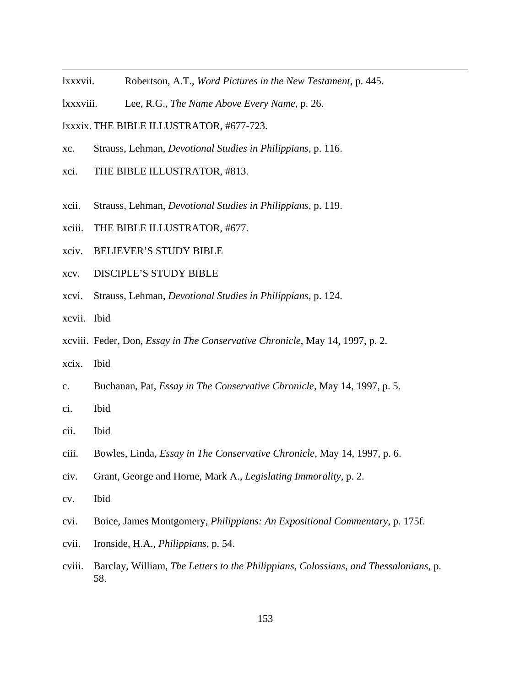- lxxxvii. Robertson, A.T., *Word Pictures in the New Testament*, p. 445.
- lxxxviii. Lee, R.G., *The Name Above Every Name*, p. 26.

lxxxix. THE BIBLE ILLUSTRATOR, #677-723.

- xc. Strauss, Lehman, *Devotional Studies in Philippians*, p. 116.
- xci. THE BIBLE ILLUSTRATOR, #813.
- xcii. Strauss, Lehman, *Devotional Studies in Philippians*, p. 119.
- xciii. THE BIBLE ILLUSTRATOR, #677.
- xciv. BELIEVER'S STUDY BIBLE
- xcv. DISCIPLE'S STUDY BIBLE
- xcvi. Strauss, Lehman, *Devotional Studies in Philippians*, p. 124.
- xcvii. Ibid

- xcviii. Feder, Don, *Essay in The Conservative Chronicle*, May 14, 1997, p. 2.
- xcix. Ibid
- c. Buchanan, Pat, *Essay in The Conservative Chronicle*, May 14, 1997, p. 5.
- ci. Ibid
- cii. Ibid
- ciii. Bowles, Linda, *Essay in The Conservative Chronicle*, May 14, 1997, p. 6.
- civ. Grant, George and Horne, Mark A., *Legislating Immorality,* p. 2.
- cv. Ibid
- cvi. Boice, James Montgomery, *Philippians: An Expositional Commentary*, p. 175f.
- cvii. Ironside, H.A., *Philippians*, p. 54.
- cviii. Barclay, William, *The Letters to the Philippians, Colossians, and Thessalonians*, p. 58.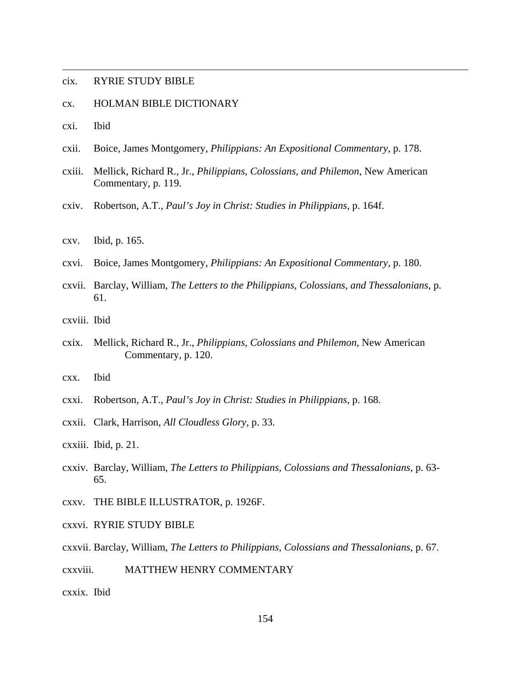### cix. RYRIE STUDY BIBLE

- cx. HOLMAN BIBLE DICTIONARY
- cxi. Ibid

 $\overline{a}$ 

- cxii. Boice, James Montgomery, *Philippians: An Expositional Commentary*, p. 178.
- cxiii. Mellick, Richard R., Jr., *Philippians, Colossians, and Philemon*, New American Commentary, p. 119.
- cxiv. Robertson, A.T., *Paul's Joy in Christ: Studies in Philippians*, p. 164f.
- cxv. Ibid, p. 165.
- cxvi. Boice, James Montgomery, *Philippians: An Expositional Commentary*, p. 180.
- cxvii. Barclay, William, *The Letters to the Philippians, Colossians, and Thessalonians*, p. 61.
- cxviii. Ibid
- cxix. Mellick, Richard R., Jr., *Philippians, Colossians and Philemon*, New American Commentary, p. 120.
- cxx. Ibid
- cxxi. Robertson, A.T., *Paul's Joy in Christ: Studies in Philippians*, p. 168.
- cxxii. Clark, Harrison, *All Cloudless Glory*, p. 33.
- cxxiii. Ibid, p. 21.
- cxxiv. Barclay, William, *The Letters to Philippians, Colossians and Thessalonians*, p. 63- 65.
- cxxv. THE BIBLE ILLUSTRATOR, p. 1926F.
- cxxvi. RYRIE STUDY BIBLE
- cxxvii. Barclay, William, *The Letters to Philippians, Colossians and Thessalonians*, p. 67.
- cxxviii. MATTHEW HENRY COMMENTARY

cxxix. Ibid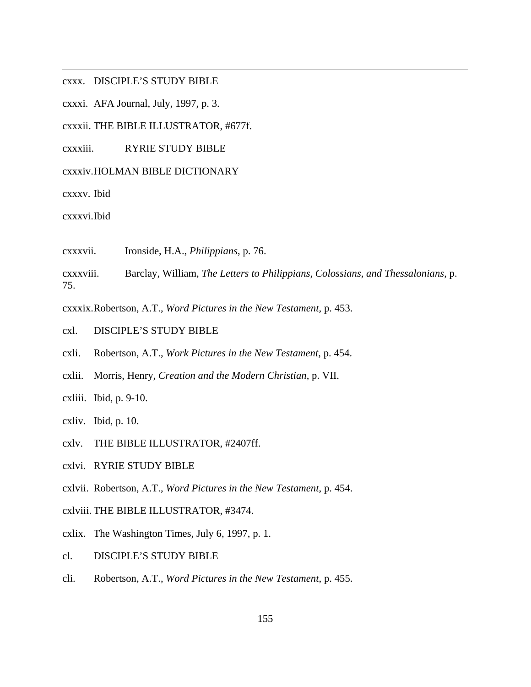cxxx. DISCIPLE'S STUDY BIBLE

cxxxi. AFA Journal, July, 1997, p. 3.

cxxxii. THE BIBLE ILLUSTRATOR, #677f.

cxxxiii. RYRIE STUDY BIBLE

### cxxxiv. HOLMAN BIBLE DICTIONARY

cxxxv. Ibid

 $\overline{a}$ 

cxxxvi. Ibid

cxxxvii. Ironside, H.A., *Philippians*, p. 76.

cxxxviii. Barclay, William, *The Letters to Philippians, Colossians, and Thessalonians*, p. 75.

cxxxix. Robertson, A.T., *Word Pictures in the New Testament,* p. 453.

- cxl. DISCIPLE'S STUDY BIBLE
- cxli. Robertson, A.T., *Work Pictures in the New Testament*, p. 454.
- cxlii. Morris, Henry, *Creation and the Modern Christian*, p. VII.
- cxliii. Ibid, p. 9-10.
- cxliv. Ibid, p. 10.
- cxlv. THE BIBLE ILLUSTRATOR, #2407ff.
- cxlvi. RYRIE STUDY BIBLE

cxlvii. Robertson, A.T., *Word Pictures in the New Testament*, p. 454.

cxlviii. THE BIBLE ILLUSTRATOR, #3474.

cxlix. The Washington Times, July 6, 1997, p. 1.

- cl. DISCIPLE'S STUDY BIBLE
- cli. Robertson, A.T., *Word Pictures in the New Testament*, p. 455.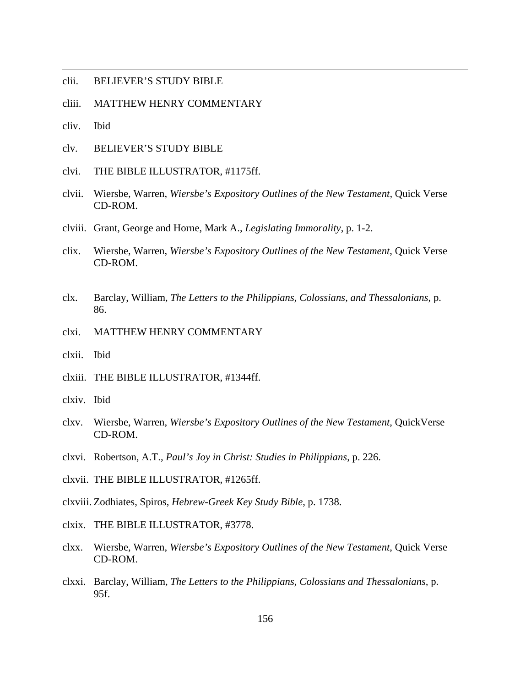- clii. BELIEVER'S STUDY BIBLE
- cliii. MATTHEW HENRY COMMENTARY
- cliv. Ibid

- clv. BELIEVER'S STUDY BIBLE
- clvi. THE BIBLE ILLUSTRATOR, #1175ff.
- clvii. Wiersbe, Warren, *Wiersbe's Expository Outlines of the New Testament,* Quick Verse CD-ROM.
- clviii. Grant, George and Horne, Mark A., *Legislating Immorality*, p. 1-2.
- clix. Wiersbe, Warren, *Wiersbe's Expository Outlines of the New Testament*, Quick Verse CD-ROM.
- clx. Barclay, William, *The Letters to the Philippians, Colossians, and Thessalonians*, p. 86.
- clxi. MATTHEW HENRY COMMENTARY
- clxii. Ibid
- clxiii. THE BIBLE ILLUSTRATOR, #1344ff.
- clxiv. Ibid
- clxv. Wiersbe, Warren, *Wiersbe's Expository Outlines of the New Testament*, QuickVerse CD-ROM.
- clxvi. Robertson, A.T., *Paul's Joy in Christ: Studies in Philippians*, p. 226.
- clxvii. THE BIBLE ILLUSTRATOR, #1265ff.
- clxviii. Zodhiates, Spiros, *Hebrew-Greek Key Study Bible*, p. 1738.
- clxix. THE BIBLE ILLUSTRATOR, #3778.
- clxx. Wiersbe, Warren, *Wiersbe's Expository Outlines of the New Testament*, Quick Verse CD-ROM.
- clxxi. Barclay, William, *The Letters to the Philippians, Colossians and Thessalonians,* p. 95f.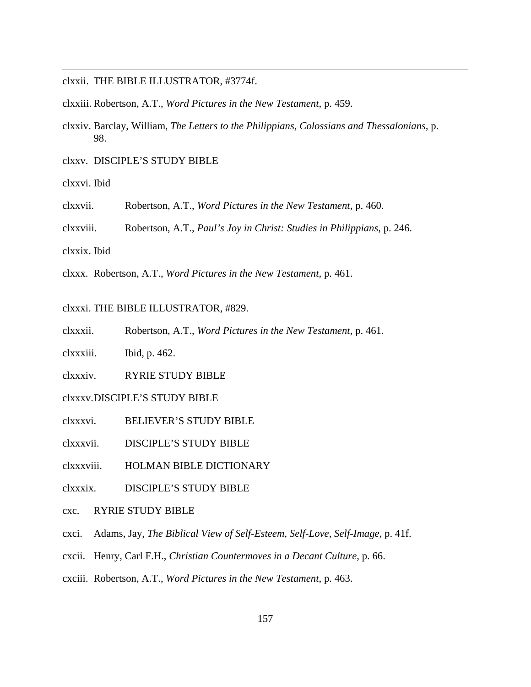clxxii. THE BIBLE ILLUSTRATOR, #3774f.

clxxiii. Robertson, A.T., *Word Pictures in the New Testament*, p. 459.

clxxiv. Barclay, William, *The Letters to the Philippians, Colossians and Thessalonians,* p. 98.

clxxv. DISCIPLE'S STUDY BIBLE

clxxvi. Ibid

 $\overline{a}$ 

clxxvii. Robertson, A.T., *Word Pictures in the New Testament*, p. 460.

clxxviii. Robertson, A.T., *Paul's Joy in Christ: Studies in Philippians*, p. 246.

clxxix. Ibid

clxxx. Robertson, A.T., *Word Pictures in the New Testament,* p. 461.

clxxxi. THE BIBLE ILLUSTRATOR, #829.

clxxxii. Robertson, A.T., *Word Pictures in the New Testament*, p. 461.

clxxxiii. Ibid, p. 462.

clxxxiv. RYRIE STUDY BIBLE

clxxxv. DISCIPLE'S STUDY BIBLE

clxxxvi. BELIEVER'S STUDY BIBLE

clxxxvii. DISCIPLE'S STUDY BIBLE

clxxxviii. HOLMAN BIBLE DICTIONARY

clxxxix. DISCIPLE'S STUDY BIBLE

cxc. RYRIE STUDY BIBLE

cxci. Adams, Jay, *The Biblical View of Self-Esteem, Self-Love, Self-Image*, p. 41f.

cxcii. Henry, Carl F.H., *Christian Countermoves in a Decant Culture*, p. 66.

cxciii. Robertson, A.T., *Word Pictures in the New Testament*, p. 463.